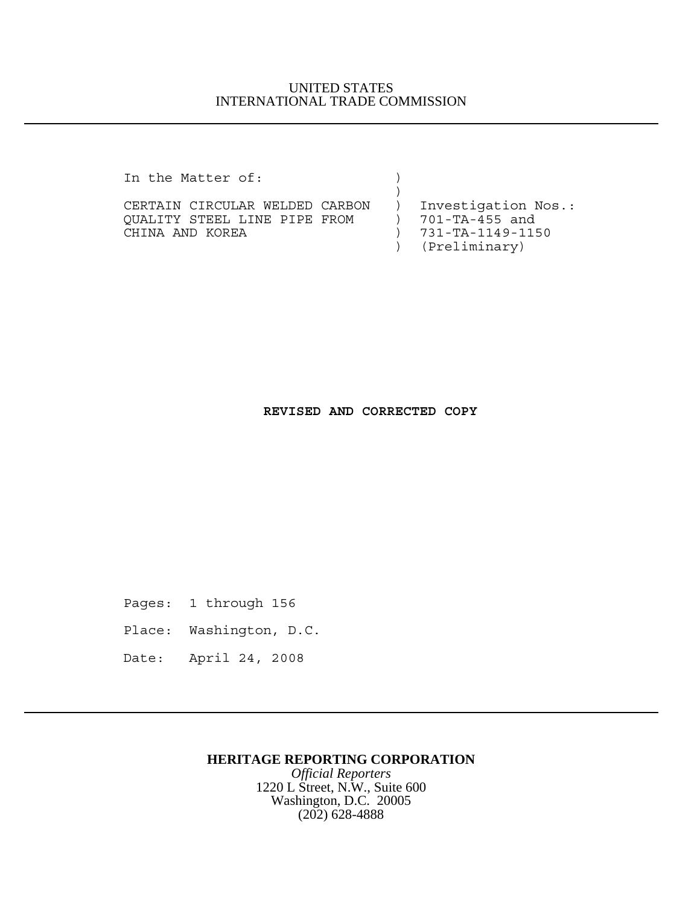### UNITED STATES INTERNATIONAL TRADE COMMISSION

In the Matter of:  $\qquad \qquad$  )

CERTAIN CIRCULAR WELDED CARBON ) Investigation Nos.:<br>QUALITY STEEL LINE PIPE FROM ) 701-TA-455 and QUALITY STEEL LINE PIPE FROM CHINA AND KOREA ) 731-TA-1149-1150

 $)$ 

) (Preliminary)

#### **REVISED AND CORRECTED COPY**

Pages: 1 through 156

Place: Washington, D.C.

Date: April 24, 2008

## **HERITAGE REPORTING CORPORATION**

*Official Reporters* 1220 L Street, N.W., Suite 600 Washington, D.C. 20005 (202) 628-4888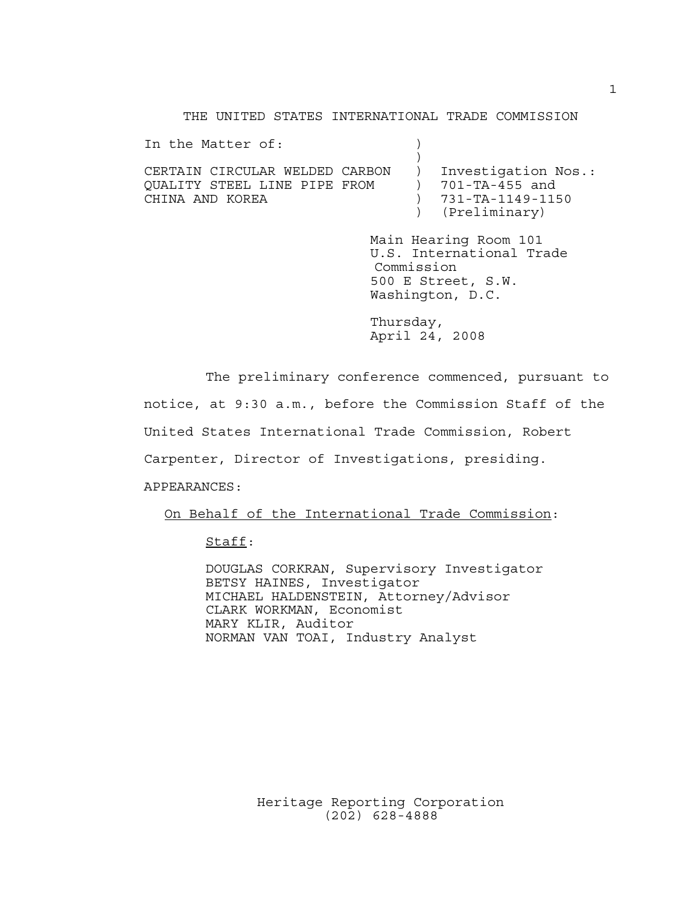THE UNITED STATES INTERNATIONAL TRADE COMMISSION

In the Matter of:  $\qquad \qquad$  )  $)$ CERTAIN CIRCULAR WELDED CARBON ) Investigation Nos.: QUALITY STEEL LINE PIPE FROM ) 701-TA-455 and CHINA AND KOREA ) 731-TA-1149-1150 ) (Preliminary) Main Hearing Room 101 U.S. International Trade Commission 500 E Street, S.W. Washington, D.C. Thursday, April 24, 2008

The preliminary conference commenced, pursuant to

notice, at 9:30 a.m., before the Commission Staff of the

United States International Trade Commission, Robert

Carpenter, Director of Investigations, presiding.

APPEARANCES:

On Behalf of the International Trade Commission:

Staff:

DOUGLAS CORKRAN, Supervisory Investigator BETSY HAINES, Investigator MICHAEL HALDENSTEIN, Attorney/Advisor CLARK WORKMAN, Economist MARY KLIR, Auditor NORMAN VAN TOAI, Industry Analyst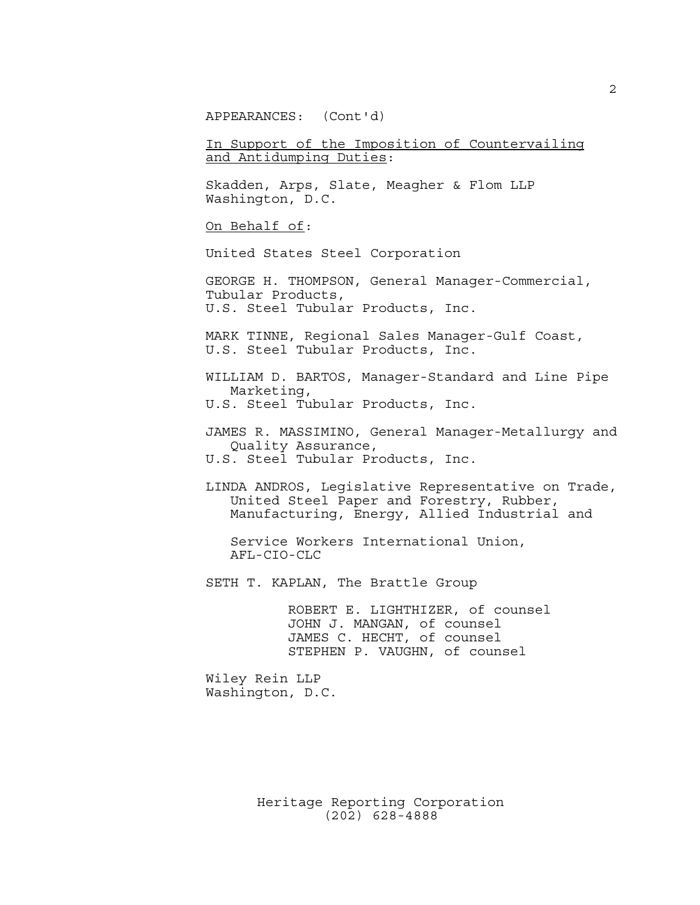APPEARANCES: (Cont'd)

In Support of the Imposition of Countervailing and Antidumping Duties:

Skadden, Arps, Slate, Meagher & Flom LLP Washington, D.C.

On Behalf of:

United States Steel Corporation

GEORGE H. THOMPSON, General Manager-Commercial, Tubular Products, U.S. Steel Tubular Products, Inc.

MARK TINNE, Regional Sales Manager-Gulf Coast, U.S. Steel Tubular Products, Inc.

WILLIAM D. BARTOS, Manager-Standard and Line Pipe Marketing, U.S. Steel Tubular Products, Inc.

JAMES R. MASSIMINO, General Manager-Metallurgy and Quality Assurance, U.S. Steel Tubular Products, Inc.

LINDA ANDROS, Legislative Representative on Trade, United Steel Paper and Forestry, Rubber, Manufacturing, Energy, Allied Industrial and

 Service Workers International Union, AFL-CIO-CLC

SETH T. KAPLAN, The Brattle Group

 ROBERT E. LIGHTHIZER, of counsel JOHN J. MANGAN, of counsel JAMES C. HECHT, of counsel STEPHEN P. VAUGHN, of counsel

Wiley Rein LLP Washington, D.C.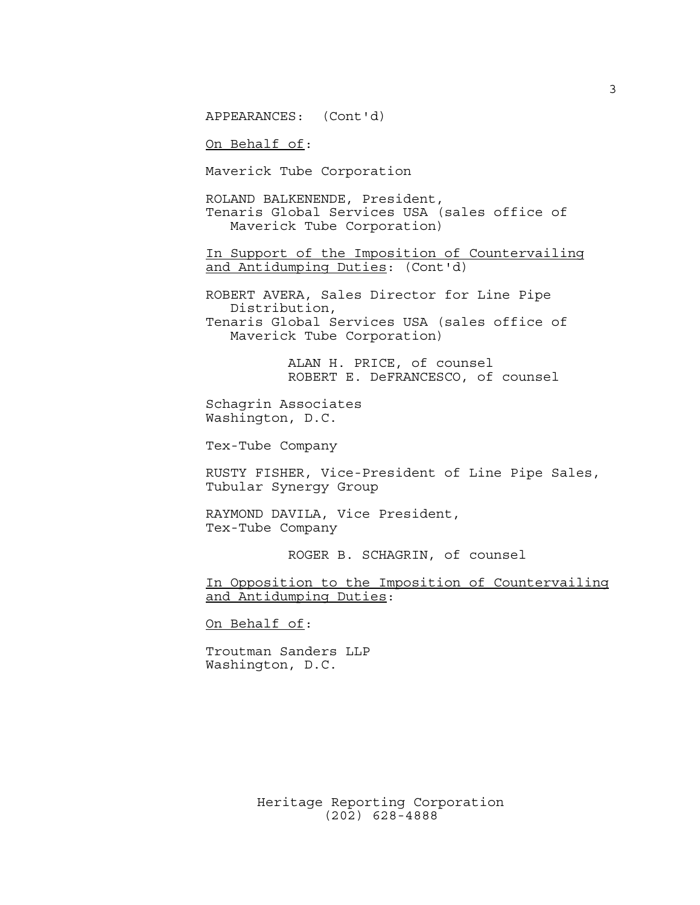APPEARANCES: (Cont'd)

On Behalf of:

Maverick Tube Corporation

ROLAND BALKENENDE, President, Tenaris Global Services USA (sales office of Maverick Tube Corporation)

In Support of the Imposition of Countervailing and Antidumping Duties: (Cont'd)

ROBERT AVERA, Sales Director for Line Pipe Distribution, Tenaris Global Services USA (sales office of Maverick Tube Corporation)

> ALAN H. PRICE, of counsel ROBERT E. DeFRANCESCO, of counsel

Schagrin Associates Washington, D.C.

Tex-Tube Company

RUSTY FISHER, Vice-President of Line Pipe Sales, Tubular Synergy Group

RAYMOND DAVILA, Vice President, Tex-Tube Company

ROGER B. SCHAGRIN, of counsel

In Opposition to the Imposition of Countervailing and Antidumping Duties:

On Behalf of:

Troutman Sanders LLP Washington, D.C.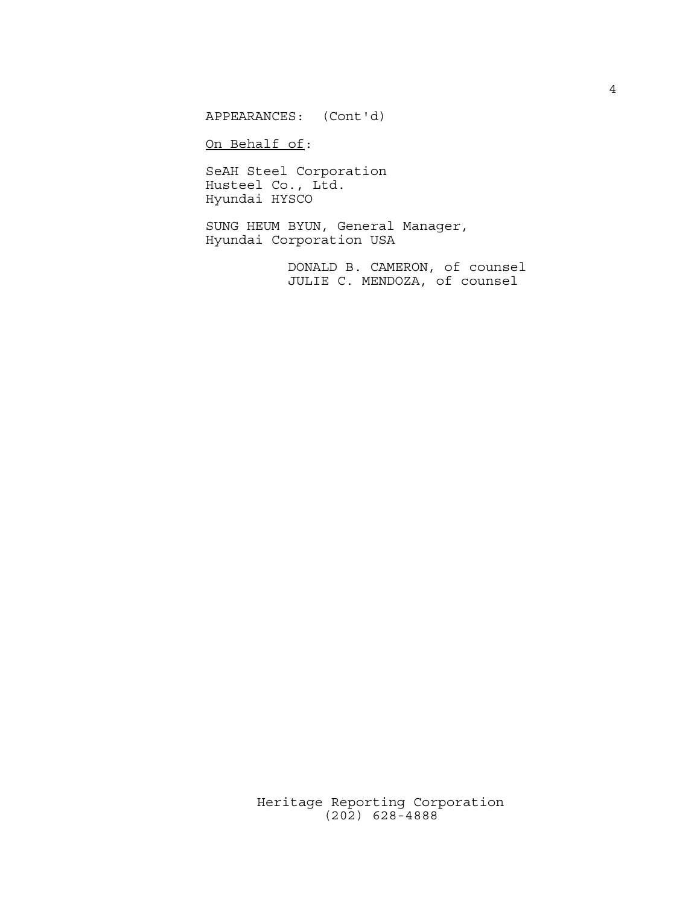APPEARANCES: (Cont'd)

On Behalf of:

SeAH Steel Corporation Husteel Co., Ltd. Hyundai HYSCO

SUNG HEUM BYUN, General Manager, Hyundai Corporation USA

> DONALD B. CAMERON, of counsel JULIE C. MENDOZA, of counsel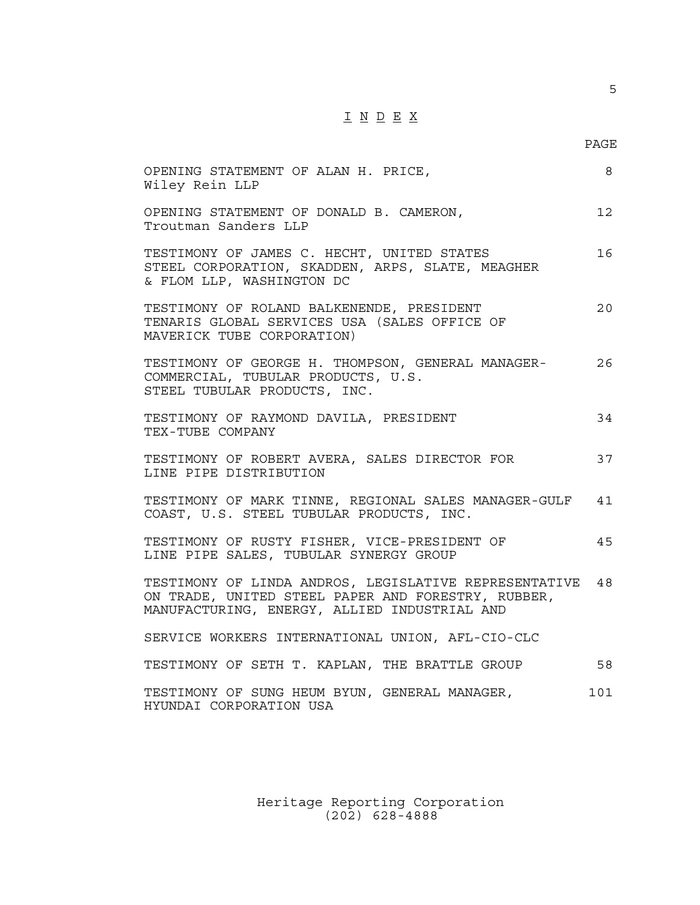# $\underline{\texttt{I}} \ \underline{\texttt{N}} \ \underline{\texttt{D}} \ \underline{\texttt{E}} \ \underline{\texttt{X}}$

PAGE

| OPENING STATEMENT OF ALAN H. PRICE,<br>Wiley Rein LLP                                                                                                       | 8   |
|-------------------------------------------------------------------------------------------------------------------------------------------------------------|-----|
| OPENING STATEMENT OF DONALD B. CAMERON,<br>Troutman Sanders LLP                                                                                             | 12  |
| TESTIMONY OF JAMES C. HECHT, UNITED STATES<br>STEEL CORPORATION, SKADDEN, ARPS, SLATE, MEAGHER<br>& FLOM LLP, WASHINGTON DC                                 | 16  |
| TESTIMONY OF ROLAND BALKENENDE, PRESIDENT<br>TENARIS GLOBAL SERVICES USA (SALES OFFICE OF<br>MAVERICK TUBE CORPORATION)                                     | 20  |
| TESTIMONY OF GEORGE H. THOMPSON, GENERAL MANAGER-<br>COMMERCIAL, TUBULAR PRODUCTS, U.S.<br>STEEL TUBULAR PRODUCTS, INC.                                     | 26  |
| TESTIMONY OF RAYMOND DAVILA, PRESIDENT<br>TEX-TUBE COMPANY                                                                                                  | 34  |
| TESTIMONY OF ROBERT AVERA, SALES DIRECTOR FOR<br>LINE PIPE DISTRIBUTION                                                                                     | 37  |
| TESTIMONY OF MARK TINNE, REGIONAL SALES MANAGER-GULF<br>COAST, U.S. STEEL TUBULAR PRODUCTS, INC.                                                            | 41  |
| TESTIMONY OF RUSTY FISHER, VICE-PRESIDENT OF<br>LINE PIPE SALES, TUBULAR SYNERGY GROUP                                                                      | 45  |
| TESTIMONY OF LINDA ANDROS, LEGISLATIVE REPRESENTATIVE<br>ON TRADE, UNITED STEEL PAPER AND FORESTRY, RUBBER,<br>MANUFACTURING, ENERGY, ALLIED INDUSTRIAL AND | 48  |
| SERVICE WORKERS INTERNATIONAL UNION, AFL-CIO-CLC                                                                                                            |     |
| TESTIMONY OF SETH T. KAPLAN, THE BRATTLE GROUP                                                                                                              | 58  |
| TESTIMONY OF SUNG HEUM BYUN, GENERAL MANAGER,<br>HYUNDAI CORPORATION USA                                                                                    | 101 |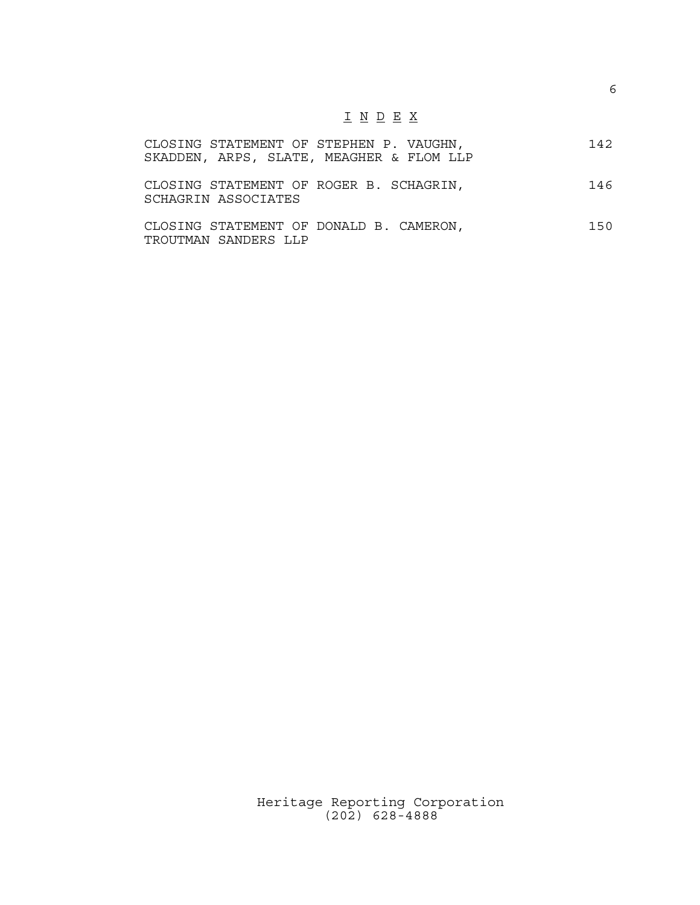# $\underline{\texttt{I}} \underline{\texttt{N}} \underline{\texttt{D}} \underline{\texttt{E}} \underline{\texttt{X}}$

|  | CLOSING STATEMENT OF STEPHEN P. VAUGHN, |                                          | 142 |
|--|-----------------------------------------|------------------------------------------|-----|
|  |                                         | SKADDEN, ARPS, SLATE, MEAGHER & FLOM LLP |     |

| CLOSING STATEMENT OF ROGER B. SCHAGRIN, |  |  | 146 |
|-----------------------------------------|--|--|-----|
| SCHAGRIN ASSOCIATES                     |  |  |     |

| CLOSING STATEMENT OF DONALD B. CAMERON, |  |  | 150 |
|-----------------------------------------|--|--|-----|
| TROUTMAN SANDERS LLP                    |  |  |     |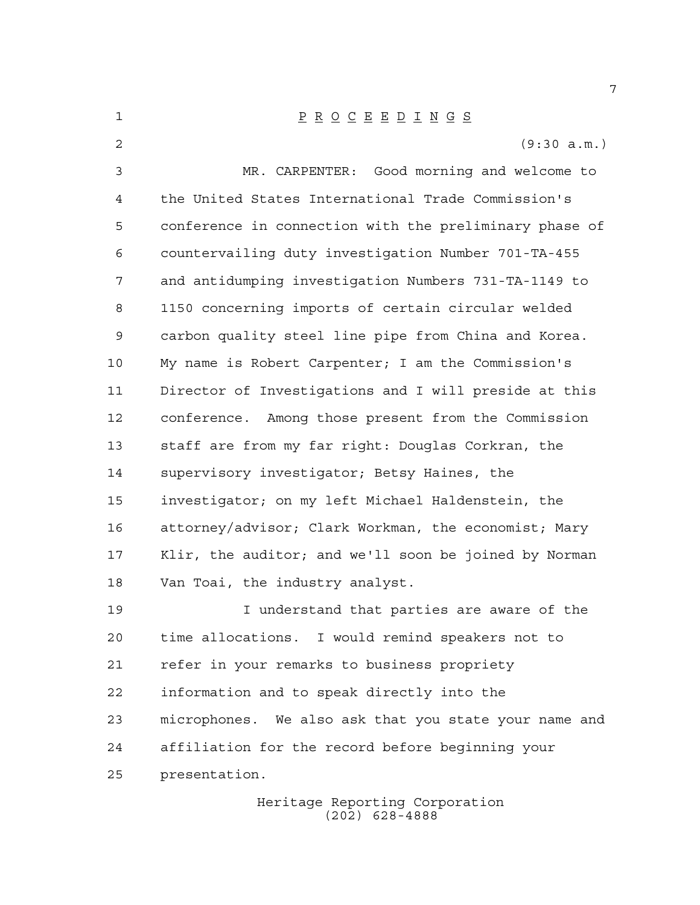P R O C E E D I N G S (9:30 a.m.) MR. CARPENTER: Good morning and welcome to the United States International Trade Commission's conference in connection with the preliminary phase of countervailing duty investigation Number 701-TA-455 and antidumping investigation Numbers 731-TA-1149 to 1150 concerning imports of certain circular welded carbon quality steel line pipe from China and Korea. My name is Robert Carpenter; I am the Commission's Director of Investigations and I will preside at this conference. Among those present from the Commission staff are from my far right: Douglas Corkran, the supervisory investigator; Betsy Haines, the investigator; on my left Michael Haldenstein, the attorney/advisor; Clark Workman, the economist; Mary Klir, the auditor; and we'll soon be joined by Norman Van Toai, the industry analyst. I understand that parties are aware of the time allocations. I would remind speakers not to refer in your remarks to business propriety information and to speak directly into the microphones. We also ask that you state your name and affiliation for the record before beginning your presentation.

Heritage Reporting Corporation (202) 628-4888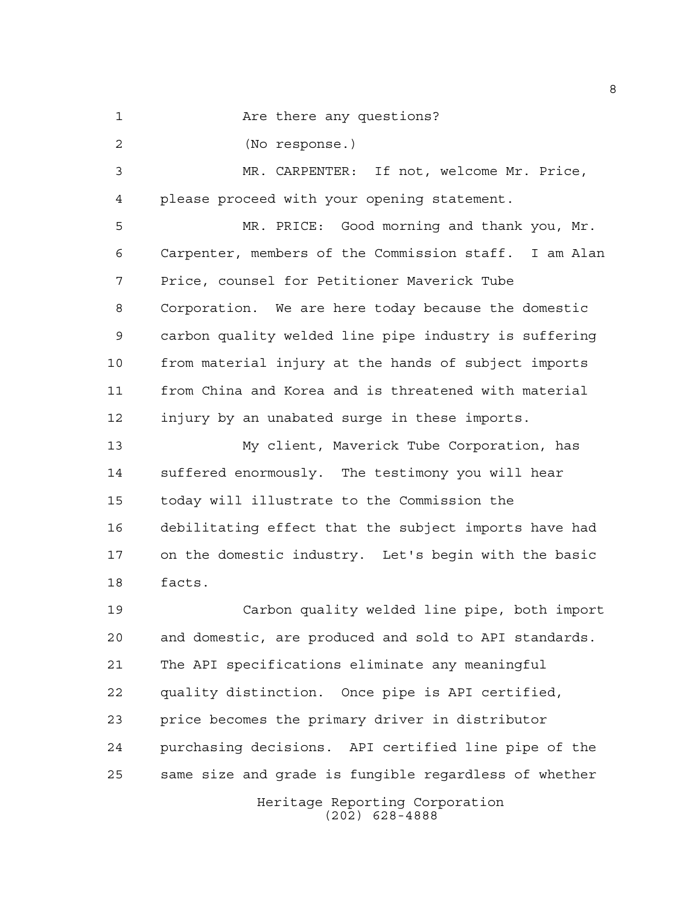1 Are there any questions?

(No response.)

 MR. CARPENTER: If not, welcome Mr. Price, please proceed with your opening statement.

 MR. PRICE: Good morning and thank you, Mr. Carpenter, members of the Commission staff. I am Alan Price, counsel for Petitioner Maverick Tube Corporation. We are here today because the domestic carbon quality welded line pipe industry is suffering from material injury at the hands of subject imports from China and Korea and is threatened with material injury by an unabated surge in these imports.

 My client, Maverick Tube Corporation, has suffered enormously. The testimony you will hear today will illustrate to the Commission the debilitating effect that the subject imports have had on the domestic industry. Let's begin with the basic facts.

 Carbon quality welded line pipe, both import and domestic, are produced and sold to API standards. The API specifications eliminate any meaningful quality distinction. Once pipe is API certified, price becomes the primary driver in distributor purchasing decisions. API certified line pipe of the same size and grade is fungible regardless of whether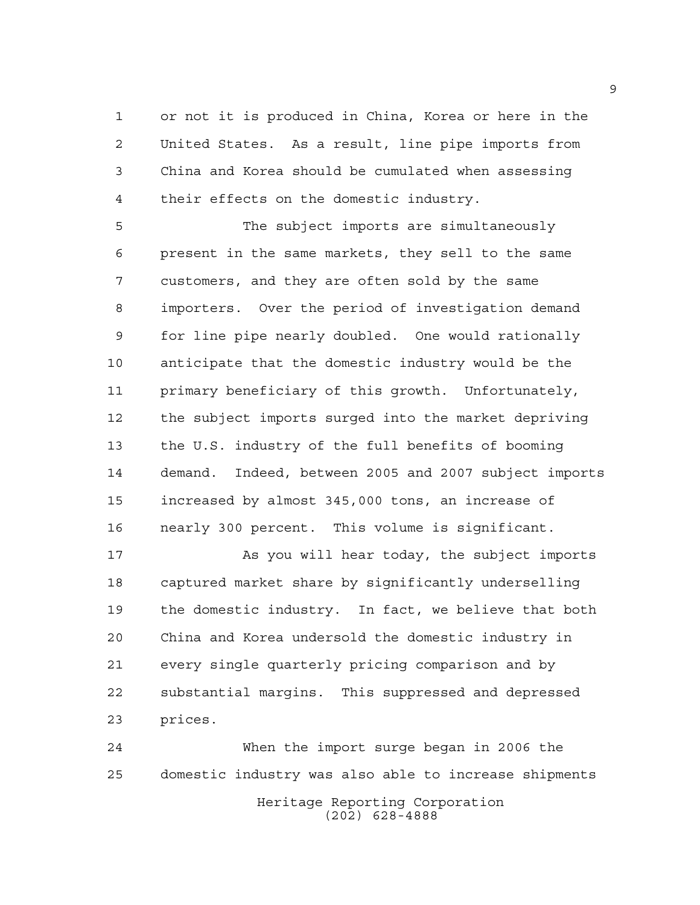or not it is produced in China, Korea or here in the United States. As a result, line pipe imports from China and Korea should be cumulated when assessing their effects on the domestic industry.

 The subject imports are simultaneously present in the same markets, they sell to the same customers, and they are often sold by the same importers. Over the period of investigation demand for line pipe nearly doubled. One would rationally anticipate that the domestic industry would be the primary beneficiary of this growth. Unfortunately, the subject imports surged into the market depriving the U.S. industry of the full benefits of booming demand. Indeed, between 2005 and 2007 subject imports increased by almost 345,000 tons, an increase of nearly 300 percent. This volume is significant.

 As you will hear today, the subject imports captured market share by significantly underselling the domestic industry. In fact, we believe that both China and Korea undersold the domestic industry in every single quarterly pricing comparison and by substantial margins. This suppressed and depressed prices.

Heritage Reporting Corporation (202) 628-4888 When the import surge began in 2006 the domestic industry was also able to increase shipments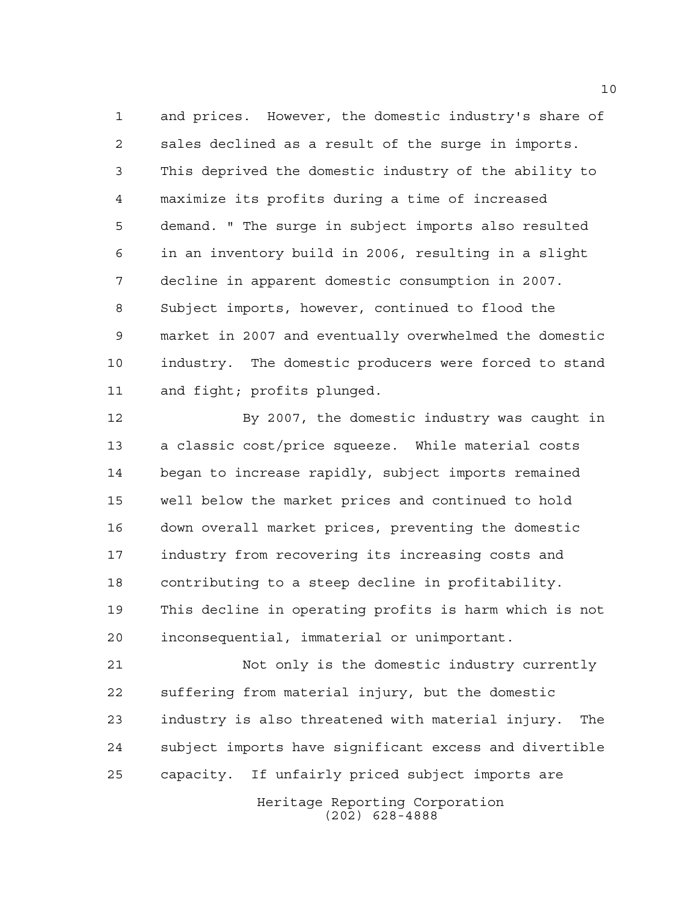and prices. However, the domestic industry's share of sales declined as a result of the surge in imports. This deprived the domestic industry of the ability to maximize its profits during a time of increased demand. " The surge in subject imports also resulted in an inventory build in 2006, resulting in a slight decline in apparent domestic consumption in 2007. Subject imports, however, continued to flood the market in 2007 and eventually overwhelmed the domestic industry. The domestic producers were forced to stand and fight; profits plunged.

 By 2007, the domestic industry was caught in a classic cost/price squeeze. While material costs began to increase rapidly, subject imports remained well below the market prices and continued to hold down overall market prices, preventing the domestic industry from recovering its increasing costs and contributing to a steep decline in profitability. This decline in operating profits is harm which is not inconsequential, immaterial or unimportant.

 Not only is the domestic industry currently suffering from material injury, but the domestic industry is also threatened with material injury. The subject imports have significant excess and divertible capacity. If unfairly priced subject imports are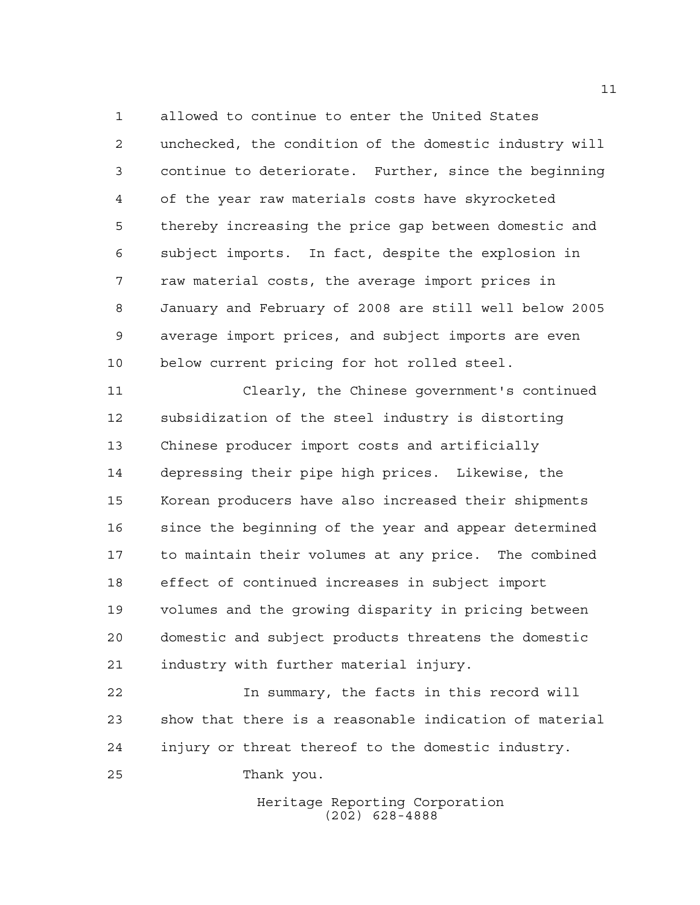allowed to continue to enter the United States unchecked, the condition of the domestic industry will continue to deteriorate. Further, since the beginning of the year raw materials costs have skyrocketed thereby increasing the price gap between domestic and subject imports. In fact, despite the explosion in raw material costs, the average import prices in January and February of 2008 are still well below 2005 average import prices, and subject imports are even below current pricing for hot rolled steel.

 Clearly, the Chinese government's continued subsidization of the steel industry is distorting Chinese producer import costs and artificially depressing their pipe high prices. Likewise, the Korean producers have also increased their shipments 16 since the beginning of the year and appear determined to maintain their volumes at any price. The combined effect of continued increases in subject import volumes and the growing disparity in pricing between domestic and subject products threatens the domestic industry with further material injury.

 In summary, the facts in this record will show that there is a reasonable indication of material injury or threat thereof to the domestic industry. Thank you.

> Heritage Reporting Corporation (202) 628-4888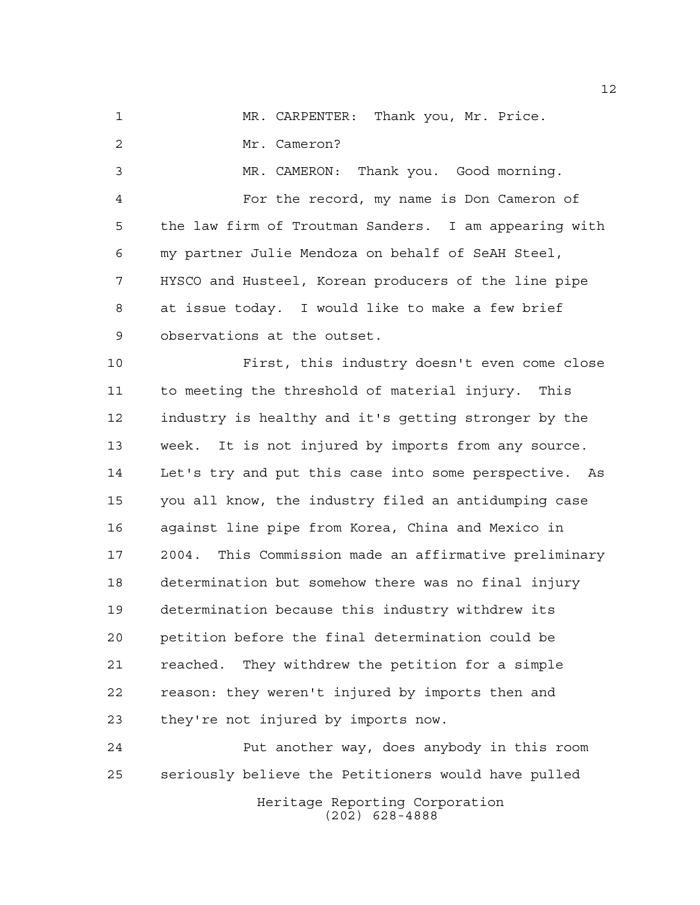MR. CARPENTER: Thank you, Mr. Price. Mr. Cameron? MR. CAMERON: Thank you. Good morning. For the record, my name is Don Cameron of the law firm of Troutman Sanders. I am appearing with my partner Julie Mendoza on behalf of SeAH Steel, HYSCO and Husteel, Korean producers of the line pipe at issue today. I would like to make a few brief observations at the outset. First, this industry doesn't even come close to meeting the threshold of material injury. This industry is healthy and it's getting stronger by the

 week. It is not injured by imports from any source. Let's try and put this case into some perspective. As you all know, the industry filed an antidumping case against line pipe from Korea, China and Mexico in 2004. This Commission made an affirmative preliminary determination but somehow there was no final injury determination because this industry withdrew its petition before the final determination could be reached. They withdrew the petition for a simple reason: they weren't injured by imports then and they're not injured by imports now.

Heritage Reporting Corporation Put another way, does anybody in this room seriously believe the Petitioners would have pulled

(202) 628-4888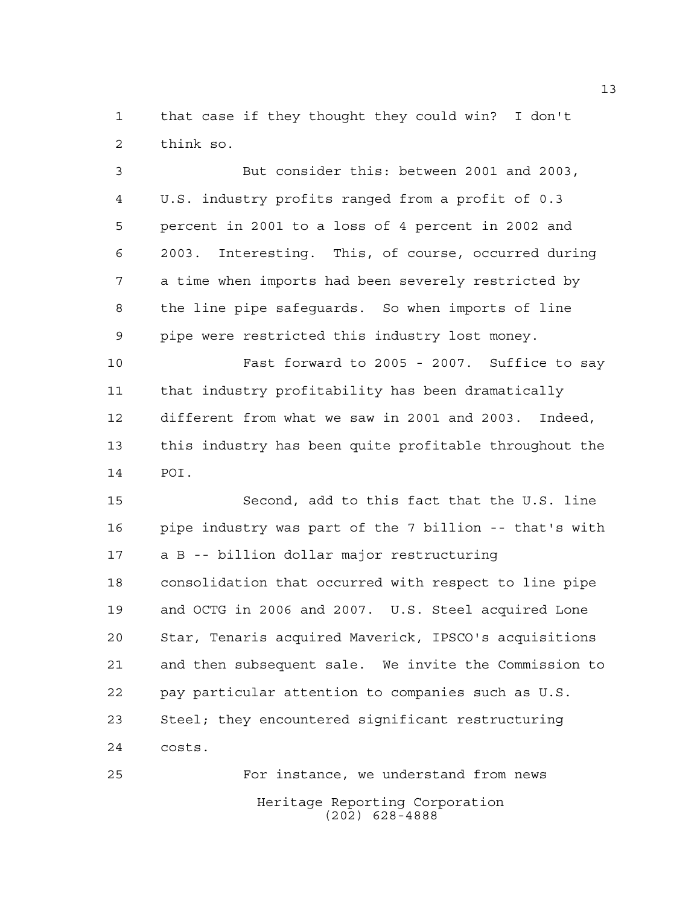that case if they thought they could win? I don't think so.

 But consider this: between 2001 and 2003, U.S. industry profits ranged from a profit of 0.3 percent in 2001 to a loss of 4 percent in 2002 and 2003. Interesting. This, of course, occurred during a time when imports had been severely restricted by the line pipe safeguards. So when imports of line pipe were restricted this industry lost money.

 Fast forward to 2005 - 2007. Suffice to say that industry profitability has been dramatically different from what we saw in 2001 and 2003. Indeed, this industry has been quite profitable throughout the POI.

 Second, add to this fact that the U.S. line pipe industry was part of the 7 billion -- that's with a B -- billion dollar major restructuring consolidation that occurred with respect to line pipe and OCTG in 2006 and 2007. U.S. Steel acquired Lone Star, Tenaris acquired Maverick, IPSCO's acquisitions and then subsequent sale. We invite the Commission to pay particular attention to companies such as U.S. Steel; they encountered significant restructuring costs.

Heritage Reporting Corporation (202) 628-4888 For instance, we understand from news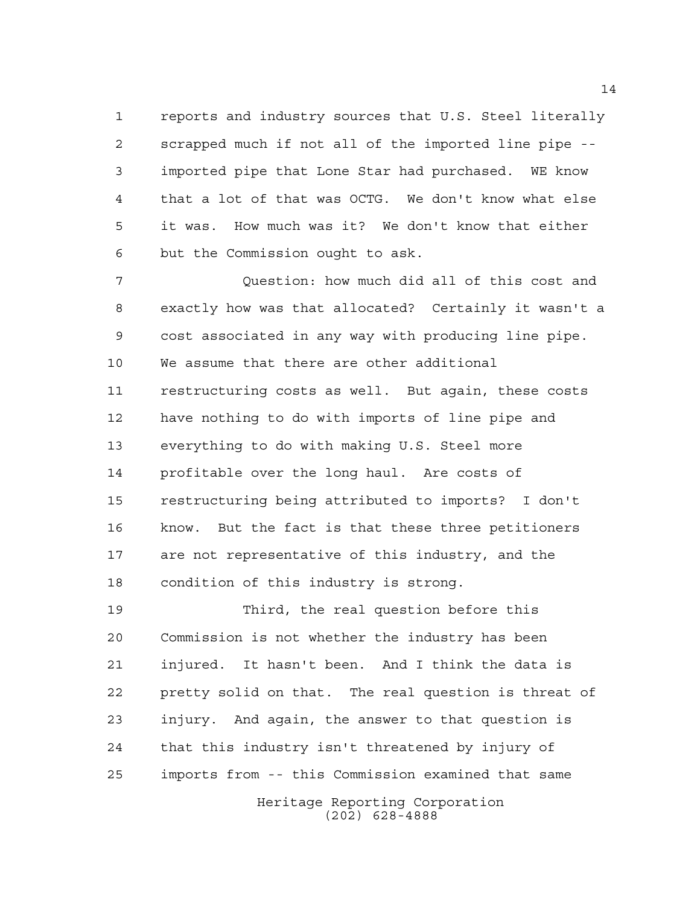reports and industry sources that U.S. Steel literally scrapped much if not all of the imported line pipe -- imported pipe that Lone Star had purchased. WE know that a lot of that was OCTG. We don't know what else it was. How much was it? We don't know that either but the Commission ought to ask.

 Question: how much did all of this cost and exactly how was that allocated? Certainly it wasn't a cost associated in any way with producing line pipe. We assume that there are other additional restructuring costs as well. But again, these costs have nothing to do with imports of line pipe and everything to do with making U.S. Steel more profitable over the long haul. Are costs of restructuring being attributed to imports? I don't know. But the fact is that these three petitioners are not representative of this industry, and the condition of this industry is strong.

 Third, the real question before this Commission is not whether the industry has been injured. It hasn't been. And I think the data is pretty solid on that. The real question is threat of injury. And again, the answer to that question is that this industry isn't threatened by injury of imports from -- this Commission examined that same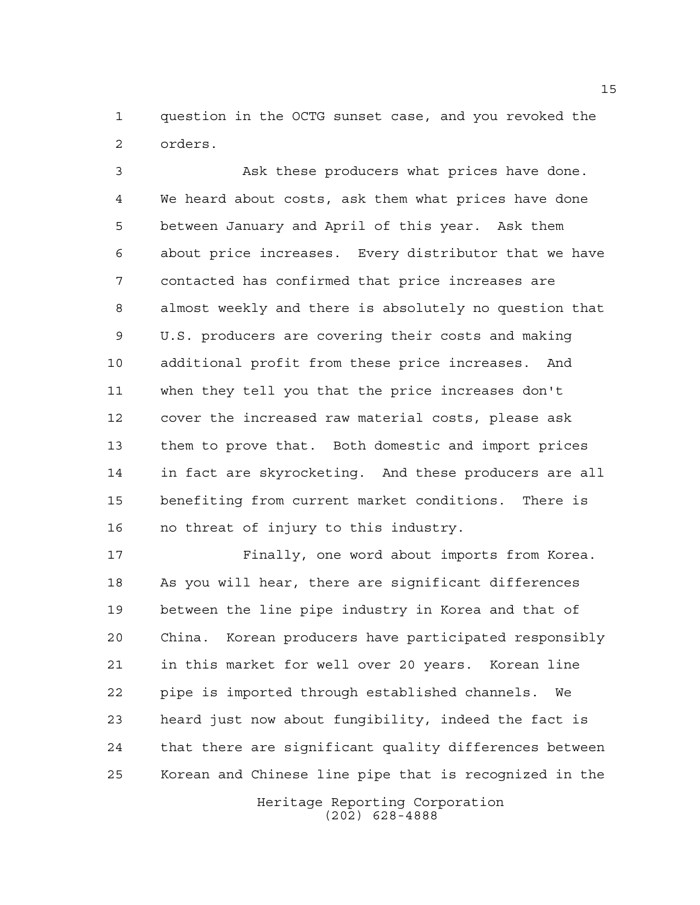question in the OCTG sunset case, and you revoked the orders.

 Ask these producers what prices have done. We heard about costs, ask them what prices have done between January and April of this year. Ask them about price increases. Every distributor that we have contacted has confirmed that price increases are almost weekly and there is absolutely no question that U.S. producers are covering their costs and making additional profit from these price increases. And when they tell you that the price increases don't cover the increased raw material costs, please ask them to prove that. Both domestic and import prices in fact are skyrocketing. And these producers are all benefiting from current market conditions. There is no threat of injury to this industry.

 Finally, one word about imports from Korea. As you will hear, there are significant differences between the line pipe industry in Korea and that of China. Korean producers have participated responsibly in this market for well over 20 years. Korean line pipe is imported through established channels. We heard just now about fungibility, indeed the fact is that there are significant quality differences between Korean and Chinese line pipe that is recognized in the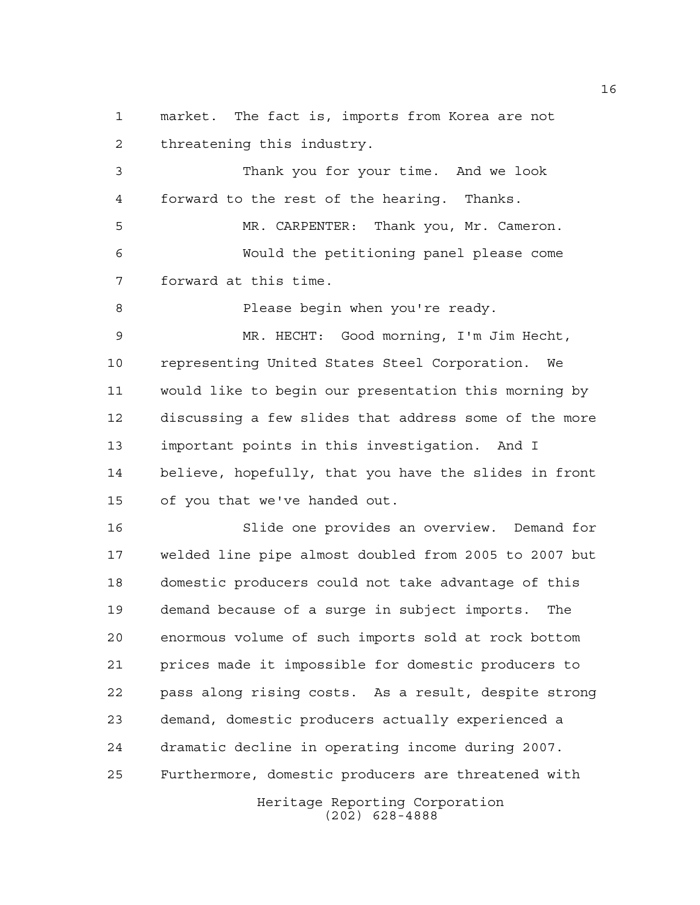market. The fact is, imports from Korea are not threatening this industry.

 Thank you for your time. And we look forward to the rest of the hearing. Thanks.

 MR. CARPENTER: Thank you, Mr. Cameron. Would the petitioning panel please come forward at this time.

8 Please begin when you're ready.

 MR. HECHT: Good morning, I'm Jim Hecht, representing United States Steel Corporation. We would like to begin our presentation this morning by discussing a few slides that address some of the more important points in this investigation. And I believe, hopefully, that you have the slides in front of you that we've handed out.

 Slide one provides an overview. Demand for welded line pipe almost doubled from 2005 to 2007 but domestic producers could not take advantage of this demand because of a surge in subject imports. The enormous volume of such imports sold at rock bottom prices made it impossible for domestic producers to pass along rising costs. As a result, despite strong demand, domestic producers actually experienced a dramatic decline in operating income during 2007. Furthermore, domestic producers are threatened with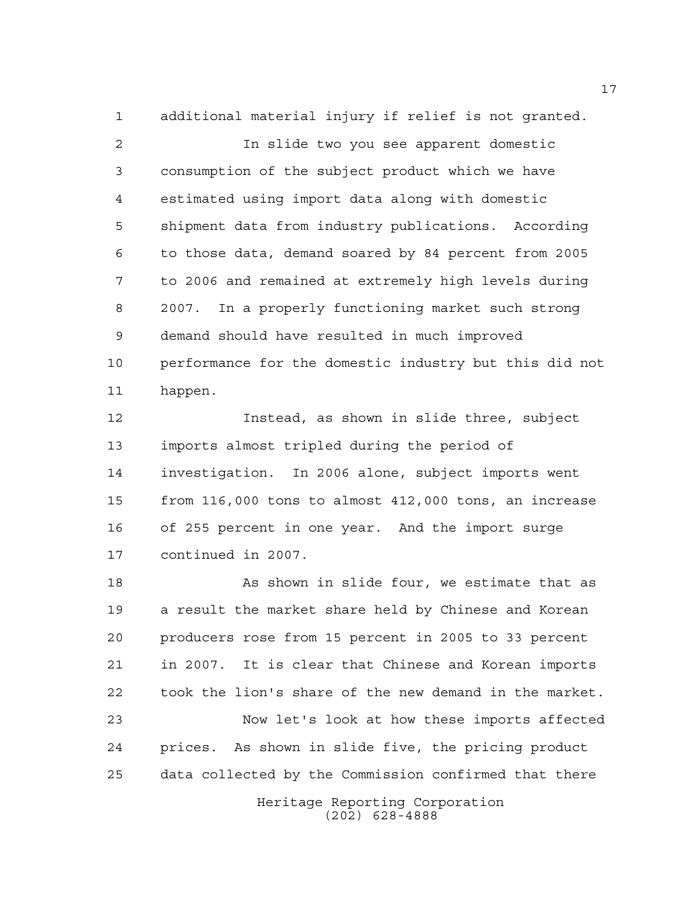additional material injury if relief is not granted. In slide two you see apparent domestic consumption of the subject product which we have estimated using import data along with domestic shipment data from industry publications. According to those data, demand soared by 84 percent from 2005 to 2006 and remained at extremely high levels during 2007. In a properly functioning market such strong demand should have resulted in much improved performance for the domestic industry but this did not happen.

 Instead, as shown in slide three, subject imports almost tripled during the period of investigation. In 2006 alone, subject imports went from 116,000 tons to almost 412,000 tons, an increase of 255 percent in one year. And the import surge continued in 2007.

18 As shown in slide four, we estimate that as a result the market share held by Chinese and Korean producers rose from 15 percent in 2005 to 33 percent in 2007. It is clear that Chinese and Korean imports took the lion's share of the new demand in the market. Now let's look at how these imports affected prices. As shown in slide five, the pricing product data collected by the Commission confirmed that there

Heritage Reporting Corporation (202) 628-4888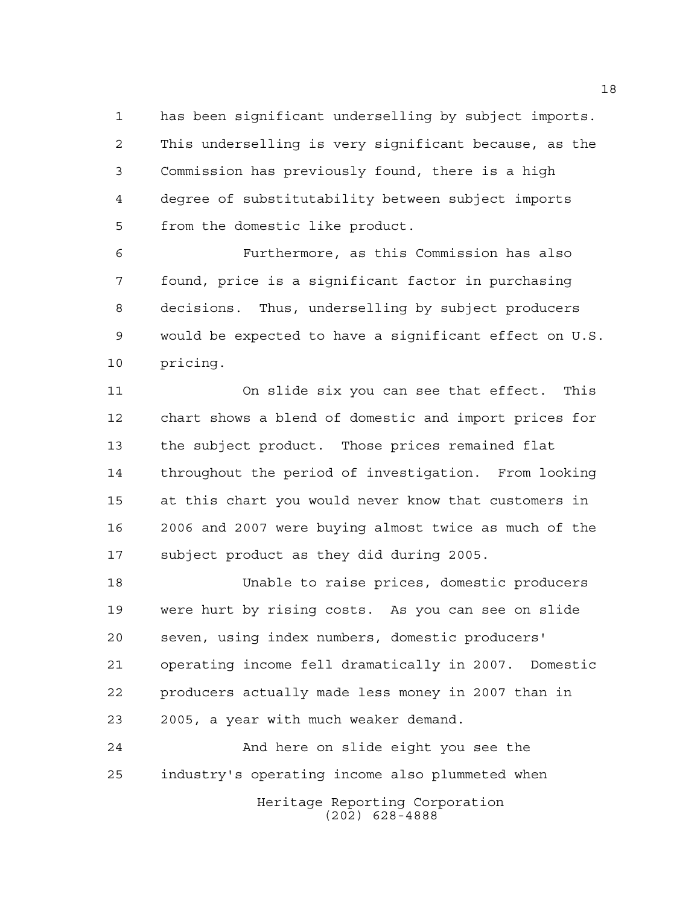has been significant underselling by subject imports. This underselling is very significant because, as the Commission has previously found, there is a high degree of substitutability between subject imports from the domestic like product.

 Furthermore, as this Commission has also found, price is a significant factor in purchasing decisions. Thus, underselling by subject producers would be expected to have a significant effect on U.S. pricing.

 On slide six you can see that effect. This chart shows a blend of domestic and import prices for the subject product. Those prices remained flat throughout the period of investigation. From looking at this chart you would never know that customers in 2006 and 2007 were buying almost twice as much of the subject product as they did during 2005.

 Unable to raise prices, domestic producers were hurt by rising costs. As you can see on slide seven, using index numbers, domestic producers' operating income fell dramatically in 2007. Domestic producers actually made less money in 2007 than in 2005, a year with much weaker demand.

 And here on slide eight you see the industry's operating income also plummeted when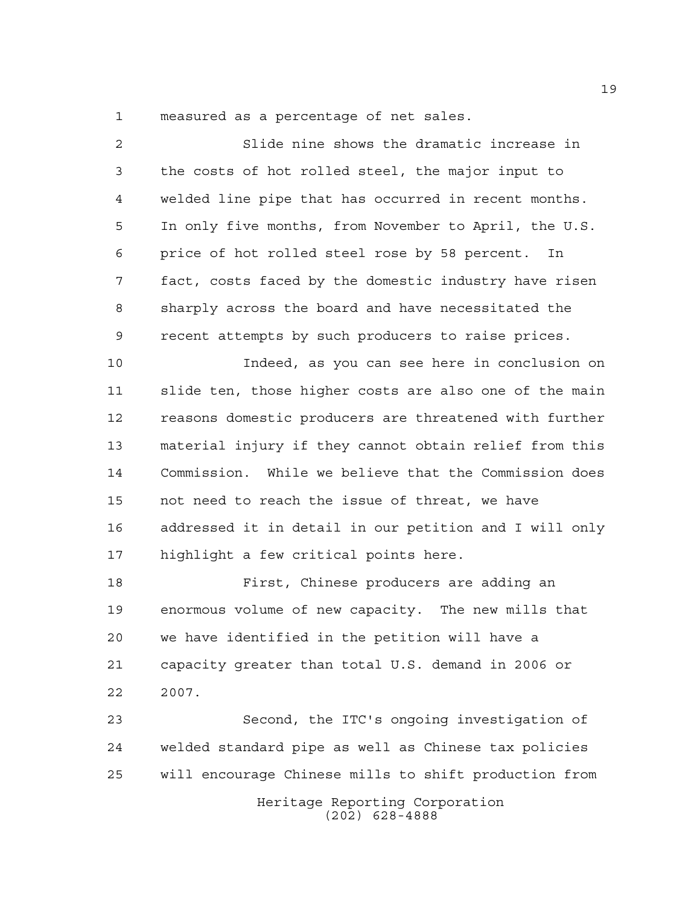measured as a percentage of net sales.

 Slide nine shows the dramatic increase in the costs of hot rolled steel, the major input to welded line pipe that has occurred in recent months. In only five months, from November to April, the U.S. price of hot rolled steel rose by 58 percent. In fact, costs faced by the domestic industry have risen sharply across the board and have necessitated the recent attempts by such producers to raise prices. Indeed, as you can see here in conclusion on slide ten, those higher costs are also one of the main reasons domestic producers are threatened with further material injury if they cannot obtain relief from this Commission. While we believe that the Commission does not need to reach the issue of threat, we have addressed it in detail in our petition and I will only highlight a few critical points here. First, Chinese producers are adding an enormous volume of new capacity. The new mills that we have identified in the petition will have a capacity greater than total U.S. demand in 2006 or 2007.

Heritage Reporting Corporation (202) 628-4888 Second, the ITC's ongoing investigation of welded standard pipe as well as Chinese tax policies will encourage Chinese mills to shift production from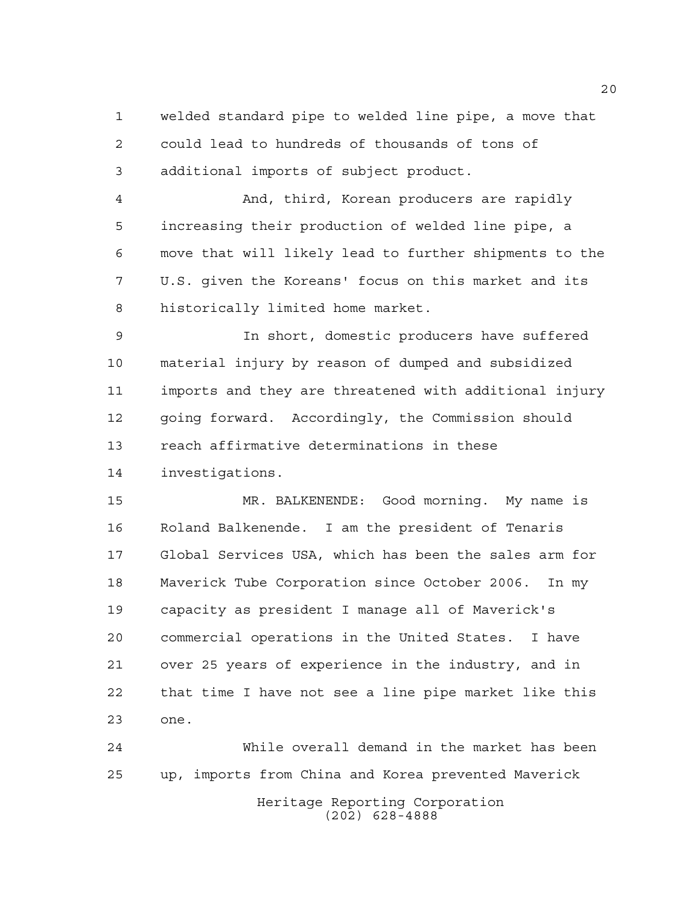welded standard pipe to welded line pipe, a move that could lead to hundreds of thousands of tons of additional imports of subject product.

 And, third, Korean producers are rapidly increasing their production of welded line pipe, a move that will likely lead to further shipments to the U.S. given the Koreans' focus on this market and its historically limited home market.

 In short, domestic producers have suffered material injury by reason of dumped and subsidized imports and they are threatened with additional injury going forward. Accordingly, the Commission should reach affirmative determinations in these investigations.

 MR. BALKENENDE: Good morning. My name is Roland Balkenende. I am the president of Tenaris Global Services USA, which has been the sales arm for Maverick Tube Corporation since October 2006. In my capacity as president I manage all of Maverick's commercial operations in the United States. I have over 25 years of experience in the industry, and in that time I have not see a line pipe market like this one.

Heritage Reporting Corporation (202) 628-4888 While overall demand in the market has been up, imports from China and Korea prevented Maverick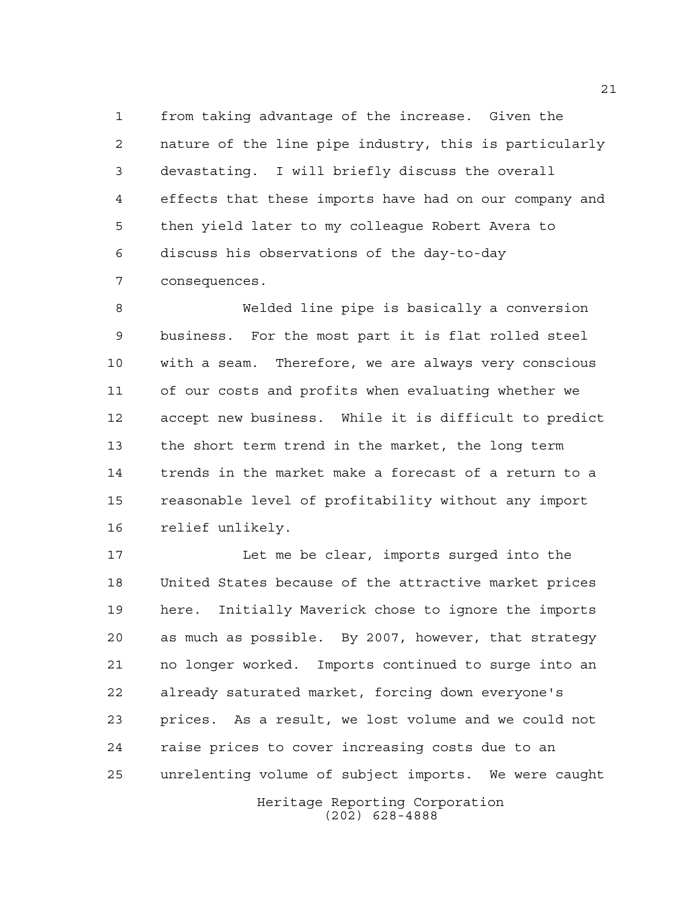from taking advantage of the increase. Given the nature of the line pipe industry, this is particularly devastating. I will briefly discuss the overall effects that these imports have had on our company and then yield later to my colleague Robert Avera to discuss his observations of the day-to-day consequences.

 Welded line pipe is basically a conversion business. For the most part it is flat rolled steel with a seam. Therefore, we are always very conscious of our costs and profits when evaluating whether we accept new business. While it is difficult to predict the short term trend in the market, the long term trends in the market make a forecast of a return to a reasonable level of profitability without any import relief unlikely.

 Let me be clear, imports surged into the United States because of the attractive market prices here. Initially Maverick chose to ignore the imports as much as possible. By 2007, however, that strategy no longer worked. Imports continued to surge into an already saturated market, forcing down everyone's prices. As a result, we lost volume and we could not raise prices to cover increasing costs due to an unrelenting volume of subject imports. We were caught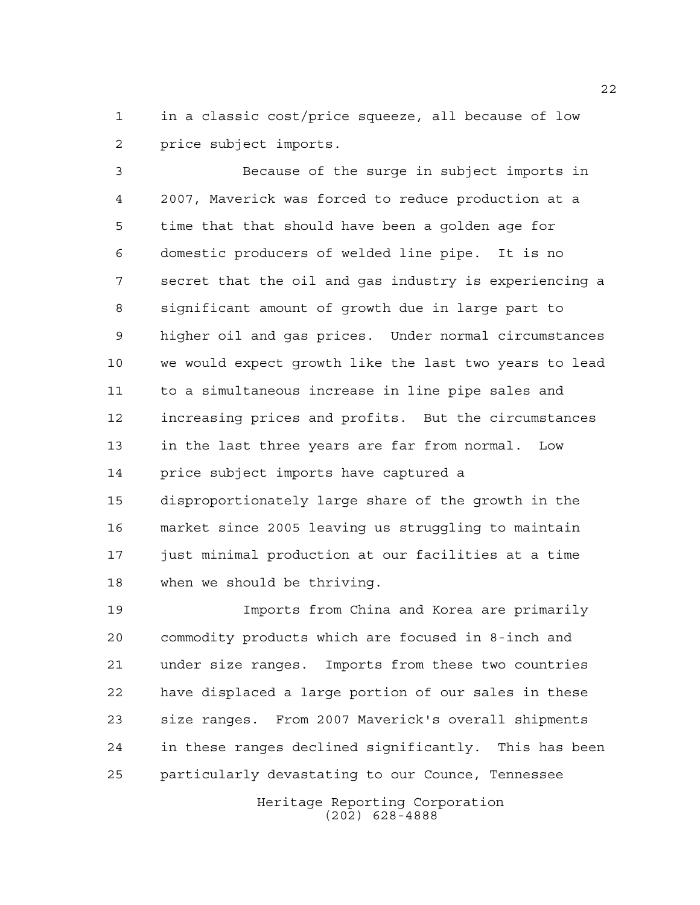in a classic cost/price squeeze, all because of low price subject imports.

 Because of the surge in subject imports in 2007, Maverick was forced to reduce production at a time that that should have been a golden age for domestic producers of welded line pipe. It is no secret that the oil and gas industry is experiencing a significant amount of growth due in large part to higher oil and gas prices. Under normal circumstances we would expect growth like the last two years to lead to a simultaneous increase in line pipe sales and increasing prices and profits. But the circumstances in the last three years are far from normal. Low price subject imports have captured a disproportionately large share of the growth in the market since 2005 leaving us struggling to maintain just minimal production at our facilities at a time when we should be thriving.

 Imports from China and Korea are primarily commodity products which are focused in 8-inch and under size ranges. Imports from these two countries have displaced a large portion of our sales in these size ranges. From 2007 Maverick's overall shipments in these ranges declined significantly. This has been particularly devastating to our Counce, Tennessee

> Heritage Reporting Corporation (202) 628-4888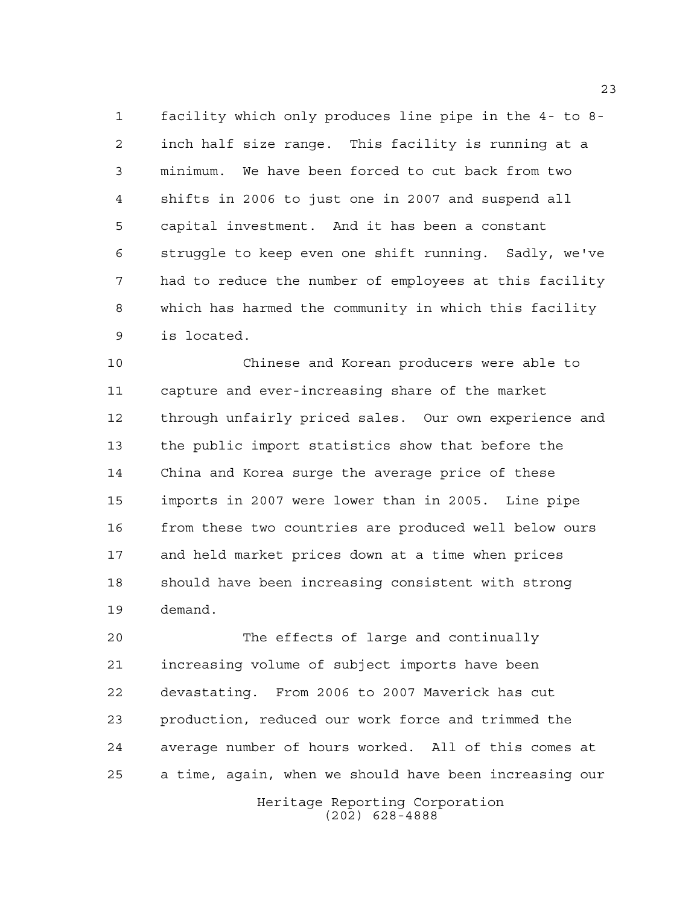facility which only produces line pipe in the 4- to 8- inch half size range. This facility is running at a minimum. We have been forced to cut back from two shifts in 2006 to just one in 2007 and suspend all capital investment. And it has been a constant struggle to keep even one shift running. Sadly, we've had to reduce the number of employees at this facility which has harmed the community in which this facility is located.

 Chinese and Korean producers were able to capture and ever-increasing share of the market through unfairly priced sales. Our own experience and the public import statistics show that before the China and Korea surge the average price of these imports in 2007 were lower than in 2005. Line pipe from these two countries are produced well below ours and held market prices down at a time when prices should have been increasing consistent with strong demand.

 The effects of large and continually increasing volume of subject imports have been devastating. From 2006 to 2007 Maverick has cut production, reduced our work force and trimmed the average number of hours worked. All of this comes at a time, again, when we should have been increasing our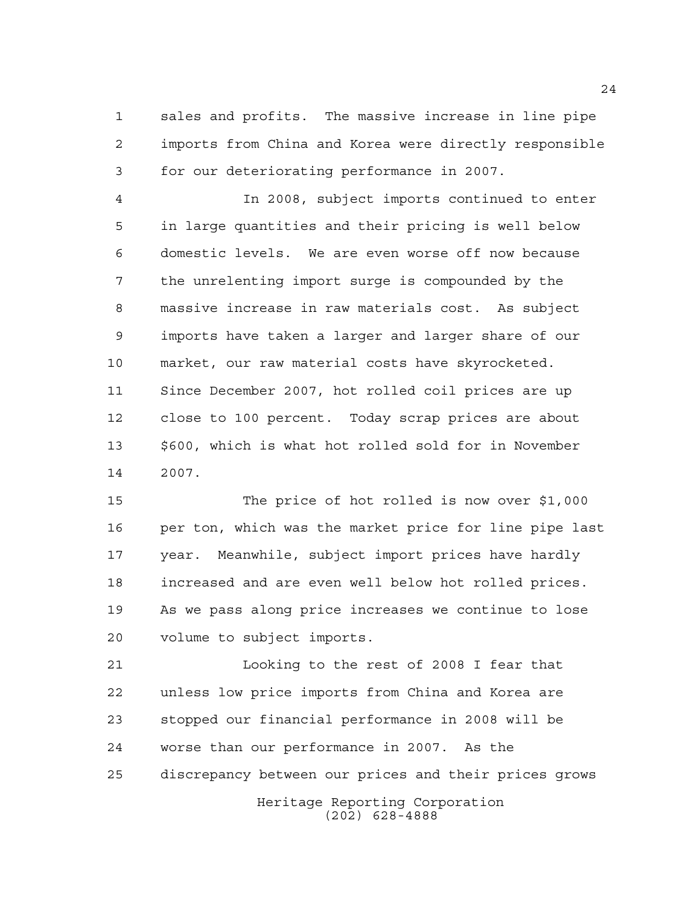sales and profits. The massive increase in line pipe imports from China and Korea were directly responsible for our deteriorating performance in 2007.

 In 2008, subject imports continued to enter in large quantities and their pricing is well below domestic levels. We are even worse off now because the unrelenting import surge is compounded by the massive increase in raw materials cost. As subject imports have taken a larger and larger share of our market, our raw material costs have skyrocketed. Since December 2007, hot rolled coil prices are up close to 100 percent. Today scrap prices are about \$600, which is what hot rolled sold for in November 2007.

 The price of hot rolled is now over \$1,000 per ton, which was the market price for line pipe last year. Meanwhile, subject import prices have hardly increased and are even well below hot rolled prices. As we pass along price increases we continue to lose volume to subject imports.

Heritage Reporting Corporation (202) 628-4888 Looking to the rest of 2008 I fear that unless low price imports from China and Korea are stopped our financial performance in 2008 will be worse than our performance in 2007. As the discrepancy between our prices and their prices grows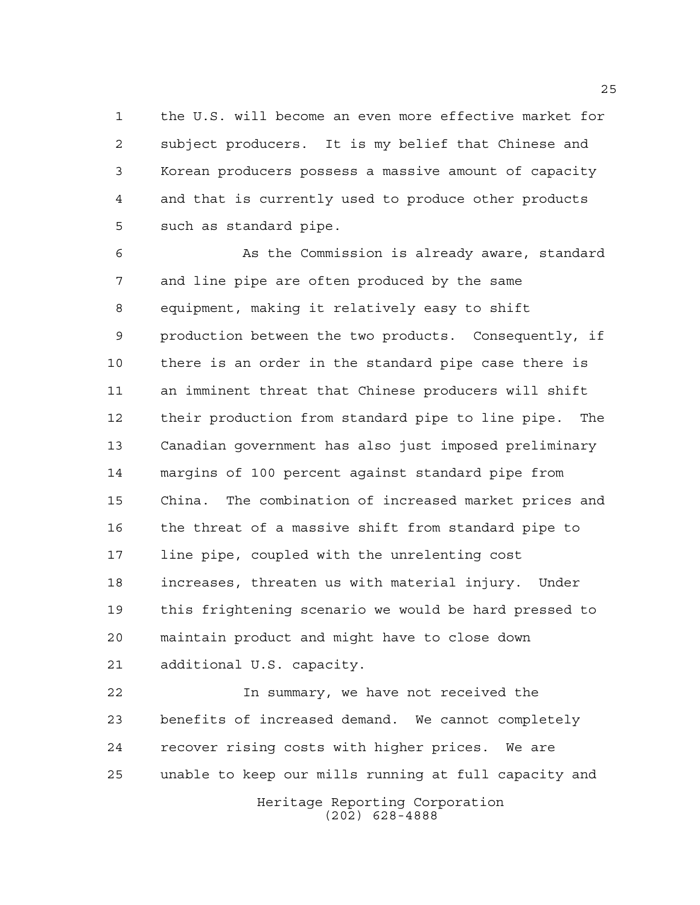the U.S. will become an even more effective market for subject producers. It is my belief that Chinese and Korean producers possess a massive amount of capacity and that is currently used to produce other products such as standard pipe.

 As the Commission is already aware, standard and line pipe are often produced by the same equipment, making it relatively easy to shift production between the two products. Consequently, if there is an order in the standard pipe case there is an imminent threat that Chinese producers will shift their production from standard pipe to line pipe. The Canadian government has also just imposed preliminary margins of 100 percent against standard pipe from China. The combination of increased market prices and the threat of a massive shift from standard pipe to line pipe, coupled with the unrelenting cost increases, threaten us with material injury. Under this frightening scenario we would be hard pressed to maintain product and might have to close down additional U.S. capacity.

 In summary, we have not received the benefits of increased demand. We cannot completely recover rising costs with higher prices. We are unable to keep our mills running at full capacity and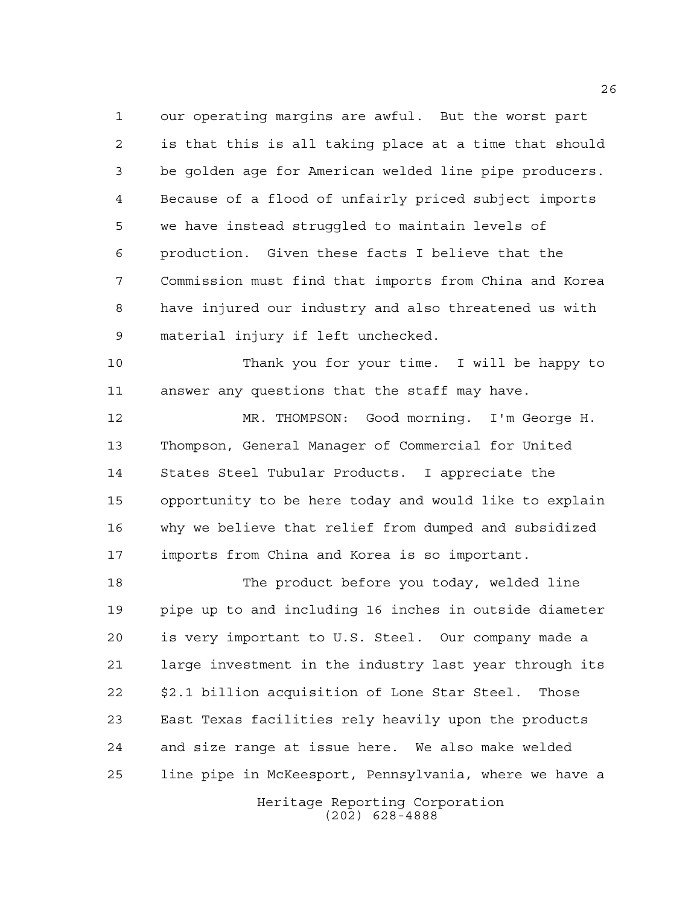our operating margins are awful. But the worst part is that this is all taking place at a time that should be golden age for American welded line pipe producers. Because of a flood of unfairly priced subject imports we have instead struggled to maintain levels of production. Given these facts I believe that the Commission must find that imports from China and Korea have injured our industry and also threatened us with material injury if left unchecked.

 Thank you for your time. I will be happy to answer any questions that the staff may have.

 MR. THOMPSON: Good morning. I'm George H. Thompson, General Manager of Commercial for United States Steel Tubular Products. I appreciate the opportunity to be here today and would like to explain why we believe that relief from dumped and subsidized imports from China and Korea is so important.

 The product before you today, welded line pipe up to and including 16 inches in outside diameter is very important to U.S. Steel. Our company made a large investment in the industry last year through its \$2.1 billion acquisition of Lone Star Steel. Those East Texas facilities rely heavily upon the products and size range at issue here. We also make welded line pipe in McKeesport, Pennsylvania, where we have a

> Heritage Reporting Corporation (202) 628-4888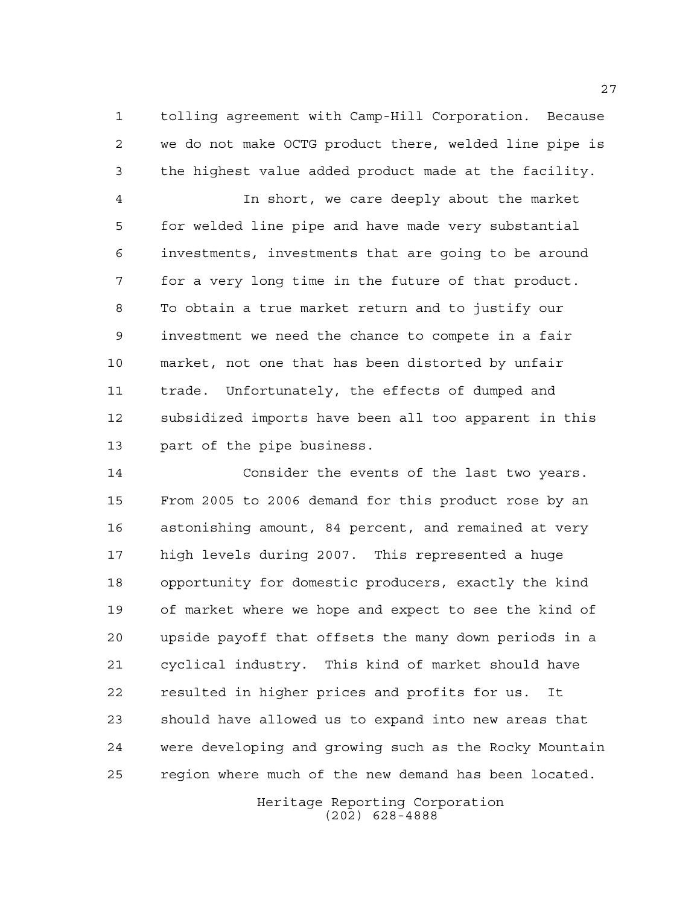tolling agreement with Camp-Hill Corporation. Because we do not make OCTG product there, welded line pipe is the highest value added product made at the facility.

 In short, we care deeply about the market for welded line pipe and have made very substantial investments, investments that are going to be around for a very long time in the future of that product. To obtain a true market return and to justify our investment we need the chance to compete in a fair market, not one that has been distorted by unfair trade. Unfortunately, the effects of dumped and subsidized imports have been all too apparent in this part of the pipe business.

 Consider the events of the last two years. From 2005 to 2006 demand for this product rose by an astonishing amount, 84 percent, and remained at very high levels during 2007. This represented a huge opportunity for domestic producers, exactly the kind of market where we hope and expect to see the kind of upside payoff that offsets the many down periods in a cyclical industry. This kind of market should have resulted in higher prices and profits for us. It should have allowed us to expand into new areas that were developing and growing such as the Rocky Mountain region where much of the new demand has been located.

> Heritage Reporting Corporation (202) 628-4888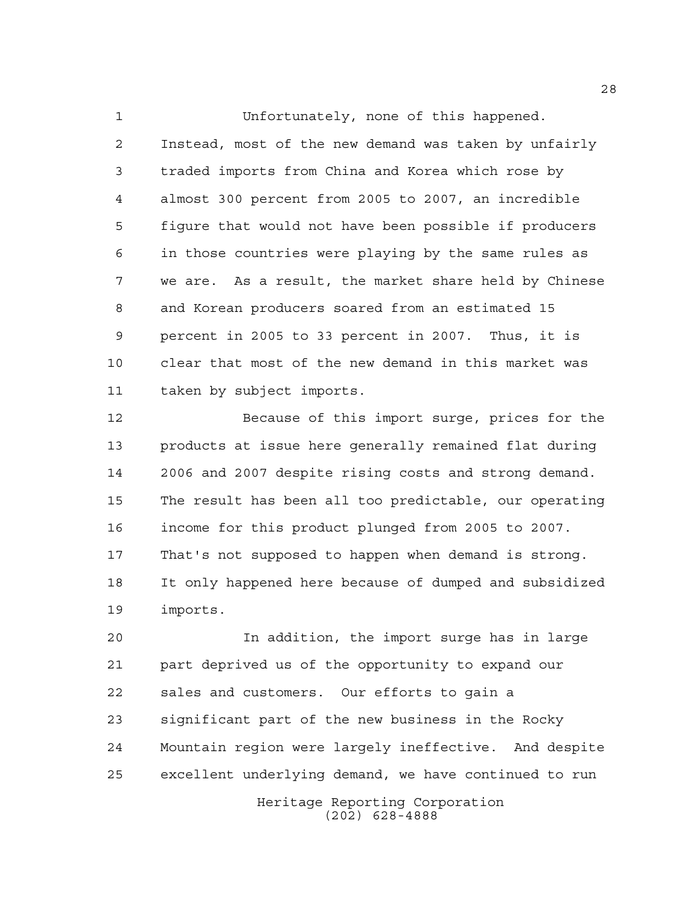Unfortunately, none of this happened. Instead, most of the new demand was taken by unfairly traded imports from China and Korea which rose by almost 300 percent from 2005 to 2007, an incredible figure that would not have been possible if producers in those countries were playing by the same rules as we are. As a result, the market share held by Chinese and Korean producers soared from an estimated 15 percent in 2005 to 33 percent in 2007. Thus, it is clear that most of the new demand in this market was taken by subject imports.

 Because of this import surge, prices for the products at issue here generally remained flat during 2006 and 2007 despite rising costs and strong demand. The result has been all too predictable, our operating income for this product plunged from 2005 to 2007. That's not supposed to happen when demand is strong. It only happened here because of dumped and subsidized imports.

 In addition, the import surge has in large part deprived us of the opportunity to expand our sales and customers. Our efforts to gain a significant part of the new business in the Rocky Mountain region were largely ineffective. And despite excellent underlying demand, we have continued to run

> Heritage Reporting Corporation (202) 628-4888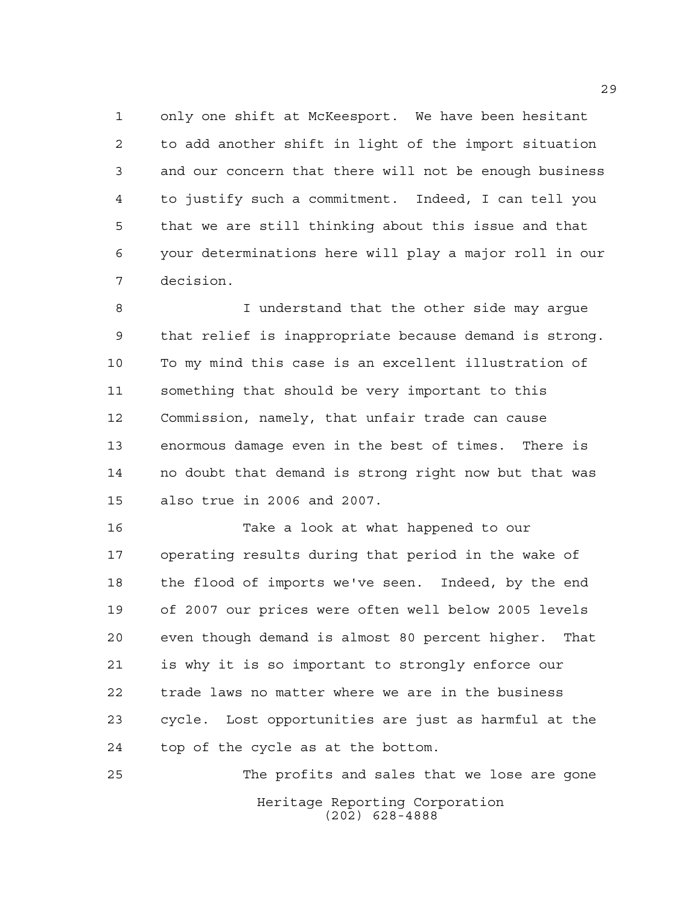only one shift at McKeesport. We have been hesitant to add another shift in light of the import situation and our concern that there will not be enough business to justify such a commitment. Indeed, I can tell you that we are still thinking about this issue and that your determinations here will play a major roll in our decision.

 I understand that the other side may argue that relief is inappropriate because demand is strong. To my mind this case is an excellent illustration of something that should be very important to this Commission, namely, that unfair trade can cause enormous damage even in the best of times. There is no doubt that demand is strong right now but that was also true in 2006 and 2007.

 Take a look at what happened to our operating results during that period in the wake of the flood of imports we've seen. Indeed, by the end of 2007 our prices were often well below 2005 levels even though demand is almost 80 percent higher. That is why it is so important to strongly enforce our trade laws no matter where we are in the business cycle. Lost opportunities are just as harmful at the top of the cycle as at the bottom.

Heritage Reporting Corporation (202) 628-4888 The profits and sales that we lose are gone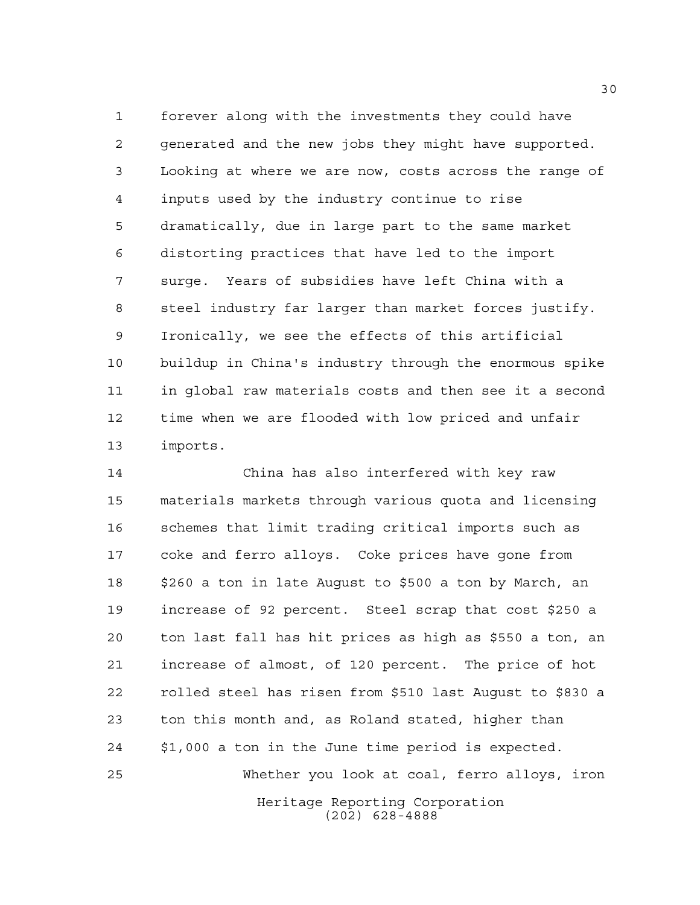forever along with the investments they could have generated and the new jobs they might have supported. Looking at where we are now, costs across the range of inputs used by the industry continue to rise dramatically, due in large part to the same market distorting practices that have led to the import surge. Years of subsidies have left China with a steel industry far larger than market forces justify. Ironically, we see the effects of this artificial buildup in China's industry through the enormous spike in global raw materials costs and then see it a second time when we are flooded with low priced and unfair imports.

Heritage Reporting Corporation (202) 628-4888 China has also interfered with key raw materials markets through various quota and licensing schemes that limit trading critical imports such as coke and ferro alloys. Coke prices have gone from \$260 a ton in late August to \$500 a ton by March, an increase of 92 percent. Steel scrap that cost \$250 a ton last fall has hit prices as high as \$550 a ton, an increase of almost, of 120 percent. The price of hot rolled steel has risen from \$510 last August to \$830 a ton this month and, as Roland stated, higher than \$1,000 a ton in the June time period is expected. Whether you look at coal, ferro alloys, iron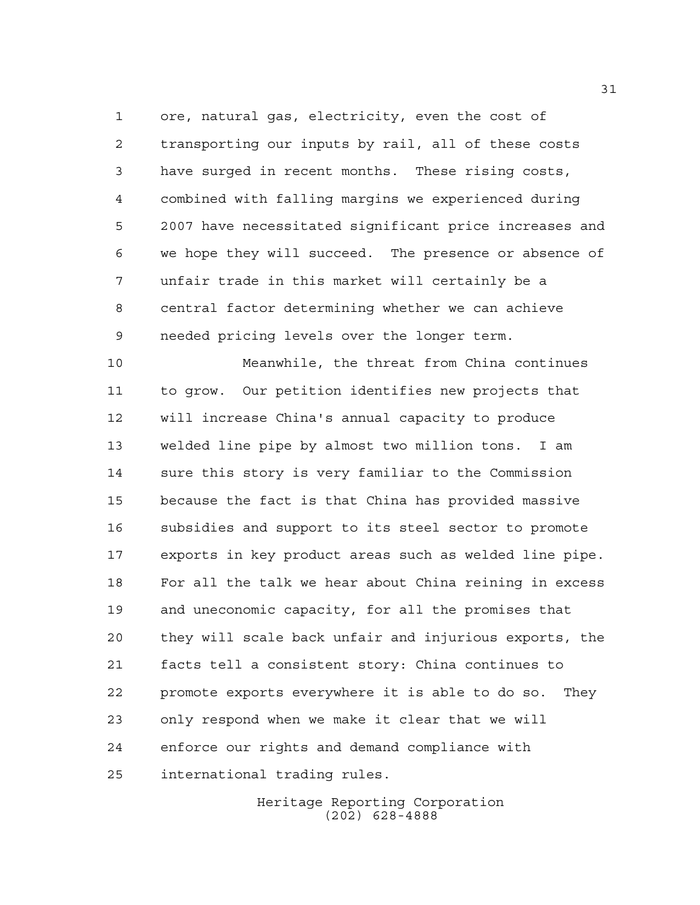ore, natural gas, electricity, even the cost of transporting our inputs by rail, all of these costs have surged in recent months. These rising costs, combined with falling margins we experienced during 2007 have necessitated significant price increases and we hope they will succeed. The presence or absence of unfair trade in this market will certainly be a central factor determining whether we can achieve needed pricing levels over the longer term.

 Meanwhile, the threat from China continues to grow. Our petition identifies new projects that will increase China's annual capacity to produce welded line pipe by almost two million tons. I am sure this story is very familiar to the Commission because the fact is that China has provided massive subsidies and support to its steel sector to promote exports in key product areas such as welded line pipe. For all the talk we hear about China reining in excess and uneconomic capacity, for all the promises that they will scale back unfair and injurious exports, the facts tell a consistent story: China continues to promote exports everywhere it is able to do so. They only respond when we make it clear that we will enforce our rights and demand compliance with international trading rules.

> Heritage Reporting Corporation (202) 628-4888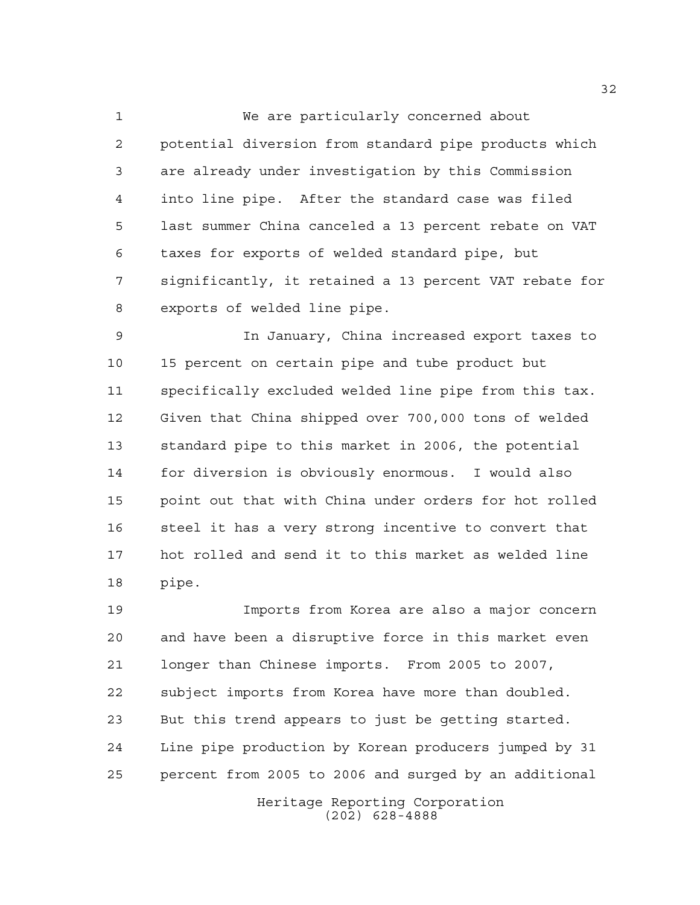We are particularly concerned about potential diversion from standard pipe products which are already under investigation by this Commission into line pipe. After the standard case was filed last summer China canceled a 13 percent rebate on VAT taxes for exports of welded standard pipe, but significantly, it retained a 13 percent VAT rebate for exports of welded line pipe.

 In January, China increased export taxes to 15 percent on certain pipe and tube product but specifically excluded welded line pipe from this tax. Given that China shipped over 700,000 tons of welded standard pipe to this market in 2006, the potential for diversion is obviously enormous. I would also point out that with China under orders for hot rolled steel it has a very strong incentive to convert that hot rolled and send it to this market as welded line pipe.

 Imports from Korea are also a major concern and have been a disruptive force in this market even longer than Chinese imports. From 2005 to 2007, subject imports from Korea have more than doubled. But this trend appears to just be getting started. Line pipe production by Korean producers jumped by 31 percent from 2005 to 2006 and surged by an additional

> Heritage Reporting Corporation (202) 628-4888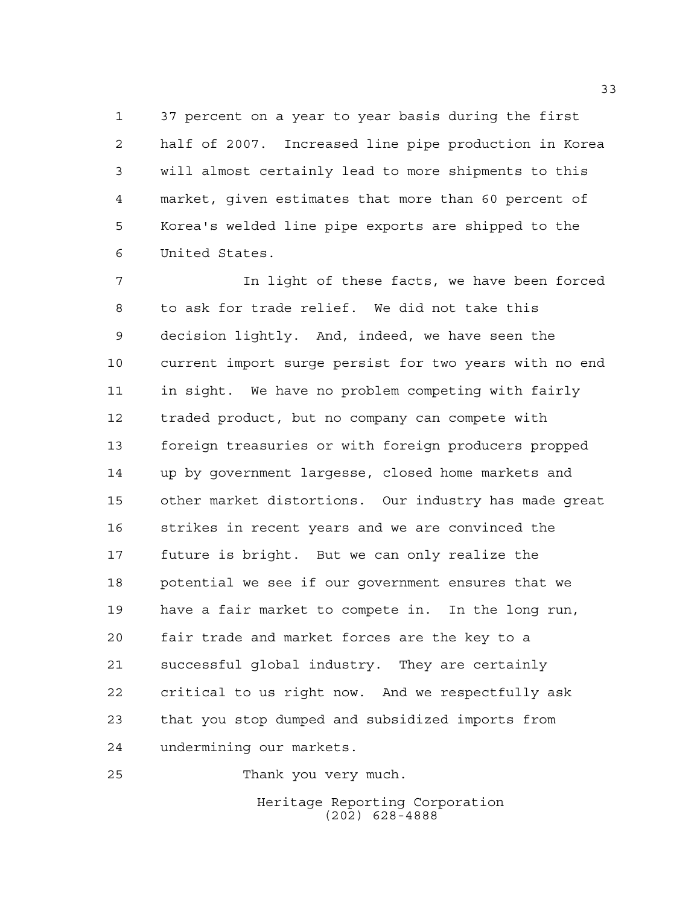37 percent on a year to year basis during the first half of 2007. Increased line pipe production in Korea will almost certainly lead to more shipments to this market, given estimates that more than 60 percent of Korea's welded line pipe exports are shipped to the United States.

 In light of these facts, we have been forced to ask for trade relief. We did not take this decision lightly. And, indeed, we have seen the current import surge persist for two years with no end in sight. We have no problem competing with fairly traded product, but no company can compete with foreign treasuries or with foreign producers propped up by government largesse, closed home markets and other market distortions. Our industry has made great strikes in recent years and we are convinced the future is bright. But we can only realize the potential we see if our government ensures that we have a fair market to compete in. In the long run, fair trade and market forces are the key to a successful global industry. They are certainly critical to us right now. And we respectfully ask that you stop dumped and subsidized imports from undermining our markets.

Thank you very much.

Heritage Reporting Corporation (202) 628-4888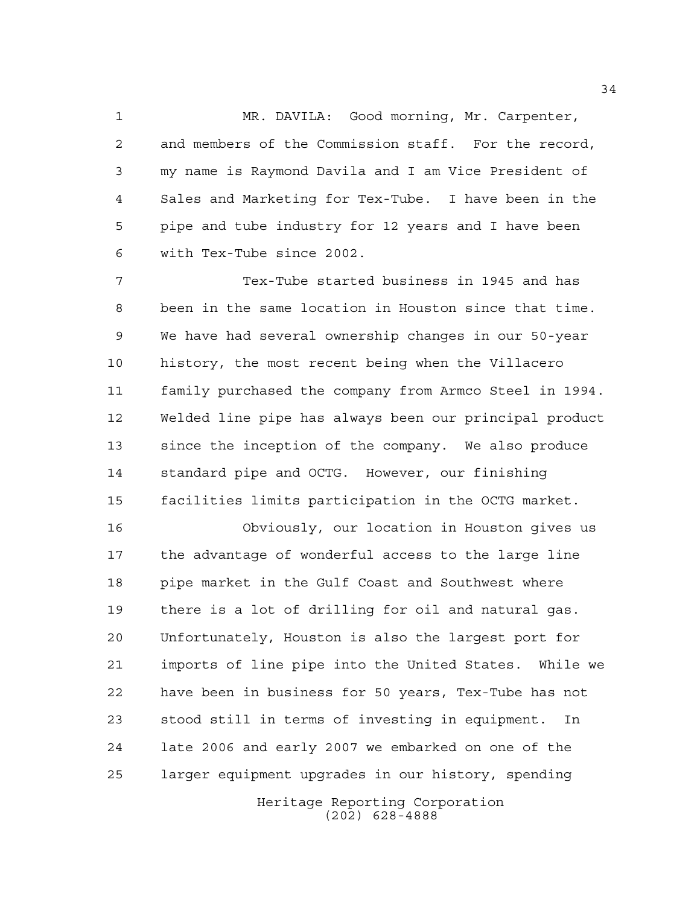MR. DAVILA: Good morning, Mr. Carpenter, and members of the Commission staff. For the record, my name is Raymond Davila and I am Vice President of Sales and Marketing for Tex-Tube. I have been in the pipe and tube industry for 12 years and I have been with Tex-Tube since 2002.

 Tex-Tube started business in 1945 and has been in the same location in Houston since that time. We have had several ownership changes in our 50-year history, the most recent being when the Villacero family purchased the company from Armco Steel in 1994. Welded line pipe has always been our principal product since the inception of the company. We also produce standard pipe and OCTG. However, our finishing facilities limits participation in the OCTG market.

 Obviously, our location in Houston gives us the advantage of wonderful access to the large line pipe market in the Gulf Coast and Southwest where there is a lot of drilling for oil and natural gas. Unfortunately, Houston is also the largest port for imports of line pipe into the United States. While we have been in business for 50 years, Tex-Tube has not stood still in terms of investing in equipment. In late 2006 and early 2007 we embarked on one of the larger equipment upgrades in our history, spending

Heritage Reporting Corporation (202) 628-4888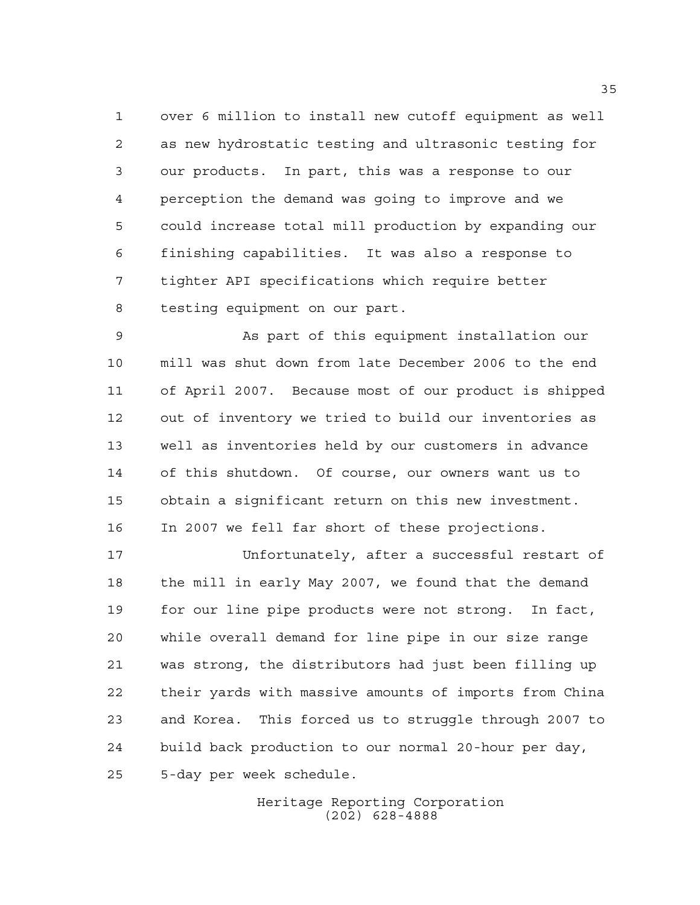over 6 million to install new cutoff equipment as well as new hydrostatic testing and ultrasonic testing for our products. In part, this was a response to our perception the demand was going to improve and we could increase total mill production by expanding our finishing capabilities. It was also a response to tighter API specifications which require better testing equipment on our part.

 As part of this equipment installation our mill was shut down from late December 2006 to the end of April 2007. Because most of our product is shipped out of inventory we tried to build our inventories as well as inventories held by our customers in advance of this shutdown. Of course, our owners want us to obtain a significant return on this new investment. In 2007 we fell far short of these projections.

 Unfortunately, after a successful restart of the mill in early May 2007, we found that the demand for our line pipe products were not strong. In fact, while overall demand for line pipe in our size range was strong, the distributors had just been filling up their yards with massive amounts of imports from China and Korea. This forced us to struggle through 2007 to build back production to our normal 20-hour per day, 5-day per week schedule.

> Heritage Reporting Corporation (202) 628-4888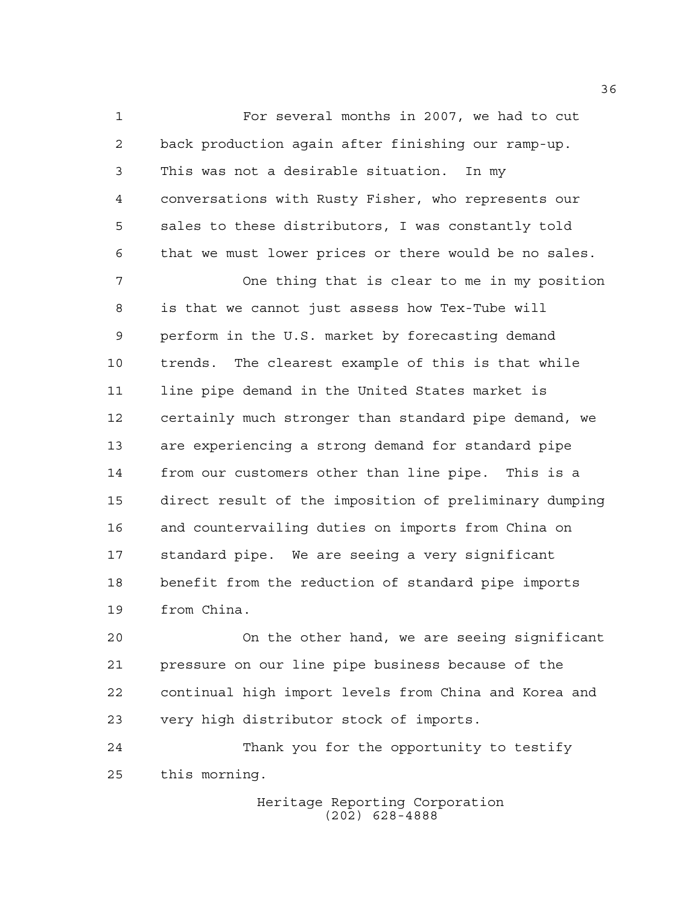For several months in 2007, we had to cut back production again after finishing our ramp-up. This was not a desirable situation. In my conversations with Rusty Fisher, who represents our sales to these distributors, I was constantly told that we must lower prices or there would be no sales.

 One thing that is clear to me in my position is that we cannot just assess how Tex-Tube will perform in the U.S. market by forecasting demand trends. The clearest example of this is that while line pipe demand in the United States market is certainly much stronger than standard pipe demand, we are experiencing a strong demand for standard pipe from our customers other than line pipe. This is a direct result of the imposition of preliminary dumping and countervailing duties on imports from China on standard pipe. We are seeing a very significant benefit from the reduction of standard pipe imports from China.

 On the other hand, we are seeing significant pressure on our line pipe business because of the continual high import levels from China and Korea and very high distributor stock of imports.

 Thank you for the opportunity to testify this morning.

> Heritage Reporting Corporation (202) 628-4888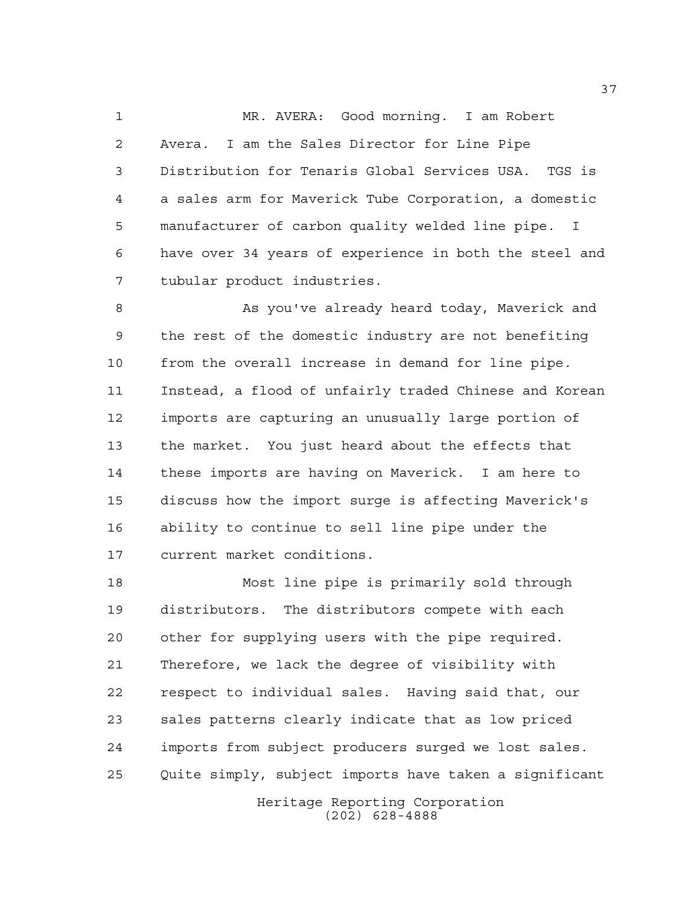MR. AVERA: Good morning. I am Robert Avera. I am the Sales Director for Line Pipe Distribution for Tenaris Global Services USA. TGS is a sales arm for Maverick Tube Corporation, a domestic manufacturer of carbon quality welded line pipe. I have over 34 years of experience in both the steel and tubular product industries.

8 As you've already heard today, Maverick and the rest of the domestic industry are not benefiting from the overall increase in demand for line pipe. Instead, a flood of unfairly traded Chinese and Korean imports are capturing an unusually large portion of the market. You just heard about the effects that these imports are having on Maverick. I am here to discuss how the import surge is affecting Maverick's ability to continue to sell line pipe under the current market conditions.

 Most line pipe is primarily sold through distributors. The distributors compete with each other for supplying users with the pipe required. Therefore, we lack the degree of visibility with respect to individual sales. Having said that, our sales patterns clearly indicate that as low priced imports from subject producers surged we lost sales. Quite simply, subject imports have taken a significant

> Heritage Reporting Corporation (202) 628-4888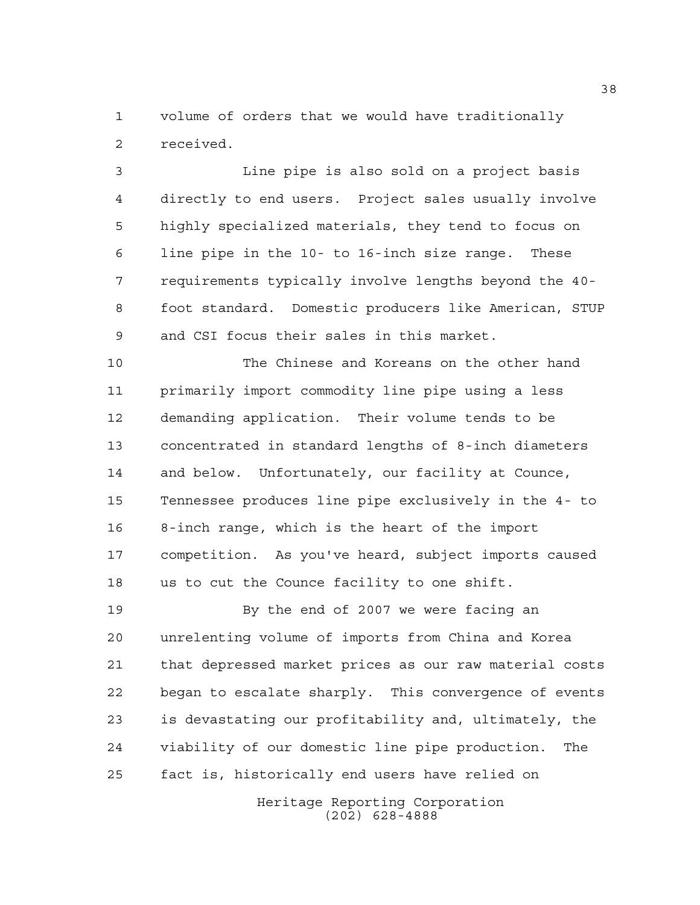volume of orders that we would have traditionally received.

 Line pipe is also sold on a project basis directly to end users. Project sales usually involve highly specialized materials, they tend to focus on line pipe in the 10- to 16-inch size range. These requirements typically involve lengths beyond the 40- foot standard. Domestic producers like American, STUP and CSI focus their sales in this market.

 The Chinese and Koreans on the other hand primarily import commodity line pipe using a less demanding application. Their volume tends to be concentrated in standard lengths of 8-inch diameters and below. Unfortunately, our facility at Counce, Tennessee produces line pipe exclusively in the 4- to 8-inch range, which is the heart of the import competition. As you've heard, subject imports caused us to cut the Counce facility to one shift.

19 By the end of 2007 we were facing an unrelenting volume of imports from China and Korea that depressed market prices as our raw material costs began to escalate sharply. This convergence of events is devastating our profitability and, ultimately, the viability of our domestic line pipe production. The fact is, historically end users have relied on

> Heritage Reporting Corporation (202) 628-4888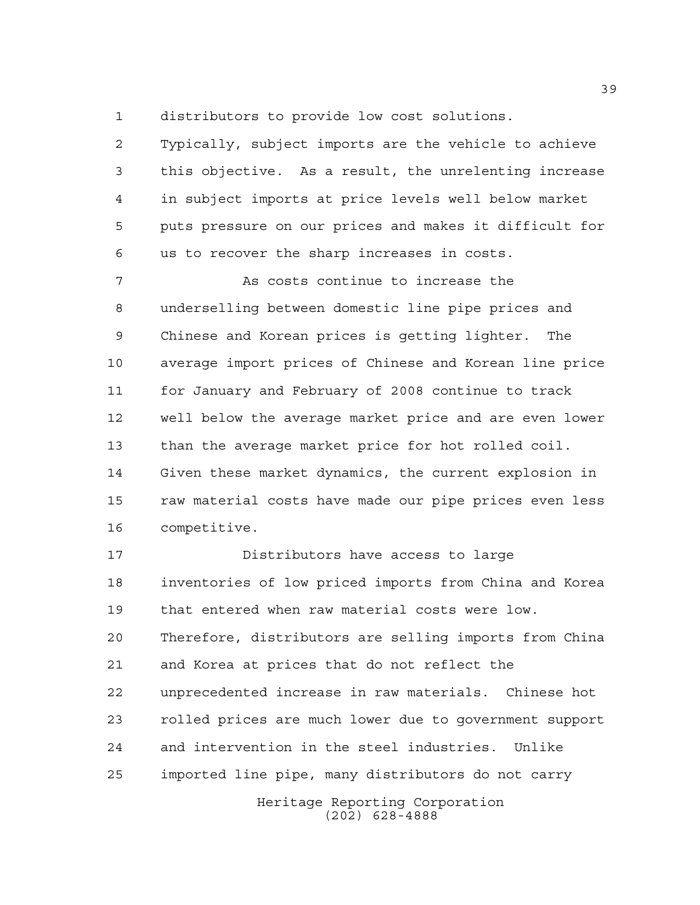distributors to provide low cost solutions.

 Typically, subject imports are the vehicle to achieve this objective. As a result, the unrelenting increase in subject imports at price levels well below market puts pressure on our prices and makes it difficult for us to recover the sharp increases in costs.

 As costs continue to increase the underselling between domestic line pipe prices and Chinese and Korean prices is getting lighter. The average import prices of Chinese and Korean line price for January and February of 2008 continue to track well below the average market price and are even lower than the average market price for hot rolled coil. Given these market dynamics, the current explosion in raw material costs have made our pipe prices even less competitive.

Heritage Reporting Corporation Distributors have access to large inventories of low priced imports from China and Korea that entered when raw material costs were low. Therefore, distributors are selling imports from China and Korea at prices that do not reflect the unprecedented increase in raw materials. Chinese hot rolled prices are much lower due to government support and intervention in the steel industries. Unlike imported line pipe, many distributors do not carry

(202) 628-4888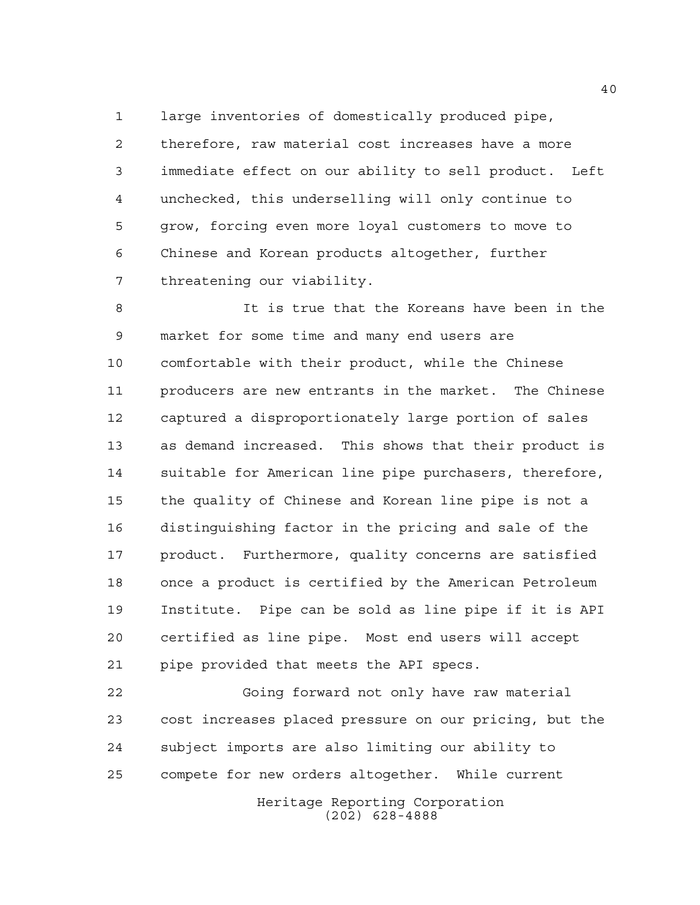large inventories of domestically produced pipe, therefore, raw material cost increases have a more immediate effect on our ability to sell product. Left unchecked, this underselling will only continue to grow, forcing even more loyal customers to move to Chinese and Korean products altogether, further threatening our viability.

 It is true that the Koreans have been in the market for some time and many end users are comfortable with their product, while the Chinese producers are new entrants in the market. The Chinese captured a disproportionately large portion of sales as demand increased. This shows that their product is suitable for American line pipe purchasers, therefore, the quality of Chinese and Korean line pipe is not a distinguishing factor in the pricing and sale of the product. Furthermore, quality concerns are satisfied once a product is certified by the American Petroleum Institute. Pipe can be sold as line pipe if it is API certified as line pipe. Most end users will accept pipe provided that meets the API specs.

 Going forward not only have raw material cost increases placed pressure on our pricing, but the subject imports are also limiting our ability to compete for new orders altogether. While current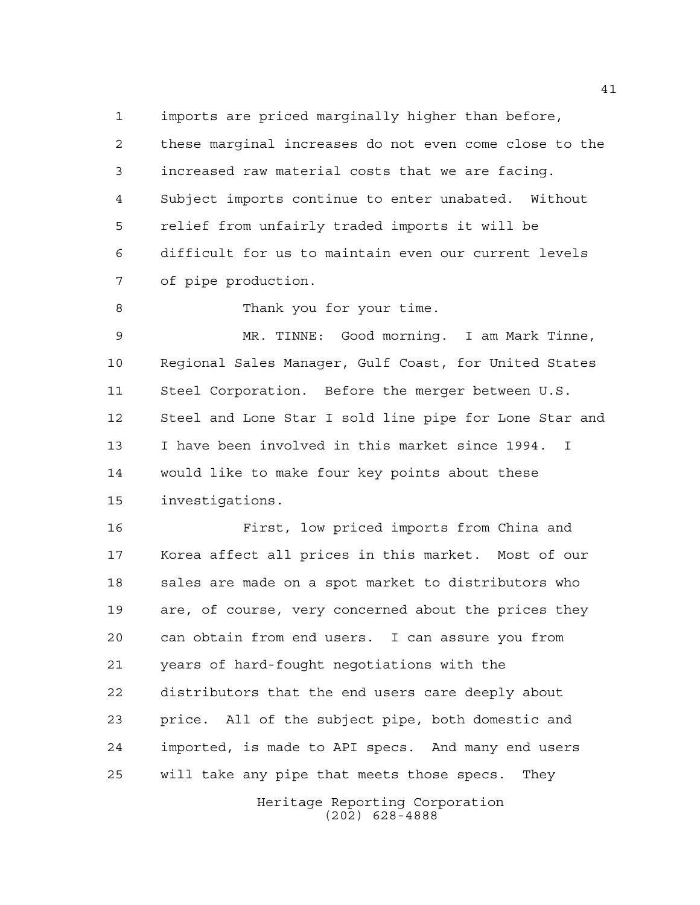imports are priced marginally higher than before,

 these marginal increases do not even come close to the increased raw material costs that we are facing. Subject imports continue to enter unabated. Without relief from unfairly traded imports it will be difficult for us to maintain even our current levels of pipe production.

8 Thank you for your time.

 MR. TINNE: Good morning. I am Mark Tinne, Regional Sales Manager, Gulf Coast, for United States Steel Corporation. Before the merger between U.S. Steel and Lone Star I sold line pipe for Lone Star and I have been involved in this market since 1994. I would like to make four key points about these investigations.

 First, low priced imports from China and Korea affect all prices in this market. Most of our sales are made on a spot market to distributors who are, of course, very concerned about the prices they can obtain from end users. I can assure you from years of hard-fought negotiations with the distributors that the end users care deeply about price. All of the subject pipe, both domestic and imported, is made to API specs. And many end users will take any pipe that meets those specs. They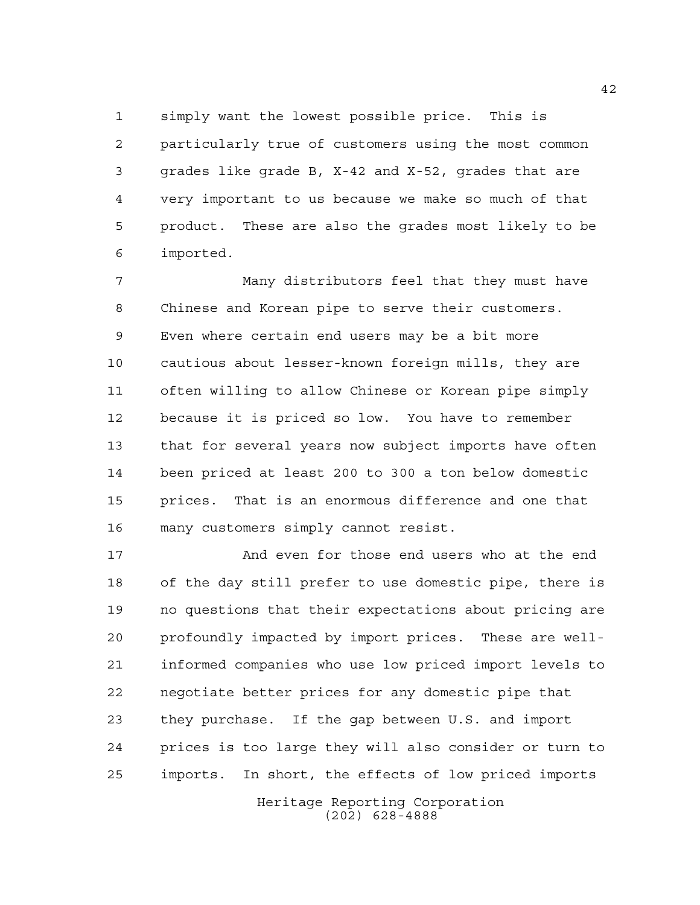simply want the lowest possible price. This is particularly true of customers using the most common grades like grade B, X-42 and X-52, grades that are very important to us because we make so much of that product. These are also the grades most likely to be imported.

 Many distributors feel that they must have Chinese and Korean pipe to serve their customers. Even where certain end users may be a bit more cautious about lesser-known foreign mills, they are often willing to allow Chinese or Korean pipe simply because it is priced so low. You have to remember that for several years now subject imports have often been priced at least 200 to 300 a ton below domestic prices. That is an enormous difference and one that many customers simply cannot resist.

 And even for those end users who at the end of the day still prefer to use domestic pipe, there is no questions that their expectations about pricing are profoundly impacted by import prices. These are well- informed companies who use low priced import levels to negotiate better prices for any domestic pipe that they purchase. If the gap between U.S. and import prices is too large they will also consider or turn to imports. In short, the effects of low priced imports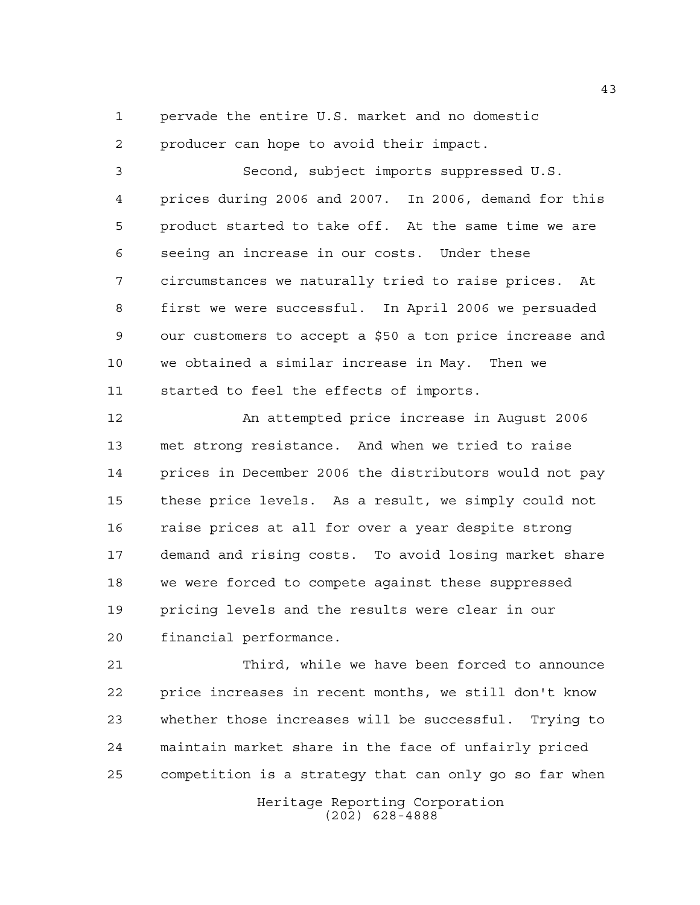pervade the entire U.S. market and no domestic

producer can hope to avoid their impact.

 Second, subject imports suppressed U.S. prices during 2006 and 2007. In 2006, demand for this product started to take off. At the same time we are seeing an increase in our costs. Under these circumstances we naturally tried to raise prices. At first we were successful. In April 2006 we persuaded our customers to accept a \$50 a ton price increase and we obtained a similar increase in May. Then we started to feel the effects of imports.

 An attempted price increase in August 2006 met strong resistance. And when we tried to raise prices in December 2006 the distributors would not pay these price levels. As a result, we simply could not raise prices at all for over a year despite strong demand and rising costs. To avoid losing market share we were forced to compete against these suppressed pricing levels and the results were clear in our financial performance.

 Third, while we have been forced to announce price increases in recent months, we still don't know whether those increases will be successful. Trying to maintain market share in the face of unfairly priced competition is a strategy that can only go so far when

> Heritage Reporting Corporation (202) 628-4888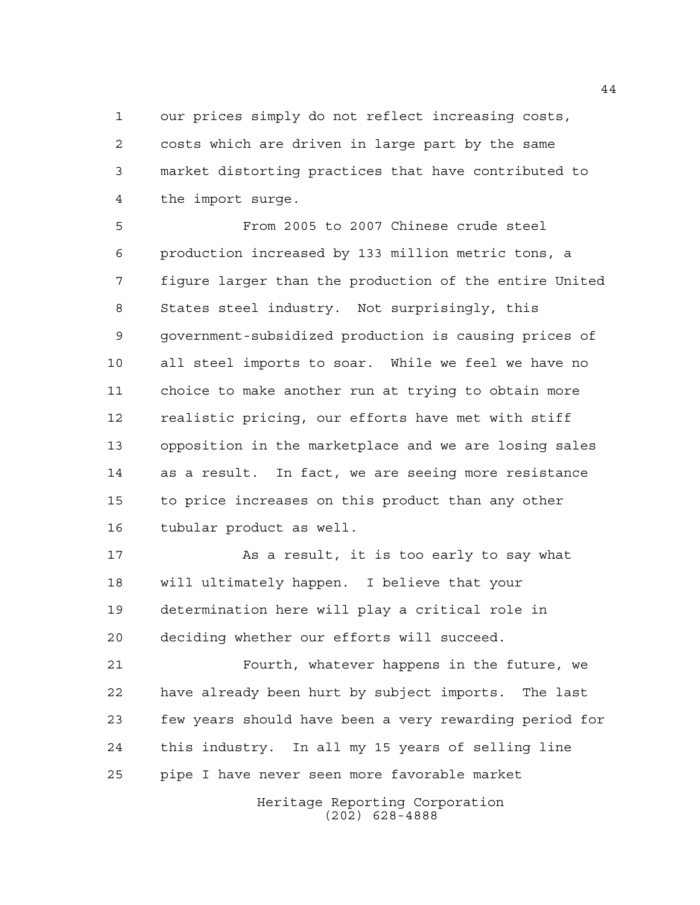our prices simply do not reflect increasing costs, costs which are driven in large part by the same market distorting practices that have contributed to the import surge.

 From 2005 to 2007 Chinese crude steel production increased by 133 million metric tons, a figure larger than the production of the entire United States steel industry. Not surprisingly, this government-subsidized production is causing prices of all steel imports to soar. While we feel we have no choice to make another run at trying to obtain more realistic pricing, our efforts have met with stiff opposition in the marketplace and we are losing sales as a result. In fact, we are seeing more resistance to price increases on this product than any other tubular product as well.

 As a result, it is too early to say what will ultimately happen. I believe that your determination here will play a critical role in deciding whether our efforts will succeed.

 Fourth, whatever happens in the future, we have already been hurt by subject imports. The last few years should have been a very rewarding period for this industry. In all my 15 years of selling line pipe I have never seen more favorable market

> Heritage Reporting Corporation (202) 628-4888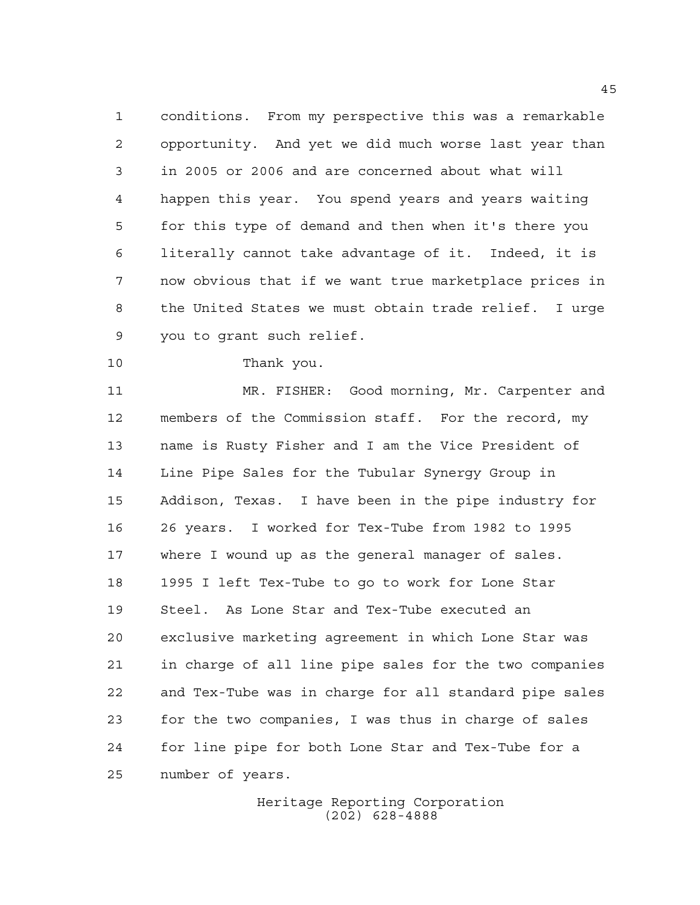conditions. From my perspective this was a remarkable opportunity. And yet we did much worse last year than in 2005 or 2006 and are concerned about what will happen this year. You spend years and years waiting for this type of demand and then when it's there you literally cannot take advantage of it. Indeed, it is now obvious that if we want true marketplace prices in the United States we must obtain trade relief. I urge you to grant such relief.

## Thank you.

 MR. FISHER: Good morning, Mr. Carpenter and members of the Commission staff. For the record, my name is Rusty Fisher and I am the Vice President of Line Pipe Sales for the Tubular Synergy Group in Addison, Texas. I have been in the pipe industry for 26 years. I worked for Tex-Tube from 1982 to 1995 where I wound up as the general manager of sales. 1995 I left Tex-Tube to go to work for Lone Star Steel. As Lone Star and Tex-Tube executed an exclusive marketing agreement in which Lone Star was in charge of all line pipe sales for the two companies and Tex-Tube was in charge for all standard pipe sales for the two companies, I was thus in charge of sales for line pipe for both Lone Star and Tex-Tube for a number of years.

> Heritage Reporting Corporation (202) 628-4888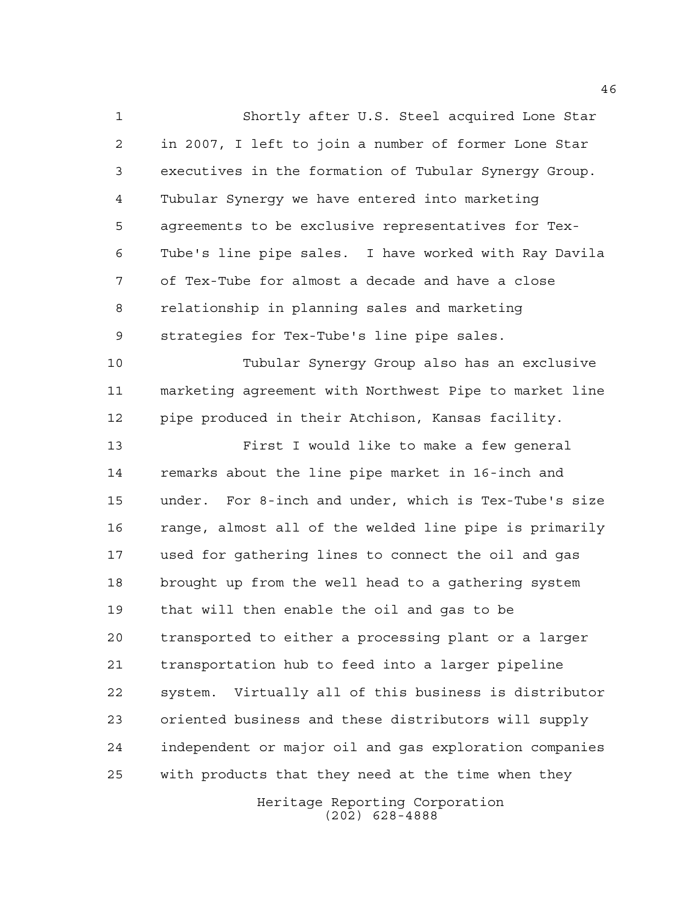Shortly after U.S. Steel acquired Lone Star in 2007, I left to join a number of former Lone Star executives in the formation of Tubular Synergy Group. Tubular Synergy we have entered into marketing agreements to be exclusive representatives for Tex- Tube's line pipe sales. I have worked with Ray Davila of Tex-Tube for almost a decade and have a close relationship in planning sales and marketing strategies for Tex-Tube's line pipe sales. Tubular Synergy Group also has an exclusive marketing agreement with Northwest Pipe to market line pipe produced in their Atchison, Kansas facility. First I would like to make a few general remarks about the line pipe market in 16-inch and under. For 8-inch and under, which is Tex-Tube's size range, almost all of the welded line pipe is primarily used for gathering lines to connect the oil and gas brought up from the well head to a gathering system that will then enable the oil and gas to be transported to either a processing plant or a larger transportation hub to feed into a larger pipeline system. Virtually all of this business is distributor oriented business and these distributors will supply independent or major oil and gas exploration companies with products that they need at the time when they

> Heritage Reporting Corporation (202) 628-4888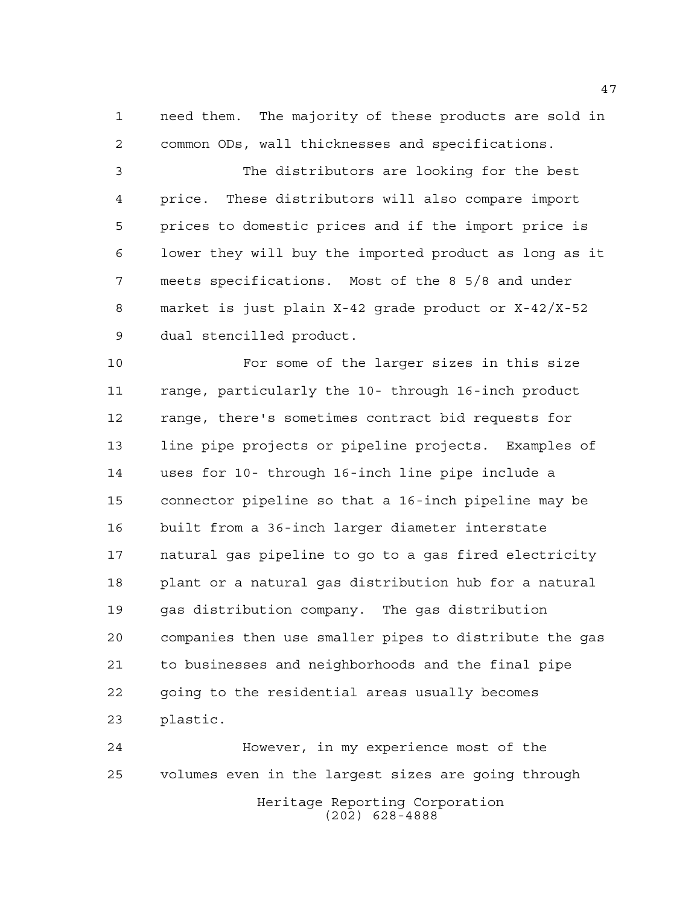need them. The majority of these products are sold in common ODs, wall thicknesses and specifications.

 The distributors are looking for the best price. These distributors will also compare import prices to domestic prices and if the import price is lower they will buy the imported product as long as it meets specifications. Most of the 8 5/8 and under market is just plain X-42 grade product or X-42/X-52 dual stencilled product.

 For some of the larger sizes in this size range, particularly the 10- through 16-inch product range, there's sometimes contract bid requests for line pipe projects or pipeline projects. Examples of uses for 10- through 16-inch line pipe include a connector pipeline so that a 16-inch pipeline may be built from a 36-inch larger diameter interstate natural gas pipeline to go to a gas fired electricity plant or a natural gas distribution hub for a natural gas distribution company. The gas distribution companies then use smaller pipes to distribute the gas to businesses and neighborhoods and the final pipe going to the residential areas usually becomes plastic.

Heritage Reporting Corporation (202) 628-4888 However, in my experience most of the volumes even in the largest sizes are going through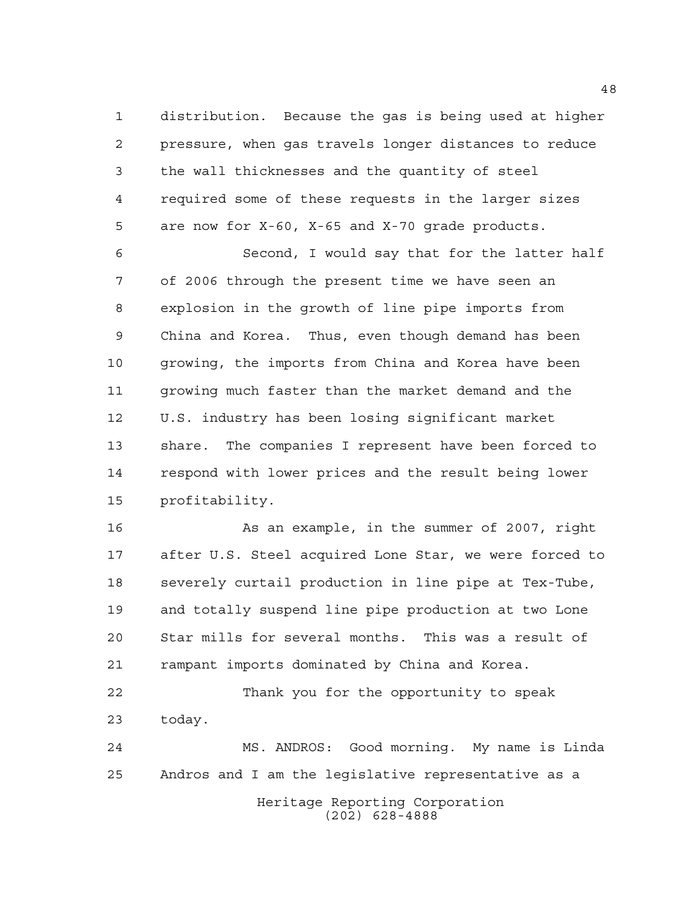distribution. Because the gas is being used at higher pressure, when gas travels longer distances to reduce the wall thicknesses and the quantity of steel required some of these requests in the larger sizes are now for X-60, X-65 and X-70 grade products.

 Second, I would say that for the latter half of 2006 through the present time we have seen an explosion in the growth of line pipe imports from China and Korea. Thus, even though demand has been growing, the imports from China and Korea have been growing much faster than the market demand and the U.S. industry has been losing significant market share. The companies I represent have been forced to respond with lower prices and the result being lower profitability.

 As an example, in the summer of 2007, right after U.S. Steel acquired Lone Star, we were forced to severely curtail production in line pipe at Tex-Tube, and totally suspend line pipe production at two Lone Star mills for several months. This was a result of rampant imports dominated by China and Korea.

 Thank you for the opportunity to speak today.

Heritage Reporting Corporation (202) 628-4888 MS. ANDROS: Good morning. My name is Linda Andros and I am the legislative representative as a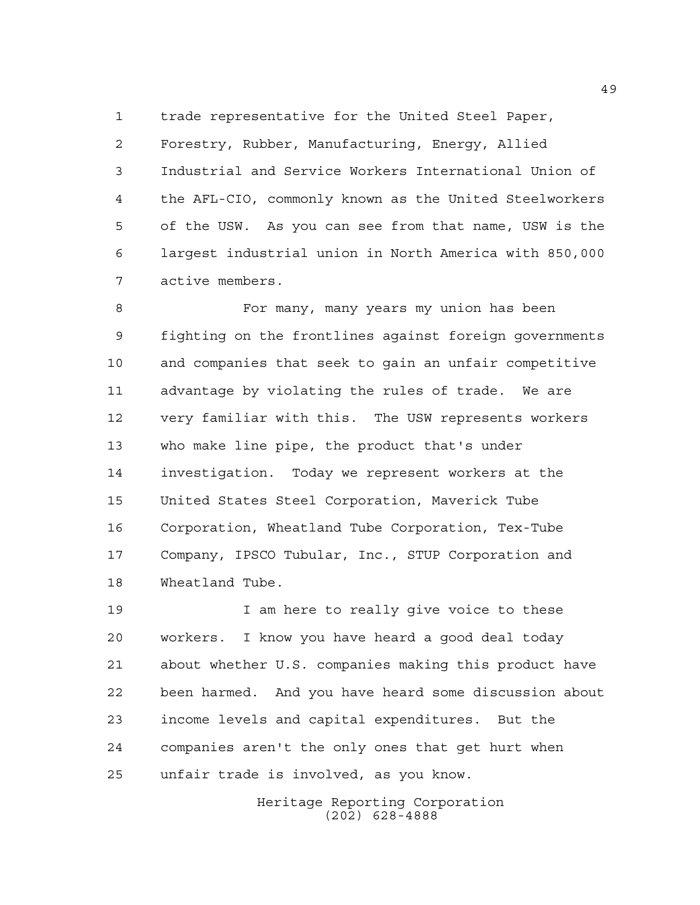trade representative for the United Steel Paper,

 Forestry, Rubber, Manufacturing, Energy, Allied Industrial and Service Workers International Union of the AFL-CIO, commonly known as the United Steelworkers of the USW. As you can see from that name, USW is the largest industrial union in North America with 850,000 active members.

 For many, many years my union has been fighting on the frontlines against foreign governments and companies that seek to gain an unfair competitive advantage by violating the rules of trade. We are very familiar with this. The USW represents workers who make line pipe, the product that's under investigation. Today we represent workers at the United States Steel Corporation, Maverick Tube Corporation, Wheatland Tube Corporation, Tex-Tube Company, IPSCO Tubular, Inc., STUP Corporation and Wheatland Tube.

 I am here to really give voice to these workers. I know you have heard a good deal today about whether U.S. companies making this product have been harmed. And you have heard some discussion about income levels and capital expenditures. But the companies aren't the only ones that get hurt when unfair trade is involved, as you know.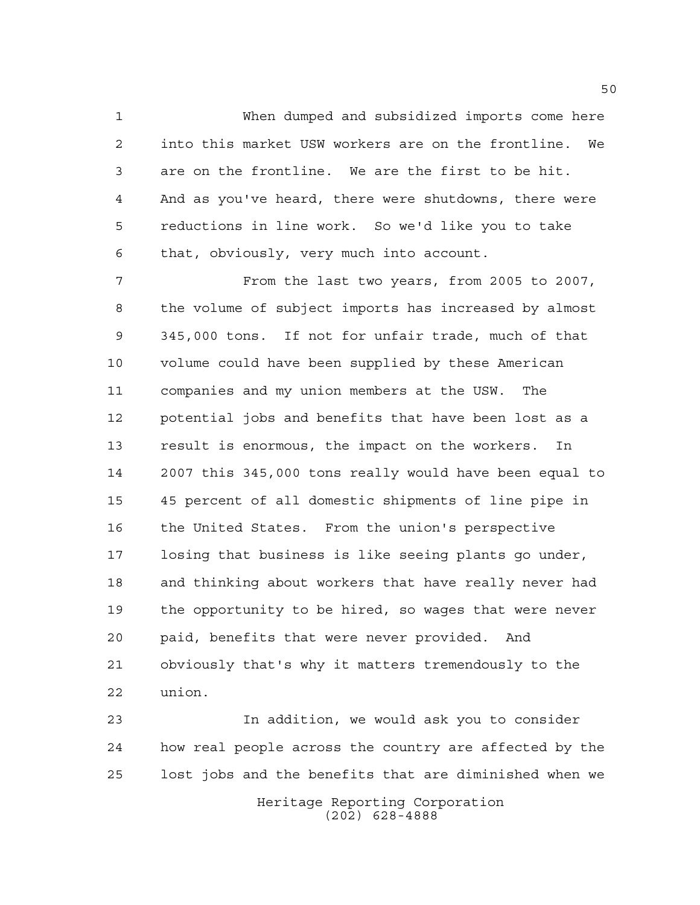When dumped and subsidized imports come here into this market USW workers are on the frontline. We are on the frontline. We are the first to be hit. And as you've heard, there were shutdowns, there were reductions in line work. So we'd like you to take that, obviously, very much into account.

 From the last two years, from 2005 to 2007, the volume of subject imports has increased by almost 345,000 tons. If not for unfair trade, much of that volume could have been supplied by these American companies and my union members at the USW. The potential jobs and benefits that have been lost as a result is enormous, the impact on the workers. In 2007 this 345,000 tons really would have been equal to 45 percent of all domestic shipments of line pipe in the United States. From the union's perspective losing that business is like seeing plants go under, and thinking about workers that have really never had the opportunity to be hired, so wages that were never paid, benefits that were never provided. And obviously that's why it matters tremendously to the union.

 In addition, we would ask you to consider how real people across the country are affected by the lost jobs and the benefits that are diminished when we

> Heritage Reporting Corporation (202) 628-4888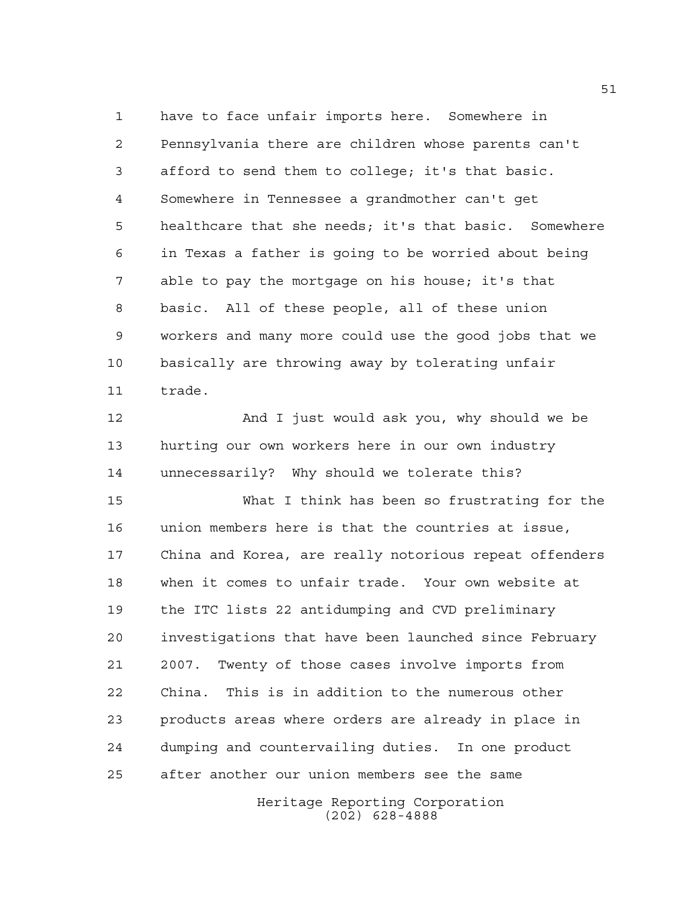have to face unfair imports here. Somewhere in Pennsylvania there are children whose parents can't afford to send them to college; it's that basic. Somewhere in Tennessee a grandmother can't get healthcare that she needs; it's that basic. Somewhere in Texas a father is going to be worried about being able to pay the mortgage on his house; it's that basic. All of these people, all of these union workers and many more could use the good jobs that we basically are throwing away by tolerating unfair trade.

 And I just would ask you, why should we be hurting our own workers here in our own industry unnecessarily? Why should we tolerate this?

 What I think has been so frustrating for the union members here is that the countries at issue, China and Korea, are really notorious repeat offenders when it comes to unfair trade. Your own website at the ITC lists 22 antidumping and CVD preliminary investigations that have been launched since February 2007. Twenty of those cases involve imports from China. This is in addition to the numerous other products areas where orders are already in place in dumping and countervailing duties. In one product after another our union members see the same

> Heritage Reporting Corporation (202) 628-4888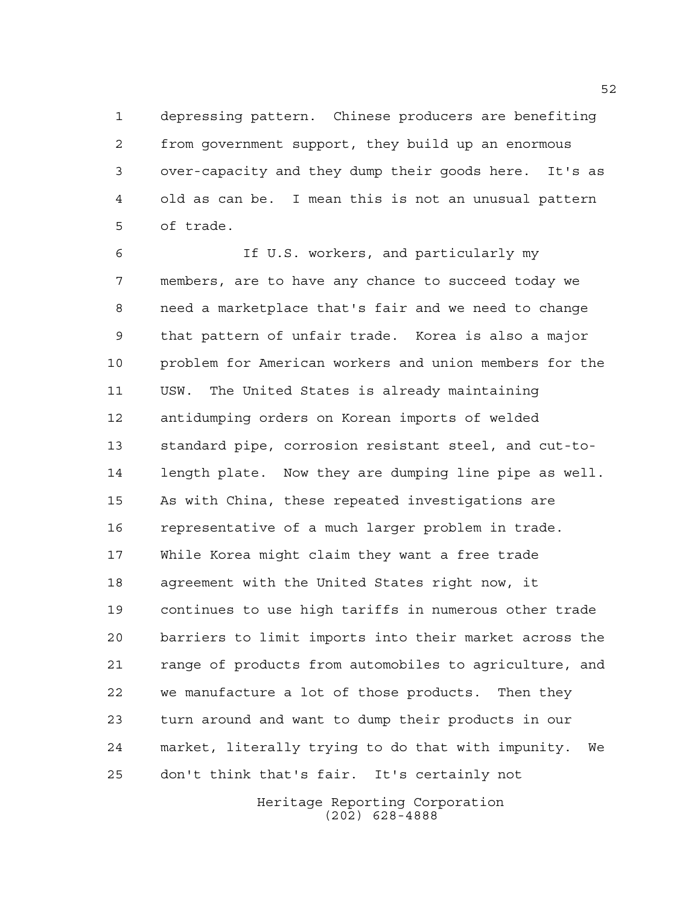depressing pattern. Chinese producers are benefiting from government support, they build up an enormous over-capacity and they dump their goods here. It's as old as can be. I mean this is not an unusual pattern of trade.

 If U.S. workers, and particularly my members, are to have any chance to succeed today we need a marketplace that's fair and we need to change that pattern of unfair trade. Korea is also a major problem for American workers and union members for the USW. The United States is already maintaining antidumping orders on Korean imports of welded standard pipe, corrosion resistant steel, and cut-to- length plate. Now they are dumping line pipe as well. As with China, these repeated investigations are representative of a much larger problem in trade. While Korea might claim they want a free trade agreement with the United States right now, it continues to use high tariffs in numerous other trade barriers to limit imports into their market across the range of products from automobiles to agriculture, and we manufacture a lot of those products. Then they turn around and want to dump their products in our market, literally trying to do that with impunity. We don't think that's fair. It's certainly not

> Heritage Reporting Corporation (202) 628-4888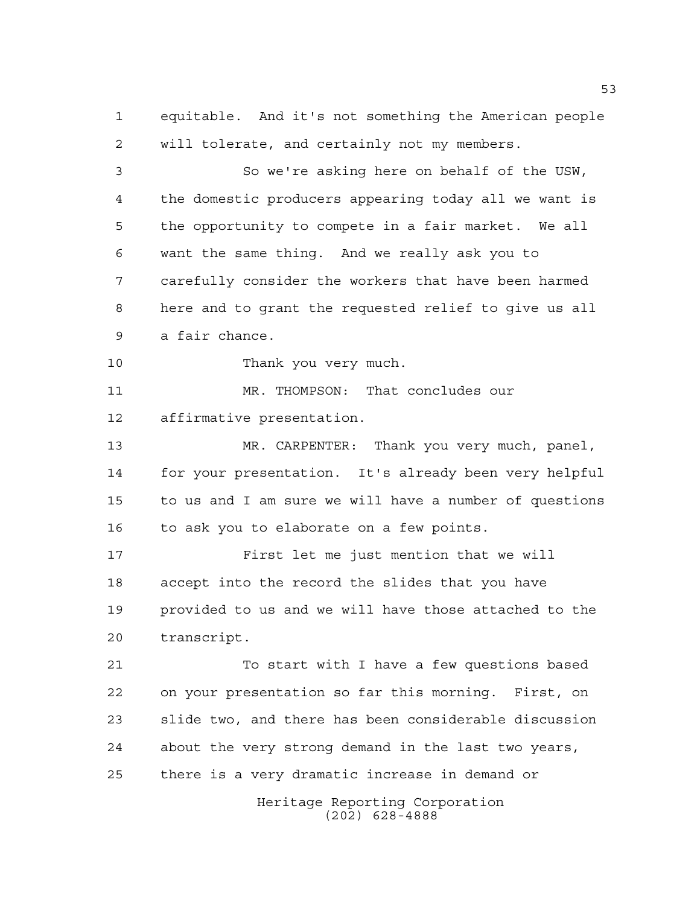equitable. And it's not something the American people will tolerate, and certainly not my members.

 So we're asking here on behalf of the USW, the domestic producers appearing today all we want is the opportunity to compete in a fair market. We all want the same thing. And we really ask you to carefully consider the workers that have been harmed here and to grant the requested relief to give us all a fair chance.

Thank you very much.

 MR. THOMPSON: That concludes our affirmative presentation.

 MR. CARPENTER: Thank you very much, panel, for your presentation. It's already been very helpful to us and I am sure we will have a number of questions to ask you to elaborate on a few points.

 First let me just mention that we will accept into the record the slides that you have provided to us and we will have those attached to the transcript.

21 To start with I have a few questions based on your presentation so far this morning. First, on slide two, and there has been considerable discussion about the very strong demand in the last two years, there is a very dramatic increase in demand or

> Heritage Reporting Corporation (202) 628-4888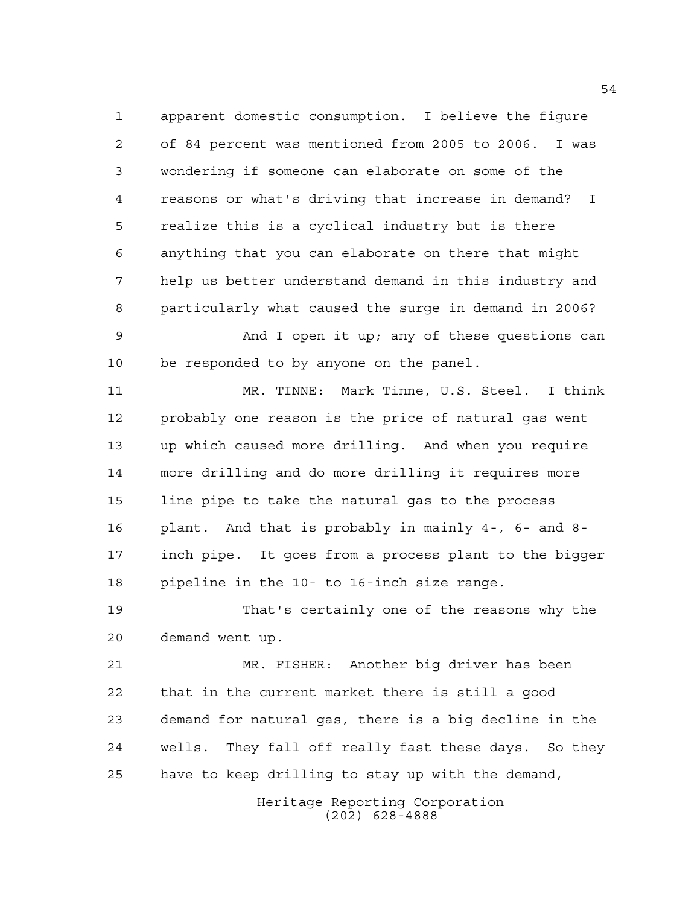apparent domestic consumption. I believe the figure of 84 percent was mentioned from 2005 to 2006. I was wondering if someone can elaborate on some of the reasons or what's driving that increase in demand? I realize this is a cyclical industry but is there anything that you can elaborate on there that might help us better understand demand in this industry and particularly what caused the surge in demand in 2006?

 And I open it up; any of these questions can be responded to by anyone on the panel.

 MR. TINNE: Mark Tinne, U.S. Steel. I think probably one reason is the price of natural gas went up which caused more drilling. And when you require more drilling and do more drilling it requires more line pipe to take the natural gas to the process plant. And that is probably in mainly 4-, 6- and 8- inch pipe. It goes from a process plant to the bigger pipeline in the 10- to 16-inch size range.

 That's certainly one of the reasons why the demand went up.

 MR. FISHER: Another big driver has been that in the current market there is still a good demand for natural gas, there is a big decline in the wells. They fall off really fast these days. So they have to keep drilling to stay up with the demand,

> Heritage Reporting Corporation (202) 628-4888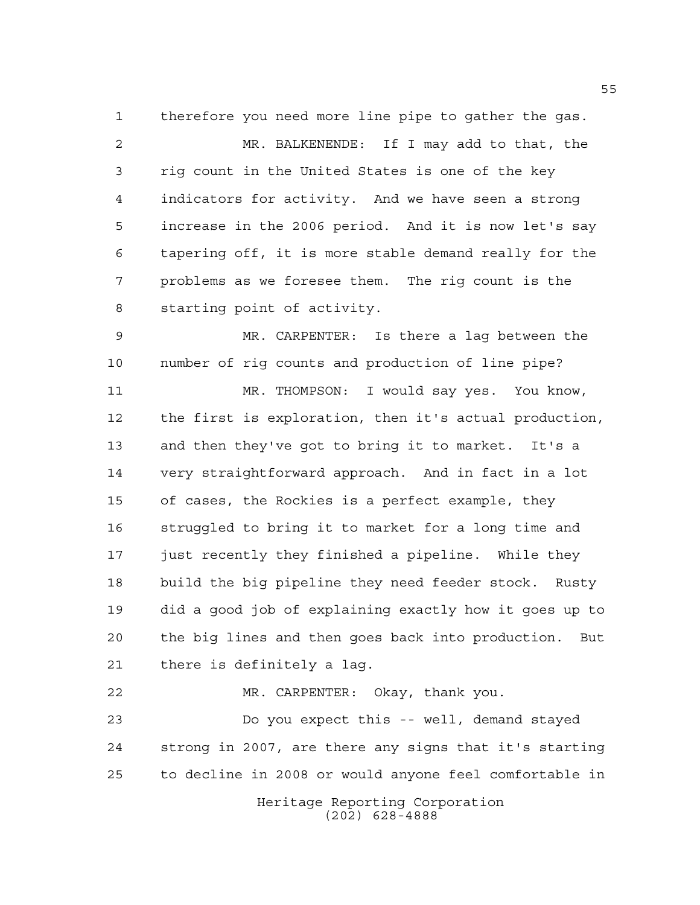therefore you need more line pipe to gather the gas. MR. BALKENENDE: If I may add to that, the rig count in the United States is one of the key indicators for activity. And we have seen a strong increase in the 2006 period. And it is now let's say tapering off, it is more stable demand really for the problems as we foresee them. The rig count is the starting point of activity.

 MR. CARPENTER: Is there a lag between the number of rig counts and production of line pipe?

 MR. THOMPSON: I would say yes. You know, the first is exploration, then it's actual production, and then they've got to bring it to market. It's a very straightforward approach. And in fact in a lot of cases, the Rockies is a perfect example, they struggled to bring it to market for a long time and just recently they finished a pipeline. While they build the big pipeline they need feeder stock. Rusty did a good job of explaining exactly how it goes up to the big lines and then goes back into production. But there is definitely a lag.

Heritage Reporting Corporation MR. CARPENTER: Okay, thank you. Do you expect this -- well, demand stayed strong in 2007, are there any signs that it's starting to decline in 2008 or would anyone feel comfortable in

(202) 628-4888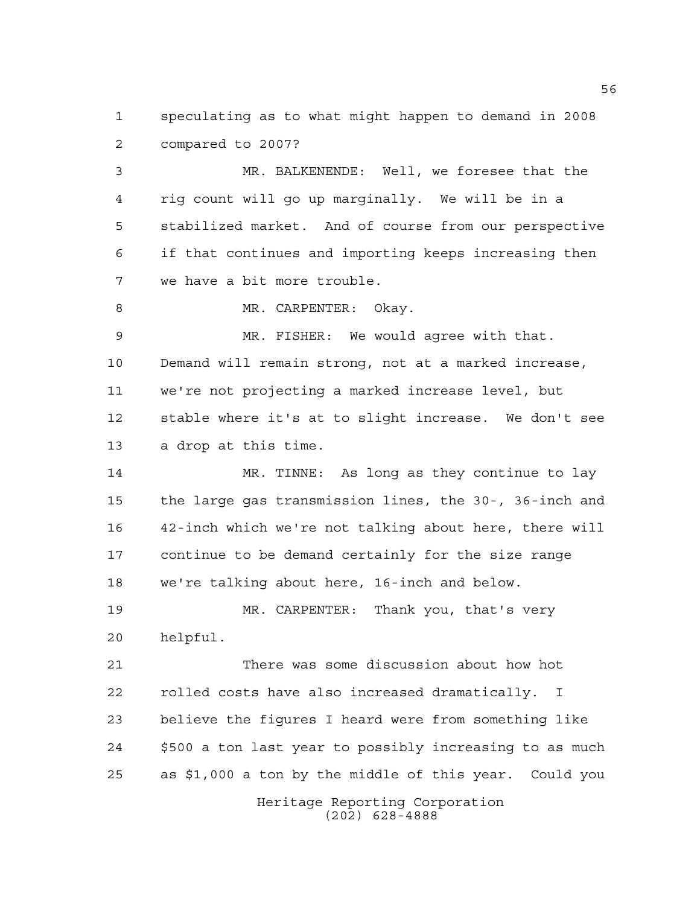speculating as to what might happen to demand in 2008 compared to 2007?

 MR. BALKENENDE: Well, we foresee that the rig count will go up marginally. We will be in a stabilized market. And of course from our perspective if that continues and importing keeps increasing then we have a bit more trouble.

8 MR. CARPENTER: Okay.

 MR. FISHER: We would agree with that. Demand will remain strong, not at a marked increase, we're not projecting a marked increase level, but stable where it's at to slight increase. We don't see a drop at this time.

 MR. TINNE: As long as they continue to lay the large gas transmission lines, the 30-, 36-inch and 42-inch which we're not talking about here, there will continue to be demand certainly for the size range we're talking about here, 16-inch and below.

 MR. CARPENTER: Thank you, that's very helpful.

 There was some discussion about how hot rolled costs have also increased dramatically. I believe the figures I heard were from something like \$500 a ton last year to possibly increasing to as much as \$1,000 a ton by the middle of this year. Could you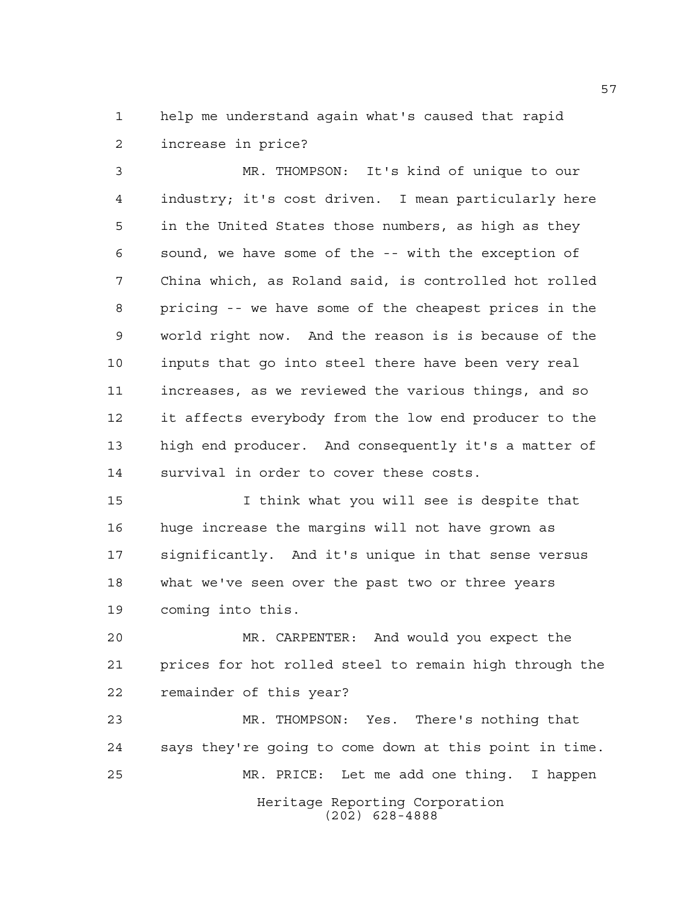help me understand again what's caused that rapid increase in price?

 MR. THOMPSON: It's kind of unique to our industry; it's cost driven. I mean particularly here in the United States those numbers, as high as they sound, we have some of the -- with the exception of China which, as Roland said, is controlled hot rolled pricing -- we have some of the cheapest prices in the world right now. And the reason is is because of the inputs that go into steel there have been very real increases, as we reviewed the various things, and so it affects everybody from the low end producer to the high end producer. And consequently it's a matter of survival in order to cover these costs.

 I think what you will see is despite that huge increase the margins will not have grown as significantly. And it's unique in that sense versus what we've seen over the past two or three years coming into this.

 MR. CARPENTER: And would you expect the prices for hot rolled steel to remain high through the remainder of this year?

Heritage Reporting Corporation (202) 628-4888 MR. THOMPSON: Yes. There's nothing that says they're going to come down at this point in time. MR. PRICE: Let me add one thing. I happen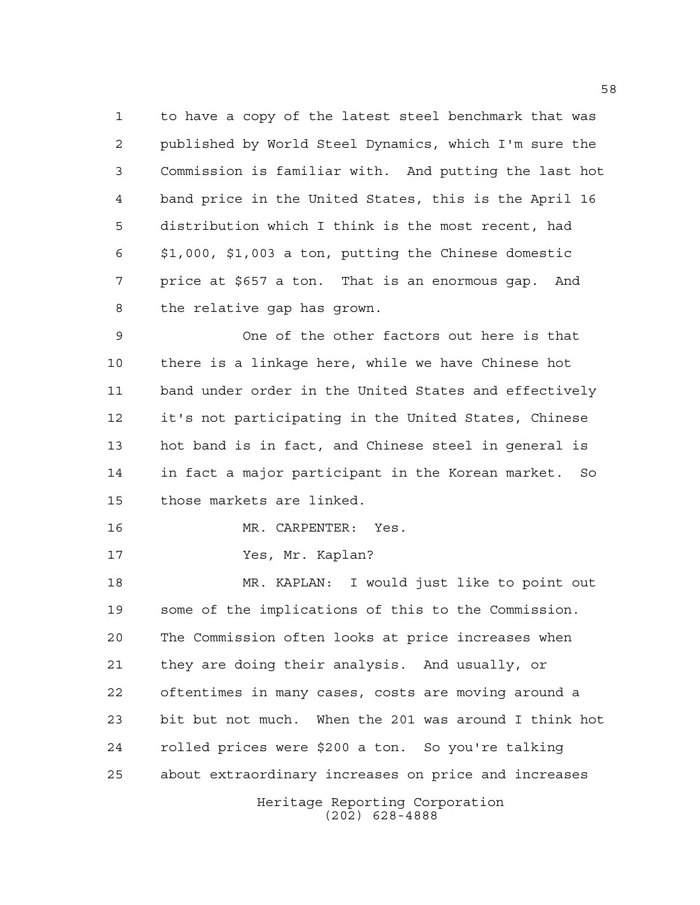to have a copy of the latest steel benchmark that was published by World Steel Dynamics, which I'm sure the Commission is familiar with. And putting the last hot band price in the United States, this is the April 16 distribution which I think is the most recent, had \$1,000, \$1,003 a ton, putting the Chinese domestic price at \$657 a ton. That is an enormous gap. And the relative gap has grown.

 One of the other factors out here is that there is a linkage here, while we have Chinese hot band under order in the United States and effectively it's not participating in the United States, Chinese hot band is in fact, and Chinese steel in general is in fact a major participant in the Korean market. So those markets are linked.

MR. CARPENTER: Yes.

Yes, Mr. Kaplan?

Heritage Reporting Corporation (202) 628-4888 MR. KAPLAN: I would just like to point out some of the implications of this to the Commission. The Commission often looks at price increases when they are doing their analysis. And usually, or oftentimes in many cases, costs are moving around a bit but not much. When the 201 was around I think hot rolled prices were \$200 a ton. So you're talking about extraordinary increases on price and increases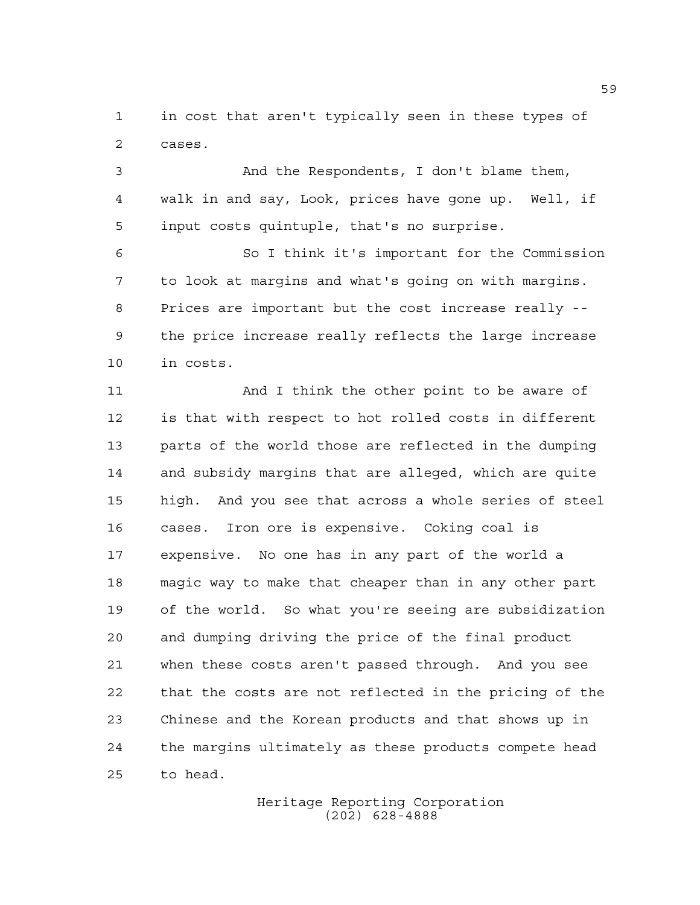in cost that aren't typically seen in these types of cases.

 And the Respondents, I don't blame them, walk in and say, Look, prices have gone up. Well, if input costs quintuple, that's no surprise.

 So I think it's important for the Commission to look at margins and what's going on with margins. Prices are important but the cost increase really -- the price increase really reflects the large increase in costs.

11 And I think the other point to be aware of is that with respect to hot rolled costs in different parts of the world those are reflected in the dumping and subsidy margins that are alleged, which are quite high. And you see that across a whole series of steel cases. Iron ore is expensive. Coking coal is expensive. No one has in any part of the world a magic way to make that cheaper than in any other part of the world. So what you're seeing are subsidization and dumping driving the price of the final product when these costs aren't passed through. And you see that the costs are not reflected in the pricing of the Chinese and the Korean products and that shows up in the margins ultimately as these products compete head to head.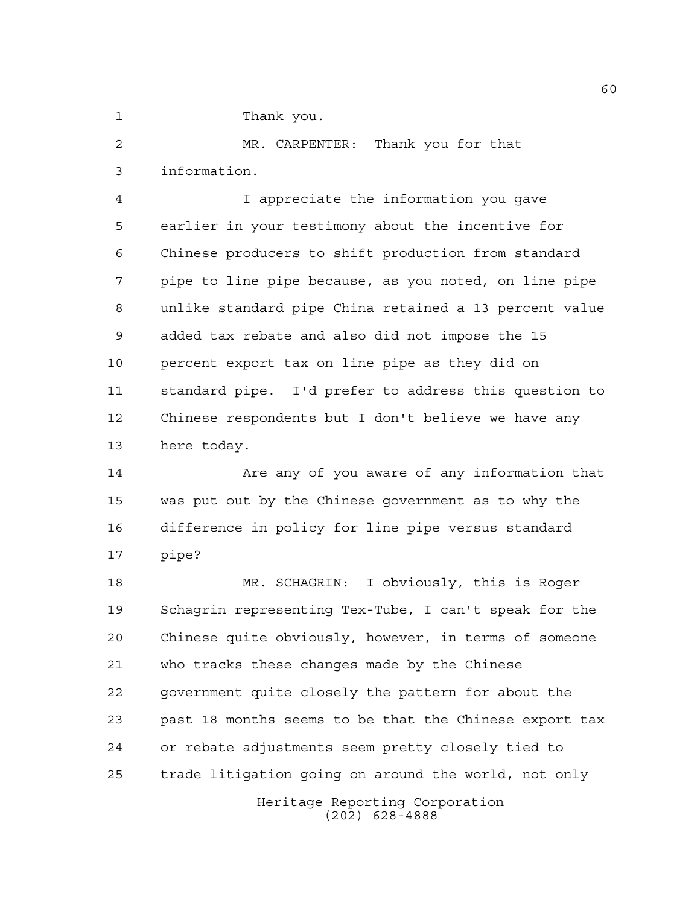1 Thank you.

 MR. CARPENTER: Thank you for that information.

 I appreciate the information you gave earlier in your testimony about the incentive for Chinese producers to shift production from standard pipe to line pipe because, as you noted, on line pipe unlike standard pipe China retained a 13 percent value added tax rebate and also did not impose the 15 percent export tax on line pipe as they did on standard pipe. I'd prefer to address this question to Chinese respondents but I don't believe we have any here today.

 Are any of you aware of any information that was put out by the Chinese government as to why the difference in policy for line pipe versus standard pipe?

Heritage Reporting Corporation (202) 628-4888 MR. SCHAGRIN: I obviously, this is Roger Schagrin representing Tex-Tube, I can't speak for the Chinese quite obviously, however, in terms of someone who tracks these changes made by the Chinese government quite closely the pattern for about the past 18 months seems to be that the Chinese export tax or rebate adjustments seem pretty closely tied to trade litigation going on around the world, not only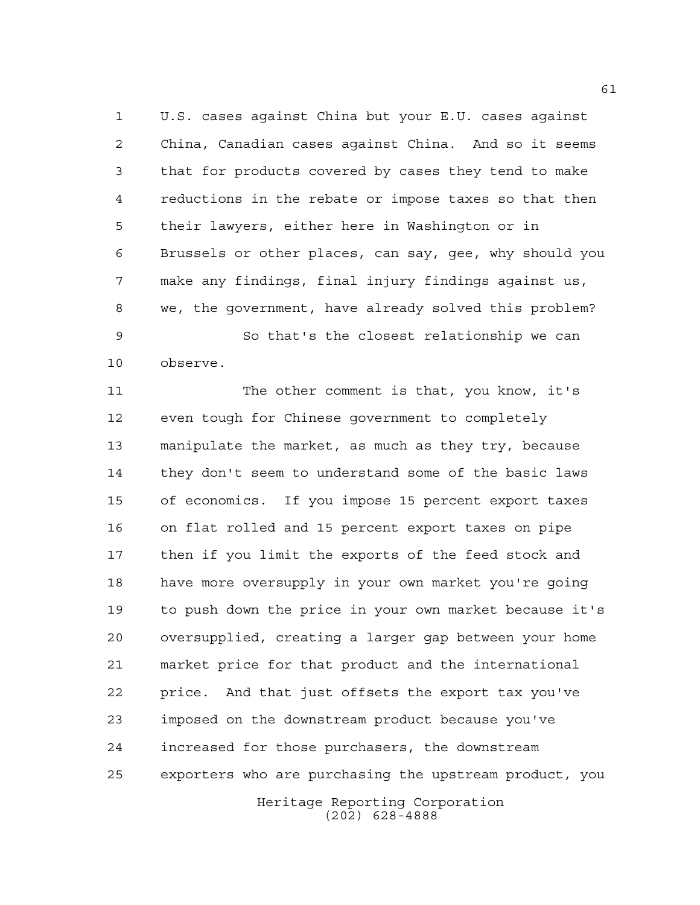U.S. cases against China but your E.U. cases against China, Canadian cases against China. And so it seems that for products covered by cases they tend to make reductions in the rebate or impose taxes so that then their lawyers, either here in Washington or in Brussels or other places, can say, gee, why should you make any findings, final injury findings against us, we, the government, have already solved this problem?

 So that's the closest relationship we can observe.

 The other comment is that, you know, it's even tough for Chinese government to completely manipulate the market, as much as they try, because they don't seem to understand some of the basic laws of economics. If you impose 15 percent export taxes on flat rolled and 15 percent export taxes on pipe then if you limit the exports of the feed stock and have more oversupply in your own market you're going to push down the price in your own market because it's oversupplied, creating a larger gap between your home market price for that product and the international price. And that just offsets the export tax you've imposed on the downstream product because you've increased for those purchasers, the downstream exporters who are purchasing the upstream product, you

Heritage Reporting Corporation (202) 628-4888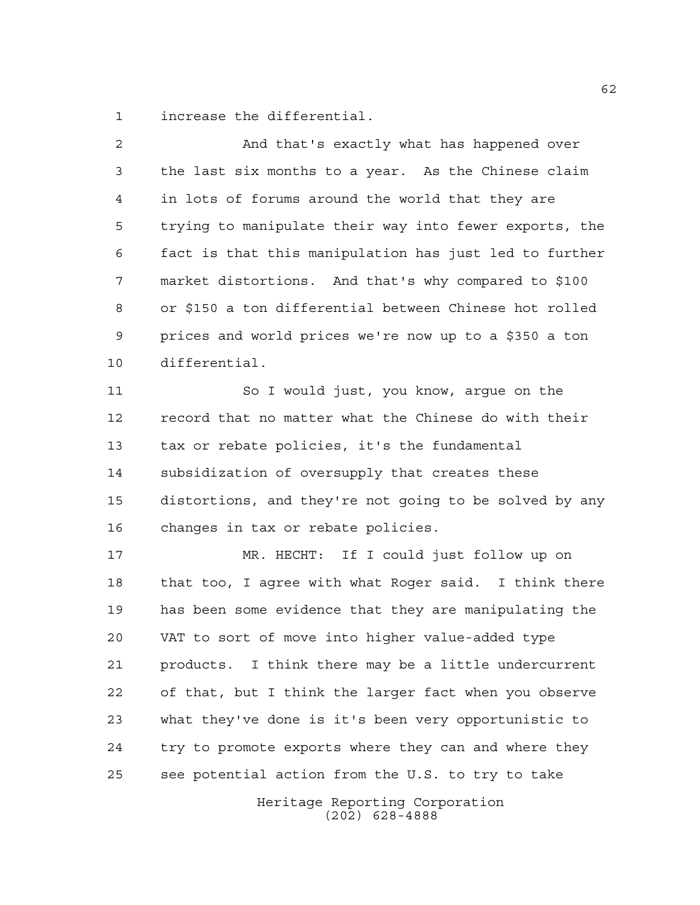increase the differential.

 And that's exactly what has happened over the last six months to a year. As the Chinese claim in lots of forums around the world that they are trying to manipulate their way into fewer exports, the fact is that this manipulation has just led to further market distortions. And that's why compared to \$100 or \$150 a ton differential between Chinese hot rolled prices and world prices we're now up to a \$350 a ton differential. So I would just, you know, argue on the record that no matter what the Chinese do with their tax or rebate policies, it's the fundamental subsidization of oversupply that creates these distortions, and they're not going to be solved by any changes in tax or rebate policies. MR. HECHT: If I could just follow up on that too, I agree with what Roger said. I think there has been some evidence that they are manipulating the VAT to sort of move into higher value-added type products. I think there may be a little undercurrent of that, but I think the larger fact when you observe what they've done is it's been very opportunistic to try to promote exports where they can and where they

see potential action from the U.S. to try to take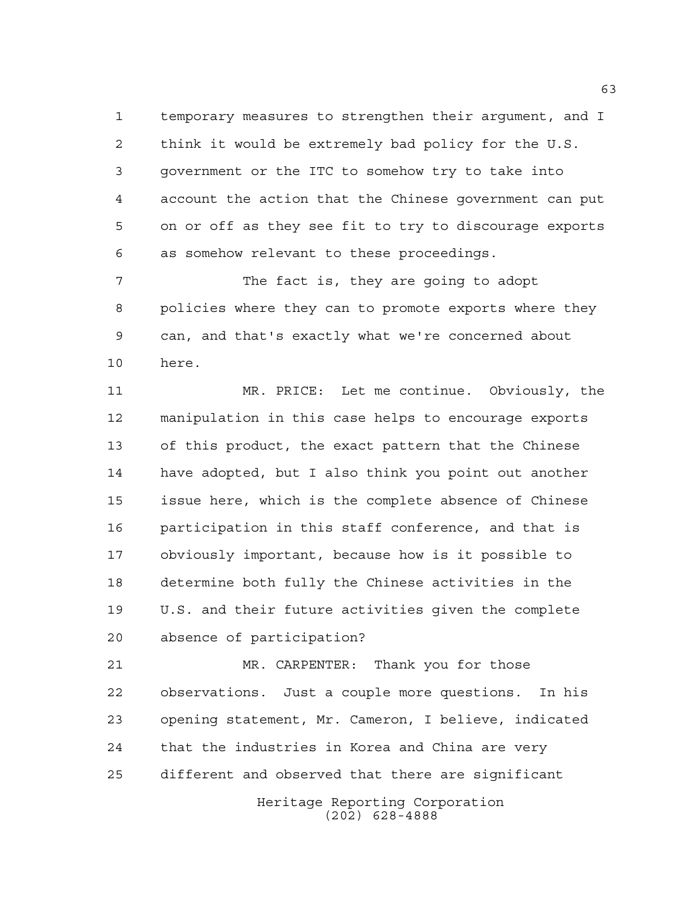temporary measures to strengthen their argument, and I think it would be extremely bad policy for the U.S. government or the ITC to somehow try to take into account the action that the Chinese government can put on or off as they see fit to try to discourage exports as somehow relevant to these proceedings.

7 The fact is, they are going to adopt policies where they can to promote exports where they can, and that's exactly what we're concerned about here.

 MR. PRICE: Let me continue. Obviously, the manipulation in this case helps to encourage exports of this product, the exact pattern that the Chinese have adopted, but I also think you point out another issue here, which is the complete absence of Chinese participation in this staff conference, and that is obviously important, because how is it possible to determine both fully the Chinese activities in the U.S. and their future activities given the complete absence of participation?

 MR. CARPENTER: Thank you for those observations. Just a couple more questions. In his opening statement, Mr. Cameron, I believe, indicated that the industries in Korea and China are very different and observed that there are significant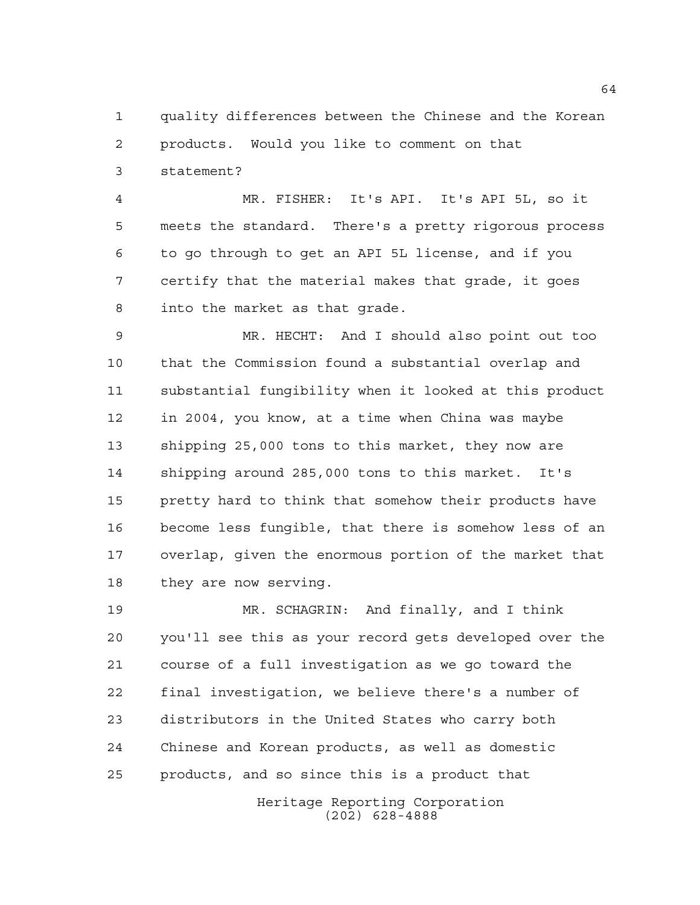quality differences between the Chinese and the Korean products. Would you like to comment on that statement?

 MR. FISHER: It's API. It's API 5L, so it meets the standard. There's a pretty rigorous process to go through to get an API 5L license, and if you certify that the material makes that grade, it goes into the market as that grade.

 MR. HECHT: And I should also point out too that the Commission found a substantial overlap and substantial fungibility when it looked at this product in 2004, you know, at a time when China was maybe shipping 25,000 tons to this market, they now are shipping around 285,000 tons to this market. It's pretty hard to think that somehow their products have become less fungible, that there is somehow less of an overlap, given the enormous portion of the market that they are now serving.

 MR. SCHAGRIN: And finally, and I think you'll see this as your record gets developed over the course of a full investigation as we go toward the final investigation, we believe there's a number of distributors in the United States who carry both Chinese and Korean products, as well as domestic products, and so since this is a product that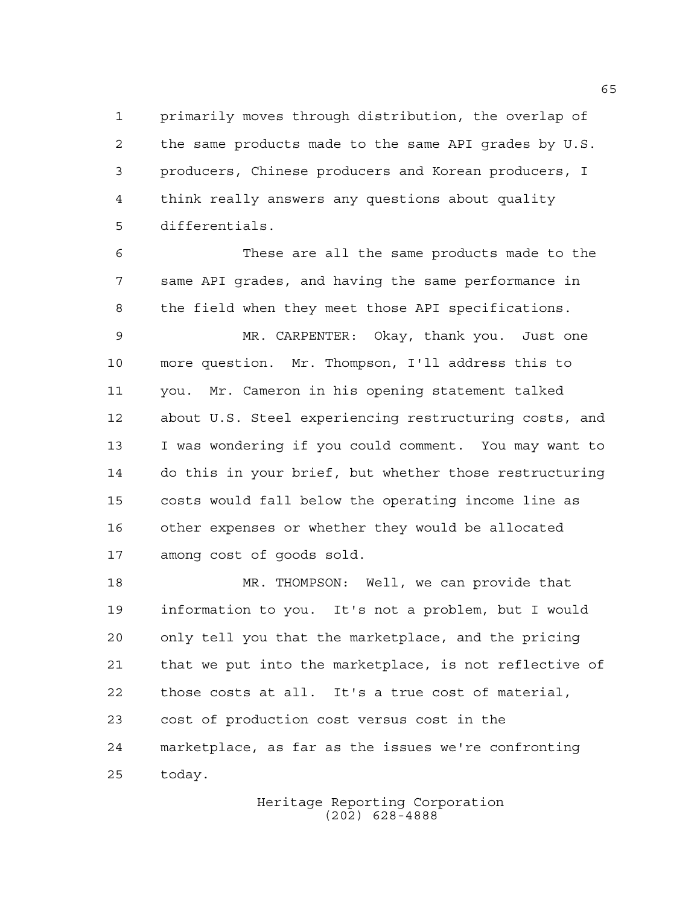primarily moves through distribution, the overlap of the same products made to the same API grades by U.S. producers, Chinese producers and Korean producers, I think really answers any questions about quality differentials.

 These are all the same products made to the same API grades, and having the same performance in the field when they meet those API specifications.

 MR. CARPENTER: Okay, thank you. Just one more question. Mr. Thompson, I'll address this to you. Mr. Cameron in his opening statement talked about U.S. Steel experiencing restructuring costs, and I was wondering if you could comment. You may want to do this in your brief, but whether those restructuring costs would fall below the operating income line as other expenses or whether they would be allocated among cost of goods sold.

 MR. THOMPSON: Well, we can provide that information to you. It's not a problem, but I would only tell you that the marketplace, and the pricing that we put into the marketplace, is not reflective of those costs at all. It's a true cost of material, cost of production cost versus cost in the marketplace, as far as the issues we're confronting today.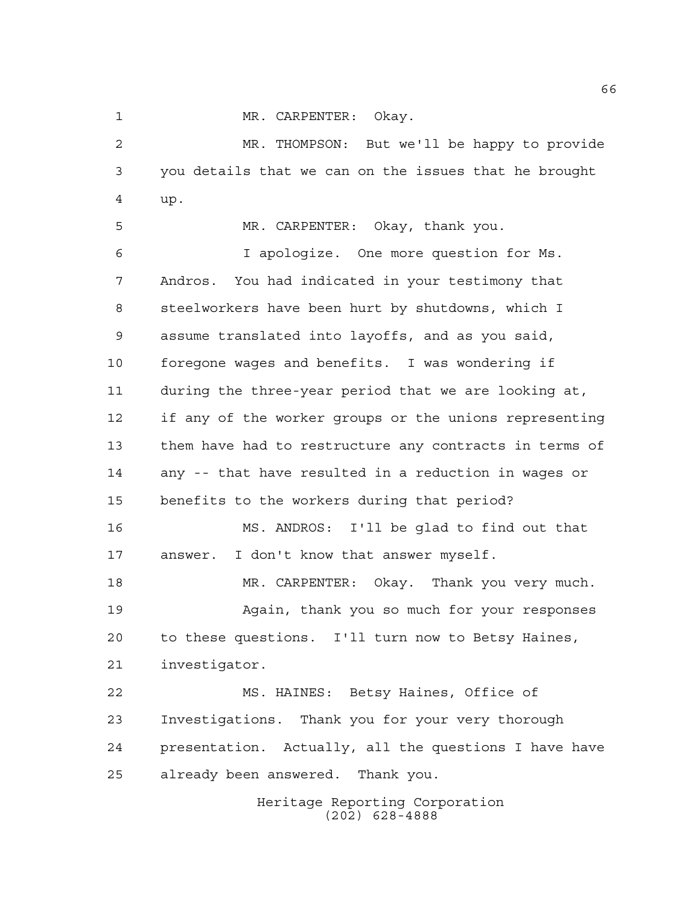MR. CARPENTER: Okay.

 MR. THOMPSON: But we'll be happy to provide you details that we can on the issues that he brought up.

 MR. CARPENTER: Okay, thank you. I apologize. One more question for Ms. Andros. You had indicated in your testimony that steelworkers have been hurt by shutdowns, which I assume translated into layoffs, and as you said, foregone wages and benefits. I was wondering if during the three-year period that we are looking at, if any of the worker groups or the unions representing them have had to restructure any contracts in terms of any -- that have resulted in a reduction in wages or benefits to the workers during that period? MS. ANDROS: I'll be glad to find out that answer. I don't know that answer myself. MR. CARPENTER: Okay. Thank you very much. Again, thank you so much for your responses to these questions. I'll turn now to Betsy Haines, investigator. MS. HAINES: Betsy Haines, Office of Investigations. Thank you for your very thorough presentation. Actually, all the questions I have have already been answered. Thank you.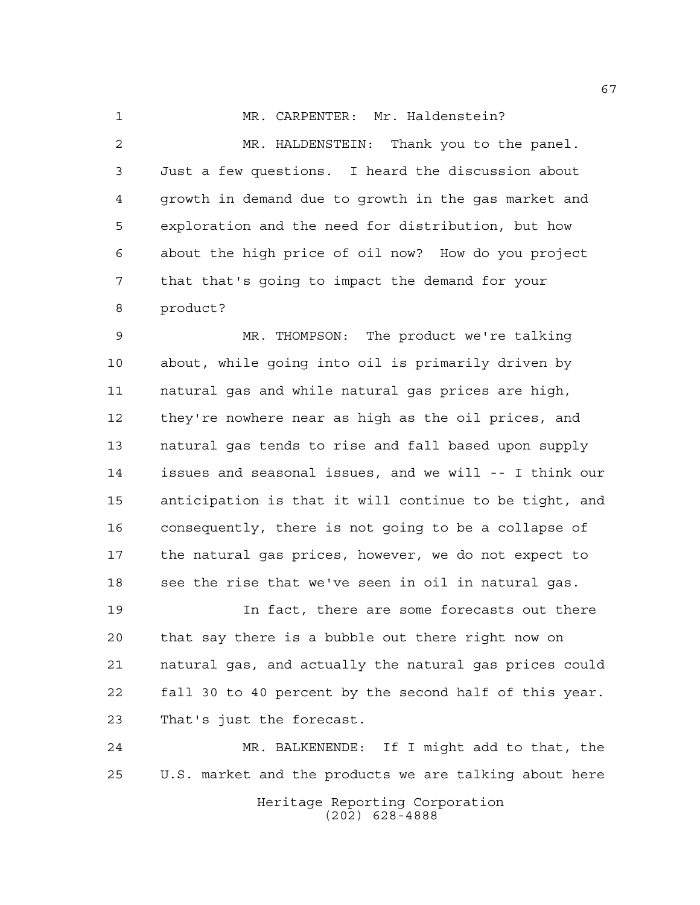1 MR. CARPENTER: Mr. Haldenstein? MR. HALDENSTEIN: Thank you to the panel. Just a few questions. I heard the discussion about growth in demand due to growth in the gas market and exploration and the need for distribution, but how about the high price of oil now? How do you project that that's going to impact the demand for your product?

 MR. THOMPSON: The product we're talking about, while going into oil is primarily driven by natural gas and while natural gas prices are high, they're nowhere near as high as the oil prices, and natural gas tends to rise and fall based upon supply issues and seasonal issues, and we will -- I think our anticipation is that it will continue to be tight, and consequently, there is not going to be a collapse of the natural gas prices, however, we do not expect to 18 see the rise that we've seen in oil in natural gas.

 In fact, there are some forecasts out there that say there is a bubble out there right now on natural gas, and actually the natural gas prices could fall 30 to 40 percent by the second half of this year. That's just the forecast.

Heritage Reporting Corporation (202) 628-4888 MR. BALKENENDE: If I might add to that, the U.S. market and the products we are talking about here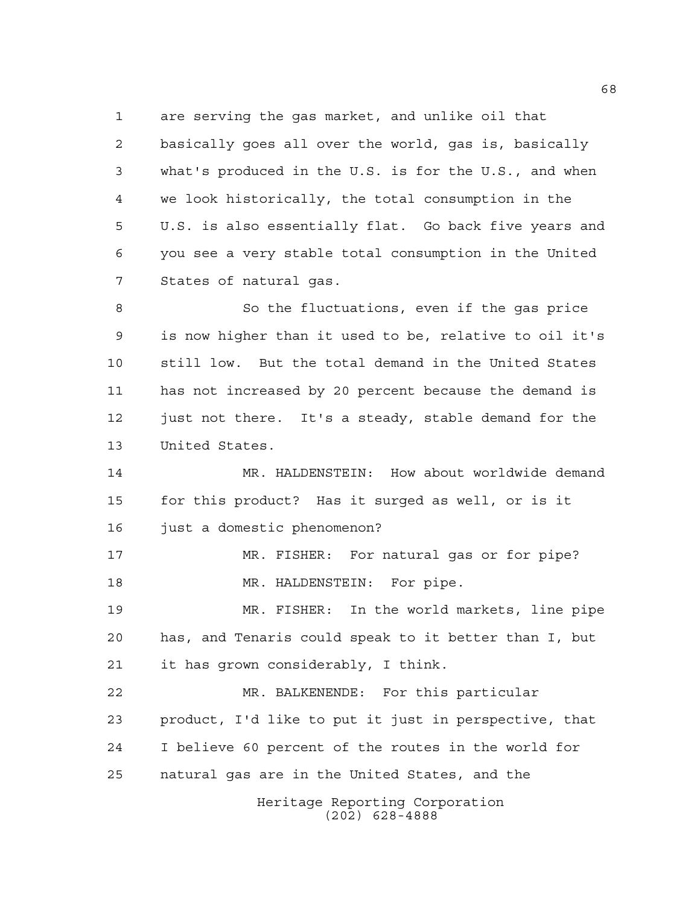are serving the gas market, and unlike oil that

 basically goes all over the world, gas is, basically what's produced in the U.S. is for the U.S., and when we look historically, the total consumption in the U.S. is also essentially flat. Go back five years and you see a very stable total consumption in the United States of natural gas.

 So the fluctuations, even if the gas price is now higher than it used to be, relative to oil it's still low. But the total demand in the United States has not increased by 20 percent because the demand is just not there. It's a steady, stable demand for the United States.

 MR. HALDENSTEIN: How about worldwide demand for this product? Has it surged as well, or is it just a domestic phenomenon?

 MR. FISHER: For natural gas or for pipe? 18 MR. HALDENSTEIN: For pipe.

 MR. FISHER: In the world markets, line pipe has, and Tenaris could speak to it better than I, but it has grown considerably, I think.

 MR. BALKENENDE: For this particular product, I'd like to put it just in perspective, that I believe 60 percent of the routes in the world for natural gas are in the United States, and the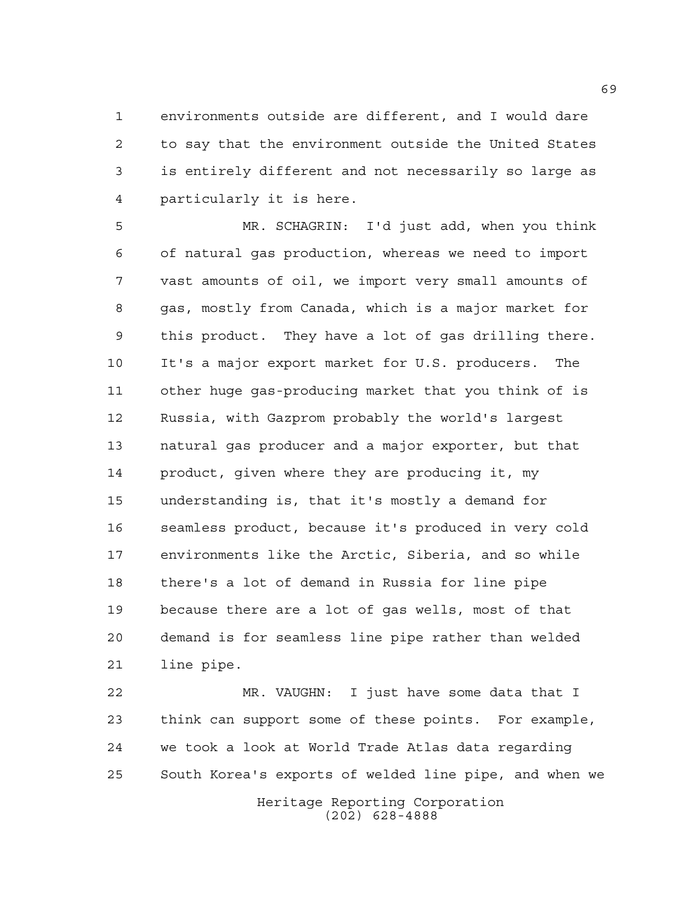environments outside are different, and I would dare to say that the environment outside the United States is entirely different and not necessarily so large as particularly it is here.

 MR. SCHAGRIN: I'd just add, when you think of natural gas production, whereas we need to import vast amounts of oil, we import very small amounts of gas, mostly from Canada, which is a major market for this product. They have a lot of gas drilling there. It's a major export market for U.S. producers. The other huge gas-producing market that you think of is Russia, with Gazprom probably the world's largest natural gas producer and a major exporter, but that product, given where they are producing it, my understanding is, that it's mostly a demand for seamless product, because it's produced in very cold environments like the Arctic, Siberia, and so while there's a lot of demand in Russia for line pipe because there are a lot of gas wells, most of that demand is for seamless line pipe rather than welded line pipe.

Heritage Reporting Corporation MR. VAUGHN: I just have some data that I think can support some of these points. For example, we took a look at World Trade Atlas data regarding South Korea's exports of welded line pipe, and when we

(202) 628-4888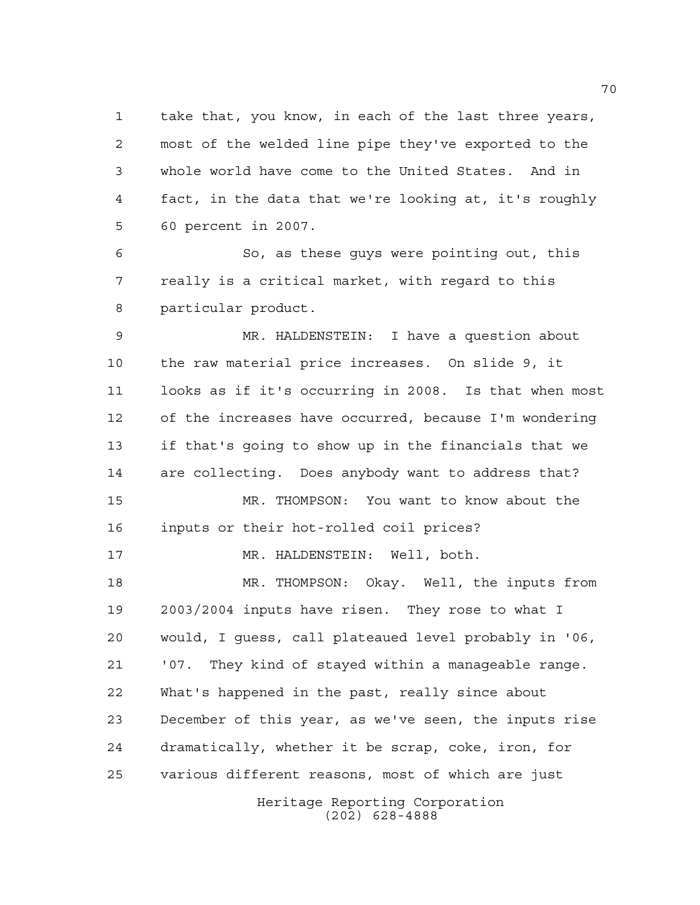take that, you know, in each of the last three years, most of the welded line pipe they've exported to the whole world have come to the United States. And in fact, in the data that we're looking at, it's roughly 60 percent in 2007.

 So, as these guys were pointing out, this really is a critical market, with regard to this particular product.

 MR. HALDENSTEIN: I have a question about the raw material price increases. On slide 9, it looks as if it's occurring in 2008. Is that when most of the increases have occurred, because I'm wondering if that's going to show up in the financials that we are collecting. Does anybody want to address that? MR. THOMPSON: You want to know about the inputs or their hot-rolled coil prices? 17 MR. HALDENSTEIN: Well, both. MR. THOMPSON: Okay. Well, the inputs from 2003/2004 inputs have risen. They rose to what I would, I guess, call plateaued level probably in '06, '07. They kind of stayed within a manageable range. What's happened in the past, really since about December of this year, as we've seen, the inputs rise dramatically, whether it be scrap, coke, iron, for various different reasons, most of which are just

Heritage Reporting Corporation (202) 628-4888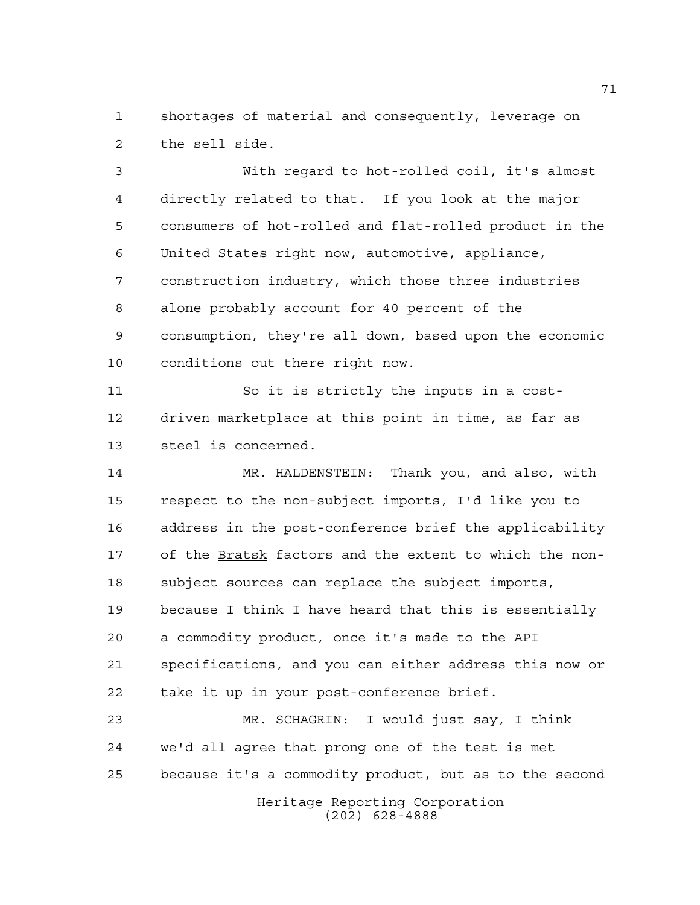shortages of material and consequently, leverage on the sell side.

 With regard to hot-rolled coil, it's almost directly related to that. If you look at the major consumers of hot-rolled and flat-rolled product in the United States right now, automotive, appliance, construction industry, which those three industries alone probably account for 40 percent of the consumption, they're all down, based upon the economic conditions out there right now.

 So it is strictly the inputs in a cost- driven marketplace at this point in time, as far as steel is concerned.

 MR. HALDENSTEIN: Thank you, and also, with respect to the non-subject imports, I'd like you to address in the post-conference brief the applicability of the Bratsk factors and the extent to which the non- subject sources can replace the subject imports, because I think I have heard that this is essentially a commodity product, once it's made to the API specifications, and you can either address this now or take it up in your post-conference brief.

Heritage Reporting Corporation (202) 628-4888 MR. SCHAGRIN: I would just say, I think we'd all agree that prong one of the test is met because it's a commodity product, but as to the second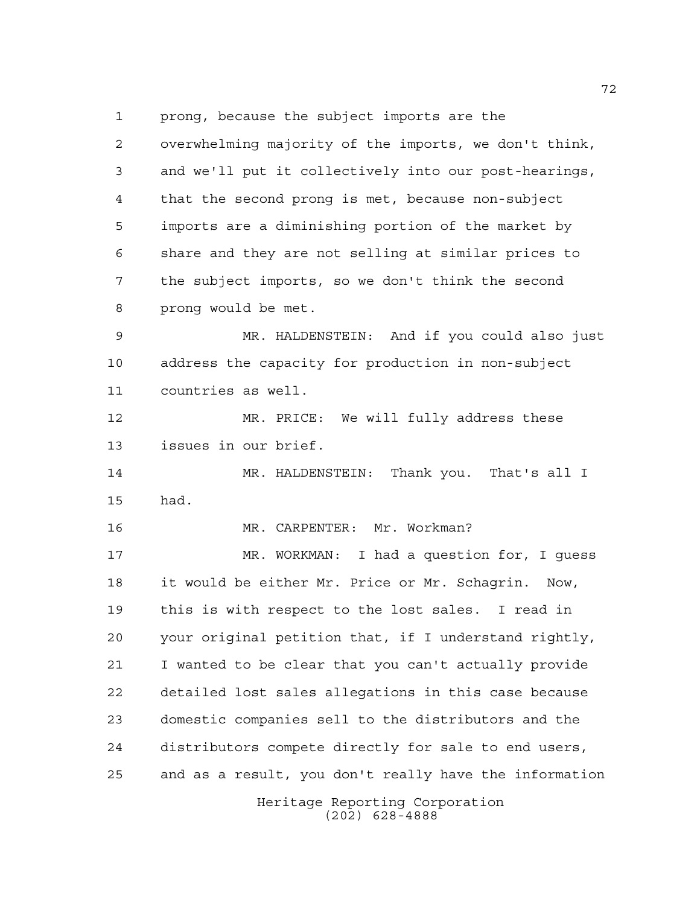prong, because the subject imports are the

 overwhelming majority of the imports, we don't think, and we'll put it collectively into our post-hearings, that the second prong is met, because non-subject imports are a diminishing portion of the market by share and they are not selling at similar prices to the subject imports, so we don't think the second prong would be met.

 MR. HALDENSTEIN: And if you could also just address the capacity for production in non-subject countries as well.

 MR. PRICE: We will fully address these issues in our brief.

 MR. HALDENSTEIN: Thank you. That's all I had.

MR. CARPENTER: Mr. Workman?

 MR. WORKMAN: I had a question for, I guess it would be either Mr. Price or Mr. Schagrin. Now, this is with respect to the lost sales. I read in your original petition that, if I understand rightly, I wanted to be clear that you can't actually provide detailed lost sales allegations in this case because domestic companies sell to the distributors and the distributors compete directly for sale to end users, and as a result, you don't really have the information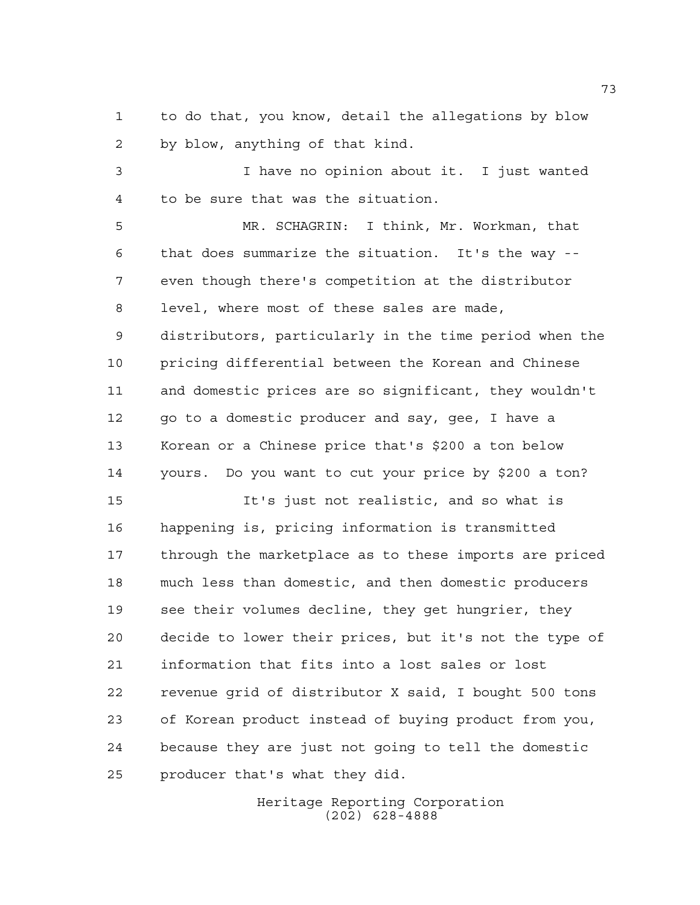to do that, you know, detail the allegations by blow by blow, anything of that kind.

 I have no opinion about it. I just wanted to be sure that was the situation.

 MR. SCHAGRIN: I think, Mr. Workman, that that does summarize the situation. It's the way -- even though there's competition at the distributor level, where most of these sales are made, distributors, particularly in the time period when the pricing differential between the Korean and Chinese and domestic prices are so significant, they wouldn't 12 go to a domestic producer and say, gee, I have a Korean or a Chinese price that's \$200 a ton below yours. Do you want to cut your price by \$200 a ton?

 It's just not realistic, and so what is happening is, pricing information is transmitted through the marketplace as to these imports are priced much less than domestic, and then domestic producers see their volumes decline, they get hungrier, they decide to lower their prices, but it's not the type of information that fits into a lost sales or lost revenue grid of distributor X said, I bought 500 tons of Korean product instead of buying product from you, because they are just not going to tell the domestic producer that's what they did.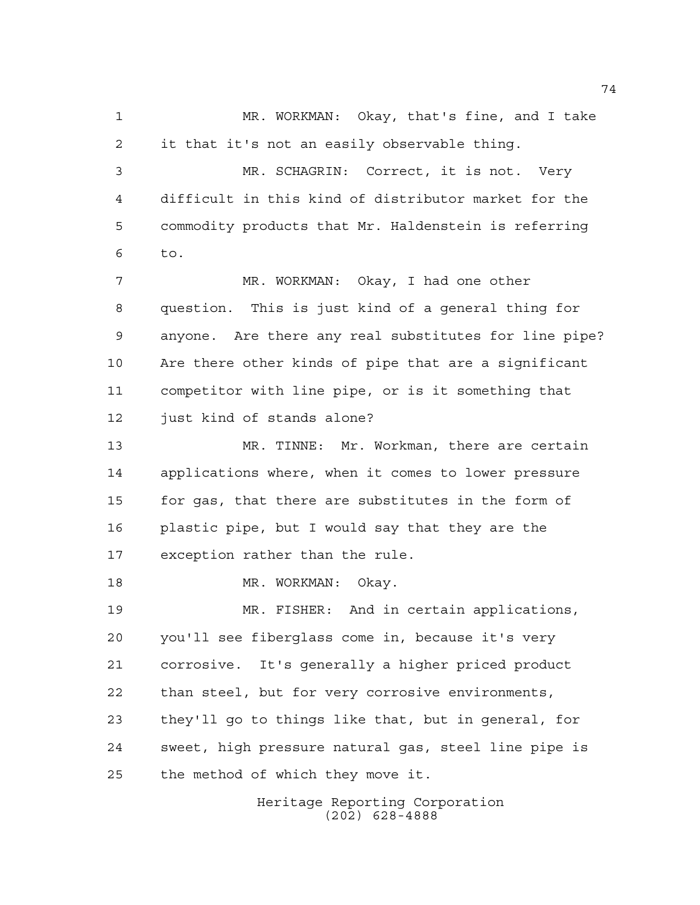MR. WORKMAN: Okay, that's fine, and I take it that it's not an easily observable thing. MR. SCHAGRIN: Correct, it is not. Very difficult in this kind of distributor market for the commodity products that Mr. Haldenstein is referring to. 7 MR. WORKMAN: Okay, I had one other question. This is just kind of a general thing for anyone. Are there any real substitutes for line pipe? Are there other kinds of pipe that are a significant competitor with line pipe, or is it something that just kind of stands alone? MR. TINNE: Mr. Workman, there are certain applications where, when it comes to lower pressure 15 for gas, that there are substitutes in the form of plastic pipe, but I would say that they are the exception rather than the rule. 18 MR. WORKMAN: Okay. MR. FISHER: And in certain applications, you'll see fiberglass come in, because it's very corrosive. It's generally a higher priced product than steel, but for very corrosive environments, they'll go to things like that, but in general, for sweet, high pressure natural gas, steel line pipe is the method of which they move it.

Heritage Reporting Corporation (202) 628-4888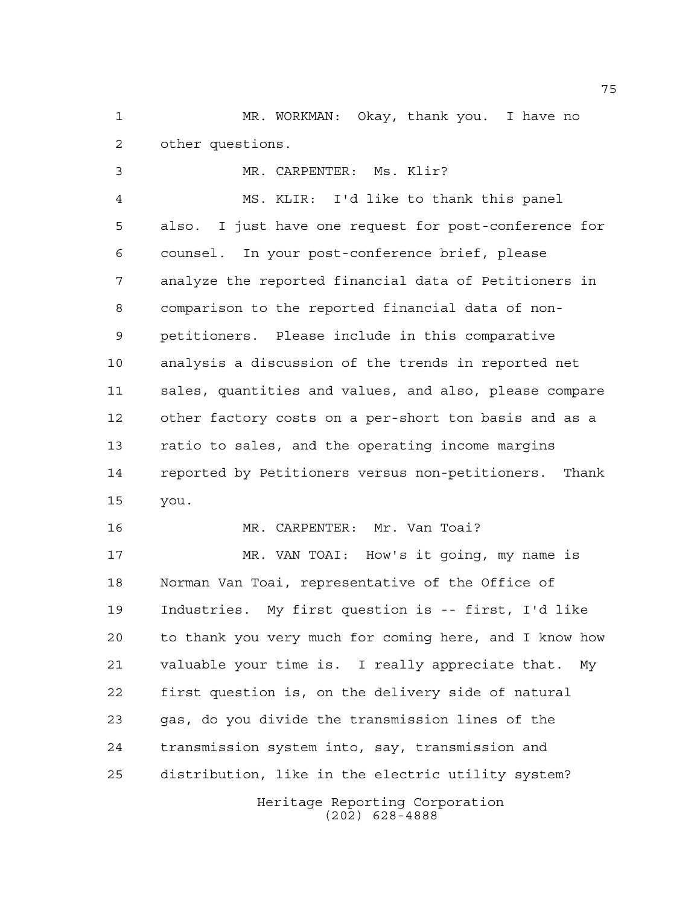MR. WORKMAN: Okay, thank you. I have no other questions.

 MR. CARPENTER: Ms. Klir? MS. KLIR: I'd like to thank this panel also. I just have one request for post-conference for counsel. In your post-conference brief, please analyze the reported financial data of Petitioners in comparison to the reported financial data of non- petitioners. Please include in this comparative analysis a discussion of the trends in reported net sales, quantities and values, and also, please compare other factory costs on a per-short ton basis and as a ratio to sales, and the operating income margins reported by Petitioners versus non-petitioners. Thank you.

MR. CARPENTER: Mr. Van Toai?

Heritage Reporting Corporation MR. VAN TOAI: How's it going, my name is Norman Van Toai, representative of the Office of Industries. My first question is -- first, I'd like to thank you very much for coming here, and I know how valuable your time is. I really appreciate that. My first question is, on the delivery side of natural gas, do you divide the transmission lines of the transmission system into, say, transmission and distribution, like in the electric utility system?

(202) 628-4888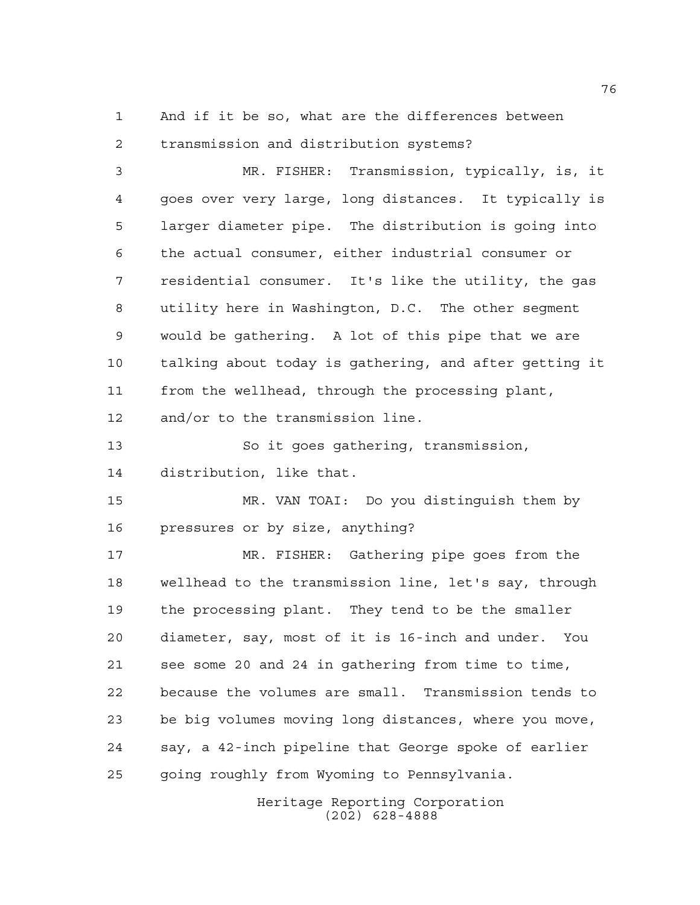And if it be so, what are the differences between transmission and distribution systems?

 MR. FISHER: Transmission, typically, is, it goes over very large, long distances. It typically is larger diameter pipe. The distribution is going into the actual consumer, either industrial consumer or residential consumer. It's like the utility, the gas utility here in Washington, D.C. The other segment would be gathering. A lot of this pipe that we are talking about today is gathering, and after getting it from the wellhead, through the processing plant, and/or to the transmission line.

 So it goes gathering, transmission, distribution, like that.

 MR. VAN TOAI: Do you distinguish them by pressures or by size, anything?

 MR. FISHER: Gathering pipe goes from the wellhead to the transmission line, let's say, through the processing plant. They tend to be the smaller diameter, say, most of it is 16-inch and under. You see some 20 and 24 in gathering from time to time, because the volumes are small. Transmission tends to be big volumes moving long distances, where you move, say, a 42-inch pipeline that George spoke of earlier going roughly from Wyoming to Pennsylvania.

> Heritage Reporting Corporation (202) 628-4888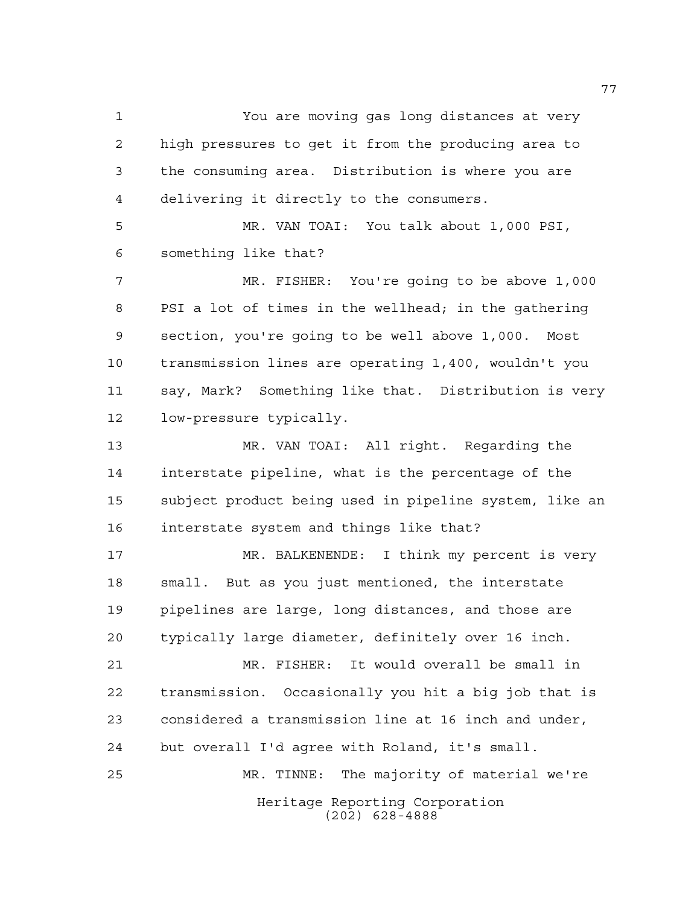You are moving gas long distances at very high pressures to get it from the producing area to the consuming area. Distribution is where you are delivering it directly to the consumers.

 MR. VAN TOAI: You talk about 1,000 PSI, something like that?

 MR. FISHER: You're going to be above 1,000 PSI a lot of times in the wellhead; in the gathering section, you're going to be well above 1,000. Most transmission lines are operating 1,400, wouldn't you say, Mark? Something like that. Distribution is very low-pressure typically.

 MR. VAN TOAI: All right. Regarding the interstate pipeline, what is the percentage of the subject product being used in pipeline system, like an interstate system and things like that?

 MR. BALKENENDE: I think my percent is very small. But as you just mentioned, the interstate pipelines are large, long distances, and those are typically large diameter, definitely over 16 inch.

 MR. FISHER: It would overall be small in transmission. Occasionally you hit a big job that is considered a transmission line at 16 inch and under, but overall I'd agree with Roland, it's small.

Heritage Reporting Corporation (202) 628-4888 MR. TINNE: The majority of material we're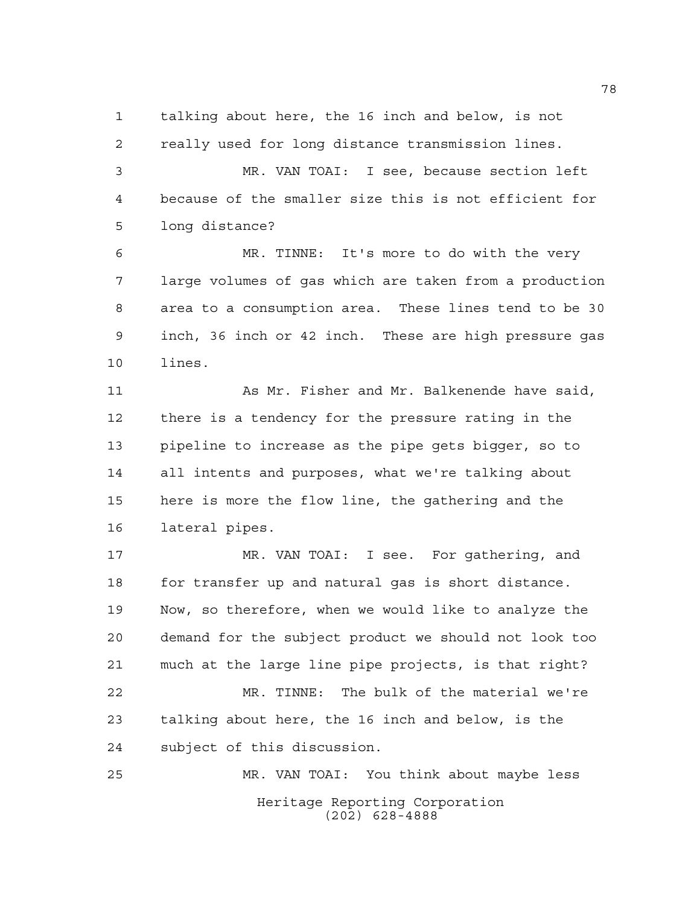talking about here, the 16 inch and below, is not

 really used for long distance transmission lines. MR. VAN TOAI: I see, because section left because of the smaller size this is not efficient for long distance?

 MR. TINNE: It's more to do with the very large volumes of gas which are taken from a production area to a consumption area. These lines tend to be 30 inch, 36 inch or 42 inch. These are high pressure gas lines.

 As Mr. Fisher and Mr. Balkenende have said, there is a tendency for the pressure rating in the pipeline to increase as the pipe gets bigger, so to all intents and purposes, what we're talking about here is more the flow line, the gathering and the lateral pipes.

 MR. VAN TOAI: I see. For gathering, and 18 for transfer up and natural gas is short distance. Now, so therefore, when we would like to analyze the demand for the subject product we should not look too much at the large line pipe projects, is that right? MR. TINNE: The bulk of the material we're talking about here, the 16 inch and below, is the subject of this discussion.

Heritage Reporting Corporation (202) 628-4888 MR. VAN TOAI: You think about maybe less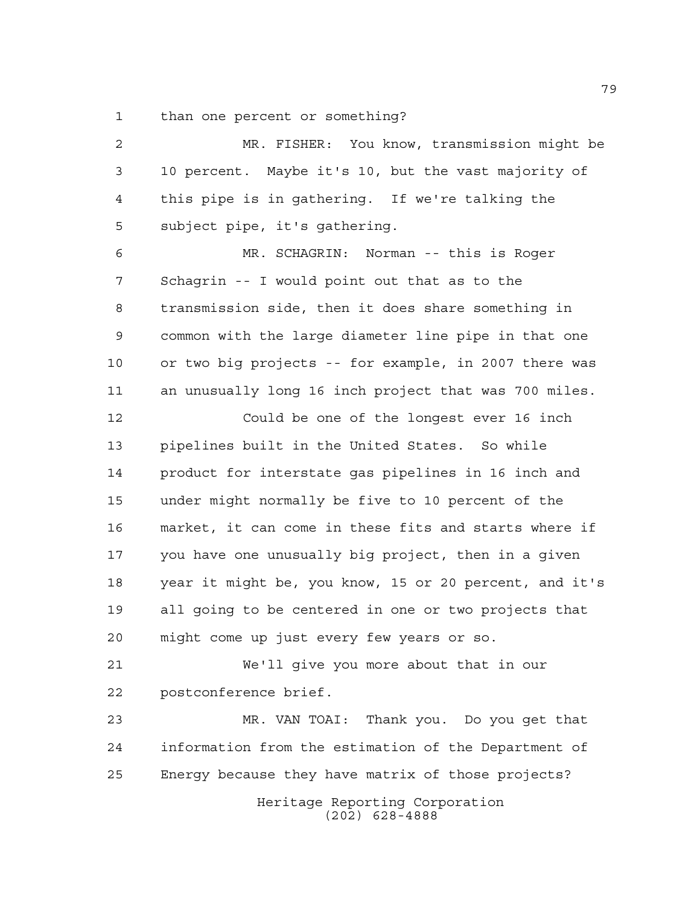than one percent or something?

Heritage Reporting Corporation (202) 628-4888 MR. FISHER: You know, transmission might be 10 percent. Maybe it's 10, but the vast majority of this pipe is in gathering. If we're talking the subject pipe, it's gathering. MR. SCHAGRIN: Norman -- this is Roger Schagrin -- I would point out that as to the transmission side, then it does share something in common with the large diameter line pipe in that one or two big projects -- for example, in 2007 there was an unusually long 16 inch project that was 700 miles. Could be one of the longest ever 16 inch pipelines built in the United States. So while product for interstate gas pipelines in 16 inch and under might normally be five to 10 percent of the market, it can come in these fits and starts where if you have one unusually big project, then in a given year it might be, you know, 15 or 20 percent, and it's all going to be centered in one or two projects that might come up just every few years or so. We'll give you more about that in our postconference brief. MR. VAN TOAI: Thank you. Do you get that information from the estimation of the Department of Energy because they have matrix of those projects?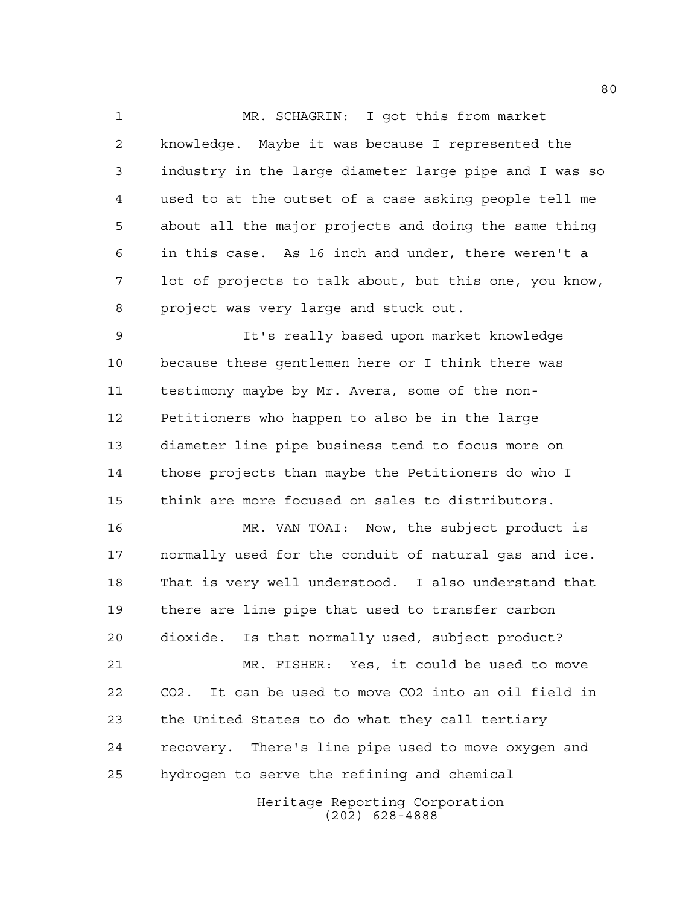MR. SCHAGRIN: I got this from market knowledge. Maybe it was because I represented the industry in the large diameter large pipe and I was so used to at the outset of a case asking people tell me about all the major projects and doing the same thing in this case. As 16 inch and under, there weren't a lot of projects to talk about, but this one, you know, project was very large and stuck out.

 It's really based upon market knowledge because these gentlemen here or I think there was testimony maybe by Mr. Avera, some of the non- Petitioners who happen to also be in the large diameter line pipe business tend to focus more on those projects than maybe the Petitioners do who I think are more focused on sales to distributors.

 MR. VAN TOAI: Now, the subject product is normally used for the conduit of natural gas and ice. That is very well understood. I also understand that there are line pipe that used to transfer carbon dioxide. Is that normally used, subject product? MR. FISHER: Yes, it could be used to move CO2. It can be used to move CO2 into an oil field in the United States to do what they call tertiary recovery. There's line pipe used to move oxygen and hydrogen to serve the refining and chemical

> Heritage Reporting Corporation (202) 628-4888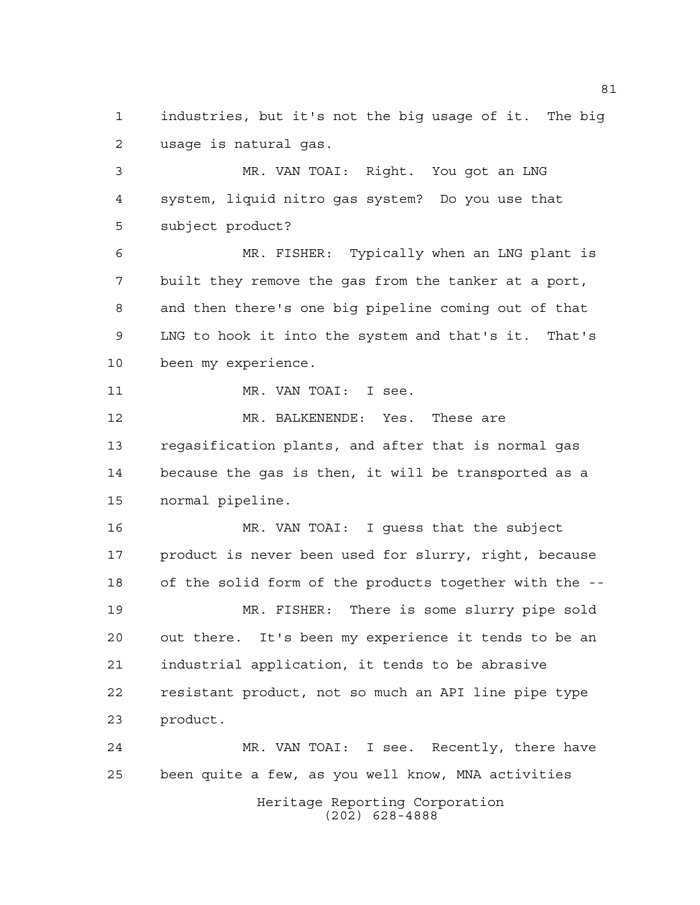industries, but it's not the big usage of it. The big usage is natural gas.

 MR. VAN TOAI: Right. You got an LNG system, liquid nitro gas system? Do you use that subject product?

 MR. FISHER: Typically when an LNG plant is built they remove the gas from the tanker at a port, and then there's one big pipeline coming out of that LNG to hook it into the system and that's it. That's been my experience.

11 MR. VAN TOAI: I see.

 MR. BALKENENDE: Yes. These are regasification plants, and after that is normal gas because the gas is then, it will be transported as a normal pipeline.

 MR. VAN TOAI: I guess that the subject product is never been used for slurry, right, because of the solid form of the products together with the -- MR. FISHER: There is some slurry pipe sold out there. It's been my experience it tends to be an industrial application, it tends to be abrasive resistant product, not so much an API line pipe type product.

 MR. VAN TOAI: I see. Recently, there have been quite a few, as you well know, MNA activities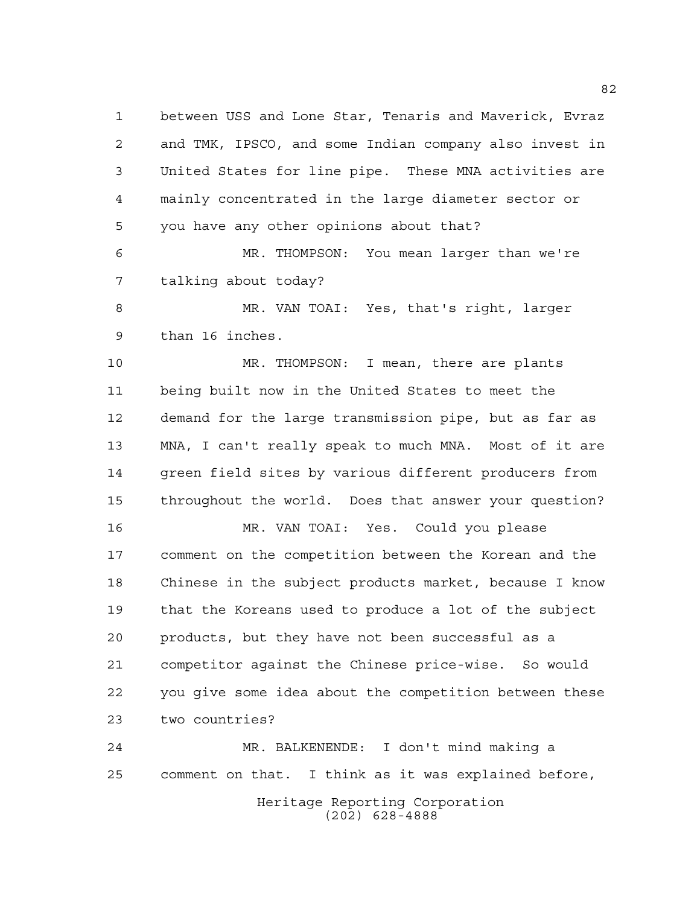between USS and Lone Star, Tenaris and Maverick, Evraz and TMK, IPSCO, and some Indian company also invest in United States for line pipe. These MNA activities are mainly concentrated in the large diameter sector or you have any other opinions about that?

 MR. THOMPSON: You mean larger than we're talking about today?

 MR. VAN TOAI: Yes, that's right, larger than 16 inches.

 MR. THOMPSON: I mean, there are plants being built now in the United States to meet the demand for the large transmission pipe, but as far as MNA, I can't really speak to much MNA. Most of it are green field sites by various different producers from throughout the world. Does that answer your question?

 MR. VAN TOAI: Yes. Could you please comment on the competition between the Korean and the Chinese in the subject products market, because I know that the Koreans used to produce a lot of the subject products, but they have not been successful as a competitor against the Chinese price-wise. So would you give some idea about the competition between these two countries?

Heritage Reporting Corporation (202) 628-4888 MR. BALKENENDE: I don't mind making a comment on that. I think as it was explained before,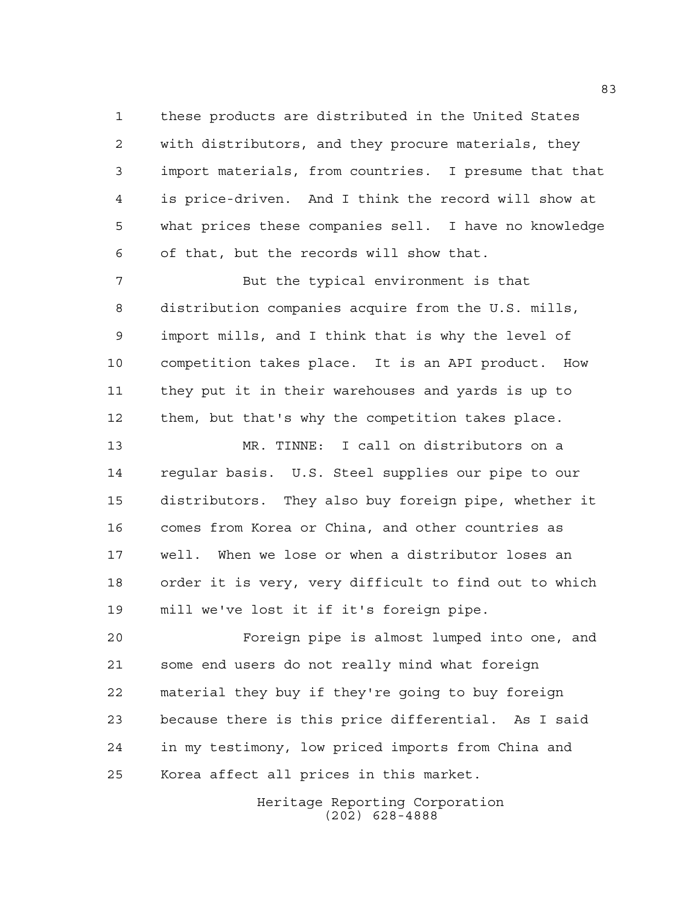these products are distributed in the United States with distributors, and they procure materials, they import materials, from countries. I presume that that is price-driven. And I think the record will show at what prices these companies sell. I have no knowledge of that, but the records will show that.

 But the typical environment is that distribution companies acquire from the U.S. mills, import mills, and I think that is why the level of competition takes place. It is an API product. How they put it in their warehouses and yards is up to them, but that's why the competition takes place.

 MR. TINNE: I call on distributors on a regular basis. U.S. Steel supplies our pipe to our distributors. They also buy foreign pipe, whether it comes from Korea or China, and other countries as well. When we lose or when a distributor loses an order it is very, very difficult to find out to which mill we've lost it if it's foreign pipe.

 Foreign pipe is almost lumped into one, and some end users do not really mind what foreign material they buy if they're going to buy foreign because there is this price differential. As I said in my testimony, low priced imports from China and Korea affect all prices in this market.

> Heritage Reporting Corporation (202) 628-4888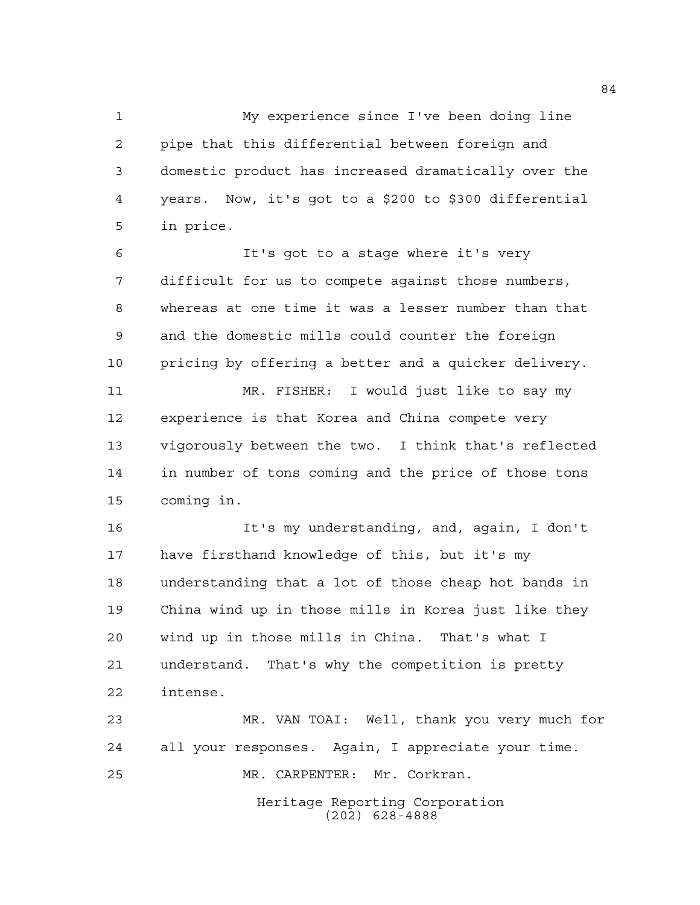My experience since I've been doing line pipe that this differential between foreign and domestic product has increased dramatically over the years. Now, it's got to a \$200 to \$300 differential in price.

 It's got to a stage where it's very difficult for us to compete against those numbers, whereas at one time it was a lesser number than that and the domestic mills could counter the foreign pricing by offering a better and a quicker delivery.

 MR. FISHER: I would just like to say my experience is that Korea and China compete very vigorously between the two. I think that's reflected in number of tons coming and the price of those tons coming in.

 It's my understanding, and, again, I don't have firsthand knowledge of this, but it's my understanding that a lot of those cheap hot bands in China wind up in those mills in Korea just like they wind up in those mills in China. That's what I understand. That's why the competition is pretty intense.

 MR. VAN TOAI: Well, thank you very much for all your responses. Again, I appreciate your time. MR. CARPENTER: Mr. Corkran.

Heritage Reporting Corporation (202) 628-4888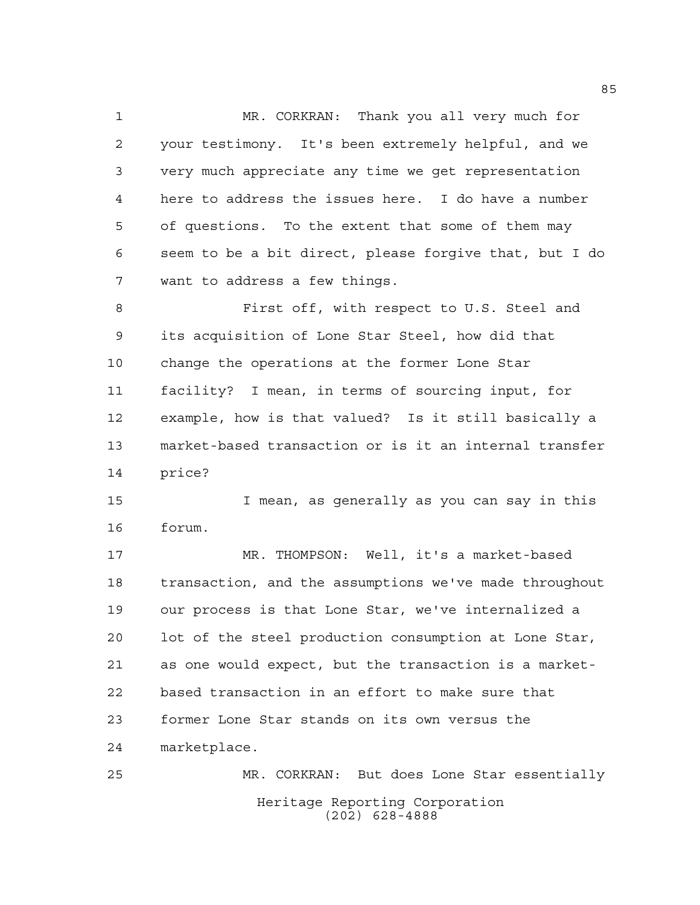MR. CORKRAN: Thank you all very much for your testimony. It's been extremely helpful, and we very much appreciate any time we get representation here to address the issues here. I do have a number of questions. To the extent that some of them may seem to be a bit direct, please forgive that, but I do want to address a few things.

 First off, with respect to U.S. Steel and its acquisition of Lone Star Steel, how did that change the operations at the former Lone Star facility? I mean, in terms of sourcing input, for example, how is that valued? Is it still basically a market-based transaction or is it an internal transfer price?

 I mean, as generally as you can say in this forum.

 MR. THOMPSON: Well, it's a market-based transaction, and the assumptions we've made throughout our process is that Lone Star, we've internalized a lot of the steel production consumption at Lone Star, as one would expect, but the transaction is a market- based transaction in an effort to make sure that former Lone Star stands on its own versus the marketplace.

Heritage Reporting Corporation (202) 628-4888 MR. CORKRAN: But does Lone Star essentially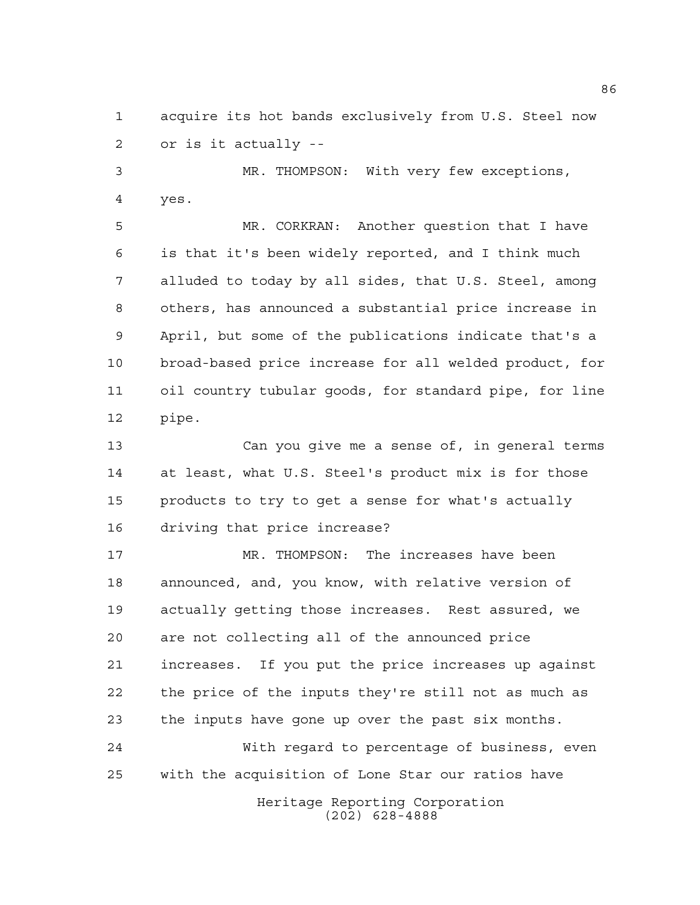acquire its hot bands exclusively from U.S. Steel now or is it actually --

 MR. THOMPSON: With very few exceptions, yes.

 MR. CORKRAN: Another question that I have is that it's been widely reported, and I think much alluded to today by all sides, that U.S. Steel, among others, has announced a substantial price increase in April, but some of the publications indicate that's a broad-based price increase for all welded product, for oil country tubular goods, for standard pipe, for line pipe.

 Can you give me a sense of, in general terms at least, what U.S. Steel's product mix is for those products to try to get a sense for what's actually driving that price increase?

 MR. THOMPSON: The increases have been announced, and, you know, with relative version of actually getting those increases. Rest assured, we are not collecting all of the announced price increases. If you put the price increases up against the price of the inputs they're still not as much as the inputs have gone up over the past six months.

 With regard to percentage of business, even with the acquisition of Lone Star our ratios have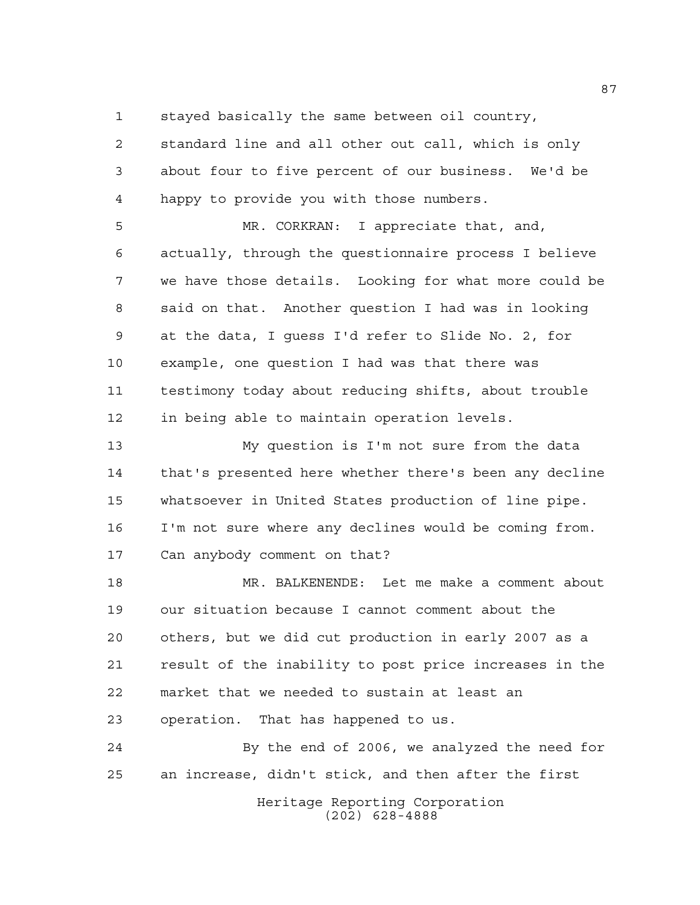stayed basically the same between oil country,

 standard line and all other out call, which is only about four to five percent of our business. We'd be happy to provide you with those numbers.

 MR. CORKRAN: I appreciate that, and, actually, through the questionnaire process I believe we have those details. Looking for what more could be said on that. Another question I had was in looking at the data, I guess I'd refer to Slide No. 2, for example, one question I had was that there was testimony today about reducing shifts, about trouble in being able to maintain operation levels.

 My question is I'm not sure from the data that's presented here whether there's been any decline whatsoever in United States production of line pipe. I'm not sure where any declines would be coming from. Can anybody comment on that?

 MR. BALKENENDE: Let me make a comment about our situation because I cannot comment about the others, but we did cut production in early 2007 as a result of the inability to post price increases in the market that we needed to sustain at least an operation. That has happened to us.

 By the end of 2006, we analyzed the need for an increase, didn't stick, and then after the first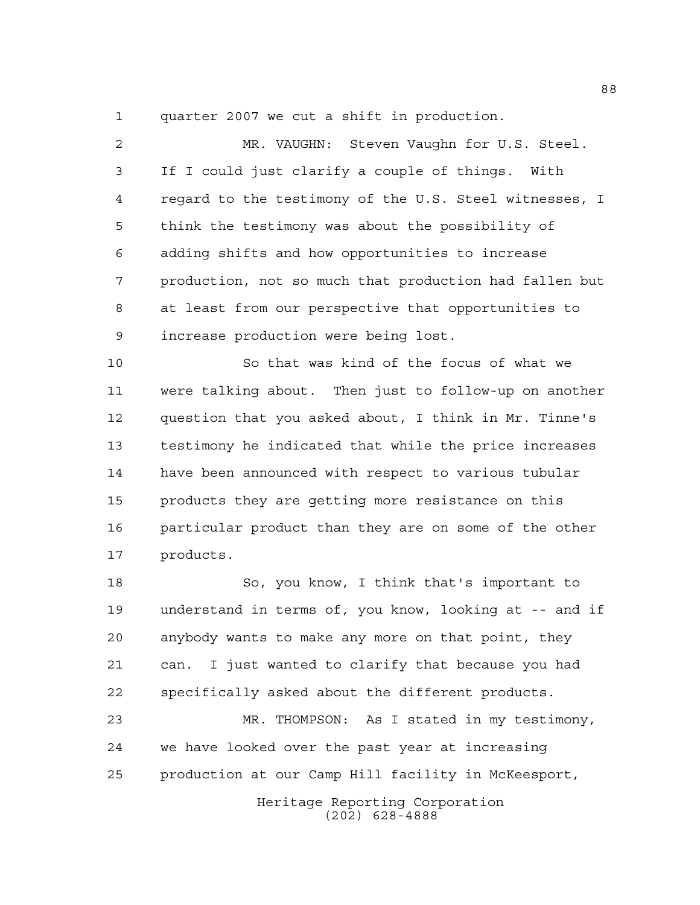quarter 2007 we cut a shift in production.

| $\mathfrak{D}$ | MR. VAUGHN: Steven Vaughn for U.S. Steel.              |
|----------------|--------------------------------------------------------|
| 3              | If I could just clarify a couple of things. With       |
| 4              | regard to the testimony of the U.S. Steel witnesses, I |
| 5              | think the testimony was about the possibility of       |
| 6              | adding shifts and how opportunities to increase        |
| 7              | production, not so much that production had fallen but |
| 8              | at least from our perspective that opportunities to    |
| 9              | increase production were being lost.                   |
|                |                                                        |

 So that was kind of the focus of what we were talking about. Then just to follow-up on another question that you asked about, I think in Mr. Tinne's testimony he indicated that while the price increases have been announced with respect to various tubular products they are getting more resistance on this particular product than they are on some of the other products.

 So, you know, I think that's important to understand in terms of, you know, looking at -- and if anybody wants to make any more on that point, they can. I just wanted to clarify that because you had specifically asked about the different products.

 MR. THOMPSON: As I stated in my testimony, we have looked over the past year at increasing production at our Camp Hill facility in McKeesport,

> Heritage Reporting Corporation (202) 628-4888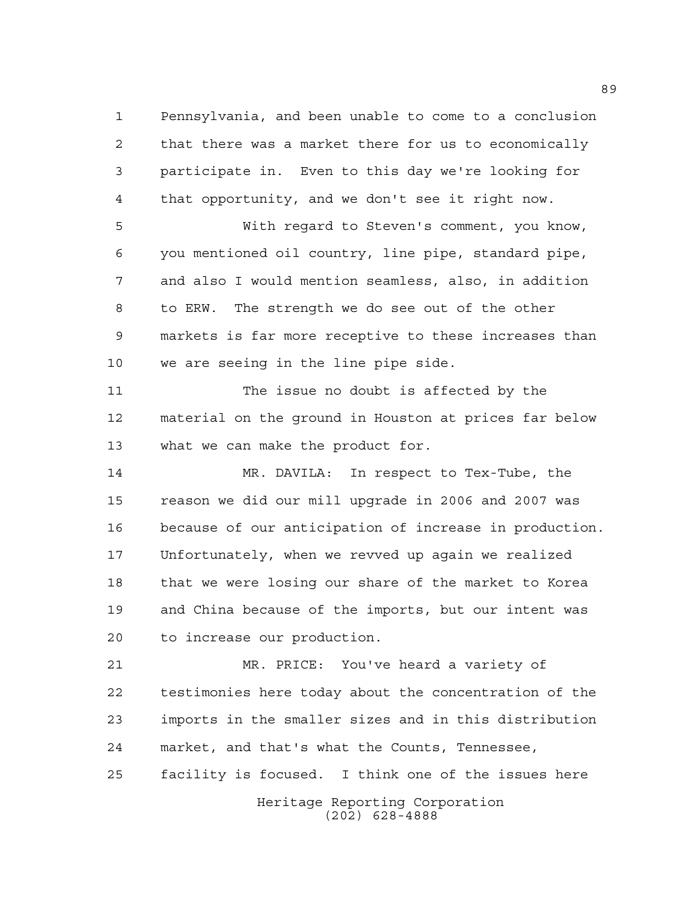Pennsylvania, and been unable to come to a conclusion that there was a market there for us to economically participate in. Even to this day we're looking for that opportunity, and we don't see it right now.

 With regard to Steven's comment, you know, you mentioned oil country, line pipe, standard pipe, and also I would mention seamless, also, in addition to ERW. The strength we do see out of the other markets is far more receptive to these increases than we are seeing in the line pipe side.

 The issue no doubt is affected by the material on the ground in Houston at prices far below what we can make the product for.

 MR. DAVILA: In respect to Tex-Tube, the reason we did our mill upgrade in 2006 and 2007 was because of our anticipation of increase in production. Unfortunately, when we revved up again we realized that we were losing our share of the market to Korea and China because of the imports, but our intent was to increase our production.

 MR. PRICE: You've heard a variety of testimonies here today about the concentration of the imports in the smaller sizes and in this distribution market, and that's what the Counts, Tennessee, facility is focused. I think one of the issues here

> Heritage Reporting Corporation (202) 628-4888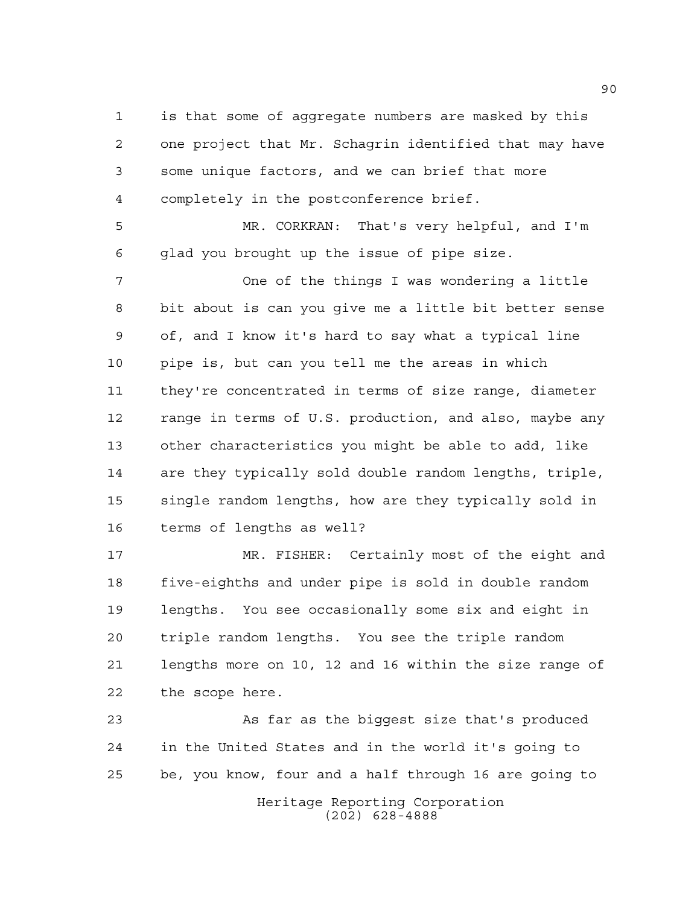is that some of aggregate numbers are masked by this one project that Mr. Schagrin identified that may have some unique factors, and we can brief that more completely in the postconference brief.

 MR. CORKRAN: That's very helpful, and I'm glad you brought up the issue of pipe size.

 One of the things I was wondering a little bit about is can you give me a little bit better sense of, and I know it's hard to say what a typical line pipe is, but can you tell me the areas in which they're concentrated in terms of size range, diameter range in terms of U.S. production, and also, maybe any other characteristics you might be able to add, like are they typically sold double random lengths, triple, single random lengths, how are they typically sold in terms of lengths as well?

 MR. FISHER: Certainly most of the eight and five-eighths and under pipe is sold in double random lengths. You see occasionally some six and eight in triple random lengths. You see the triple random lengths more on 10, 12 and 16 within the size range of the scope here.

Heritage Reporting Corporation As far as the biggest size that's produced in the United States and in the world it's going to be, you know, four and a half through 16 are going to

(202) 628-4888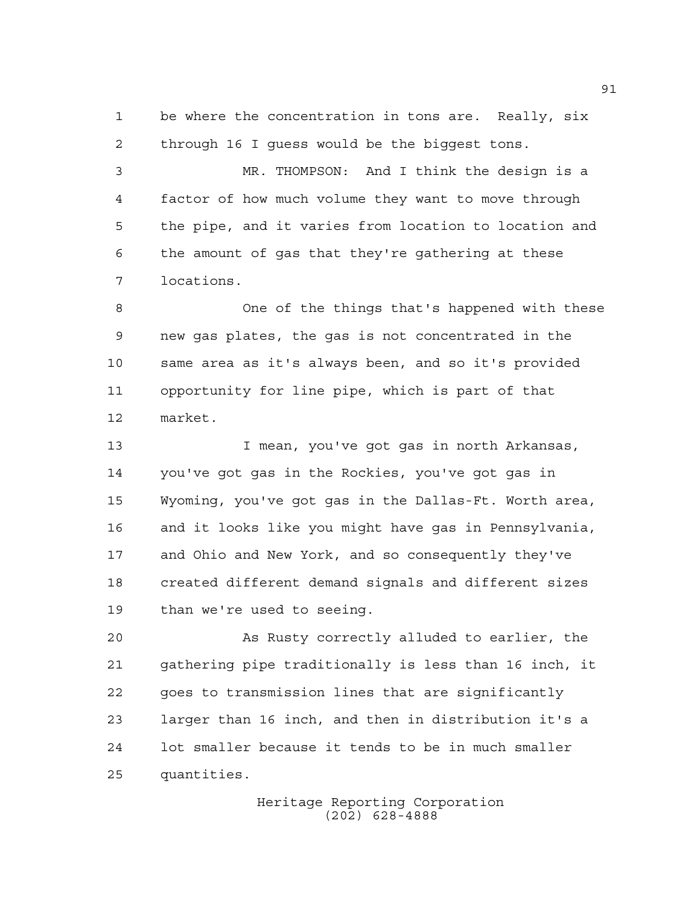be where the concentration in tons are. Really, six through 16 I guess would be the biggest tons.

 MR. THOMPSON: And I think the design is a factor of how much volume they want to move through the pipe, and it varies from location to location and the amount of gas that they're gathering at these locations.

 One of the things that's happened with these new gas plates, the gas is not concentrated in the same area as it's always been, and so it's provided opportunity for line pipe, which is part of that market.

 I mean, you've got gas in north Arkansas, you've got gas in the Rockies, you've got gas in Wyoming, you've got gas in the Dallas-Ft. Worth area, and it looks like you might have gas in Pennsylvania, and Ohio and New York, and so consequently they've created different demand signals and different sizes than we're used to seeing.

 As Rusty correctly alluded to earlier, the gathering pipe traditionally is less than 16 inch, it goes to transmission lines that are significantly larger than 16 inch, and then in distribution it's a lot smaller because it tends to be in much smaller quantities.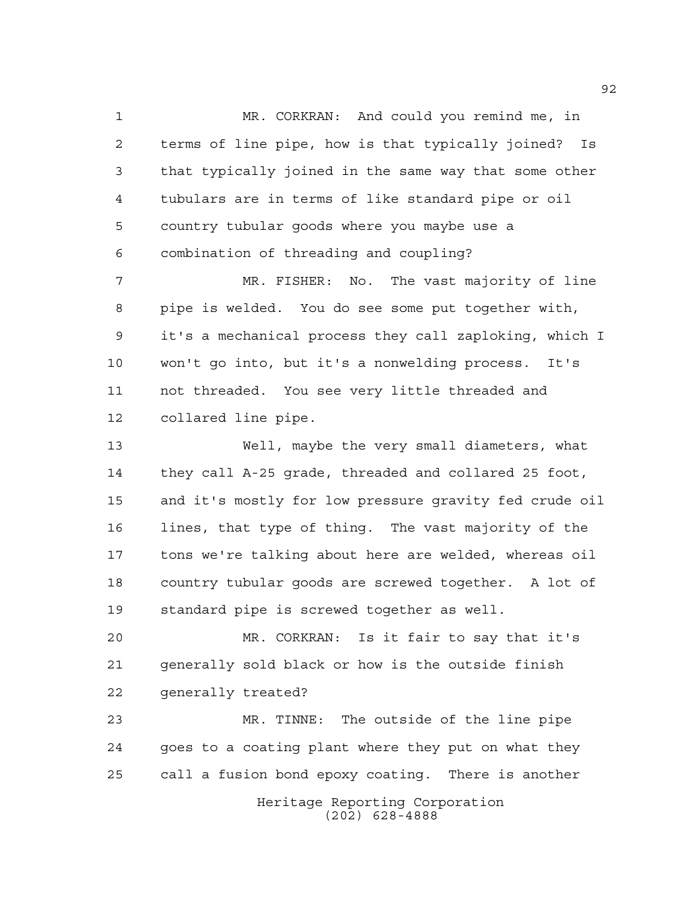MR. CORKRAN: And could you remind me, in terms of line pipe, how is that typically joined? Is that typically joined in the same way that some other tubulars are in terms of like standard pipe or oil country tubular goods where you maybe use a combination of threading and coupling?

 MR. FISHER: No. The vast majority of line pipe is welded. You do see some put together with, it's a mechanical process they call zaploking, which I won't go into, but it's a nonwelding process. It's not threaded. You see very little threaded and collared line pipe.

 Well, maybe the very small diameters, what they call A-25 grade, threaded and collared 25 foot, and it's mostly for low pressure gravity fed crude oil lines, that type of thing. The vast majority of the tons we're talking about here are welded, whereas oil country tubular goods are screwed together. A lot of standard pipe is screwed together as well.

 MR. CORKRAN: Is it fair to say that it's generally sold black or how is the outside finish generally treated?

Heritage Reporting Corporation (202) 628-4888 MR. TINNE: The outside of the line pipe goes to a coating plant where they put on what they call a fusion bond epoxy coating. There is another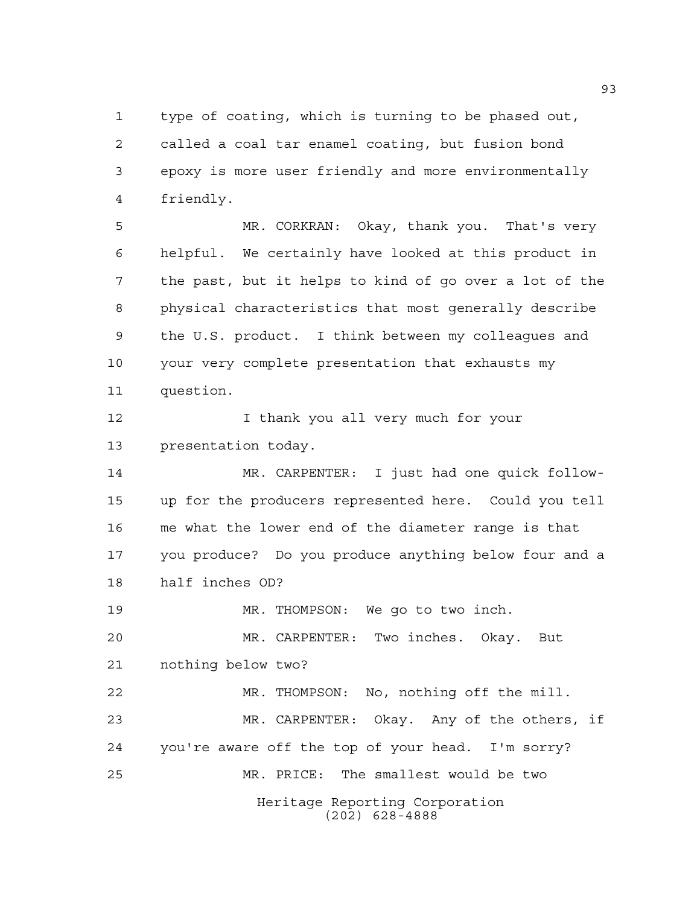type of coating, which is turning to be phased out, called a coal tar enamel coating, but fusion bond epoxy is more user friendly and more environmentally friendly.

 MR. CORKRAN: Okay, thank you. That's very helpful. We certainly have looked at this product in the past, but it helps to kind of go over a lot of the physical characteristics that most generally describe the U.S. product. I think between my colleagues and your very complete presentation that exhausts my question.

**I** thank you all very much for your presentation today.

 MR. CARPENTER: I just had one quick follow- up for the producers represented here. Could you tell me what the lower end of the diameter range is that you produce? Do you produce anything below four and a half inches OD?

MR. THOMPSON: We go to two inch.

 MR. CARPENTER: Two inches. Okay. But nothing below two?

Heritage Reporting Corporation MR. THOMPSON: No, nothing off the mill. MR. CARPENTER: Okay. Any of the others, if you're aware off the top of your head. I'm sorry? MR. PRICE: The smallest would be two

(202) 628-4888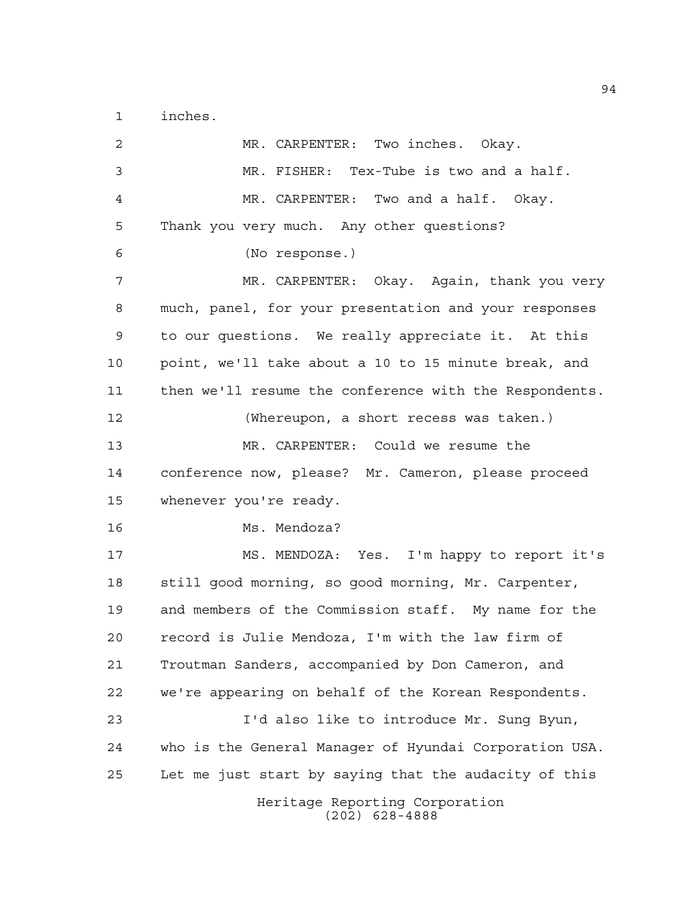inches.

Heritage Reporting Corporation (202) 628-4888 MR. CARPENTER: Two inches. Okay. MR. FISHER: Tex-Tube is two and a half. MR. CARPENTER: Two and a half. Okay. Thank you very much. Any other questions? (No response.) MR. CARPENTER: Okay. Again, thank you very much, panel, for your presentation and your responses to our questions. We really appreciate it. At this point, we'll take about a 10 to 15 minute break, and then we'll resume the conference with the Respondents. (Whereupon, a short recess was taken.) MR. CARPENTER: Could we resume the conference now, please? Mr. Cameron, please proceed whenever you're ready. Ms. Mendoza? MS. MENDOZA: Yes. I'm happy to report it's still good morning, so good morning, Mr. Carpenter, and members of the Commission staff. My name for the record is Julie Mendoza, I'm with the law firm of Troutman Sanders, accompanied by Don Cameron, and we're appearing on behalf of the Korean Respondents. I'd also like to introduce Mr. Sung Byun, who is the General Manager of Hyundai Corporation USA. Let me just start by saying that the audacity of this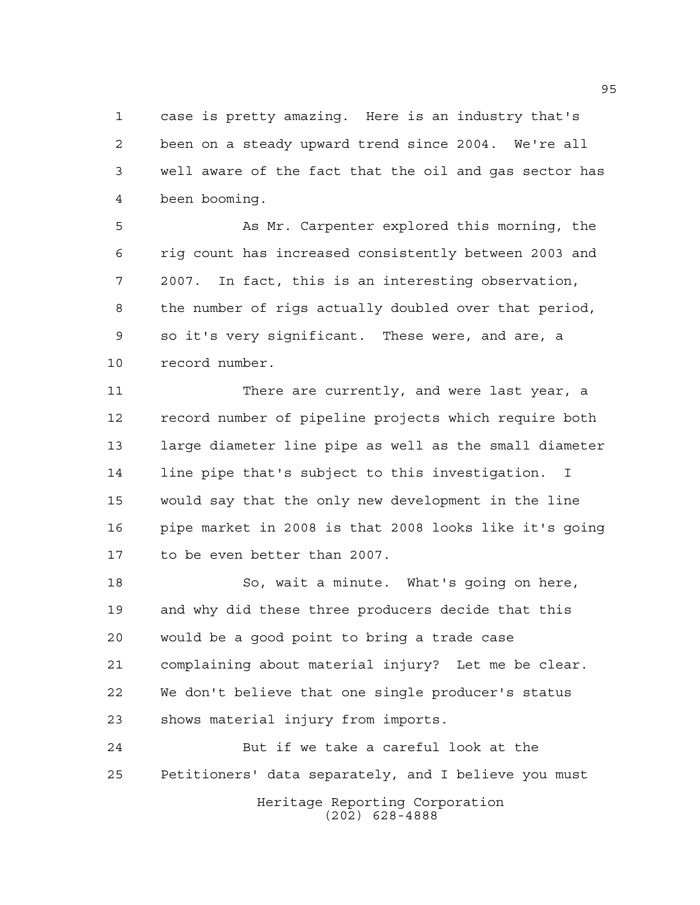case is pretty amazing. Here is an industry that's been on a steady upward trend since 2004. We're all well aware of the fact that the oil and gas sector has been booming.

 As Mr. Carpenter explored this morning, the rig count has increased consistently between 2003 and 2007. In fact, this is an interesting observation, the number of rigs actually doubled over that period, so it's very significant. These were, and are, a record number.

11 There are currently, and were last year, a record number of pipeline projects which require both large diameter line pipe as well as the small diameter line pipe that's subject to this investigation. I would say that the only new development in the line pipe market in 2008 is that 2008 looks like it's going to be even better than 2007.

 So, wait a minute. What's going on here, and why did these three producers decide that this would be a good point to bring a trade case complaining about material injury? Let me be clear. We don't believe that one single producer's status shows material injury from imports.

Heritage Reporting Corporation (202) 628-4888 But if we take a careful look at the Petitioners' data separately, and I believe you must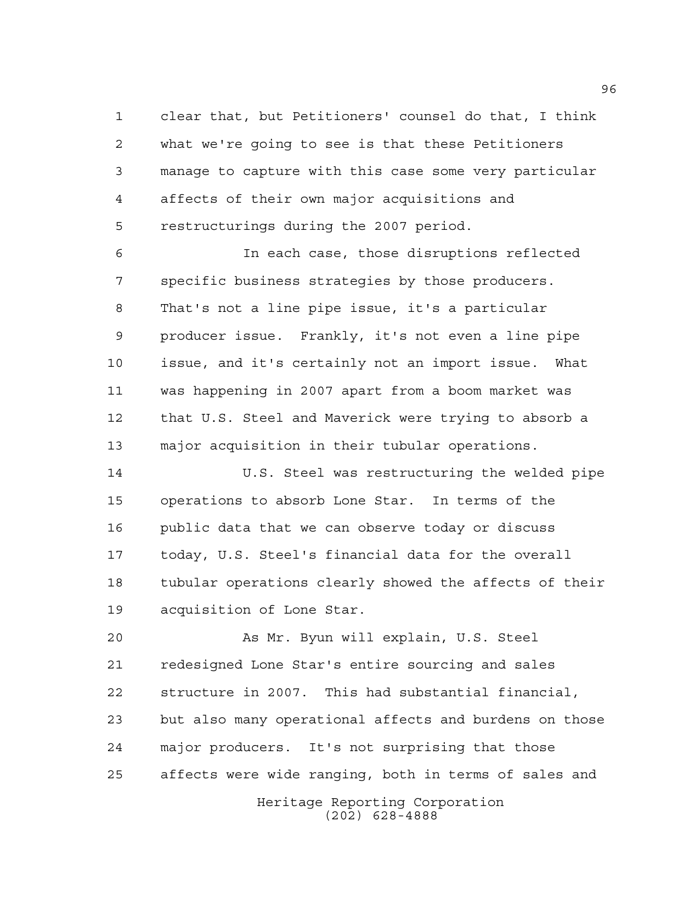clear that, but Petitioners' counsel do that, I think what we're going to see is that these Petitioners manage to capture with this case some very particular affects of their own major acquisitions and restructurings during the 2007 period.

 In each case, those disruptions reflected specific business strategies by those producers. That's not a line pipe issue, it's a particular producer issue. Frankly, it's not even a line pipe issue, and it's certainly not an import issue. What was happening in 2007 apart from a boom market was that U.S. Steel and Maverick were trying to absorb a major acquisition in their tubular operations.

 U.S. Steel was restructuring the welded pipe operations to absorb Lone Star. In terms of the public data that we can observe today or discuss today, U.S. Steel's financial data for the overall tubular operations clearly showed the affects of their acquisition of Lone Star.

 As Mr. Byun will explain, U.S. Steel redesigned Lone Star's entire sourcing and sales structure in 2007. This had substantial financial, but also many operational affects and burdens on those major producers. It's not surprising that those affects were wide ranging, both in terms of sales and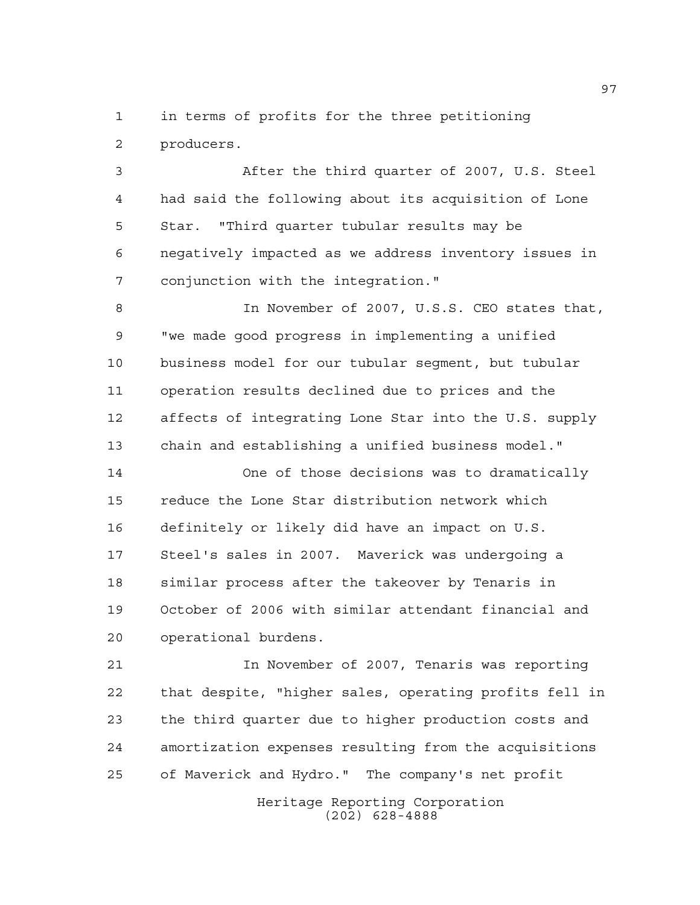in terms of profits for the three petitioning producers.

 After the third quarter of 2007, U.S. Steel had said the following about its acquisition of Lone Star. "Third quarter tubular results may be negatively impacted as we address inventory issues in conjunction with the integration."

 In November of 2007, U.S.S. CEO states that, "we made good progress in implementing a unified business model for our tubular segment, but tubular operation results declined due to prices and the affects of integrating Lone Star into the U.S. supply chain and establishing a unified business model."

 One of those decisions was to dramatically reduce the Lone Star distribution network which definitely or likely did have an impact on U.S. Steel's sales in 2007. Maverick was undergoing a similar process after the takeover by Tenaris in October of 2006 with similar attendant financial and operational burdens.

 In November of 2007, Tenaris was reporting that despite, "higher sales, operating profits fell in the third quarter due to higher production costs and amortization expenses resulting from the acquisitions of Maverick and Hydro." The company's net profit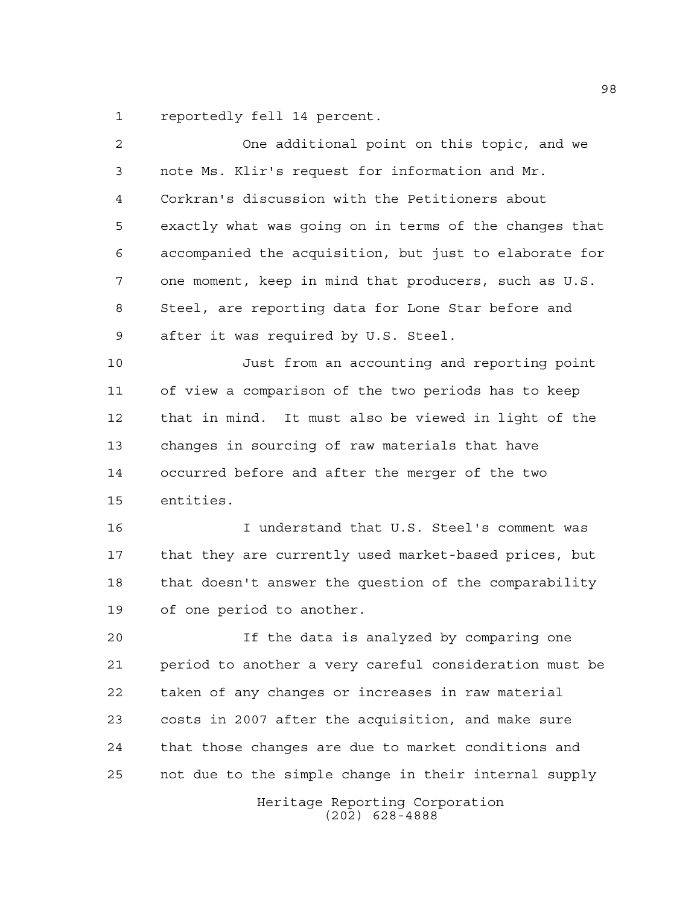reportedly fell 14 percent.

| 2  | One additional point on this topic, and we             |
|----|--------------------------------------------------------|
| 3  | note Ms. Klir's request for information and Mr.        |
| 4  | Corkran's discussion with the Petitioners about        |
| 5  | exactly what was going on in terms of the changes that |
| 6  | accompanied the acquisition, but just to elaborate for |
| 7  | one moment, keep in mind that producers, such as U.S.  |
| 8  | Steel, are reporting data for Lone Star before and     |
| 9  | after it was required by U.S. Steel.                   |
| 10 | Just from an accounting and reporting point            |
| 11 | of view a comparison of the two periods has to keep    |
| 12 | that in mind. It must also be viewed in light of the   |
| 13 | changes in sourcing of raw materials that have         |
| 14 | occurred before and after the merger of the two        |
| 15 | entities.                                              |
| 16 | I understand that U.S. Steel's comment was             |
| 17 | that they are currently used market-based prices, but  |
| 18 | that doesn't answer the question of the comparability  |
| 19 | of one period to another.                              |
| 20 | If the data is analyzed by comparing one               |
| 21 | period to another a very careful consideration must be |
| 22 | taken of any changes or increases in raw material      |
| 23 | costs in 2007 after the acquisition, and make sure     |
| 24 | that those changes are due to market conditions and    |
| 25 | not due to the simple change in their internal supply  |
|    | Heritage Reporting Corporation<br>$(202)$ 628-4888     |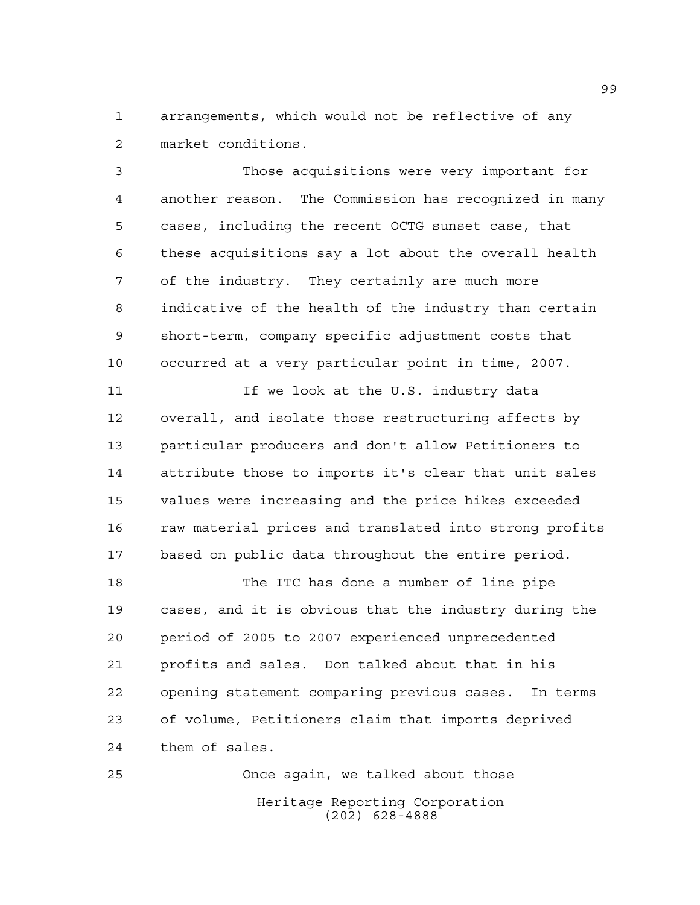arrangements, which would not be reflective of any market conditions.

 Those acquisitions were very important for another reason. The Commission has recognized in many 5 cases, including the recent OCTG sunset case, that these acquisitions say a lot about the overall health of the industry. They certainly are much more indicative of the health of the industry than certain short-term, company specific adjustment costs that occurred at a very particular point in time, 2007.

11 11 If we look at the U.S. industry data overall, and isolate those restructuring affects by particular producers and don't allow Petitioners to attribute those to imports it's clear that unit sales values were increasing and the price hikes exceeded 16 raw material prices and translated into strong profits based on public data throughout the entire period.

 The ITC has done a number of line pipe cases, and it is obvious that the industry during the period of 2005 to 2007 experienced unprecedented profits and sales. Don talked about that in his opening statement comparing previous cases. In terms of volume, Petitioners claim that imports deprived them of sales.

Heritage Reporting Corporation (202) 628-4888 Once again, we talked about those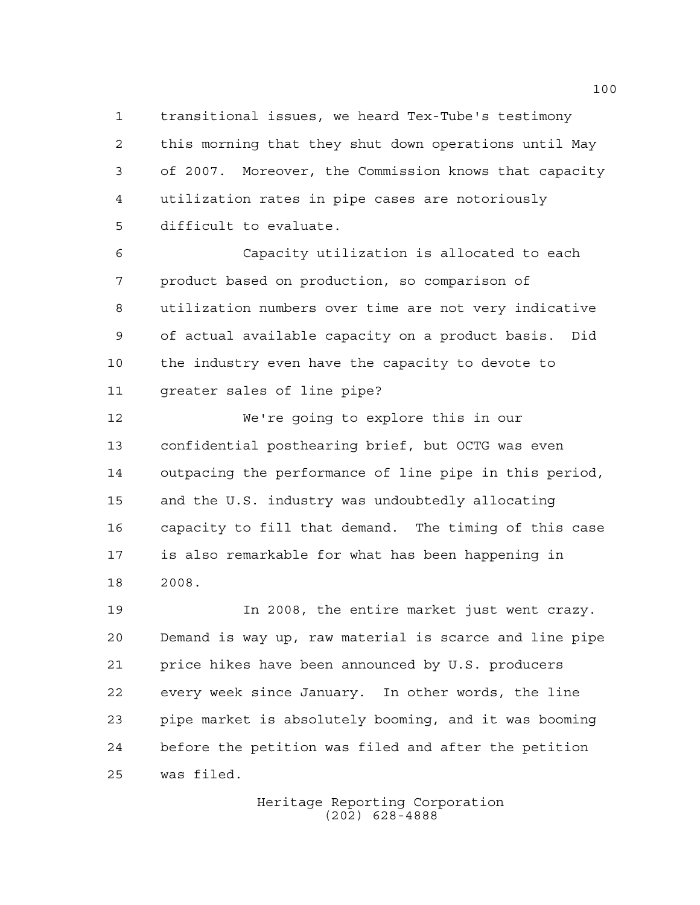transitional issues, we heard Tex-Tube's testimony this morning that they shut down operations until May of 2007. Moreover, the Commission knows that capacity utilization rates in pipe cases are notoriously difficult to evaluate.

 Capacity utilization is allocated to each product based on production, so comparison of utilization numbers over time are not very indicative of actual available capacity on a product basis. Did the industry even have the capacity to devote to greater sales of line pipe?

 We're going to explore this in our confidential posthearing brief, but OCTG was even outpacing the performance of line pipe in this period, and the U.S. industry was undoubtedly allocating capacity to fill that demand. The timing of this case is also remarkable for what has been happening in 2008.

 In 2008, the entire market just went crazy. Demand is way up, raw material is scarce and line pipe price hikes have been announced by U.S. producers every week since January. In other words, the line pipe market is absolutely booming, and it was booming before the petition was filed and after the petition was filed.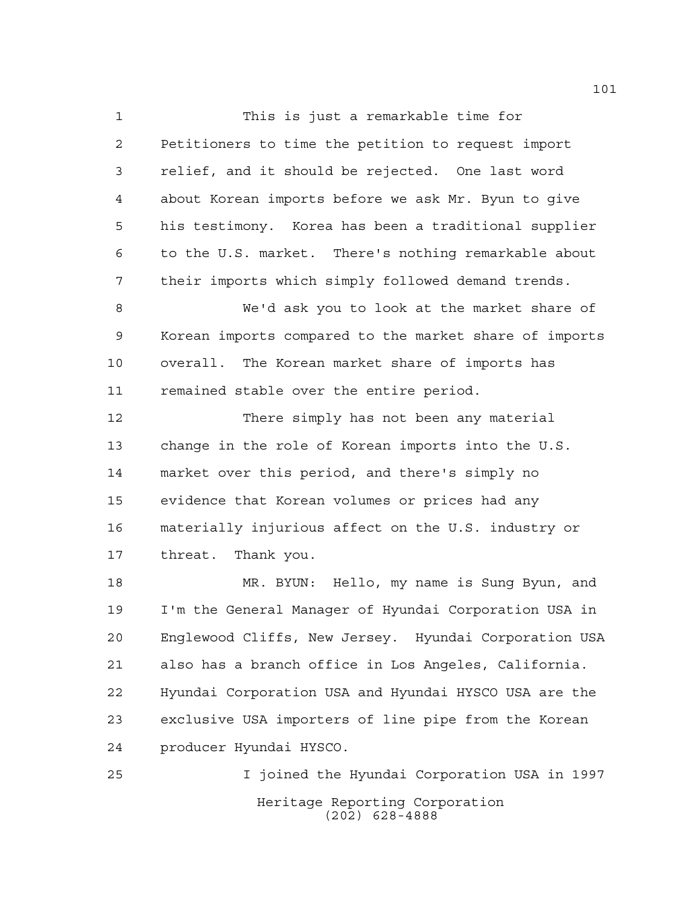This is just a remarkable time for Petitioners to time the petition to request import relief, and it should be rejected. One last word about Korean imports before we ask Mr. Byun to give his testimony. Korea has been a traditional supplier to the U.S. market. There's nothing remarkable about their imports which simply followed demand trends.

 We'd ask you to look at the market share of Korean imports compared to the market share of imports overall. The Korean market share of imports has remained stable over the entire period.

 There simply has not been any material change in the role of Korean imports into the U.S. market over this period, and there's simply no evidence that Korean volumes or prices had any materially injurious affect on the U.S. industry or threat. Thank you.

 MR. BYUN: Hello, my name is Sung Byun, and I'm the General Manager of Hyundai Corporation USA in Englewood Cliffs, New Jersey. Hyundai Corporation USA also has a branch office in Los Angeles, California. Hyundai Corporation USA and Hyundai HYSCO USA are the exclusive USA importers of line pipe from the Korean producer Hyundai HYSCO.

Heritage Reporting Corporation (202) 628-4888 I joined the Hyundai Corporation USA in 1997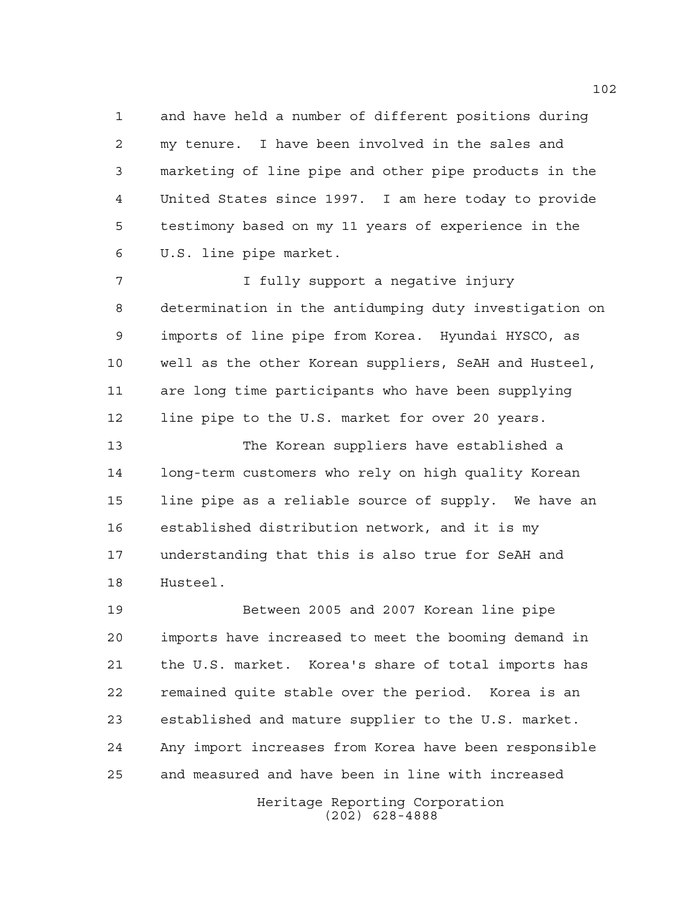and have held a number of different positions during my tenure. I have been involved in the sales and marketing of line pipe and other pipe products in the United States since 1997. I am here today to provide testimony based on my 11 years of experience in the U.S. line pipe market.

**I** fully support a negative injury determination in the antidumping duty investigation on imports of line pipe from Korea. Hyundai HYSCO, as well as the other Korean suppliers, SeAH and Husteel, are long time participants who have been supplying line pipe to the U.S. market for over 20 years.

 The Korean suppliers have established a long-term customers who rely on high quality Korean line pipe as a reliable source of supply. We have an established distribution network, and it is my understanding that this is also true for SeAH and Husteel.

 Between 2005 and 2007 Korean line pipe imports have increased to meet the booming demand in the U.S. market. Korea's share of total imports has remained quite stable over the period. Korea is an established and mature supplier to the U.S. market. Any import increases from Korea have been responsible and measured and have been in line with increased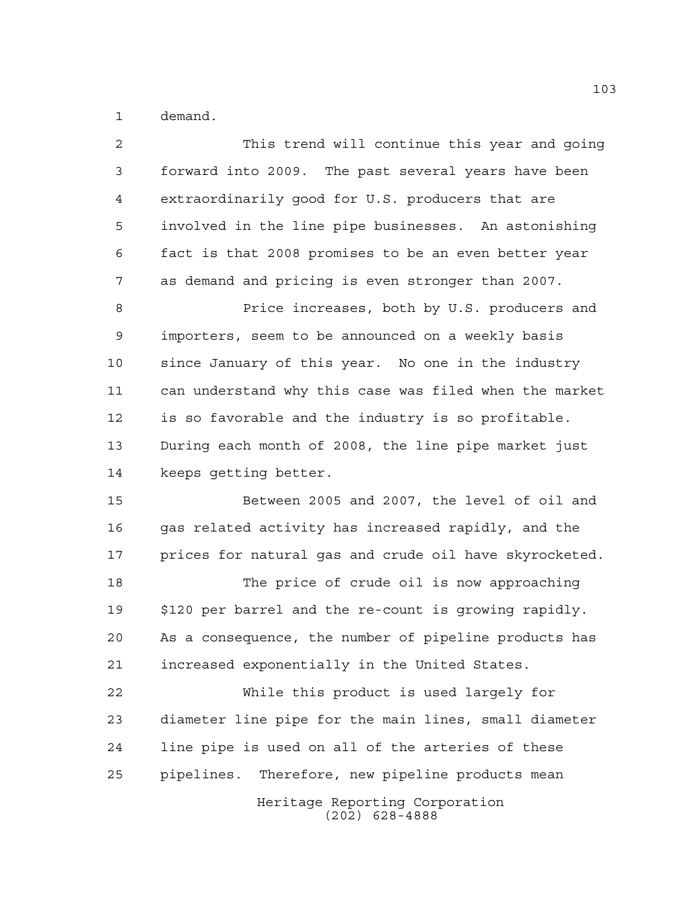demand.

| $\overline{a}$ | This trend will continue this year and going           |
|----------------|--------------------------------------------------------|
| 3              | forward into 2009. The past several years have been    |
| 4              | extraordinarily good for U.S. producers that are       |
| 5              | involved in the line pipe businesses. An astonishing   |
| 6              | fact is that 2008 promises to be an even better year   |
| 7              | as demand and pricing is even stronger than 2007.      |
| 8              | Price increases, both by U.S. producers and            |
| $\mathsf 9$    | importers, seem to be announced on a weekly basis      |
| 10             | since January of this year. No one in the industry     |
| 11             | can understand why this case was filed when the market |
| 12             | is so favorable and the industry is so profitable.     |
| 13             | During each month of 2008, the line pipe market just   |
| 14             | keeps getting better.                                  |
| 15             | Between 2005 and 2007, the level of oil and            |
| 16             | gas related activity has increased rapidly, and the    |
| 17             | prices for natural gas and crude oil have skyrocketed. |
| 18             | The price of crude oil is now approaching              |
| 19             | \$120 per barrel and the re-count is growing rapidly.  |
| 20             | As a consequence, the number of pipeline products has  |
| 21             | increased exponentially in the United States.          |
| 22             | While this product is used largely for                 |
| 23             | diameter line pipe for the main lines, small diameter  |
| 24             | line pipe is used on all of the arteries of these      |
| 25             | pipelines. Therefore, new pipeline products mean       |
|                | Heritage Reporting Corporation<br>$(202)$ 628-4888     |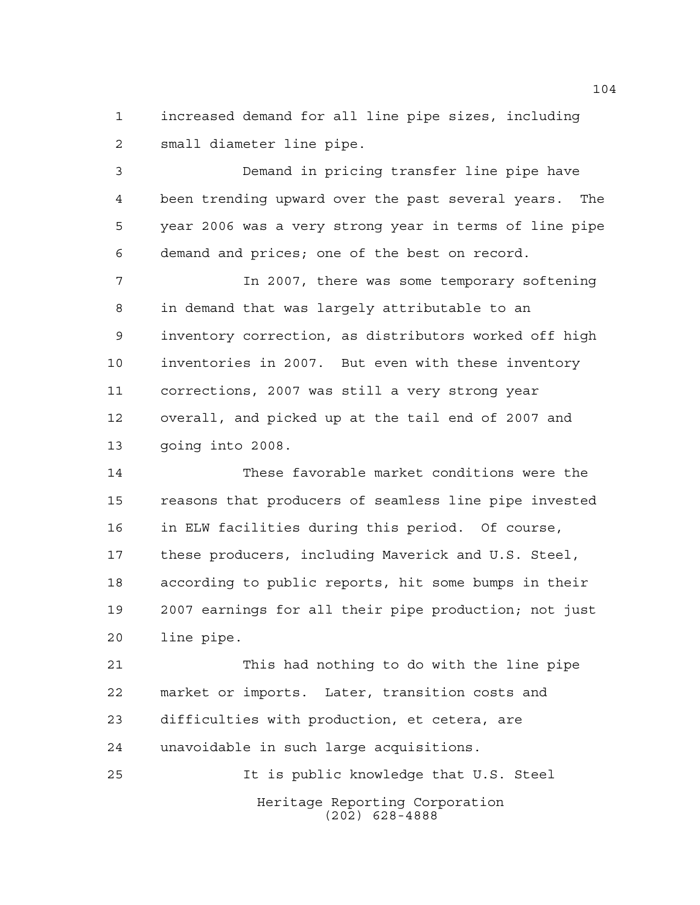increased demand for all line pipe sizes, including small diameter line pipe.

 Demand in pricing transfer line pipe have been trending upward over the past several years. The year 2006 was a very strong year in terms of line pipe demand and prices; one of the best on record.

 In 2007, there was some temporary softening in demand that was largely attributable to an inventory correction, as distributors worked off high inventories in 2007. But even with these inventory corrections, 2007 was still a very strong year overall, and picked up at the tail end of 2007 and going into 2008.

 These favorable market conditions were the reasons that producers of seamless line pipe invested in ELW facilities during this period. Of course, these producers, including Maverick and U.S. Steel, according to public reports, hit some bumps in their 2007 earnings for all their pipe production; not just line pipe.

 This had nothing to do with the line pipe market or imports. Later, transition costs and difficulties with production, et cetera, are unavoidable in such large acquisitions.

Heritage Reporting Corporation (202) 628-4888 It is public knowledge that U.S. Steel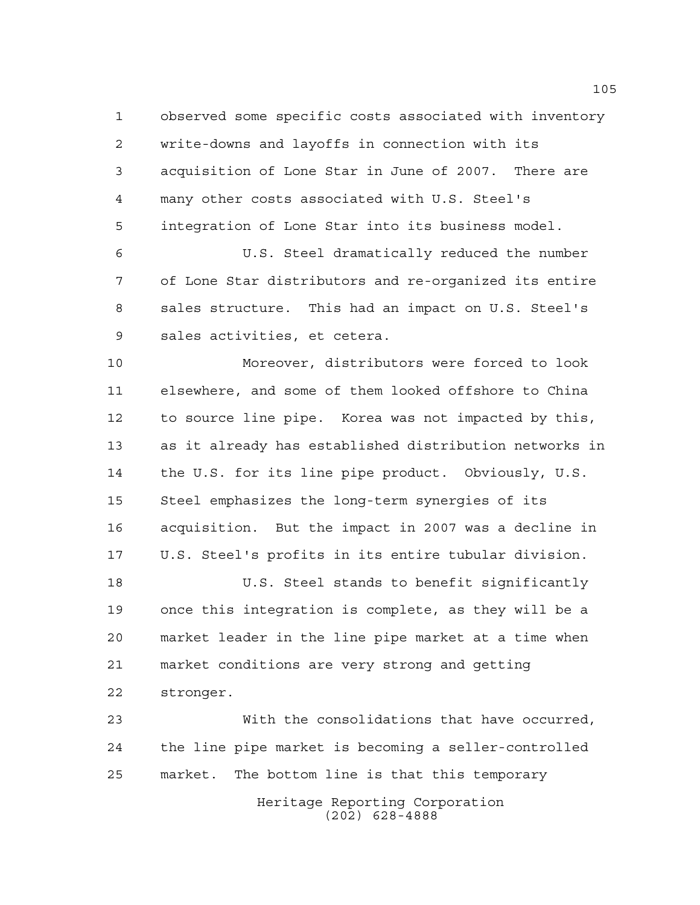observed some specific costs associated with inventory write-downs and layoffs in connection with its acquisition of Lone Star in June of 2007. There are many other costs associated with U.S. Steel's integration of Lone Star into its business model.

 U.S. Steel dramatically reduced the number of Lone Star distributors and re-organized its entire sales structure. This had an impact on U.S. Steel's sales activities, et cetera.

 Moreover, distributors were forced to look elsewhere, and some of them looked offshore to China to source line pipe. Korea was not impacted by this, as it already has established distribution networks in the U.S. for its line pipe product. Obviously, U.S. Steel emphasizes the long-term synergies of its acquisition. But the impact in 2007 was a decline in U.S. Steel's profits in its entire tubular division.

 U.S. Steel stands to benefit significantly once this integration is complete, as they will be a market leader in the line pipe market at a time when market conditions are very strong and getting stronger.

 With the consolidations that have occurred, the line pipe market is becoming a seller-controlled market. The bottom line is that this temporary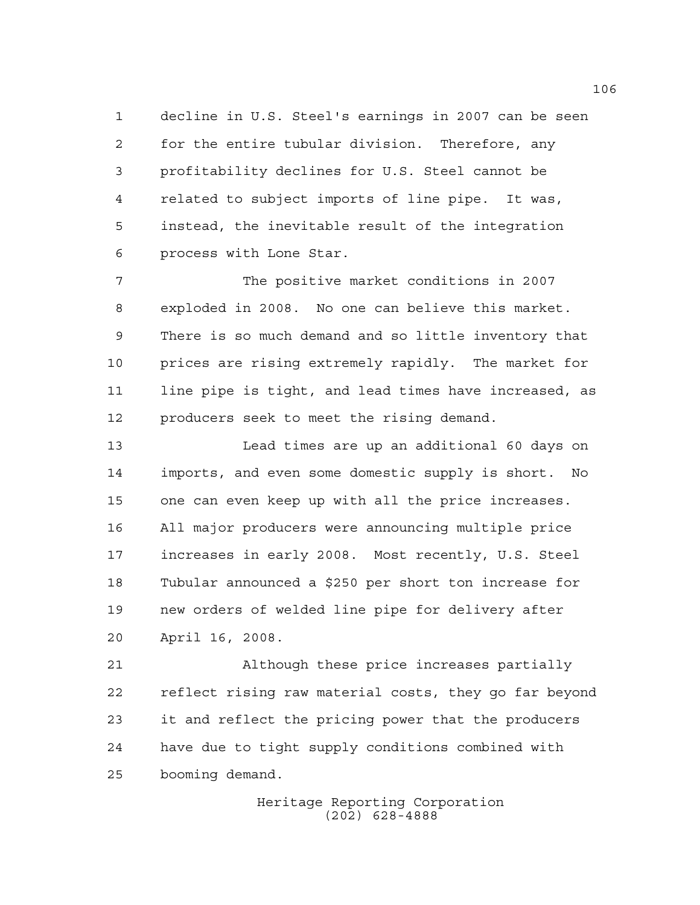decline in U.S. Steel's earnings in 2007 can be seen for the entire tubular division. Therefore, any profitability declines for U.S. Steel cannot be related to subject imports of line pipe. It was, instead, the inevitable result of the integration process with Lone Star.

 The positive market conditions in 2007 exploded in 2008. No one can believe this market. There is so much demand and so little inventory that prices are rising extremely rapidly. The market for line pipe is tight, and lead times have increased, as producers seek to meet the rising demand.

 Lead times are up an additional 60 days on imports, and even some domestic supply is short. No one can even keep up with all the price increases. All major producers were announcing multiple price increases in early 2008. Most recently, U.S. Steel Tubular announced a \$250 per short ton increase for new orders of welded line pipe for delivery after April 16, 2008.

 Although these price increases partially reflect rising raw material costs, they go far beyond it and reflect the pricing power that the producers have due to tight supply conditions combined with booming demand.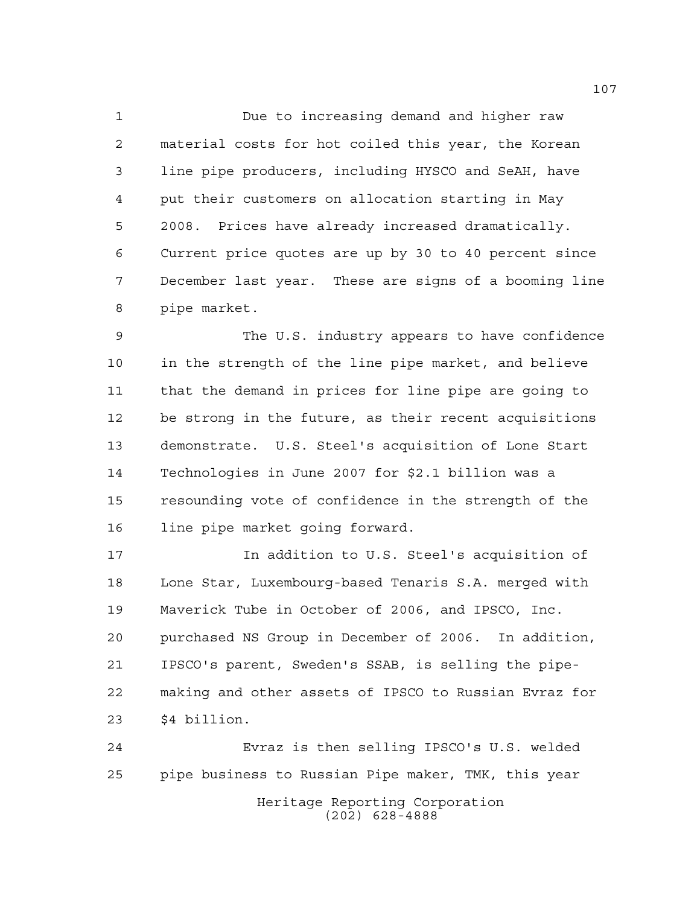Due to increasing demand and higher raw material costs for hot coiled this year, the Korean line pipe producers, including HYSCO and SeAH, have put their customers on allocation starting in May 2008. Prices have already increased dramatically. Current price quotes are up by 30 to 40 percent since December last year. These are signs of a booming line pipe market.

 The U.S. industry appears to have confidence in the strength of the line pipe market, and believe that the demand in prices for line pipe are going to be strong in the future, as their recent acquisitions demonstrate. U.S. Steel's acquisition of Lone Start Technologies in June 2007 for \$2.1 billion was a resounding vote of confidence in the strength of the line pipe market going forward.

 In addition to U.S. Steel's acquisition of Lone Star, Luxembourg-based Tenaris S.A. merged with Maverick Tube in October of 2006, and IPSCO, Inc. purchased NS Group in December of 2006. In addition, IPSCO's parent, Sweden's SSAB, is selling the pipe- making and other assets of IPSCO to Russian Evraz for \$4 billion.

Heritage Reporting Corporation (202) 628-4888 Evraz is then selling IPSCO's U.S. welded pipe business to Russian Pipe maker, TMK, this year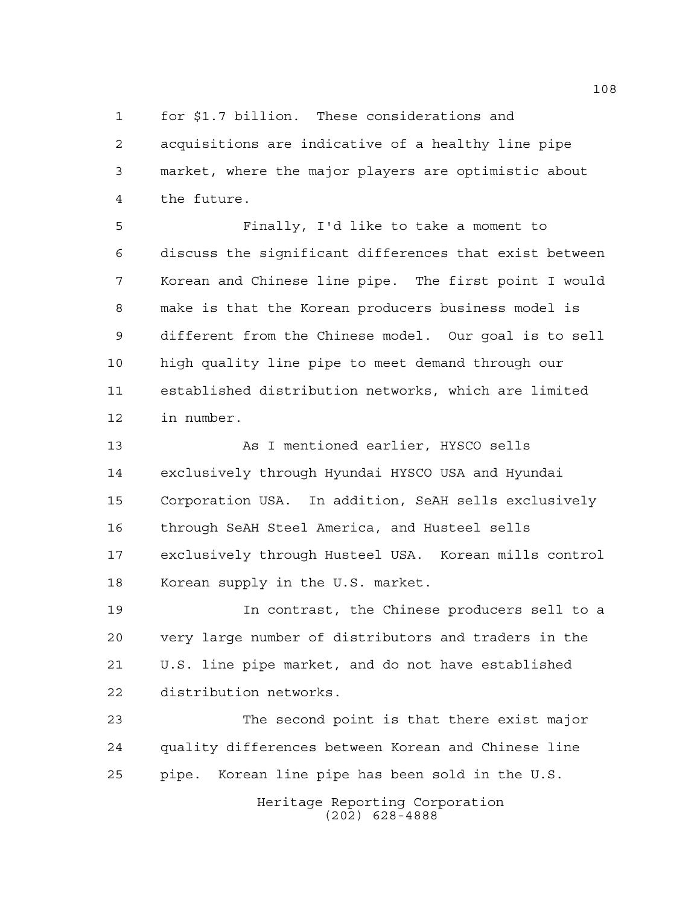for \$1.7 billion. These considerations and acquisitions are indicative of a healthy line pipe market, where the major players are optimistic about the future.

 Finally, I'd like to take a moment to discuss the significant differences that exist between Korean and Chinese line pipe. The first point I would make is that the Korean producers business model is different from the Chinese model. Our goal is to sell high quality line pipe to meet demand through our established distribution networks, which are limited in number.

13 As I mentioned earlier, HYSCO sells exclusively through Hyundai HYSCO USA and Hyundai Corporation USA. In addition, SeAH sells exclusively through SeAH Steel America, and Husteel sells exclusively through Husteel USA. Korean mills control Korean supply in the U.S. market.

 In contrast, the Chinese producers sell to a very large number of distributors and traders in the U.S. line pipe market, and do not have established distribution networks.

 The second point is that there exist major quality differences between Korean and Chinese line pipe. Korean line pipe has been sold in the U.S.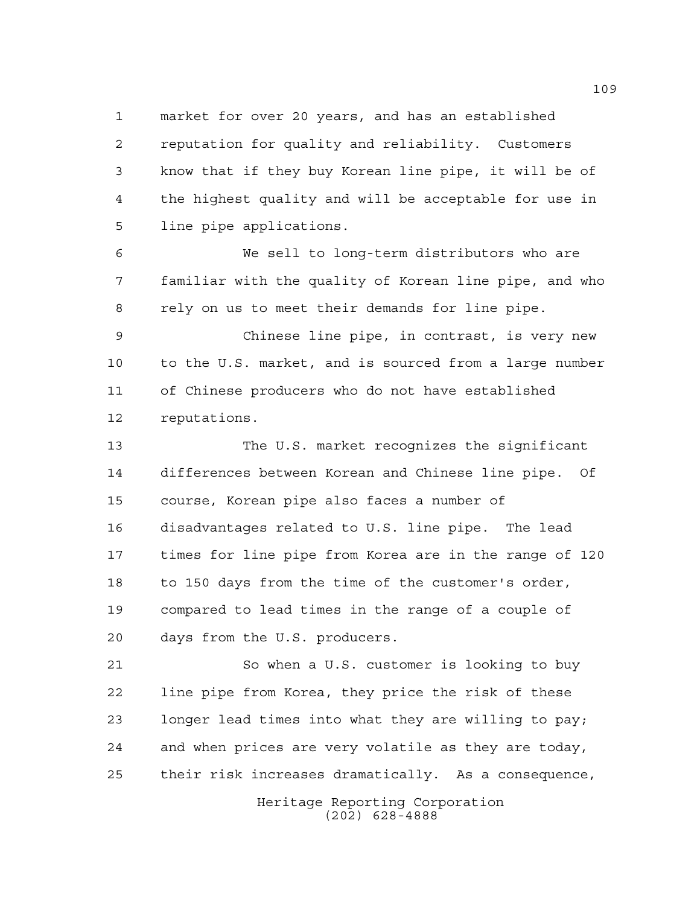market for over 20 years, and has an established reputation for quality and reliability. Customers know that if they buy Korean line pipe, it will be of the highest quality and will be acceptable for use in line pipe applications.

 We sell to long-term distributors who are familiar with the quality of Korean line pipe, and who rely on us to meet their demands for line pipe.

 Chinese line pipe, in contrast, is very new to the U.S. market, and is sourced from a large number of Chinese producers who do not have established reputations.

 The U.S. market recognizes the significant differences between Korean and Chinese line pipe. Of course, Korean pipe also faces a number of disadvantages related to U.S. line pipe. The lead times for line pipe from Korea are in the range of 120 to 150 days from the time of the customer's order, compared to lead times in the range of a couple of days from the U.S. producers.

 So when a U.S. customer is looking to buy line pipe from Korea, they price the risk of these longer lead times into what they are willing to pay; and when prices are very volatile as they are today, their risk increases dramatically. As a consequence,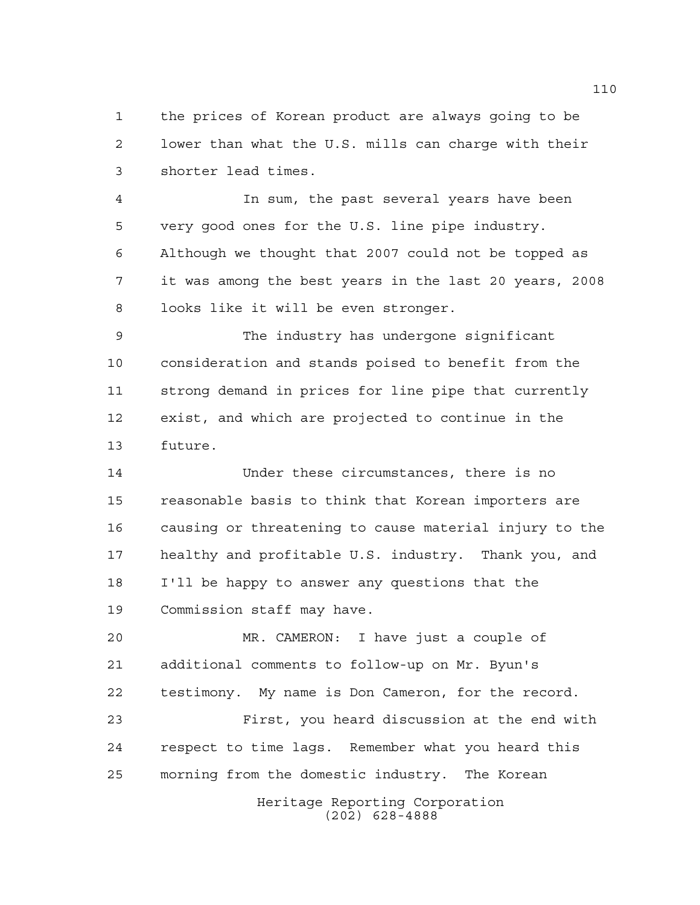the prices of Korean product are always going to be lower than what the U.S. mills can charge with their shorter lead times.

 In sum, the past several years have been very good ones for the U.S. line pipe industry. Although we thought that 2007 could not be topped as it was among the best years in the last 20 years, 2008 looks like it will be even stronger.

 The industry has undergone significant consideration and stands poised to benefit from the strong demand in prices for line pipe that currently exist, and which are projected to continue in the future.

 Under these circumstances, there is no reasonable basis to think that Korean importers are causing or threatening to cause material injury to the healthy and profitable U.S. industry. Thank you, and I'll be happy to answer any questions that the Commission staff may have.

 MR. CAMERON: I have just a couple of additional comments to follow-up on Mr. Byun's testimony. My name is Don Cameron, for the record.

 First, you heard discussion at the end with respect to time lags. Remember what you heard this morning from the domestic industry. The Korean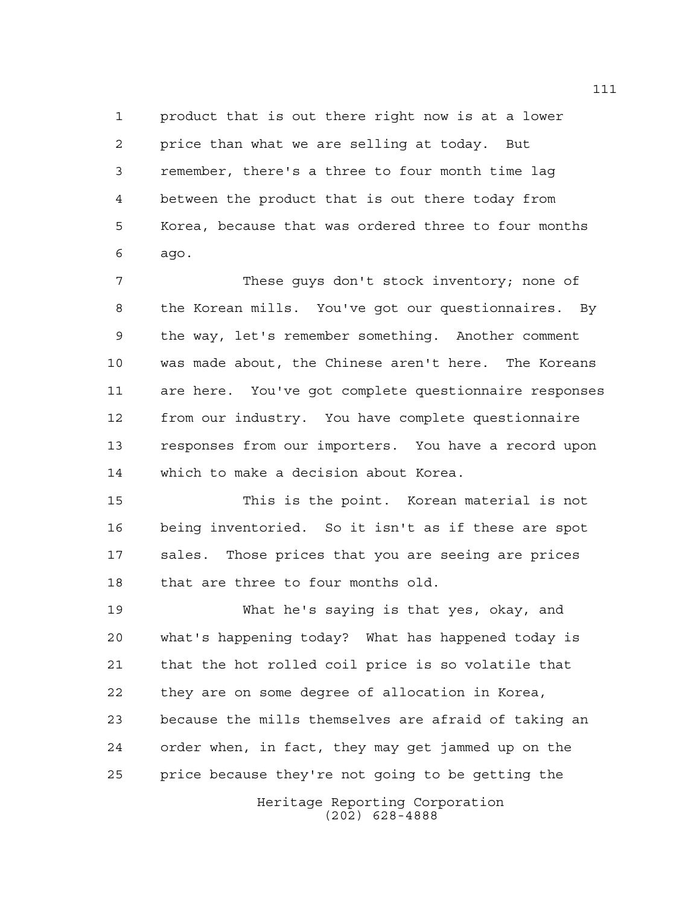product that is out there right now is at a lower price than what we are selling at today. But remember, there's a three to four month time lag between the product that is out there today from Korea, because that was ordered three to four months ago.

 These guys don't stock inventory; none of the Korean mills. You've got our questionnaires. By the way, let's remember something. Another comment was made about, the Chinese aren't here. The Koreans are here. You've got complete questionnaire responses from our industry. You have complete questionnaire responses from our importers. You have a record upon which to make a decision about Korea.

 This is the point. Korean material is not being inventoried. So it isn't as if these are spot sales. Those prices that you are seeing are prices that are three to four months old.

Heritage Reporting Corporation What he's saying is that yes, okay, and what's happening today? What has happened today is that the hot rolled coil price is so volatile that they are on some degree of allocation in Korea, because the mills themselves are afraid of taking an order when, in fact, they may get jammed up on the price because they're not going to be getting the

(202) 628-4888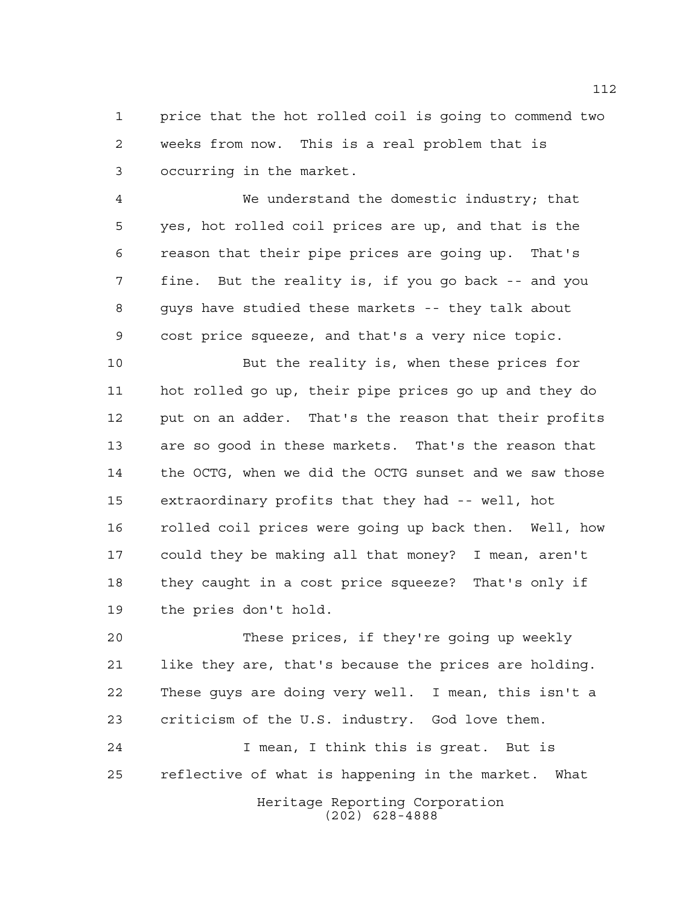price that the hot rolled coil is going to commend two weeks from now. This is a real problem that is occurring in the market.

 We understand the domestic industry; that yes, hot rolled coil prices are up, and that is the reason that their pipe prices are going up. That's fine. But the reality is, if you go back -- and you guys have studied these markets -- they talk about cost price squeeze, and that's a very nice topic.

 But the reality is, when these prices for hot rolled go up, their pipe prices go up and they do put on an adder. That's the reason that their profits are so good in these markets. That's the reason that the OCTG, when we did the OCTG sunset and we saw those extraordinary profits that they had -- well, hot rolled coil prices were going up back then. Well, how could they be making all that money? I mean, aren't they caught in a cost price squeeze? That's only if the pries don't hold.

 These prices, if they're going up weekly like they are, that's because the prices are holding. These guys are doing very well. I mean, this isn't a criticism of the U.S. industry. God love them.

Heritage Reporting Corporation I mean, I think this is great. But is reflective of what is happening in the market. What

(202) 628-4888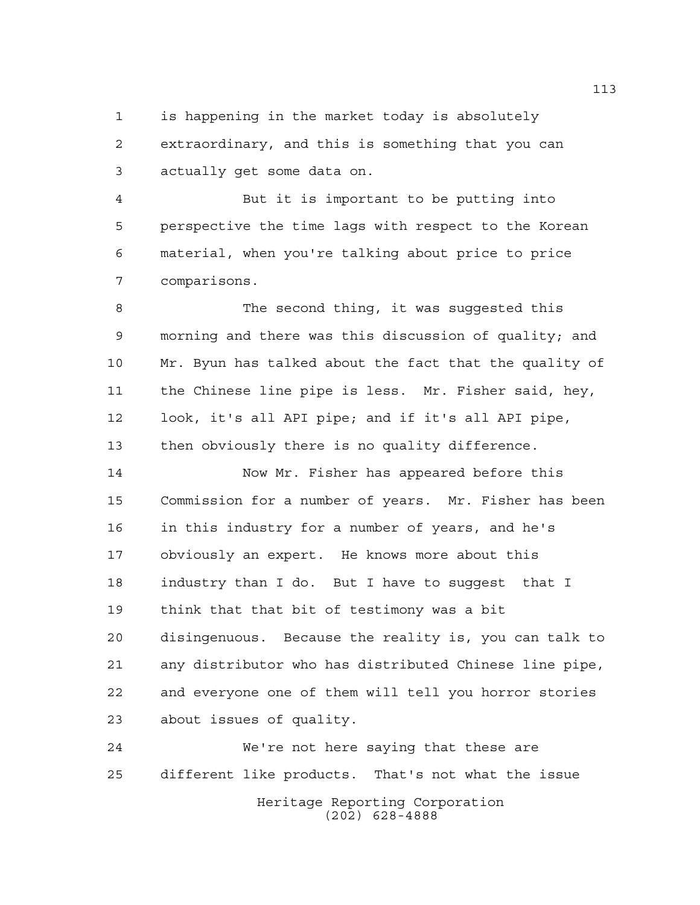is happening in the market today is absolutely extraordinary, and this is something that you can actually get some data on.

 But it is important to be putting into perspective the time lags with respect to the Korean material, when you're talking about price to price comparisons.

 The second thing, it was suggested this morning and there was this discussion of quality; and Mr. Byun has talked about the fact that the quality of the Chinese line pipe is less. Mr. Fisher said, hey, look, it's all API pipe; and if it's all API pipe, then obviously there is no quality difference.

 Now Mr. Fisher has appeared before this Commission for a number of years. Mr. Fisher has been in this industry for a number of years, and he's obviously an expert. He knows more about this industry than I do. But I have to suggest that I think that that bit of testimony was a bit disingenuous. Because the reality is, you can talk to any distributor who has distributed Chinese line pipe, and everyone one of them will tell you horror stories about issues of quality.

Heritage Reporting Corporation (202) 628-4888 We're not here saying that these are different like products. That's not what the issue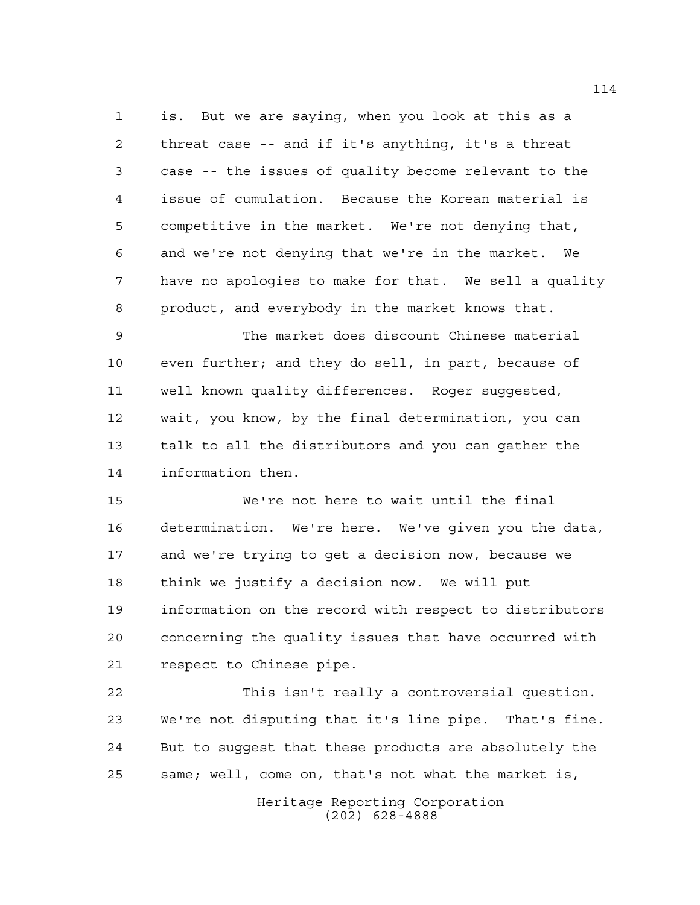is. But we are saying, when you look at this as a threat case -- and if it's anything, it's a threat case -- the issues of quality become relevant to the issue of cumulation. Because the Korean material is competitive in the market. We're not denying that, and we're not denying that we're in the market. We have no apologies to make for that. We sell a quality product, and everybody in the market knows that.

 The market does discount Chinese material even further; and they do sell, in part, because of well known quality differences. Roger suggested, wait, you know, by the final determination, you can talk to all the distributors and you can gather the information then.

 We're not here to wait until the final determination. We're here. We've given you the data, and we're trying to get a decision now, because we think we justify a decision now. We will put information on the record with respect to distributors concerning the quality issues that have occurred with respect to Chinese pipe.

 This isn't really a controversial question. We're not disputing that it's line pipe. That's fine. But to suggest that these products are absolutely the same; well, come on, that's not what the market is,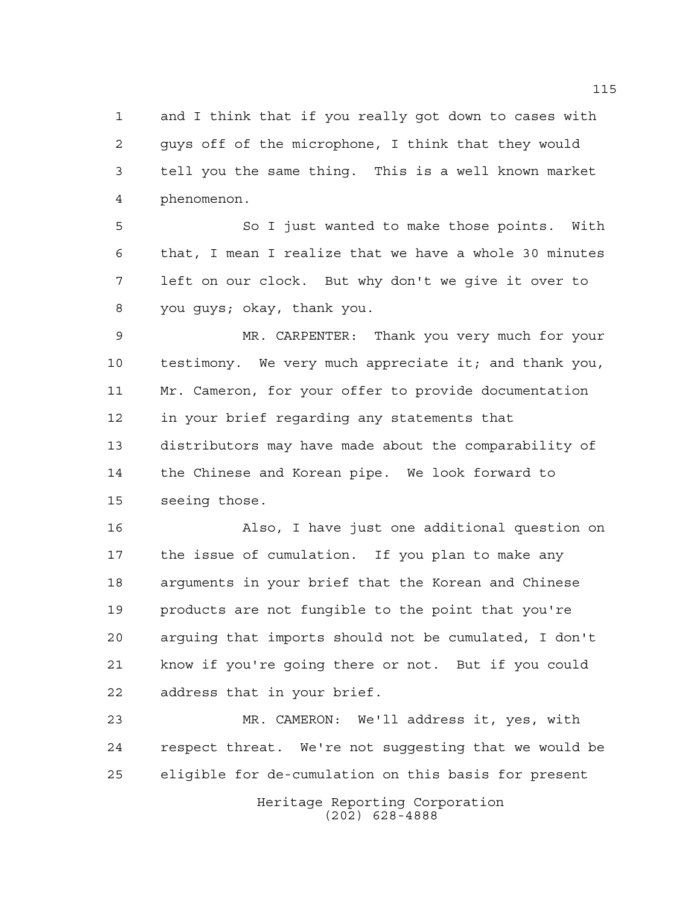and I think that if you really got down to cases with guys off of the microphone, I think that they would tell you the same thing. This is a well known market phenomenon.

 So I just wanted to make those points. With that, I mean I realize that we have a whole 30 minutes left on our clock. But why don't we give it over to you guys; okay, thank you.

 MR. CARPENTER: Thank you very much for your testimony. We very much appreciate it; and thank you, Mr. Cameron, for your offer to provide documentation in your brief regarding any statements that distributors may have made about the comparability of the Chinese and Korean pipe. We look forward to seeing those.

 Also, I have just one additional question on the issue of cumulation. If you plan to make any arguments in your brief that the Korean and Chinese products are not fungible to the point that you're arguing that imports should not be cumulated, I don't know if you're going there or not. But if you could address that in your brief.

 MR. CAMERON: We'll address it, yes, with respect threat. We're not suggesting that we would be eligible for de-cumulation on this basis for present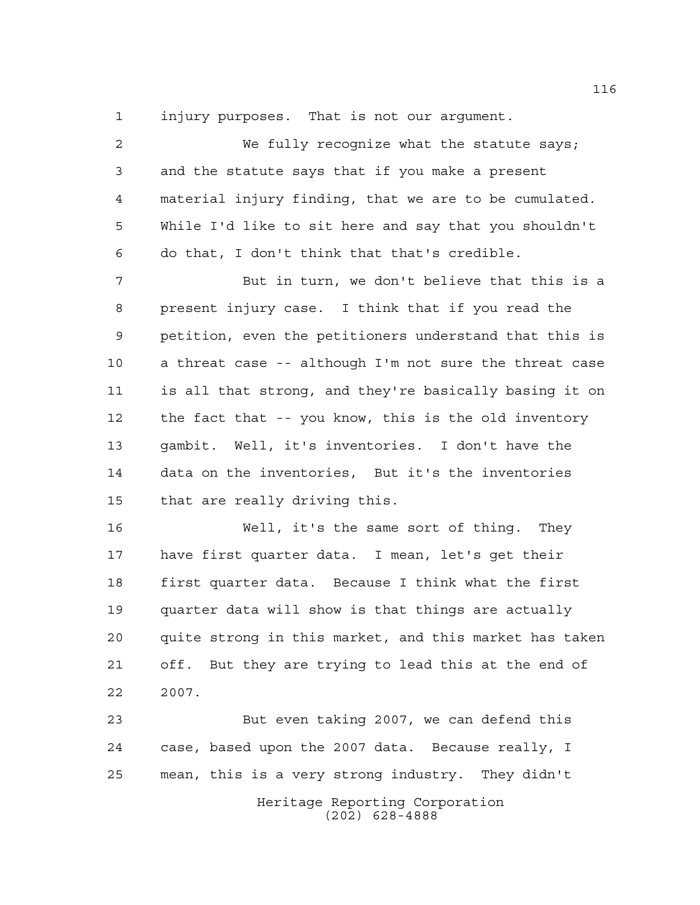injury purposes. That is not our argument.

 We fully recognize what the statute says; and the statute says that if you make a present material injury finding, that we are to be cumulated. While I'd like to sit here and say that you shouldn't do that, I don't think that that's credible.

 But in turn, we don't believe that this is a present injury case. I think that if you read the petition, even the petitioners understand that this is a threat case -- although I'm not sure the threat case is all that strong, and they're basically basing it on the fact that -- you know, this is the old inventory gambit. Well, it's inventories. I don't have the data on the inventories, But it's the inventories that are really driving this.

 Well, it's the same sort of thing. They have first quarter data. I mean, let's get their first quarter data. Because I think what the first quarter data will show is that things are actually quite strong in this market, and this market has taken off. But they are trying to lead this at the end of 2007.

Heritage Reporting Corporation (202) 628-4888 But even taking 2007, we can defend this case, based upon the 2007 data. Because really, I mean, this is a very strong industry. They didn't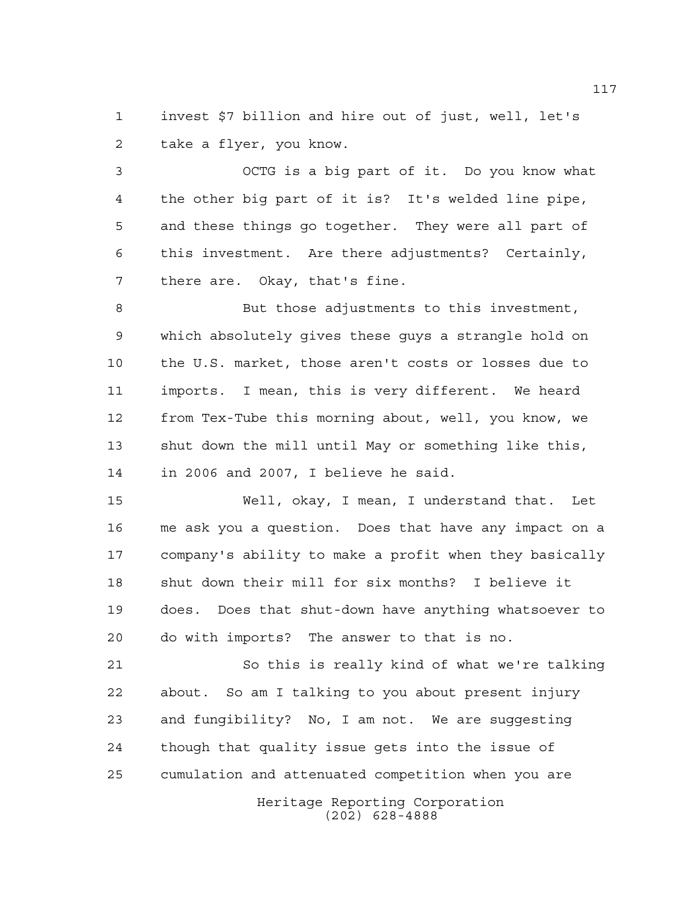invest \$7 billion and hire out of just, well, let's take a flyer, you know.

 OCTG is a big part of it. Do you know what the other big part of it is? It's welded line pipe, and these things go together. They were all part of this investment. Are there adjustments? Certainly, there are. Okay, that's fine.

 But those adjustments to this investment, which absolutely gives these guys a strangle hold on the U.S. market, those aren't costs or losses due to imports. I mean, this is very different. We heard from Tex-Tube this morning about, well, you know, we shut down the mill until May or something like this, in 2006 and 2007, I believe he said.

 Well, okay, I mean, I understand that. Let me ask you a question. Does that have any impact on a company's ability to make a profit when they basically shut down their mill for six months? I believe it does. Does that shut-down have anything whatsoever to do with imports? The answer to that is no.

 So this is really kind of what we're talking about. So am I talking to you about present injury and fungibility? No, I am not. We are suggesting though that quality issue gets into the issue of cumulation and attenuated competition when you are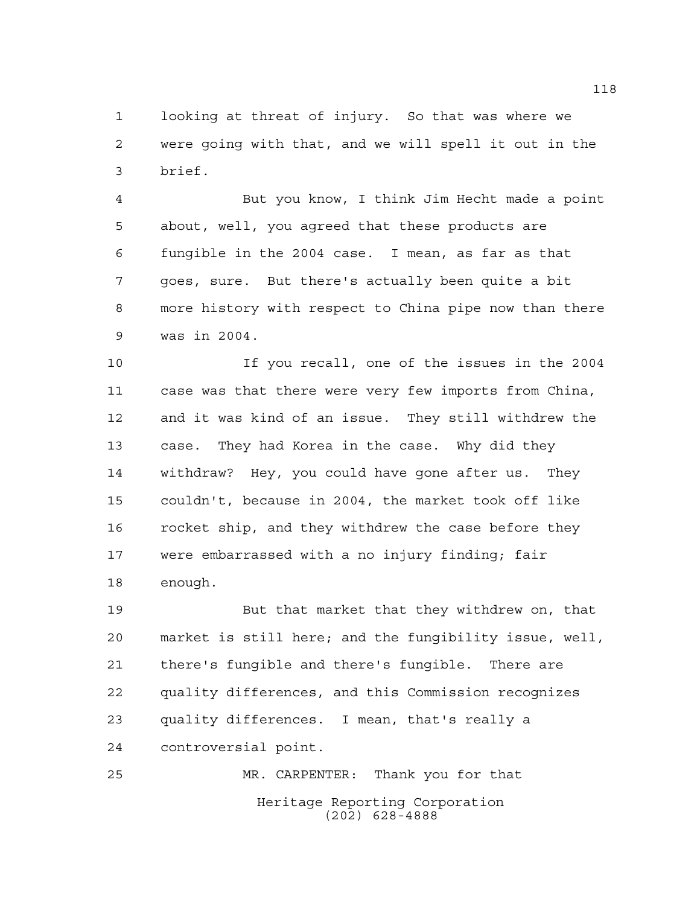looking at threat of injury. So that was where we were going with that, and we will spell it out in the brief.

 But you know, I think Jim Hecht made a point about, well, you agreed that these products are fungible in the 2004 case. I mean, as far as that goes, sure. But there's actually been quite a bit more history with respect to China pipe now than there was in 2004.

 If you recall, one of the issues in the 2004 case was that there were very few imports from China, and it was kind of an issue. They still withdrew the case. They had Korea in the case. Why did they withdraw? Hey, you could have gone after us. They couldn't, because in 2004, the market took off like rocket ship, and they withdrew the case before they were embarrassed with a no injury finding; fair enough.

 But that market that they withdrew on, that market is still here; and the fungibility issue, well, there's fungible and there's fungible. There are quality differences, and this Commission recognizes quality differences. I mean, that's really a controversial point.

Heritage Reporting Corporation (202) 628-4888 MR. CARPENTER: Thank you for that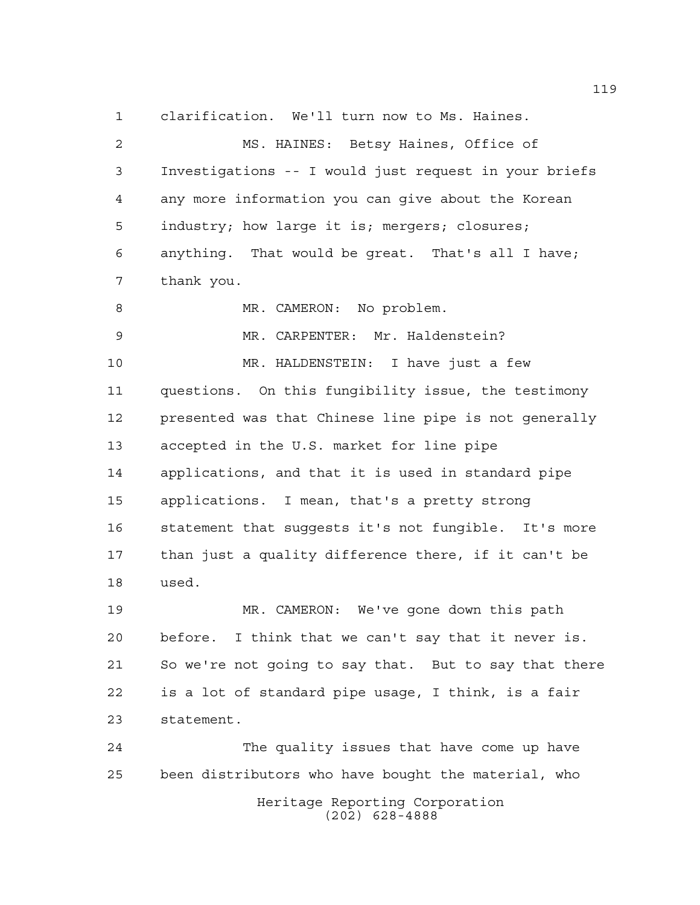clarification. We'll turn now to Ms. Haines.

 MS. HAINES: Betsy Haines, Office of Investigations -- I would just request in your briefs any more information you can give about the Korean industry; how large it is; mergers; closures; anything. That would be great. That's all I have; thank you. 8 MR. CAMERON: No problem. MR. CARPENTER: Mr. Haldenstein? MR. HALDENSTEIN: I have just a few questions. On this fungibility issue, the testimony presented was that Chinese line pipe is not generally accepted in the U.S. market for line pipe applications, and that it is used in standard pipe applications. I mean, that's a pretty strong statement that suggests it's not fungible. It's more than just a quality difference there, if it can't be used.

 MR. CAMERON: We've gone down this path before. I think that we can't say that it never is. So we're not going to say that. But to say that there is a lot of standard pipe usage, I think, is a fair statement.

Heritage Reporting Corporation (202) 628-4888 The quality issues that have come up have been distributors who have bought the material, who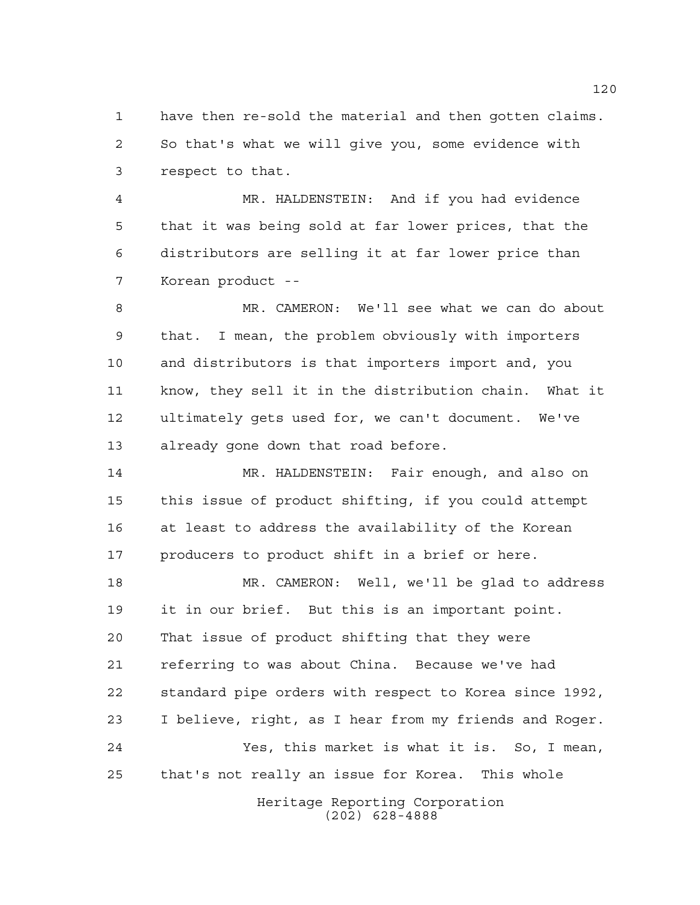have then re-sold the material and then gotten claims. So that's what we will give you, some evidence with respect to that.

 MR. HALDENSTEIN: And if you had evidence that it was being sold at far lower prices, that the distributors are selling it at far lower price than Korean product --

 MR. CAMERON: We'll see what we can do about that. I mean, the problem obviously with importers and distributors is that importers import and, you know, they sell it in the distribution chain. What it ultimately gets used for, we can't document. We've already gone down that road before.

 MR. HALDENSTEIN: Fair enough, and also on this issue of product shifting, if you could attempt at least to address the availability of the Korean producers to product shift in a brief or here.

 MR. CAMERON: Well, we'll be glad to address it in our brief. But this is an important point. That issue of product shifting that they were referring to was about China. Because we've had standard pipe orders with respect to Korea since 1992, I believe, right, as I hear from my friends and Roger. Yes, this market is what it is. So, I mean, that's not really an issue for Korea. This whole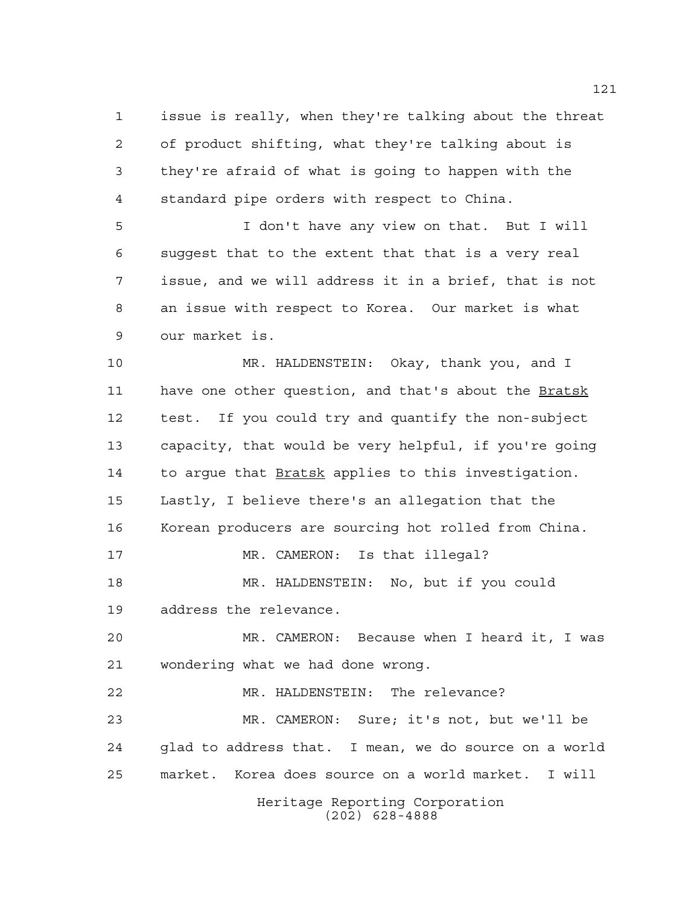issue is really, when they're talking about the threat of product shifting, what they're talking about is they're afraid of what is going to happen with the standard pipe orders with respect to China.

 I don't have any view on that. But I will suggest that to the extent that that is a very real issue, and we will address it in a brief, that is not an issue with respect to Korea. Our market is what our market is.

 MR. HALDENSTEIN: Okay, thank you, and I have one other question, and that's about the Bratsk test. If you could try and quantify the non-subject capacity, that would be very helpful, if you're going to argue that Bratsk applies to this investigation. Lastly, I believe there's an allegation that the Korean producers are sourcing hot rolled from China. MR. CAMERON: Is that illegal? MR. HALDENSTEIN: No, but if you could address the relevance. MR. CAMERON: Because when I heard it, I was wondering what we had done wrong.

Heritage Reporting Corporation MR. HALDENSTEIN: The relevance? MR. CAMERON: Sure; it's not, but we'll be glad to address that. I mean, we do source on a world market. Korea does source on a world market. I will

(202) 628-4888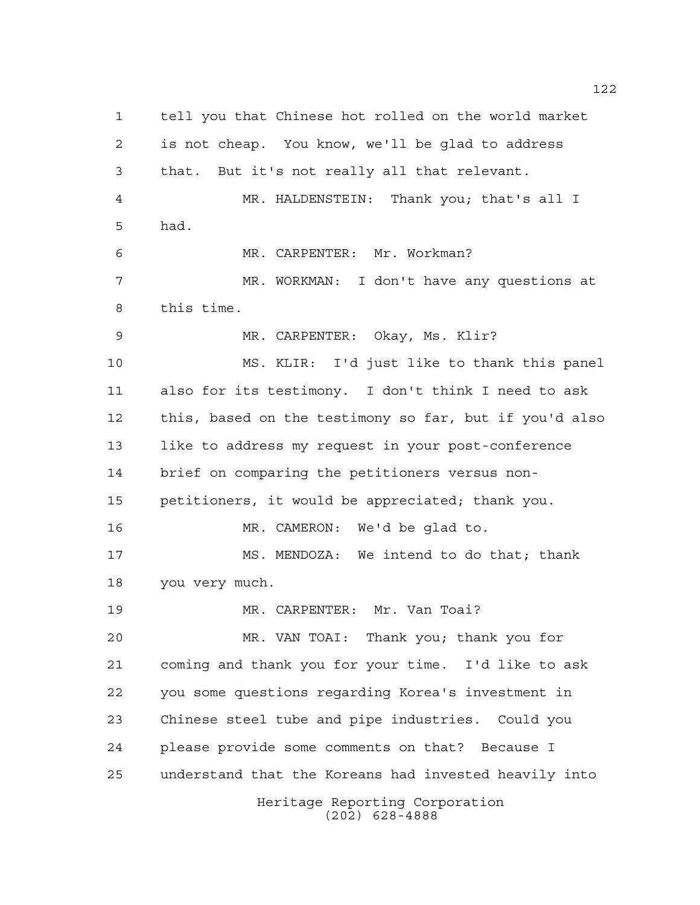Heritage Reporting Corporation (202) 628-4888 tell you that Chinese hot rolled on the world market is not cheap. You know, we'll be glad to address that. But it's not really all that relevant. MR. HALDENSTEIN: Thank you; that's all I had. MR. CARPENTER: Mr. Workman? MR. WORKMAN: I don't have any questions at this time. MR. CARPENTER: Okay, Ms. Klir? MS. KLIR: I'd just like to thank this panel also for its testimony. I don't think I need to ask this, based on the testimony so far, but if you'd also like to address my request in your post-conference brief on comparing the petitioners versus non- petitioners, it would be appreciated; thank you. MR. CAMERON: We'd be glad to. MS. MENDOZA: We intend to do that; thank you very much. MR. CARPENTER: Mr. Van Toai? MR. VAN TOAI: Thank you; thank you for coming and thank you for your time. I'd like to ask you some questions regarding Korea's investment in Chinese steel tube and pipe industries. Could you please provide some comments on that? Because I understand that the Koreans had invested heavily into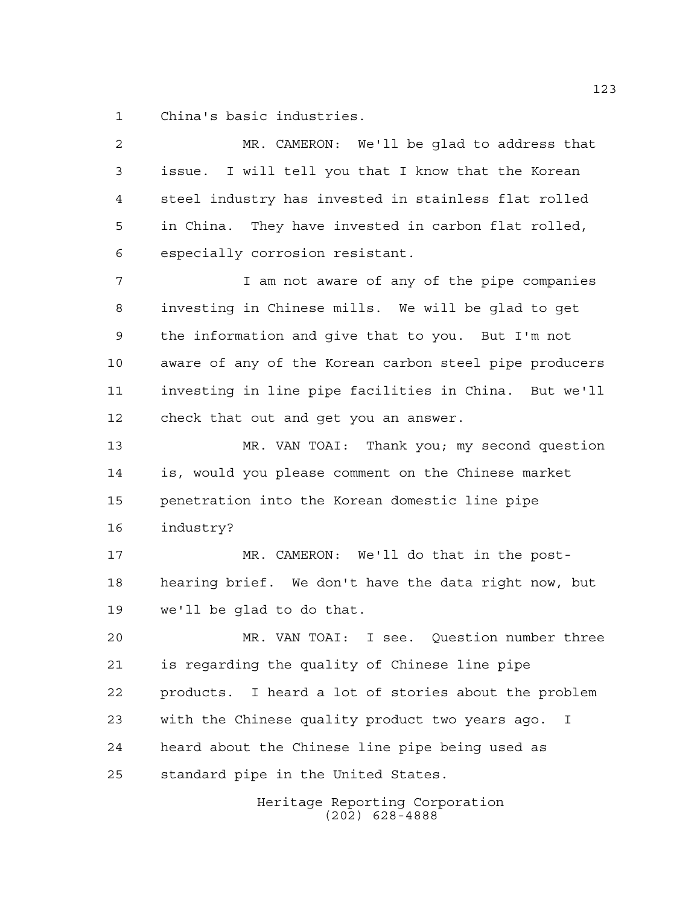China's basic industries.

 MR. CAMERON: We'll be glad to address that issue. I will tell you that I know that the Korean steel industry has invested in stainless flat rolled in China. They have invested in carbon flat rolled, especially corrosion resistant. I am not aware of any of the pipe companies investing in Chinese mills. We will be glad to get the information and give that to you. But I'm not aware of any of the Korean carbon steel pipe producers investing in line pipe facilities in China. But we'll check that out and get you an answer. MR. VAN TOAI: Thank you; my second question is, would you please comment on the Chinese market penetration into the Korean domestic line pipe industry? MR. CAMERON: We'll do that in the post- hearing brief. We don't have the data right now, but we'll be glad to do that. MR. VAN TOAI: I see. Question number three is regarding the quality of Chinese line pipe products. I heard a lot of stories about the problem with the Chinese quality product two years ago. I heard about the Chinese line pipe being used as standard pipe in the United States.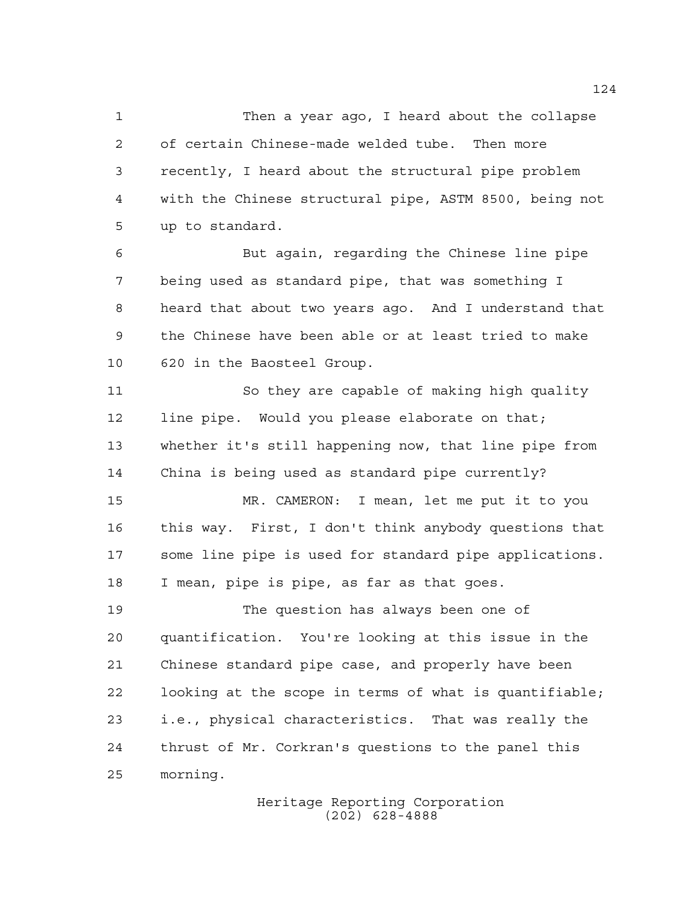Then a year ago, I heard about the collapse of certain Chinese-made welded tube. Then more recently, I heard about the structural pipe problem with the Chinese structural pipe, ASTM 8500, being not up to standard.

 But again, regarding the Chinese line pipe being used as standard pipe, that was something I heard that about two years ago. And I understand that the Chinese have been able or at least tried to make 620 in the Baosteel Group.

 So they are capable of making high quality line pipe. Would you please elaborate on that; whether it's still happening now, that line pipe from China is being used as standard pipe currently?

 MR. CAMERON: I mean, let me put it to you this way. First, I don't think anybody questions that some line pipe is used for standard pipe applications. I mean, pipe is pipe, as far as that goes.

 The question has always been one of quantification. You're looking at this issue in the Chinese standard pipe case, and properly have been looking at the scope in terms of what is quantifiable; i.e., physical characteristics. That was really the thrust of Mr. Corkran's questions to the panel this morning.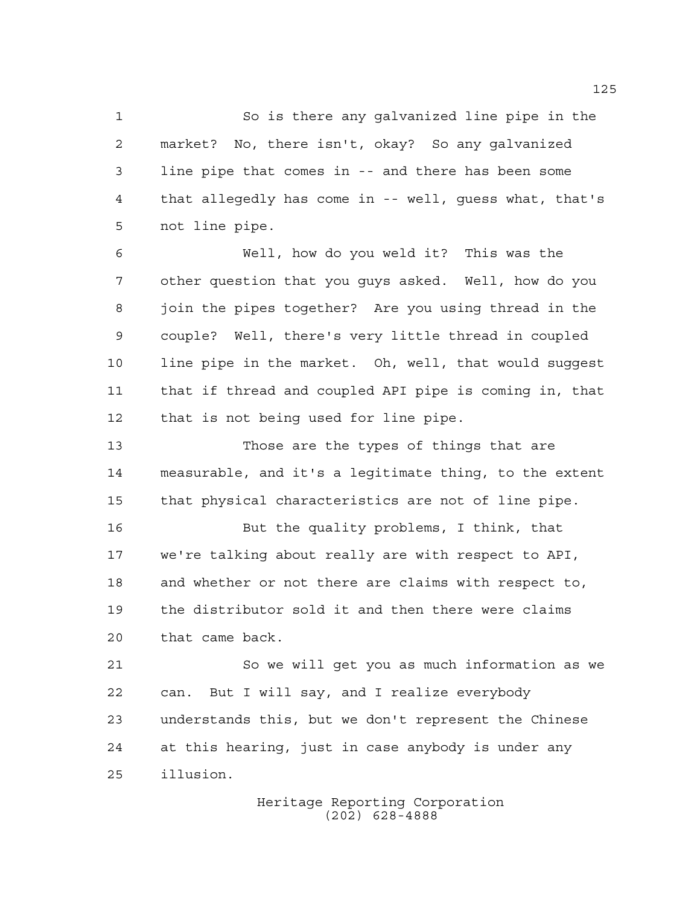So is there any galvanized line pipe in the market? No, there isn't, okay? So any galvanized line pipe that comes in -- and there has been some that allegedly has come in -- well, guess what, that's not line pipe.

 Well, how do you weld it? This was the other question that you guys asked. Well, how do you join the pipes together? Are you using thread in the couple? Well, there's very little thread in coupled line pipe in the market. Oh, well, that would suggest that if thread and coupled API pipe is coming in, that that is not being used for line pipe.

 Those are the types of things that are measurable, and it's a legitimate thing, to the extent that physical characteristics are not of line pipe.

 But the quality problems, I think, that we're talking about really are with respect to API, and whether or not there are claims with respect to, the distributor sold it and then there were claims that came back.

 So we will get you as much information as we can. But I will say, and I realize everybody understands this, but we don't represent the Chinese at this hearing, just in case anybody is under any illusion.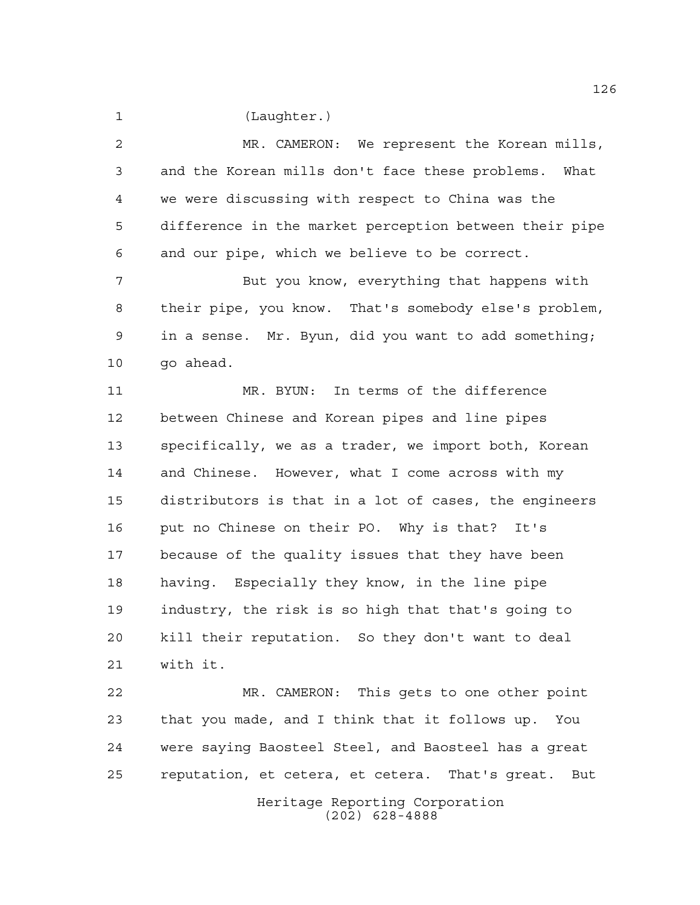(Laughter.)

 MR. CAMERON: We represent the Korean mills, and the Korean mills don't face these problems. What we were discussing with respect to China was the difference in the market perception between their pipe and our pipe, which we believe to be correct.

 But you know, everything that happens with their pipe, you know. That's somebody else's problem, in a sense. Mr. Byun, did you want to add something; go ahead.

 MR. BYUN: In terms of the difference between Chinese and Korean pipes and line pipes specifically, we as a trader, we import both, Korean and Chinese. However, what I come across with my distributors is that in a lot of cases, the engineers put no Chinese on their PO. Why is that? It's because of the quality issues that they have been having. Especially they know, in the line pipe industry, the risk is so high that that's going to kill their reputation. So they don't want to deal with it.

 MR. CAMERON: This gets to one other point that you made, and I think that it follows up. You were saying Baosteel Steel, and Baosteel has a great reputation, et cetera, et cetera. That's great. But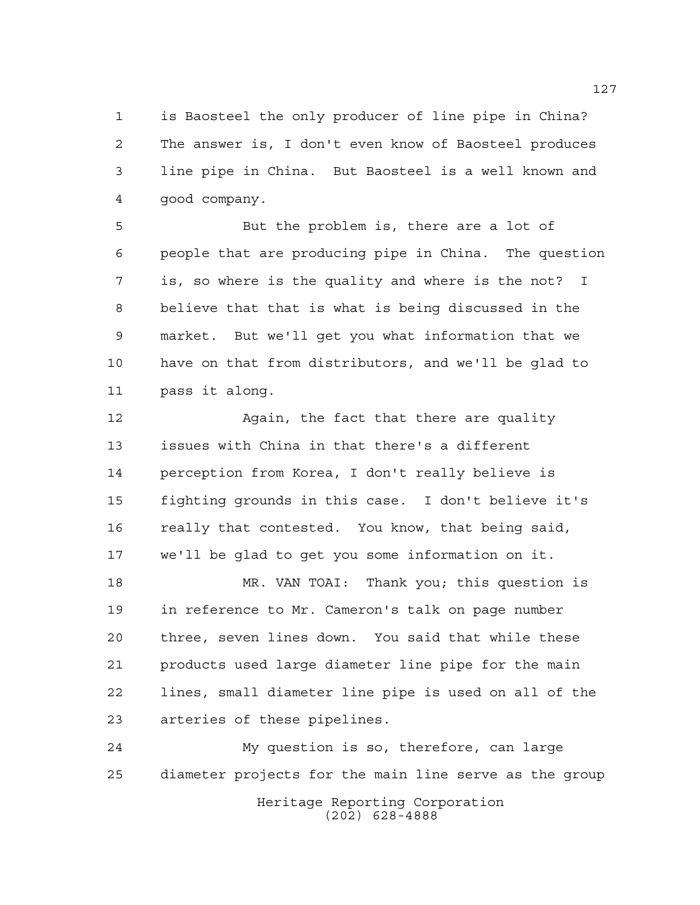is Baosteel the only producer of line pipe in China? The answer is, I don't even know of Baosteel produces line pipe in China. But Baosteel is a well known and good company.

 But the problem is, there are a lot of people that are producing pipe in China. The question is, so where is the quality and where is the not? I believe that that is what is being discussed in the market. But we'll get you what information that we have on that from distributors, and we'll be glad to pass it along.

 Again, the fact that there are quality issues with China in that there's a different perception from Korea, I don't really believe is fighting grounds in this case. I don't believe it's really that contested. You know, that being said, we'll be glad to get you some information on it.

 MR. VAN TOAI: Thank you; this question is in reference to Mr. Cameron's talk on page number three, seven lines down. You said that while these products used large diameter line pipe for the main lines, small diameter line pipe is used on all of the arteries of these pipelines.

Heritage Reporting Corporation (202) 628-4888 My question is so, therefore, can large diameter projects for the main line serve as the group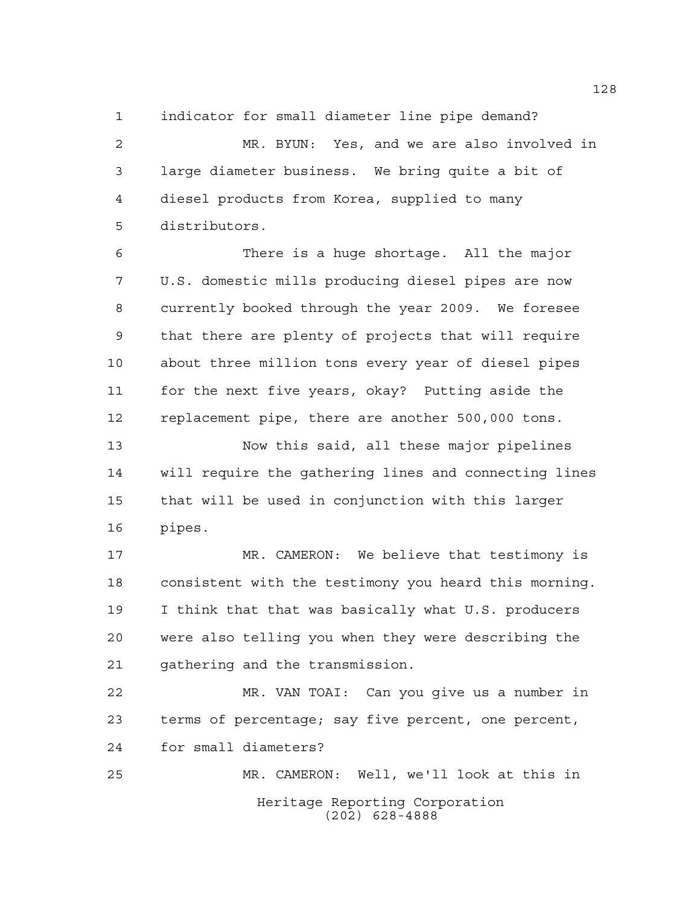indicator for small diameter line pipe demand?

 MR. BYUN: Yes, and we are also involved in large diameter business. We bring quite a bit of diesel products from Korea, supplied to many distributors.

 There is a huge shortage. All the major U.S. domestic mills producing diesel pipes are now currently booked through the year 2009. We foresee that there are plenty of projects that will require about three million tons every year of diesel pipes for the next five years, okay? Putting aside the replacement pipe, there are another 500,000 tons.

 Now this said, all these major pipelines will require the gathering lines and connecting lines that will be used in conjunction with this larger pipes.

 MR. CAMERON: We believe that testimony is consistent with the testimony you heard this morning. I think that that was basically what U.S. producers were also telling you when they were describing the gathering and the transmission.

 MR. VAN TOAI: Can you give us a number in terms of percentage; say five percent, one percent, for small diameters?

Heritage Reporting Corporation (202) 628-4888 MR. CAMERON: Well, we'll look at this in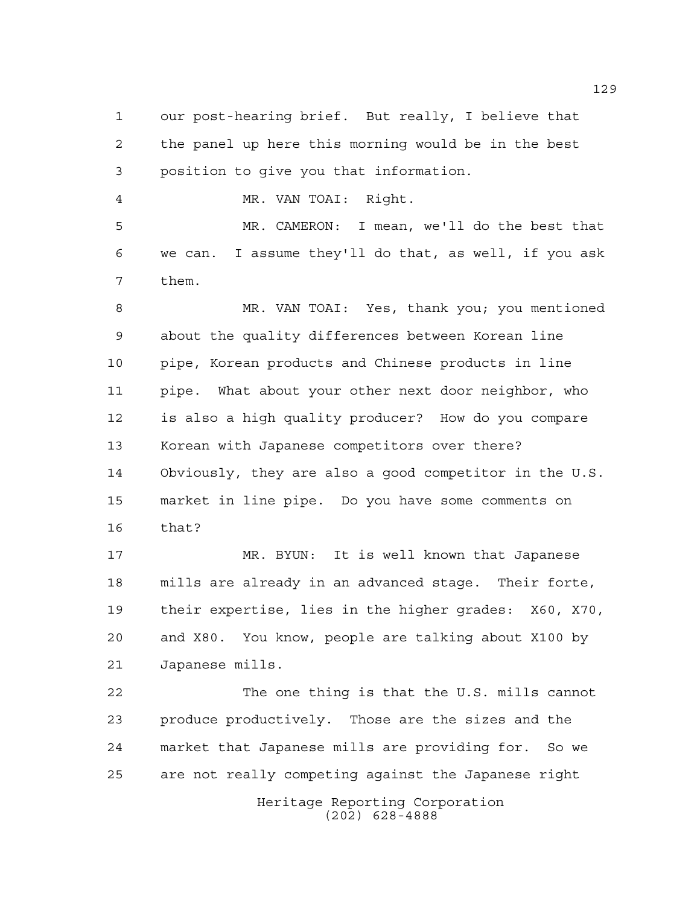our post-hearing brief. But really, I believe that the panel up here this morning would be in the best position to give you that information.

MR. VAN TOAI: Right.

 MR. CAMERON: I mean, we'll do the best that we can. I assume they'll do that, as well, if you ask them.

 MR. VAN TOAI: Yes, thank you; you mentioned about the quality differences between Korean line pipe, Korean products and Chinese products in line pipe. What about your other next door neighbor, who is also a high quality producer? How do you compare Korean with Japanese competitors over there? Obviously, they are also a good competitor in the U.S. market in line pipe. Do you have some comments on that?

 MR. BYUN: It is well known that Japanese mills are already in an advanced stage. Their forte, their expertise, lies in the higher grades: X60, X70, and X80. You know, people are talking about X100 by Japanese mills.

 The one thing is that the U.S. mills cannot produce productively. Those are the sizes and the market that Japanese mills are providing for. So we are not really competing against the Japanese right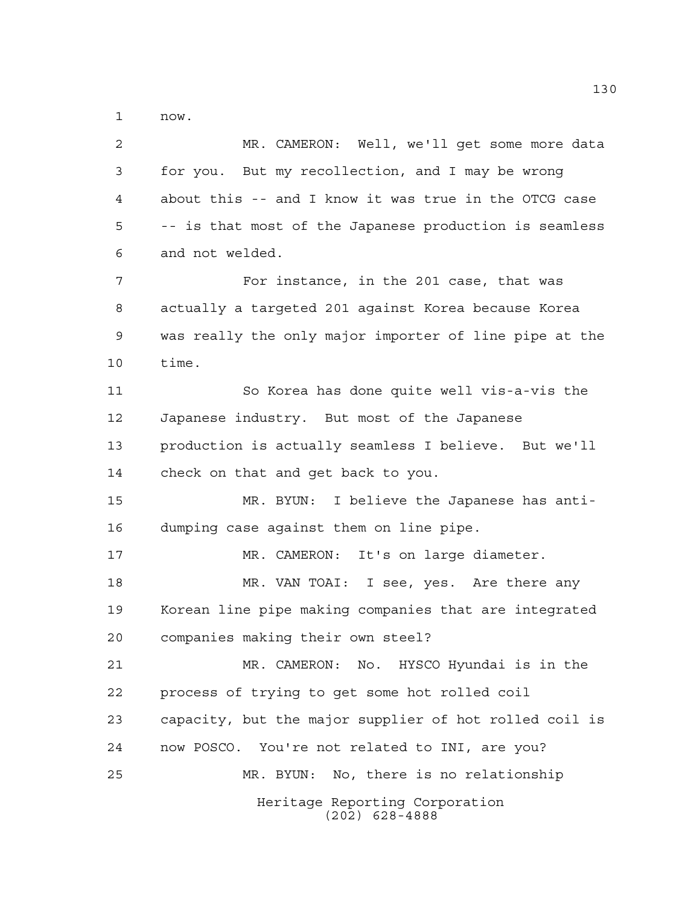now.

Heritage Reporting Corporation (202) 628-4888 MR. CAMERON: Well, we'll get some more data for you. But my recollection, and I may be wrong about this -- and I know it was true in the OTCG case -- is that most of the Japanese production is seamless and not welded. For instance, in the 201 case, that was actually a targeted 201 against Korea because Korea was really the only major importer of line pipe at the time. So Korea has done quite well vis-a-vis the Japanese industry. But most of the Japanese production is actually seamless I believe. But we'll check on that and get back to you. MR. BYUN: I believe the Japanese has anti- dumping case against them on line pipe. MR. CAMERON: It's on large diameter. MR. VAN TOAI: I see, yes. Are there any Korean line pipe making companies that are integrated companies making their own steel? MR. CAMERON: No. HYSCO Hyundai is in the process of trying to get some hot rolled coil capacity, but the major supplier of hot rolled coil is now POSCO. You're not related to INI, are you? MR. BYUN: No, there is no relationship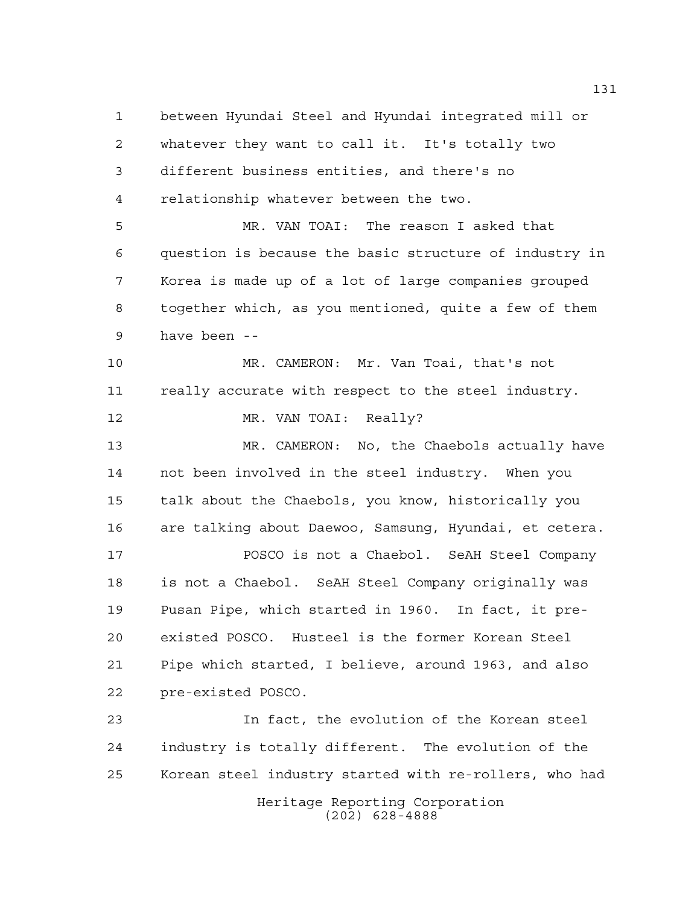Heritage Reporting Corporation between Hyundai Steel and Hyundai integrated mill or whatever they want to call it. It's totally two different business entities, and there's no relationship whatever between the two. MR. VAN TOAI: The reason I asked that question is because the basic structure of industry in Korea is made up of a lot of large companies grouped together which, as you mentioned, quite a few of them have been -- MR. CAMERON: Mr. Van Toai, that's not really accurate with respect to the steel industry. 12 MR. VAN TOAI: Really? MR. CAMERON: No, the Chaebols actually have not been involved in the steel industry. When you talk about the Chaebols, you know, historically you are talking about Daewoo, Samsung, Hyundai, et cetera. POSCO is not a Chaebol. SeAH Steel Company is not a Chaebol. SeAH Steel Company originally was Pusan Pipe, which started in 1960. In fact, it pre- existed POSCO. Husteel is the former Korean Steel Pipe which started, I believe, around 1963, and also pre-existed POSCO. In fact, the evolution of the Korean steel industry is totally different. The evolution of the Korean steel industry started with re-rollers, who had

(202) 628-4888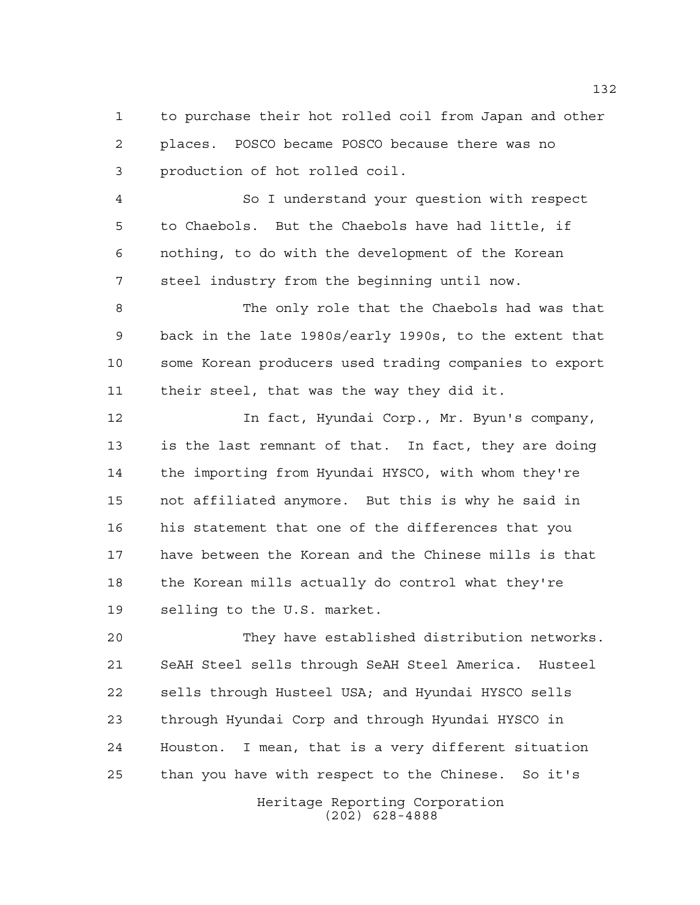to purchase their hot rolled coil from Japan and other places. POSCO became POSCO because there was no production of hot rolled coil.

 So I understand your question with respect to Chaebols. But the Chaebols have had little, if nothing, to do with the development of the Korean steel industry from the beginning until now.

 The only role that the Chaebols had was that back in the late 1980s/early 1990s, to the extent that some Korean producers used trading companies to export their steel, that was the way they did it.

 In fact, Hyundai Corp., Mr. Byun's company, is the last remnant of that. In fact, they are doing the importing from Hyundai HYSCO, with whom they're not affiliated anymore. But this is why he said in his statement that one of the differences that you have between the Korean and the Chinese mills is that the Korean mills actually do control what they're selling to the U.S. market.

 They have established distribution networks. SeAH Steel sells through SeAH Steel America. Husteel sells through Husteel USA; and Hyundai HYSCO sells through Hyundai Corp and through Hyundai HYSCO in Houston. I mean, that is a very different situation than you have with respect to the Chinese. So it's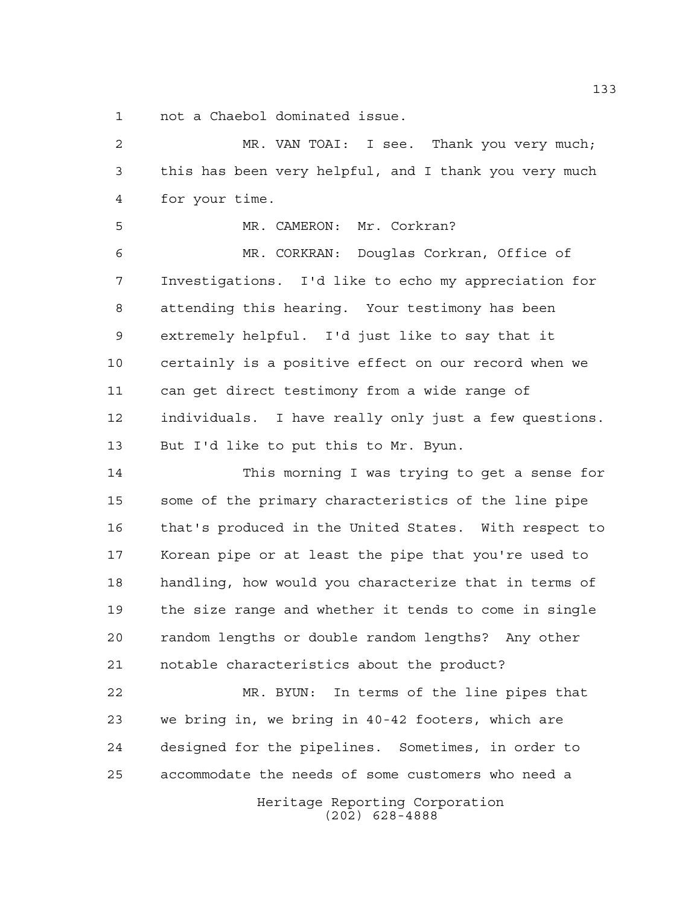not a Chaebol dominated issue.

 MR. VAN TOAI: I see. Thank you very much; this has been very helpful, and I thank you very much for your time.

 MR. CAMERON: Mr. Corkran? MR. CORKRAN: Douglas Corkran, Office of Investigations. I'd like to echo my appreciation for attending this hearing. Your testimony has been extremely helpful. I'd just like to say that it certainly is a positive effect on our record when we can get direct testimony from a wide range of individuals. I have really only just a few questions. But I'd like to put this to Mr. Byun.

 This morning I was trying to get a sense for some of the primary characteristics of the line pipe that's produced in the United States. With respect to Korean pipe or at least the pipe that you're used to handling, how would you characterize that in terms of the size range and whether it tends to come in single random lengths or double random lengths? Any other notable characteristics about the product?

Heritage Reporting Corporation MR. BYUN: In terms of the line pipes that we bring in, we bring in 40-42 footers, which are designed for the pipelines. Sometimes, in order to accommodate the needs of some customers who need a

(202) 628-4888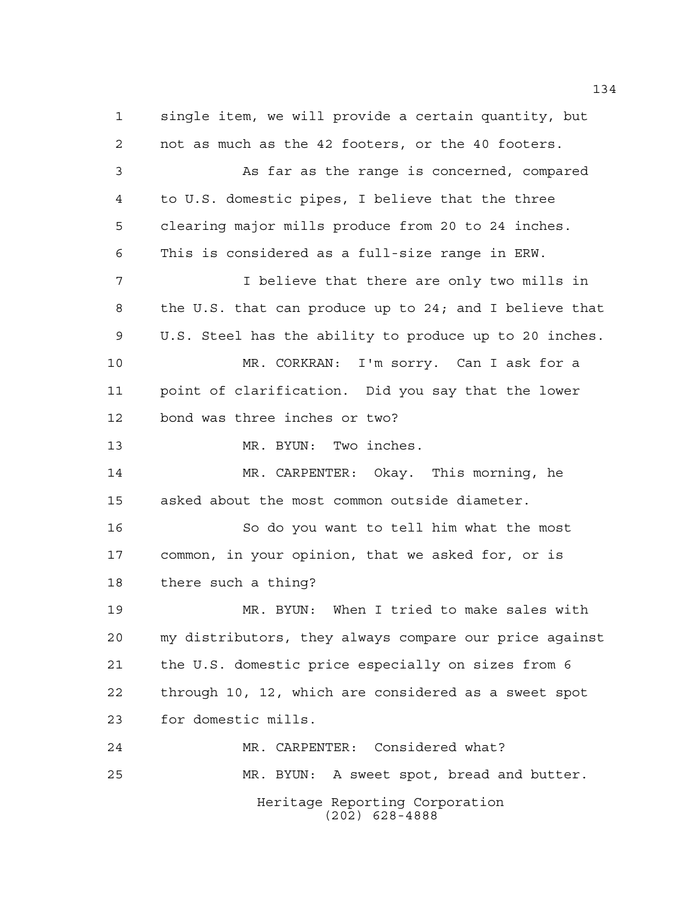Heritage Reporting Corporation (202) 628-4888 single item, we will provide a certain quantity, but not as much as the 42 footers, or the 40 footers. As far as the range is concerned, compared to U.S. domestic pipes, I believe that the three clearing major mills produce from 20 to 24 inches. This is considered as a full-size range in ERW. I believe that there are only two mills in the U.S. that can produce up to 24; and I believe that U.S. Steel has the ability to produce up to 20 inches. MR. CORKRAN: I'm sorry. Can I ask for a point of clarification. Did you say that the lower bond was three inches or two? 13 MR. BYUN: Two inches. MR. CARPENTER: Okay. This morning, he asked about the most common outside diameter. So do you want to tell him what the most common, in your opinion, that we asked for, or is there such a thing? MR. BYUN: When I tried to make sales with my distributors, they always compare our price against the U.S. domestic price especially on sizes from 6 through 10, 12, which are considered as a sweet spot for domestic mills. MR. CARPENTER: Considered what? MR. BYUN: A sweet spot, bread and butter.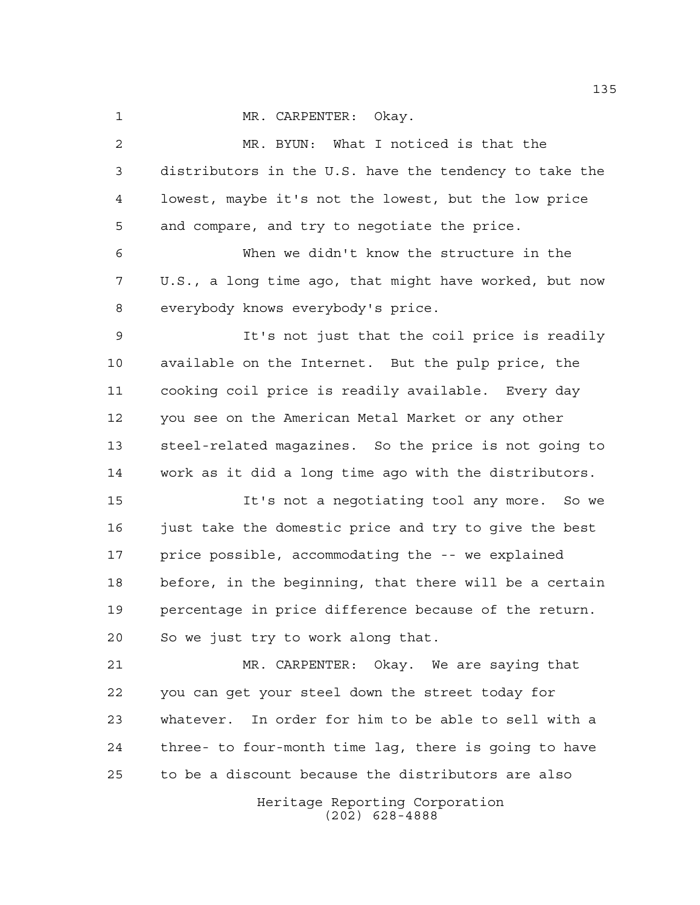1 MR. CARPENTER: Okay.

Heritage Reporting Corporation (202) 628-4888 MR. BYUN: What I noticed is that the distributors in the U.S. have the tendency to take the lowest, maybe it's not the lowest, but the low price and compare, and try to negotiate the price. When we didn't know the structure in the U.S., a long time ago, that might have worked, but now everybody knows everybody's price. It's not just that the coil price is readily available on the Internet. But the pulp price, the cooking coil price is readily available. Every day you see on the American Metal Market or any other steel-related magazines. So the price is not going to work as it did a long time ago with the distributors. It's not a negotiating tool any more. So we 16 just take the domestic price and try to give the best price possible, accommodating the -- we explained before, in the beginning, that there will be a certain percentage in price difference because of the return. So we just try to work along that. MR. CARPENTER: Okay. We are saying that you can get your steel down the street today for whatever. In order for him to be able to sell with a three- to four-month time lag, there is going to have to be a discount because the distributors are also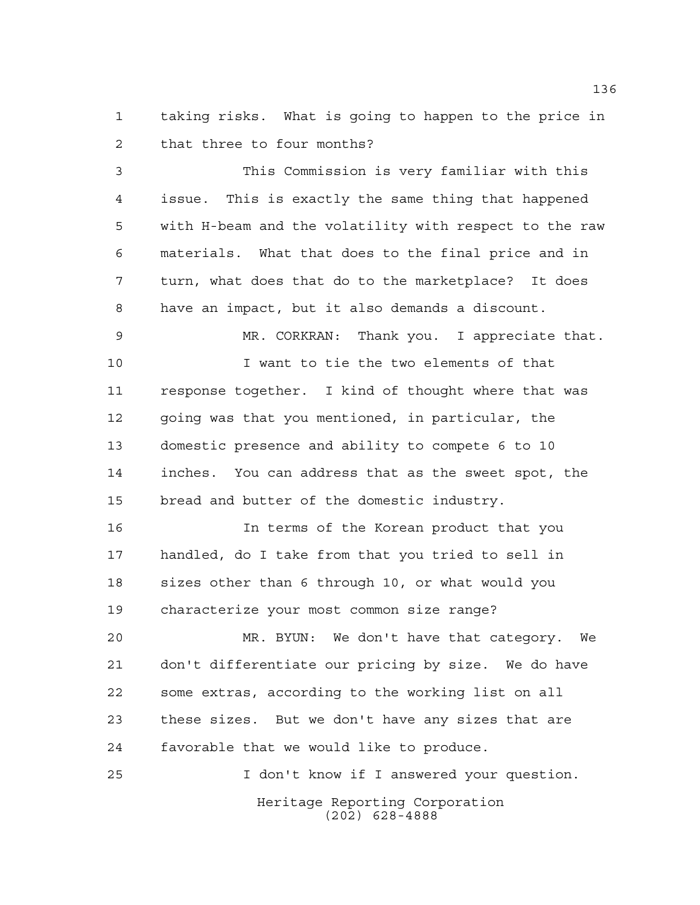taking risks. What is going to happen to the price in that three to four months?

 This Commission is very familiar with this issue. This is exactly the same thing that happened with H-beam and the volatility with respect to the raw materials. What that does to the final price and in turn, what does that do to the marketplace? It does have an impact, but it also demands a discount.

 MR. CORKRAN: Thank you. I appreciate that. I want to tie the two elements of that response together. I kind of thought where that was going was that you mentioned, in particular, the domestic presence and ability to compete 6 to 10 inches. You can address that as the sweet spot, the bread and butter of the domestic industry.

 In terms of the Korean product that you handled, do I take from that you tried to sell in sizes other than 6 through 10, or what would you characterize your most common size range?

 MR. BYUN: We don't have that category. We don't differentiate our pricing by size. We do have some extras, according to the working list on all these sizes. But we don't have any sizes that are favorable that we would like to produce.

Heritage Reporting Corporation (202) 628-4888 I don't know if I answered your question.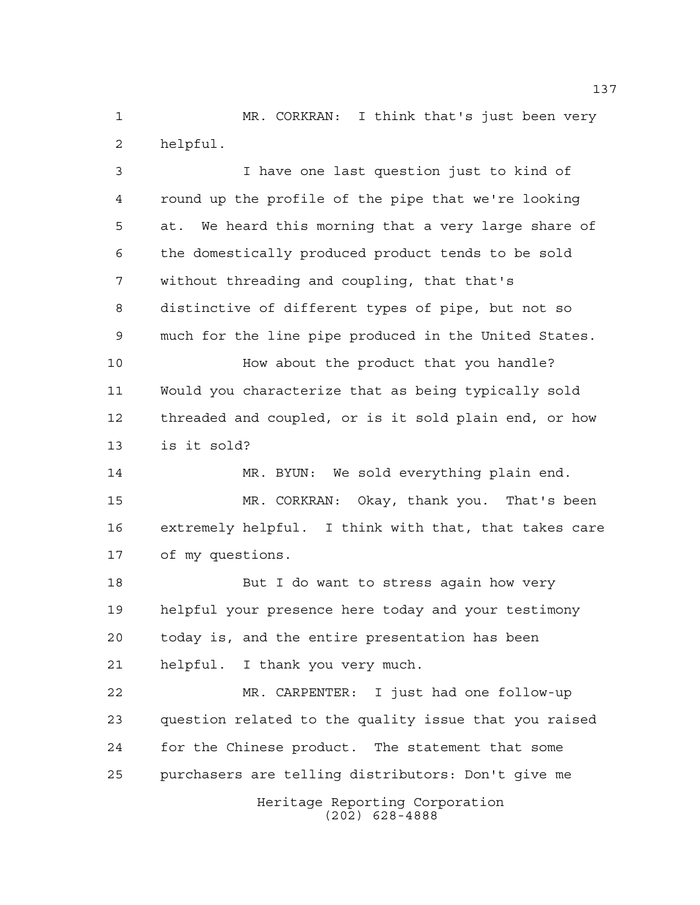MR. CORKRAN: I think that's just been very helpful.

 I have one last question just to kind of round up the profile of the pipe that we're looking at. We heard this morning that a very large share of the domestically produced product tends to be sold without threading and coupling, that that's distinctive of different types of pipe, but not so much for the line pipe produced in the United States. **How about the product that you handle?** 

 Would you characterize that as being typically sold threaded and coupled, or is it sold plain end, or how is it sold?

 MR. BYUN: We sold everything plain end. MR. CORKRAN: Okay, thank you. That's been extremely helpful. I think with that, that takes care of my questions.

18 But I do want to stress again how very helpful your presence here today and your testimony today is, and the entire presentation has been helpful. I thank you very much.

Heritage Reporting Corporation MR. CARPENTER: I just had one follow-up question related to the quality issue that you raised for the Chinese product. The statement that some purchasers are telling distributors: Don't give me

(202) 628-4888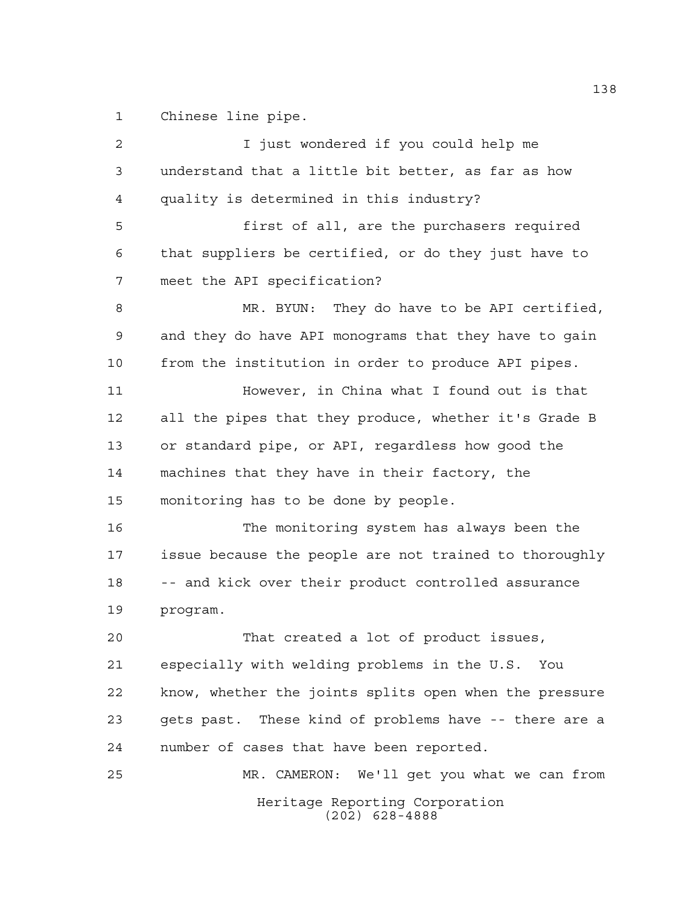Chinese line pipe.

Heritage Reporting Corporation (202) 628-4888 I just wondered if you could help me understand that a little bit better, as far as how quality is determined in this industry? first of all, are the purchasers required that suppliers be certified, or do they just have to meet the API specification? MR. BYUN: They do have to be API certified, and they do have API monograms that they have to gain from the institution in order to produce API pipes. However, in China what I found out is that all the pipes that they produce, whether it's Grade B or standard pipe, or API, regardless how good the machines that they have in their factory, the monitoring has to be done by people. The monitoring system has always been the issue because the people are not trained to thoroughly -- and kick over their product controlled assurance program. That created a lot of product issues, especially with welding problems in the U.S. You know, whether the joints splits open when the pressure gets past. These kind of problems have -- there are a number of cases that have been reported. MR. CAMERON: We'll get you what we can from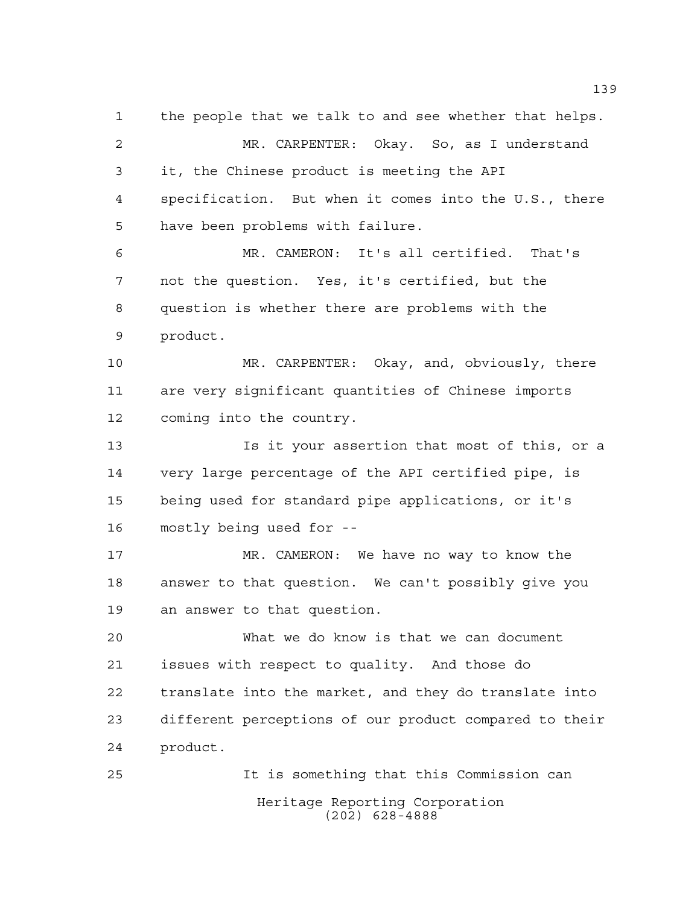Heritage Reporting Corporation (202) 628-4888 the people that we talk to and see whether that helps. MR. CARPENTER: Okay. So, as I understand it, the Chinese product is meeting the API specification. But when it comes into the U.S., there have been problems with failure. MR. CAMERON: It's all certified. That's not the question. Yes, it's certified, but the question is whether there are problems with the product. MR. CARPENTER: Okay, and, obviously, there are very significant quantities of Chinese imports coming into the country. Is it your assertion that most of this, or a very large percentage of the API certified pipe, is being used for standard pipe applications, or it's mostly being used for -- MR. CAMERON: We have no way to know the answer to that question. We can't possibly give you an answer to that question. What we do know is that we can document issues with respect to quality. And those do translate into the market, and they do translate into different perceptions of our product compared to their product. It is something that this Commission can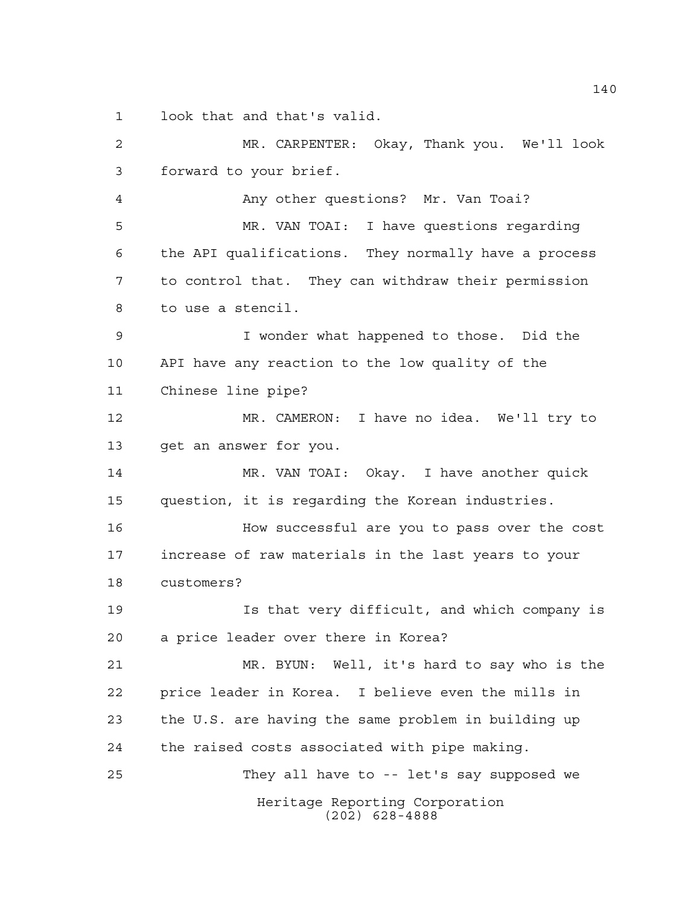look that and that's valid.

Heritage Reporting Corporation (202) 628-4888 MR. CARPENTER: Okay, Thank you. We'll look forward to your brief. Any other questions? Mr. Van Toai? MR. VAN TOAI: I have questions regarding the API qualifications. They normally have a process to control that. They can withdraw their permission to use a stencil. I wonder what happened to those. Did the API have any reaction to the low quality of the Chinese line pipe? MR. CAMERON: I have no idea. We'll try to get an answer for you. MR. VAN TOAI: Okay. I have another quick question, it is regarding the Korean industries. How successful are you to pass over the cost increase of raw materials in the last years to your customers? Is that very difficult, and which company is a price leader over there in Korea? MR. BYUN: Well, it's hard to say who is the price leader in Korea. I believe even the mills in the U.S. are having the same problem in building up the raised costs associated with pipe making. They all have to -- let's say supposed we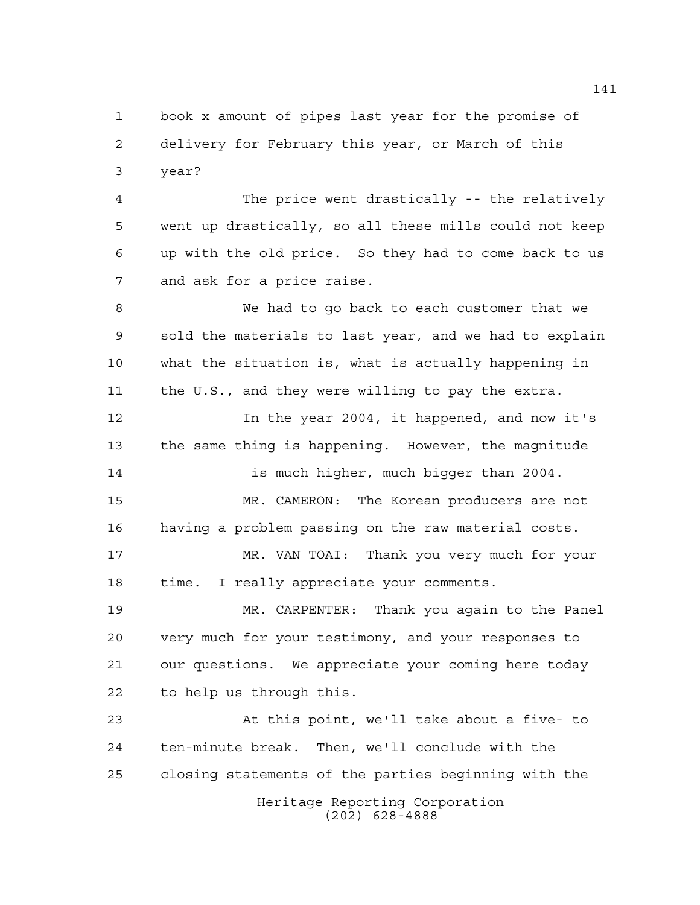book x amount of pipes last year for the promise of delivery for February this year, or March of this year?

 The price went drastically -- the relatively went up drastically, so all these mills could not keep up with the old price. So they had to come back to us and ask for a price raise.

 We had to go back to each customer that we sold the materials to last year, and we had to explain what the situation is, what is actually happening in the U.S., and they were willing to pay the extra.

12 12 In the year 2004, it happened, and now it's the same thing is happening. However, the magnitude 14 is much higher, much bigger than 2004. MR. CAMERON: The Korean producers are not having a problem passing on the raw material costs. MR. VAN TOAI: Thank you very much for your time. I really appreciate your comments.

 MR. CARPENTER: Thank you again to the Panel very much for your testimony, and your responses to our questions. We appreciate your coming here today to help us through this.

Heritage Reporting Corporation (202) 628-4888 At this point, we'll take about a five- to ten-minute break. Then, we'll conclude with the closing statements of the parties beginning with the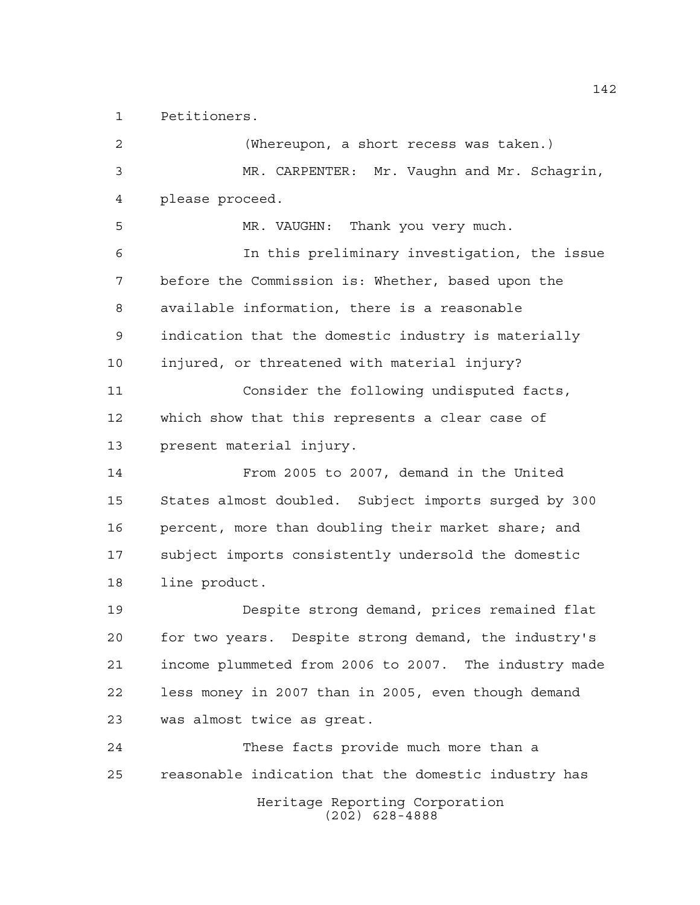Petitioners.

Heritage Reporting Corporation (202) 628-4888 (Whereupon, a short recess was taken.) MR. CARPENTER: Mr. Vaughn and Mr. Schagrin, please proceed. MR. VAUGHN: Thank you very much. In this preliminary investigation, the issue before the Commission is: Whether, based upon the available information, there is a reasonable indication that the domestic industry is materially injured, or threatened with material injury? Consider the following undisputed facts, which show that this represents a clear case of present material injury. From 2005 to 2007, demand in the United States almost doubled. Subject imports surged by 300 percent, more than doubling their market share; and subject imports consistently undersold the domestic line product. Despite strong demand, prices remained flat for two years. Despite strong demand, the industry's income plummeted from 2006 to 2007. The industry made less money in 2007 than in 2005, even though demand was almost twice as great. These facts provide much more than a reasonable indication that the domestic industry has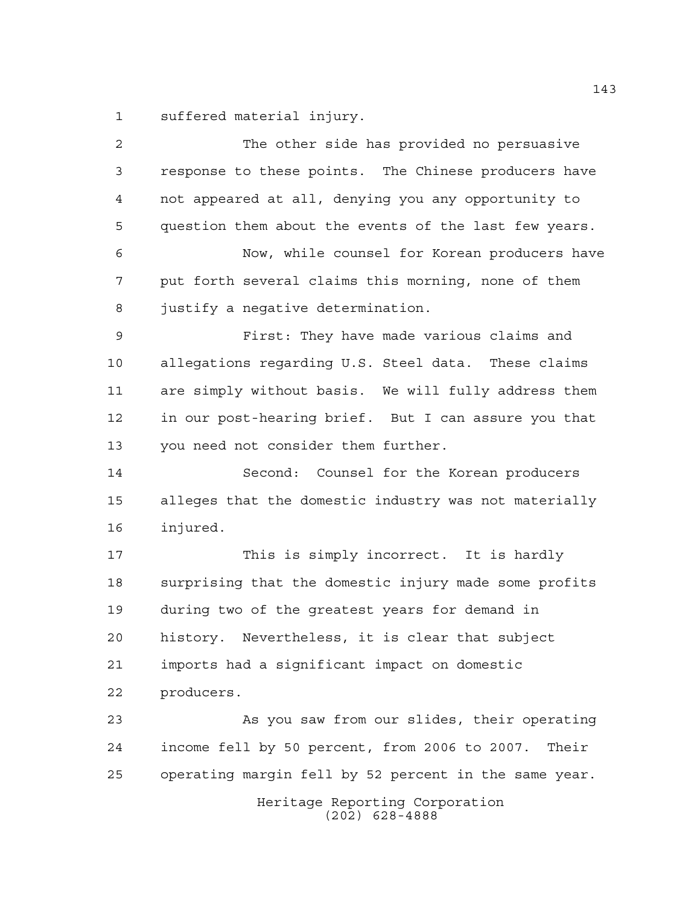suffered material injury.

| $\overline{2}$ | The other side has provided no persuasive             |
|----------------|-------------------------------------------------------|
| 3              | response to these points. The Chinese producers have  |
| 4              | not appeared at all, denying you any opportunity to   |
| 5              | question them about the events of the last few years. |
| 6              | Now, while counsel for Korean producers have          |
| 7              | put forth several claims this morning, none of them   |
| 8              | justify a negative determination.                     |
| 9              | First: They have made various claims and              |
| 10             | allegations regarding U.S. Steel data. These claims   |
| 11             | are simply without basis. We will fully address them  |
| 12             | in our post-hearing brief. But I can assure you that  |
| 13             | you need not consider them further.                   |
| 14             | Second: Counsel for the Korean producers              |
| 15             | alleges that the domestic industry was not materially |
| 16             | injured.                                              |
| 17             | This is simply incorrect. It is hardly                |
| 18             | surprising that the domestic injury made some profits |
| 19             | during two of the greatest years for demand in        |
| 20             | history. Nevertheless, it is clear that subject       |
| 21             | imports had a significant impact on domestic          |
| 22             | producers.                                            |
| 23             | As you saw from our slides, their operating           |
| 24             | income fell by 50 percent, from 2006 to 2007. Their   |
| 25             | operating margin fell by 52 percent in the same year. |
|                | Heritage Reporting Corporation<br>$(202)$ 628-4888    |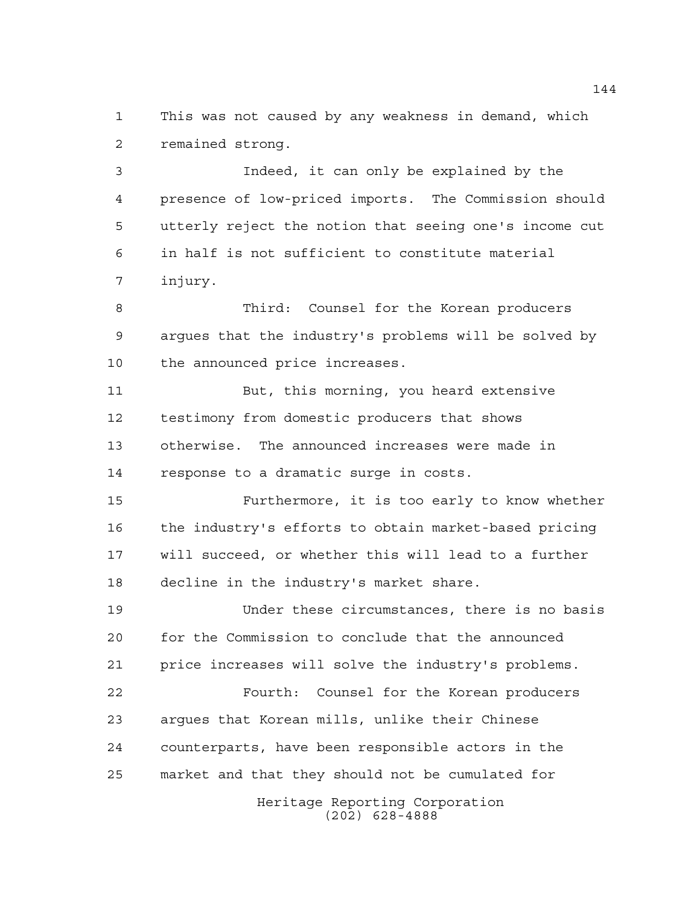This was not caused by any weakness in demand, which remained strong.

 Indeed, it can only be explained by the presence of low-priced imports. The Commission should utterly reject the notion that seeing one's income cut in half is not sufficient to constitute material injury.

 Third: Counsel for the Korean producers argues that the industry's problems will be solved by the announced price increases.

 But, this morning, you heard extensive testimony from domestic producers that shows otherwise. The announced increases were made in response to a dramatic surge in costs.

 Furthermore, it is too early to know whether the industry's efforts to obtain market-based pricing will succeed, or whether this will lead to a further decline in the industry's market share.

 Under these circumstances, there is no basis for the Commission to conclude that the announced price increases will solve the industry's problems.

 Fourth: Counsel for the Korean producers argues that Korean mills, unlike their Chinese counterparts, have been responsible actors in the market and that they should not be cumulated for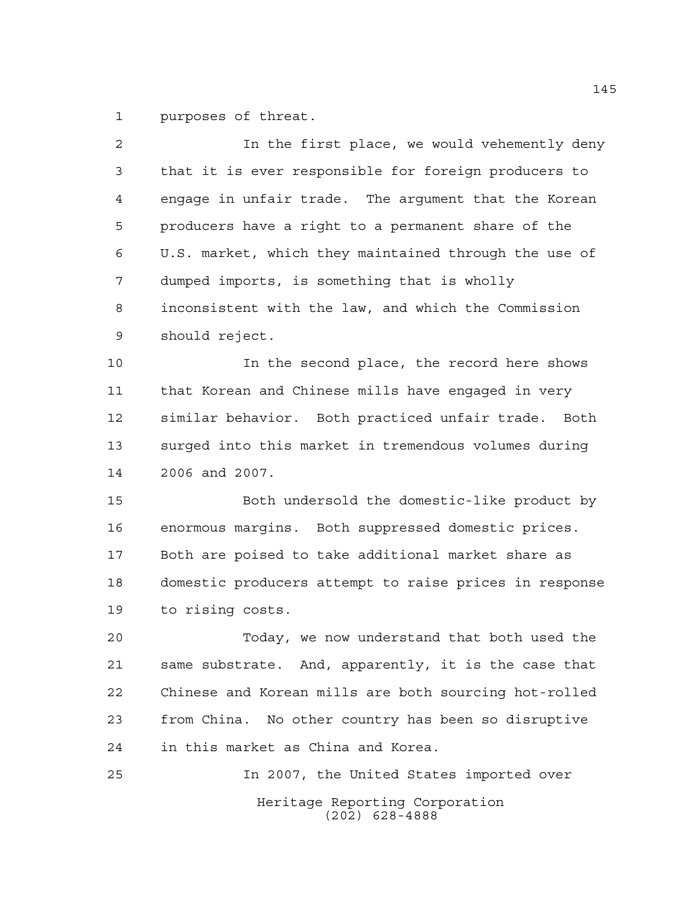purposes of threat.

| $\overline{2}$ | In the first place, we would vehemently deny           |
|----------------|--------------------------------------------------------|
| 3              | that it is ever responsible for foreign producers to   |
| 4              | engage in unfair trade. The argument that the Korean   |
| 5              | producers have a right to a permanent share of the     |
| 6              | U.S. market, which they maintained through the use of  |
| 7              | dumped imports, is something that is wholly            |
| 8              | inconsistent with the law, and which the Commission    |
| 9              | should reject.                                         |
| 10             | In the second place, the record here shows             |
| 11             | that Korean and Chinese mills have engaged in very     |
| 12             | similar behavior. Both practiced unfair trade. Both    |
| 13             | surged into this market in tremendous volumes during   |
| 14             | 2006 and 2007.                                         |
| 15             | Both undersold the domestic-like product by            |
| 16             | enormous margins. Both suppressed domestic prices.     |
| 17             | Both are poised to take additional market share as     |
| 18             | domestic producers attempt to raise prices in response |
| 19             | to rising costs.                                       |
| 20             | Today, we now understand that both used the            |
| 21             | same substrate. And, apparently, it is the case that   |
| 22             | Chinese and Korean mills are both sourcing hot-rolled  |
| 23             | from China. No other country has been so disruptive    |
| 24             | in this market as China and Korea.                     |
| 25             | In 2007, the United States imported over               |
|                | Heritage Reporting Corporation<br>$(202)$ 628-4888     |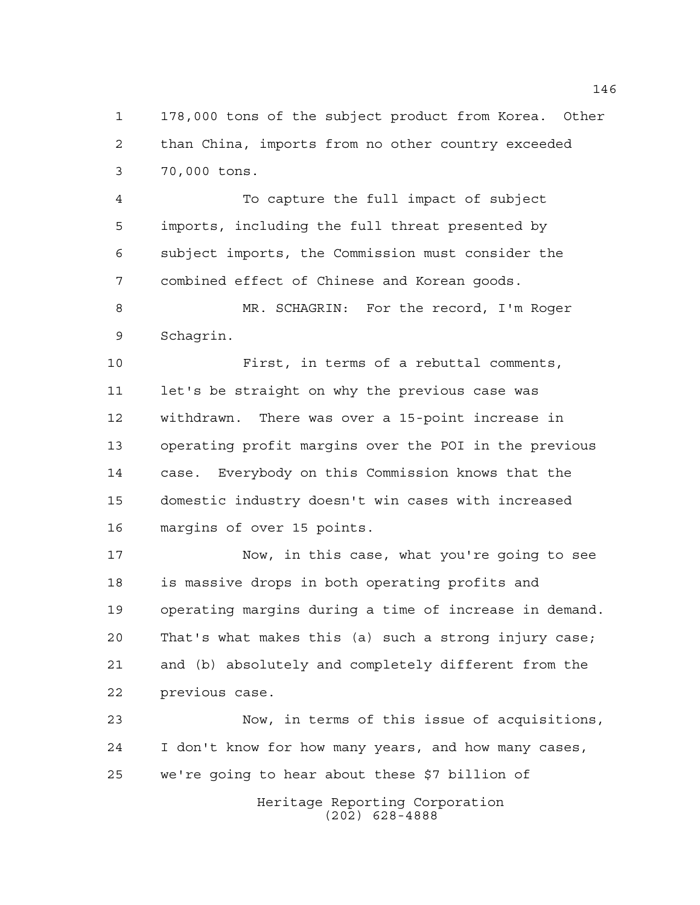178,000 tons of the subject product from Korea. Other than China, imports from no other country exceeded 70,000 tons.

 To capture the full impact of subject imports, including the full threat presented by subject imports, the Commission must consider the combined effect of Chinese and Korean goods.

 MR. SCHAGRIN: For the record, I'm Roger Schagrin.

 First, in terms of a rebuttal comments, 11 let's be straight on why the previous case was withdrawn. There was over a 15-point increase in operating profit margins over the POI in the previous case. Everybody on this Commission knows that the domestic industry doesn't win cases with increased margins of over 15 points.

 Now, in this case, what you're going to see is massive drops in both operating profits and operating margins during a time of increase in demand. That's what makes this (a) such a strong injury case; and (b) absolutely and completely different from the previous case.

 Now, in terms of this issue of acquisitions, I don't know for how many years, and how many cases, we're going to hear about these \$7 billion of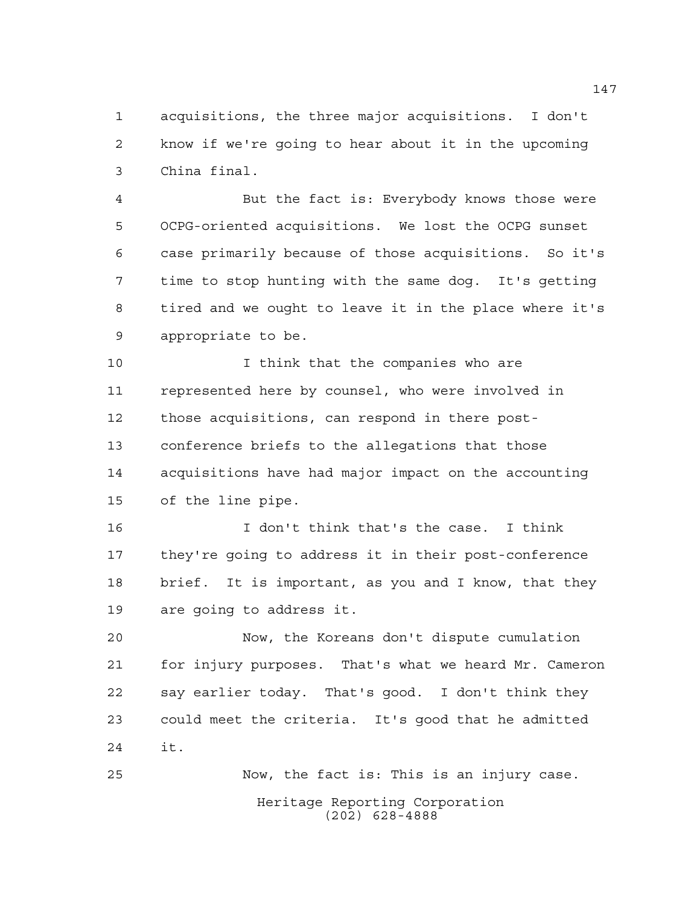acquisitions, the three major acquisitions. I don't know if we're going to hear about it in the upcoming China final.

 But the fact is: Everybody knows those were OCPG-oriented acquisitions. We lost the OCPG sunset case primarily because of those acquisitions. So it's time to stop hunting with the same dog. It's getting tired and we ought to leave it in the place where it's appropriate to be.

 I think that the companies who are represented here by counsel, who were involved in those acquisitions, can respond in there post- conference briefs to the allegations that those acquisitions have had major impact on the accounting of the line pipe.

 I don't think that's the case. I think they're going to address it in their post-conference brief. It is important, as you and I know, that they are going to address it.

 Now, the Koreans don't dispute cumulation for injury purposes. That's what we heard Mr. Cameron say earlier today. That's good. I don't think they could meet the criteria. It's good that he admitted it.

Heritage Reporting Corporation (202) 628-4888 Now, the fact is: This is an injury case.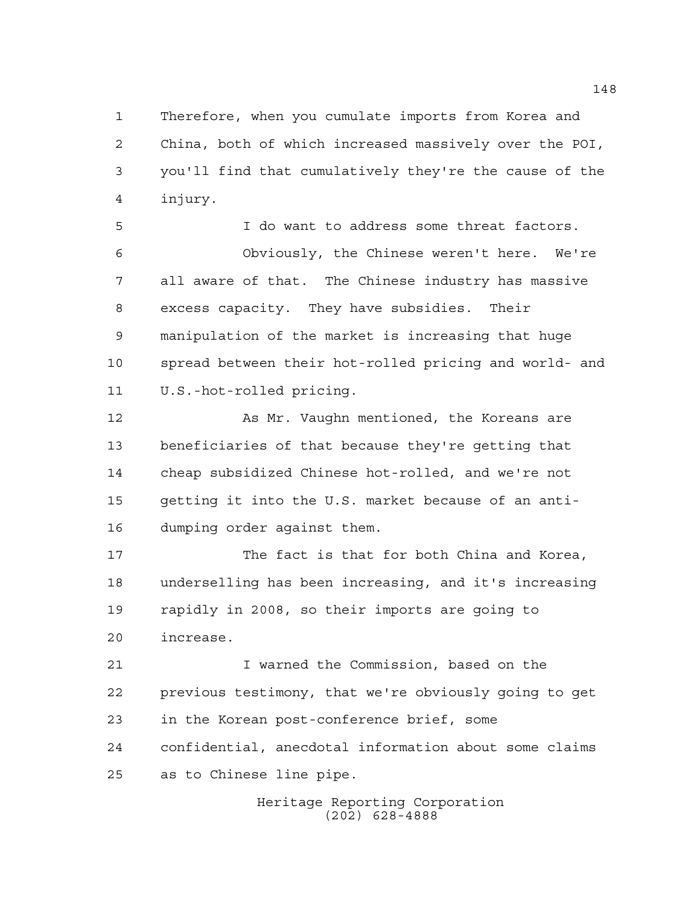Therefore, when you cumulate imports from Korea and China, both of which increased massively over the POI, you'll find that cumulatively they're the cause of the injury.

 I do want to address some threat factors. Obviously, the Chinese weren't here. We're all aware of that. The Chinese industry has massive excess capacity. They have subsidies. Their manipulation of the market is increasing that huge spread between their hot-rolled pricing and world- and U.S.-hot-rolled pricing.

 As Mr. Vaughn mentioned, the Koreans are beneficiaries of that because they're getting that cheap subsidized Chinese hot-rolled, and we're not getting it into the U.S. market because of an anti-dumping order against them.

 The fact is that for both China and Korea, underselling has been increasing, and it's increasing rapidly in 2008, so their imports are going to increase.

 I warned the Commission, based on the previous testimony, that we're obviously going to get in the Korean post-conference brief, some confidential, anecdotal information about some claims as to Chinese line pipe.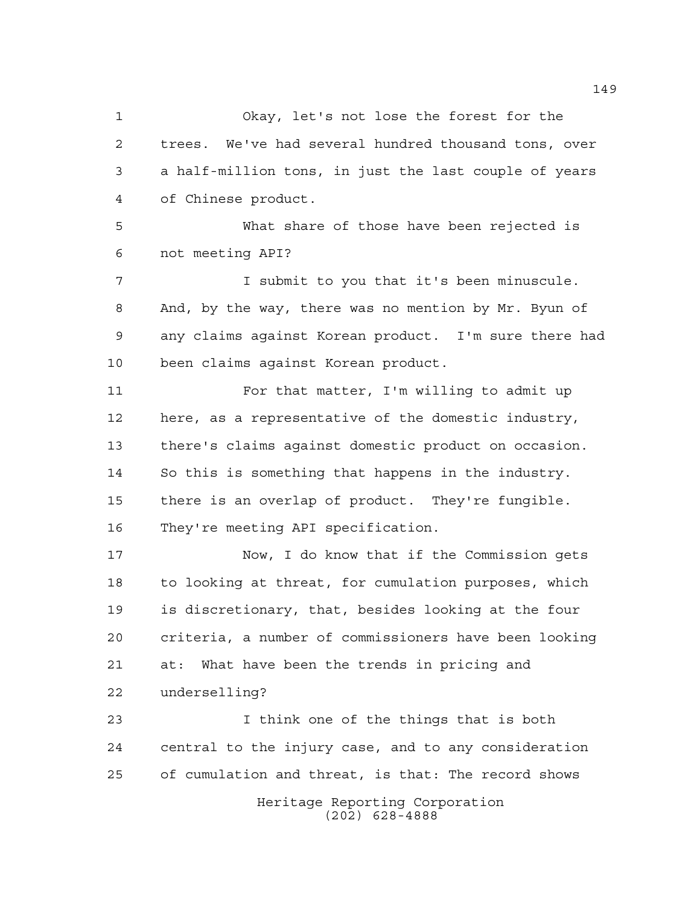Okay, let's not lose the forest for the trees. We've had several hundred thousand tons, over a half-million tons, in just the last couple of years of Chinese product. What share of those have been rejected is not meeting API? I submit to you that it's been minuscule. And, by the way, there was no mention by Mr. Byun of any claims against Korean product. I'm sure there had been claims against Korean product.

 For that matter, I'm willing to admit up here, as a representative of the domestic industry, there's claims against domestic product on occasion. So this is something that happens in the industry. there is an overlap of product. They're fungible. They're meeting API specification.

 Now, I do know that if the Commission gets to looking at threat, for cumulation purposes, which is discretionary, that, besides looking at the four criteria, a number of commissioners have been looking at: What have been the trends in pricing and underselling?

Heritage Reporting Corporation I think one of the things that is both central to the injury case, and to any consideration of cumulation and threat, is that: The record shows

(202) 628-4888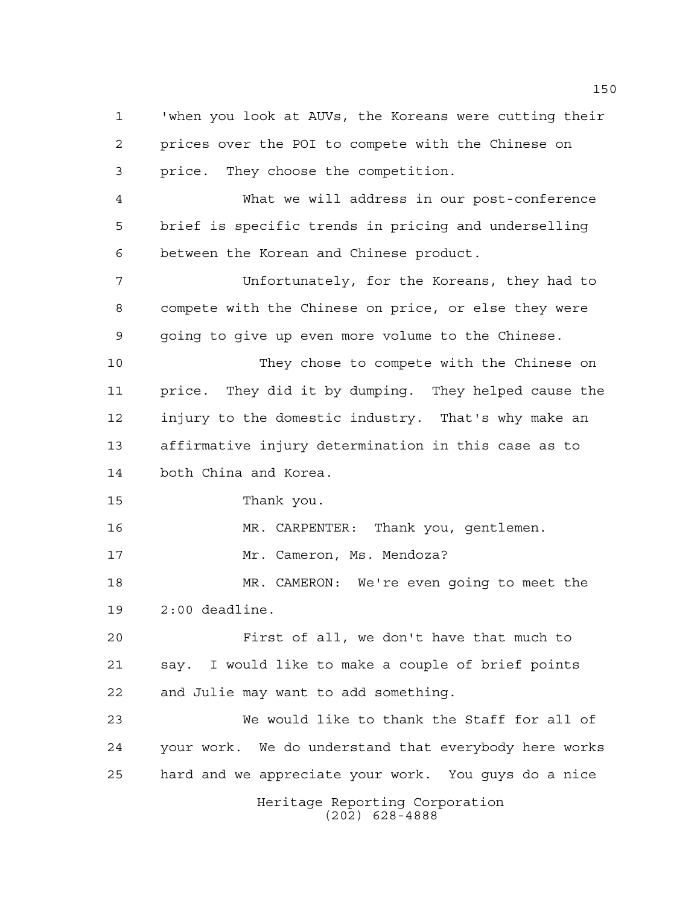Heritage Reporting Corporation (202) 628-4888 'when you look at AUVs, the Koreans were cutting their prices over the POI to compete with the Chinese on price. They choose the competition. What we will address in our post-conference brief is specific trends in pricing and underselling between the Korean and Chinese product. Unfortunately, for the Koreans, they had to compete with the Chinese on price, or else they were going to give up even more volume to the Chinese. 10 They chose to compete with the Chinese on price. They did it by dumping. They helped cause the injury to the domestic industry. That's why make an affirmative injury determination in this case as to both China and Korea. Thank you. MR. CARPENTER: Thank you, gentlemen. 17 Mr. Cameron, Ms. Mendoza? MR. CAMERON: We're even going to meet the 2:00 deadline. First of all, we don't have that much to say. I would like to make a couple of brief points and Julie may want to add something. We would like to thank the Staff for all of your work. We do understand that everybody here works hard and we appreciate your work. You guys do a nice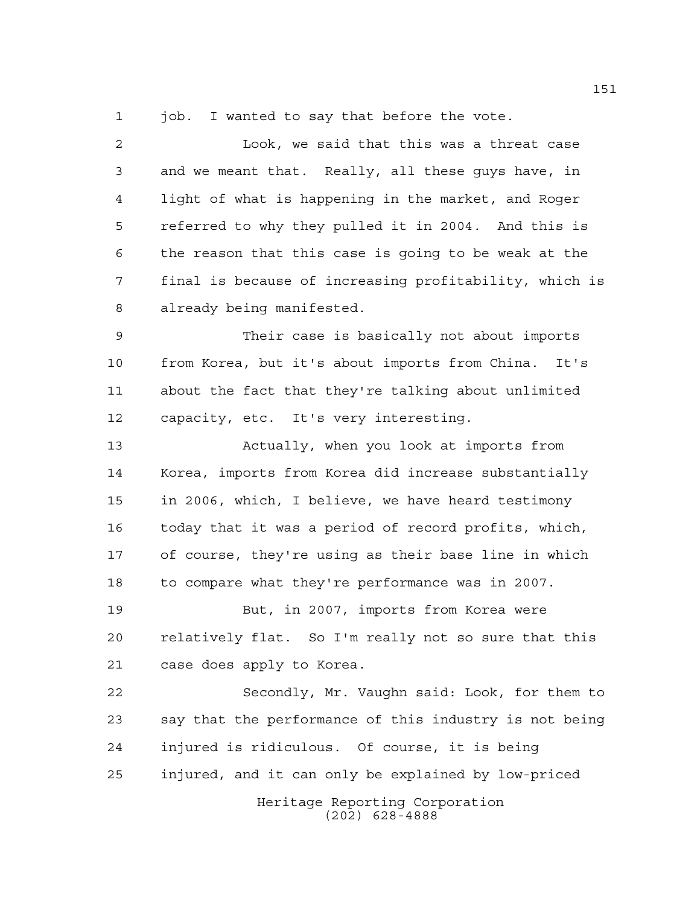1 job. I wanted to say that before the vote.

 Look, we said that this was a threat case and we meant that. Really, all these guys have, in light of what is happening in the market, and Roger referred to why they pulled it in 2004. And this is the reason that this case is going to be weak at the final is because of increasing profitability, which is already being manifested. Their case is basically not about imports from Korea, but it's about imports from China. It's about the fact that they're talking about unlimited capacity, etc. It's very interesting. Actually, when you look at imports from Korea, imports from Korea did increase substantially in 2006, which, I believe, we have heard testimony today that it was a period of record profits, which, of course, they're using as their base line in which to compare what they're performance was in 2007. But, in 2007, imports from Korea were relatively flat. So I'm really not so sure that this case does apply to Korea. Secondly, Mr. Vaughn said: Look, for them to

Heritage Reporting Corporation (202) 628-4888 say that the performance of this industry is not being injured is ridiculous. Of course, it is being injured, and it can only be explained by low-priced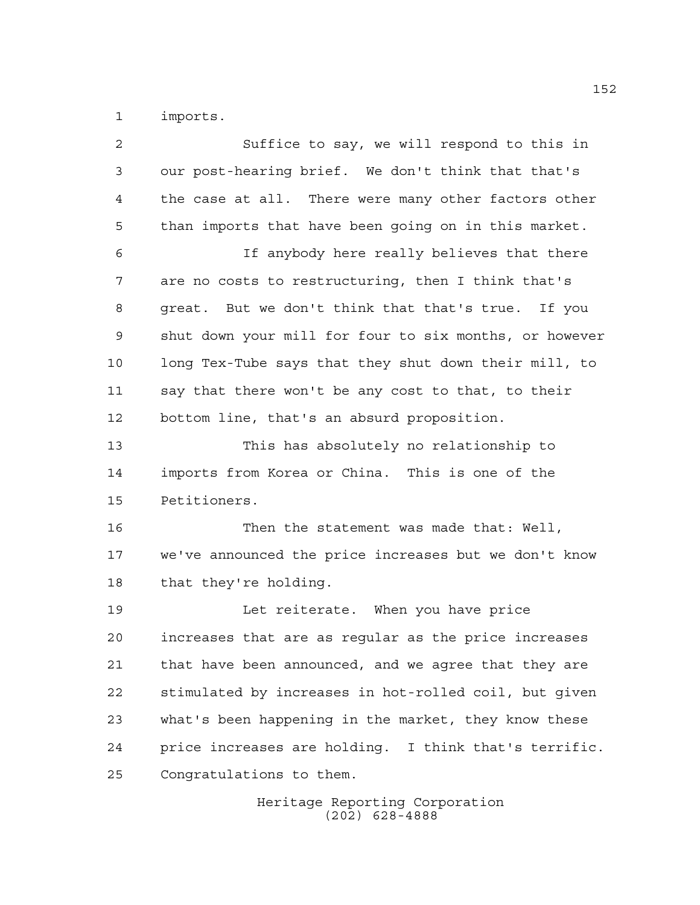imports.

| $\overline{2}$ | Suffice to say, we will respond to this in             |
|----------------|--------------------------------------------------------|
| 3              | our post-hearing brief. We don't think that that's     |
| 4              | the case at all. There were many other factors other   |
| 5              | than imports that have been going on in this market.   |
| 6              | If anybody here really believes that there             |
| 7              | are no costs to restructuring, then I think that's     |
| 8              | great. But we don't think that that's true. If you     |
| 9              | shut down your mill for four to six months, or however |
| 10             | long Tex-Tube says that they shut down their mill, to  |
| 11             | say that there won't be any cost to that, to their     |
| 12             | bottom line, that's an absurd proposition.             |
| 13             | This has absolutely no relationship to                 |
| 14             | imports from Korea or China. This is one of the        |
| 15             | Petitioners.                                           |
| 16             | Then the statement was made that: Well,                |
| 17             | we've announced the price increases but we don't know  |
| 18             | that they're holding.                                  |
| 19             | Let reiterate. When you have price                     |
| 20             | increases that are as regular as the price increases   |
| 21             | that have been announced, and we agree that they are   |
| 22             | stimulated by increases in hot-rolled coil, but given  |
| 23             | what's been happening in the market, they know these   |
| 24             | price increases are holding. I think that's terrific.  |
| 25             | Congratulations to them.                               |
|                |                                                        |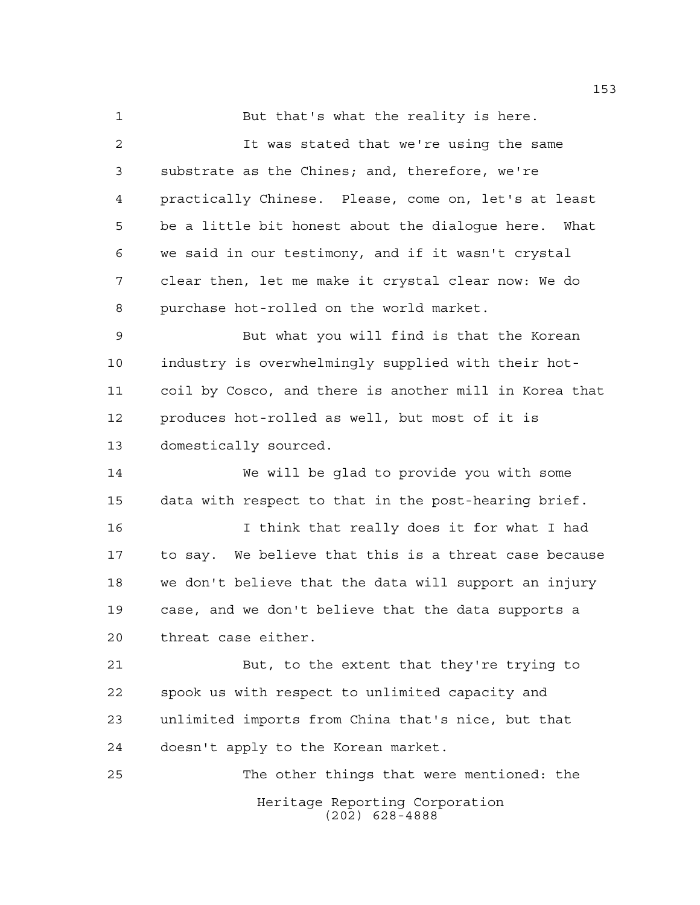But that's what the reality is here.

 It was stated that we're using the same substrate as the Chines; and, therefore, we're practically Chinese. Please, come on, let's at least be a little bit honest about the dialogue here. What we said in our testimony, and if it wasn't crystal clear then, let me make it crystal clear now: We do purchase hot-rolled on the world market.

 But what you will find is that the Korean industry is overwhelmingly supplied with their hot- coil by Cosco, and there is another mill in Korea that produces hot-rolled as well, but most of it is domestically sourced.

 We will be glad to provide you with some data with respect to that in the post-hearing brief.

 I think that really does it for what I had to say. We believe that this is a threat case because we don't believe that the data will support an injury case, and we don't believe that the data supports a threat case either.

 But, to the extent that they're trying to spook us with respect to unlimited capacity and unlimited imports from China that's nice, but that doesn't apply to the Korean market.

Heritage Reporting Corporation (202) 628-4888 The other things that were mentioned: the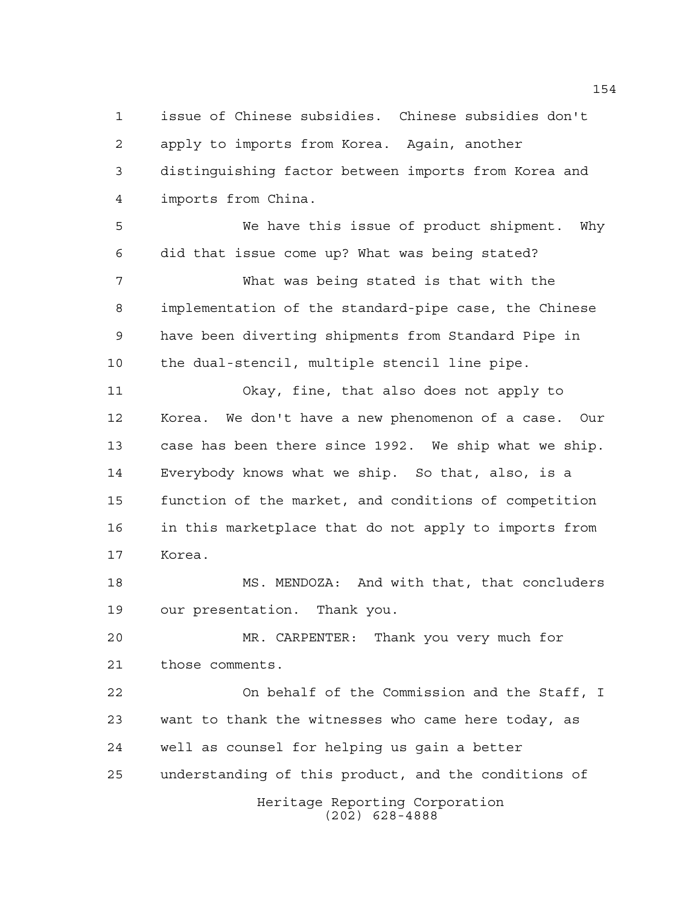issue of Chinese subsidies. Chinese subsidies don't apply to imports from Korea. Again, another distinguishing factor between imports from Korea and imports from China.

 We have this issue of product shipment. Why did that issue come up? What was being stated? What was being stated is that with the implementation of the standard-pipe case, the Chinese have been diverting shipments from Standard Pipe in the dual-stencil, multiple stencil line pipe. Okay, fine, that also does not apply to Korea. We don't have a new phenomenon of a case. Our

 case has been there since 1992. We ship what we ship. Everybody knows what we ship. So that, also, is a function of the market, and conditions of competition in this marketplace that do not apply to imports from Korea.

 MS. MENDOZA: And with that, that concluders our presentation. Thank you.

 MR. CARPENTER: Thank you very much for those comments.

Heritage Reporting Corporation (202) 628-4888 On behalf of the Commission and the Staff, I want to thank the witnesses who came here today, as well as counsel for helping us gain a better understanding of this product, and the conditions of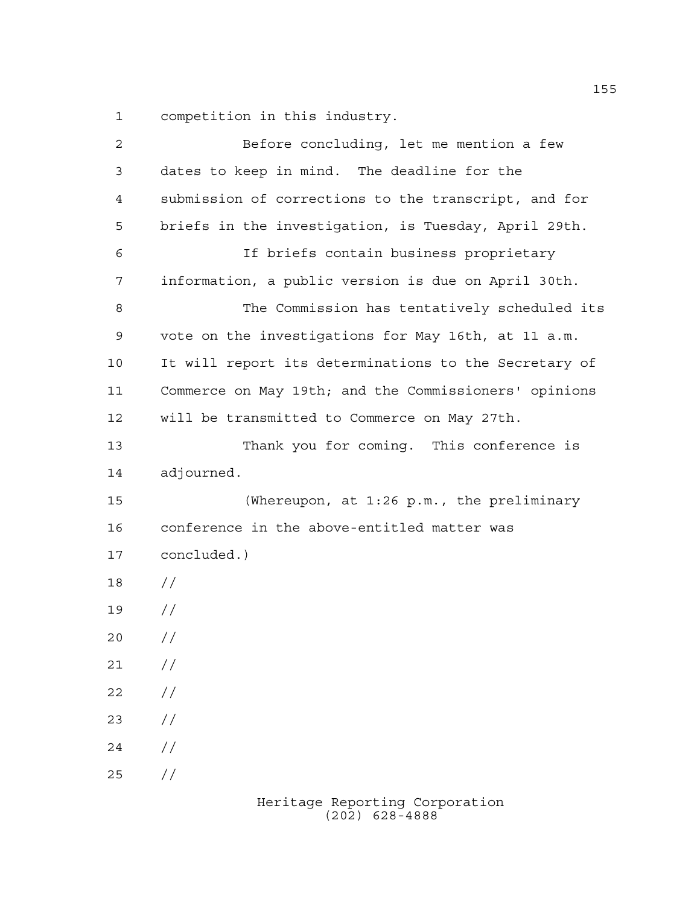competition in this industry.

| $\overline{a}$ | Before concluding, let me mention a few               |
|----------------|-------------------------------------------------------|
| 3              | dates to keep in mind. The deadline for the           |
| $\overline{4}$ | submission of corrections to the transcript, and for  |
| 5              | briefs in the investigation, is Tuesday, April 29th.  |
| 6              | If briefs contain business proprietary                |
| 7              | information, a public version is due on April 30th.   |
| 8              | The Commission has tentatively scheduled its          |
| 9              | vote on the investigations for May 16th, at 11 a.m.   |
| 10             | It will report its determinations to the Secretary of |
| 11             | Commerce on May 19th; and the Commissioners' opinions |
| 12             | will be transmitted to Commerce on May 27th.          |
| 13             | Thank you for coming. This conference is              |
| 14             | adjourned.                                            |
| 15             | (Whereupon, at $1:26$ p.m., the preliminary           |
| 16             | conference in the above-entitled matter was           |
| 17             | concluded.)                                           |
| 18             | $\frac{1}{2}$                                         |
| 19             | $\frac{1}{2}$                                         |
| 20             | $\frac{1}{2}$                                         |
| 21             | $\frac{1}{2}$                                         |
| 22             | //                                                    |
| 23             | //                                                    |
| 24             | $\frac{1}{2}$                                         |
| 25             | //                                                    |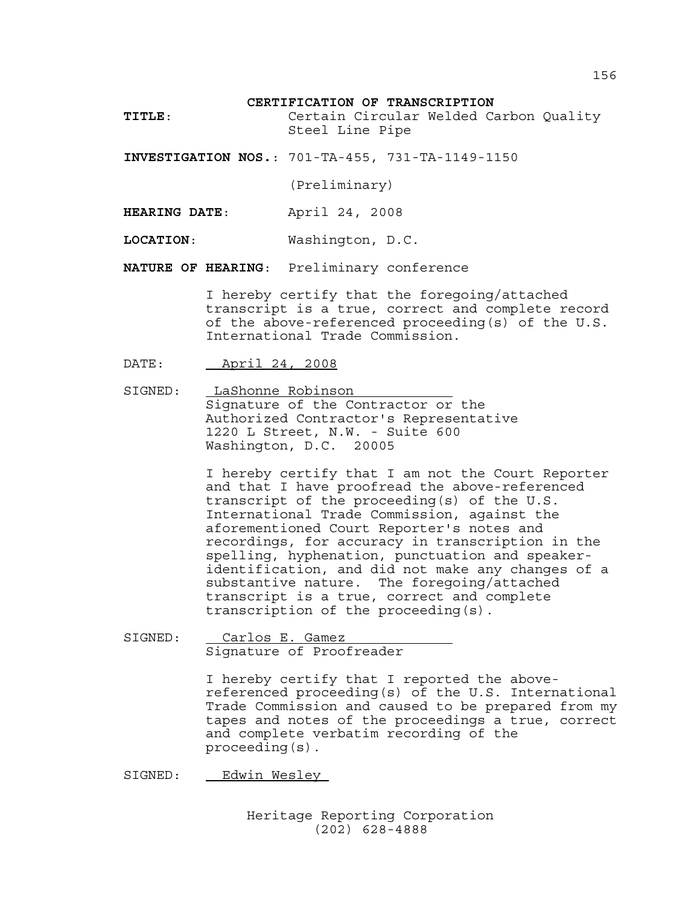## **CERTIFICATION OF TRANSCRIPTION**

**TITLE**: Certain Circular Welded Carbon Quality Steel Line Pipe

**INVESTIGATION NOS.**: 701-TA-455, 731-TA-1149-1150

(Preliminary)

**HEARING DATE**: April 24, 2008

**LOCATION**: Washington, D.C.

**NATURE OF HEARING**: Preliminary conference

I hereby certify that the foregoing/attached transcript is a true, correct and complete record of the above-referenced proceeding(s) of the U.S. International Trade Commission.

DATE: April 24, 2008

SIGNED: LaShonne Robinson Signature of the Contractor or the Authorized Contractor's Representative 1220 L Street, N.W. - Suite 600 Washington, D.C. 20005

> I hereby certify that I am not the Court Reporter and that I have proofread the above-referenced transcript of the proceeding(s) of the U.S. International Trade Commission, against the aforementioned Court Reporter's notes and recordings, for accuracy in transcription in the spelling, hyphenation, punctuation and speakeridentification, and did not make any changes of a substantive nature. The foregoing/attached transcript is a true, correct and complete transcription of the proceeding(s).

SIGNED: Carlos E. Gamez Signature of Proofreader

> I hereby certify that I reported the abovereferenced proceeding(s) of the U.S. International Trade Commission and caused to be prepared from my tapes and notes of the proceedings a true, correct and complete verbatim recording of the proceeding(s).

SIGNED: Edwin Wesley